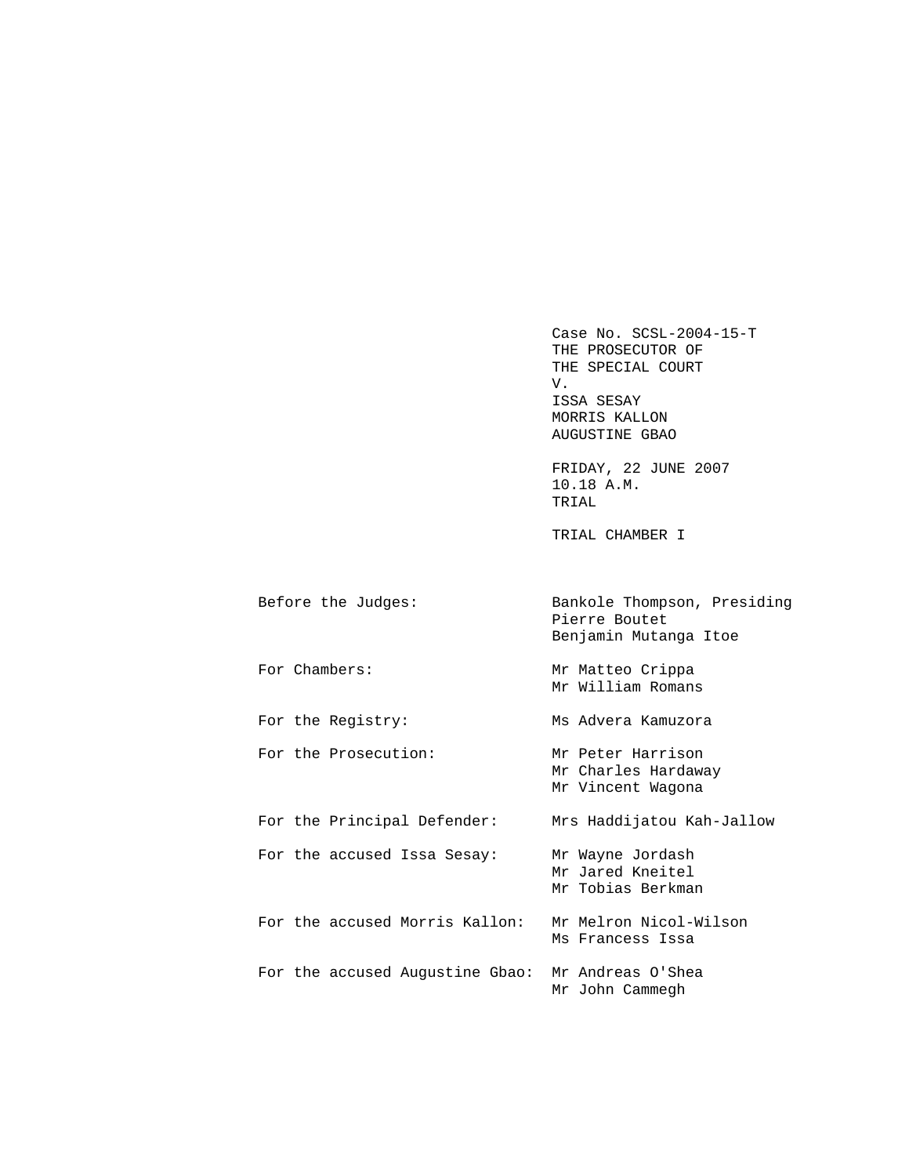Case No. SCSL-2004-15-T THE PROSECUTOR OF THE SPECIAL COURT V. ISSA SESAY MORRIS KALLON AUGUSTINE GBAO FRIDAY, 22 JUNE 2007 10.18 A.M. TRIAL TRIAL CHAMBER I Before the Judges: Bankole Thompson, Presiding Pierre Boutet Benjamin Mutanga Itoe For Chambers: Mr Matteo Crippa Mr William Romans For the Registry: Ms Advera Kamuzora For the Prosecution: Mr Peter Harrison Mr Charles Hardaway Mr Vincent Wagona For the Principal Defender: Mrs Haddijatou Kah-Jallow For the accused Issa Sesay: Mr Wayne Jordash Mr Jared Kneitel Mr Tobias Berkman For the accused Morris Kallon: Mr Melron Nicol-Wilson Ms Francess Issa For the accused Augustine Gbao: Mr Andreas O'Shea

Mr John Cammegh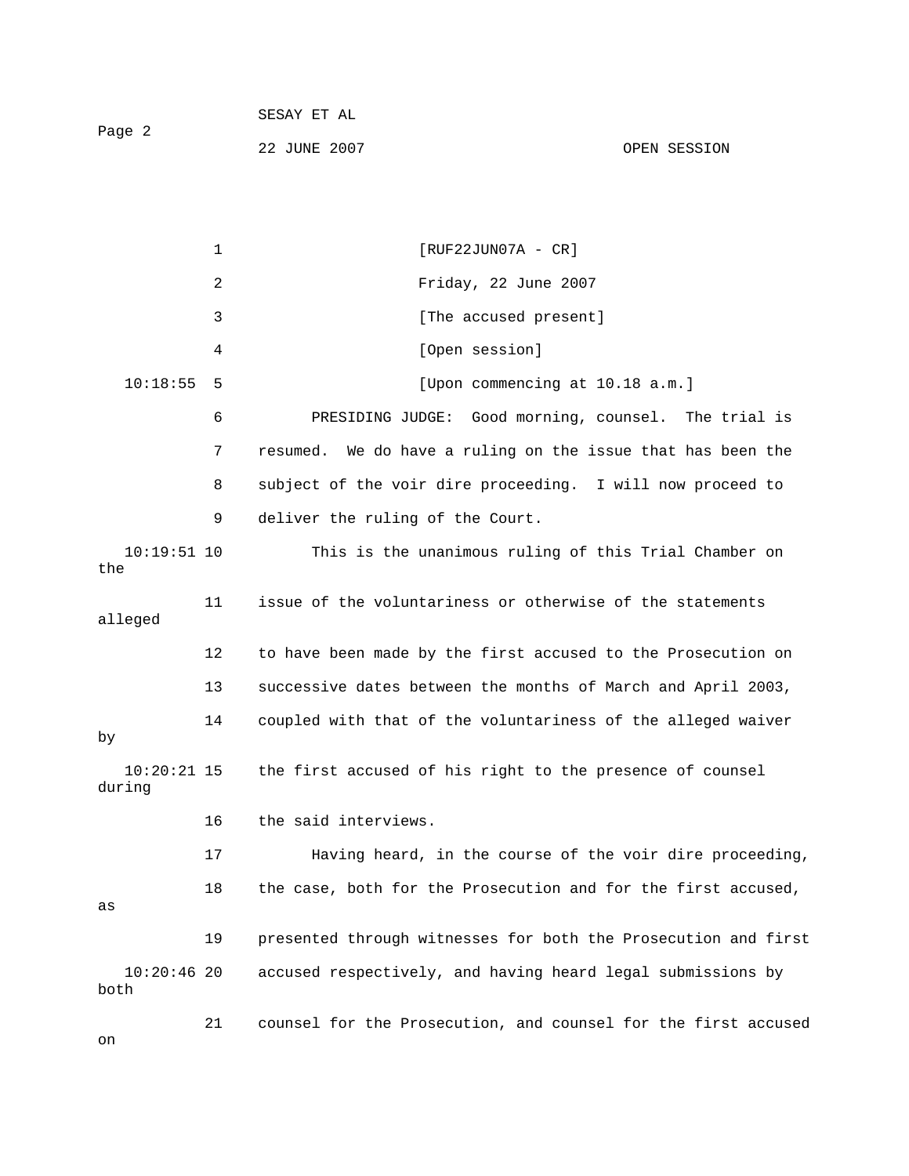| Paqe 2 | SESAY ET AL  |              |
|--------|--------------|--------------|
|        | 22 JUNE 2007 | OPEN SESSION |

1 [RUF22JUN07A - CR] 2 Friday, 22 June 2007 3 **12 I** [The accused present] 4 [Open session] 10:18:55 5 [Upon commencing at 10.18 a.m.] 6 PRESIDING JUDGE: Good morning, counsel. The trial is 7 resumed. We do have a ruling on the issue that has been the 8 subject of the voir dire proceeding. I will now proceed to 9 deliver the ruling of the Court. 10:19:51 10 This is the unanimous ruling of this Trial Chamber on the 11 issue of the voluntariness or otherwise of the statements alleged 12 to have been made by the first accused to the Prosecution on 13 successive dates between the months of March and April 2003, 14 coupled with that of the voluntariness of the alleged waiver by 10:20:21 15 the first accused of his right to the presence of counsel during 16 the said interviews. 17 Having heard, in the course of the voir dire proceeding, 18 the case, both for the Prosecution and for the first accused, as 19 presented through witnesses for both the Prosecution and first 10:20:46 20 accused respectively, and having heard legal submissions by both 21 counsel for the Prosecution, and counsel for the first accused

on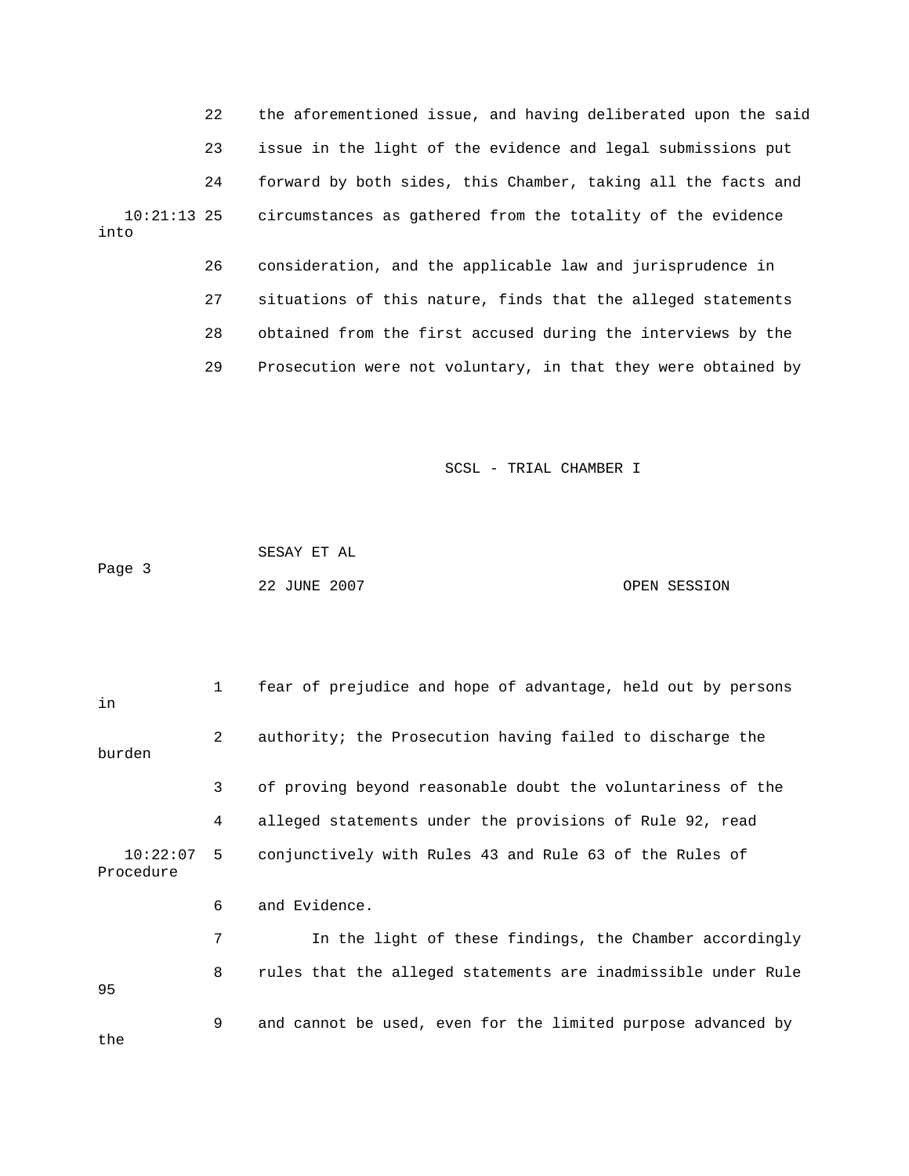22 the aforementioned issue, and having deliberated upon the said 23 issue in the light of the evidence and legal submissions put 24 forward by both sides, this Chamber, taking all the facts and 10:21:13 25 circumstances as gathered from the totality of the evidence into

> 26 consideration, and the applicable law and jurisprudence in 27 situations of this nature, finds that the alleged statements 28 obtained from the first accused during the interviews by the 29 Prosecution were not voluntary, in that they were obtained by

> > SCSL - TRIAL CHAMBER I

|        | SESAY ET AL  |              |
|--------|--------------|--------------|
| Page 3 |              |              |
|        | 22 JUNE 2007 | OPEN SESSION |

| in                        | 1              | fear of prejudice and hope of advantage, held out by persons  |
|---------------------------|----------------|---------------------------------------------------------------|
| burden                    | $\overline{2}$ | authority; the Prosecution having failed to discharge the     |
|                           | 3              | of proving beyond reasonable doubt the voluntariness of the   |
|                           | 4              | alleged statements under the provisions of Rule 92, read      |
| $10:22:07$ 5<br>Procedure |                | conjunctively with Rules 43 and Rule 63 of the Rules of       |
|                           | 6              | and Evidence.                                                 |
|                           | 7              | In the light of these findings, the Chamber accordingly       |
| 95                        | 8              | rules that the alleged statements are inadmissible under Rule |
|                           | 9              | and cannot be used, even for the limited purpose advanced by  |

the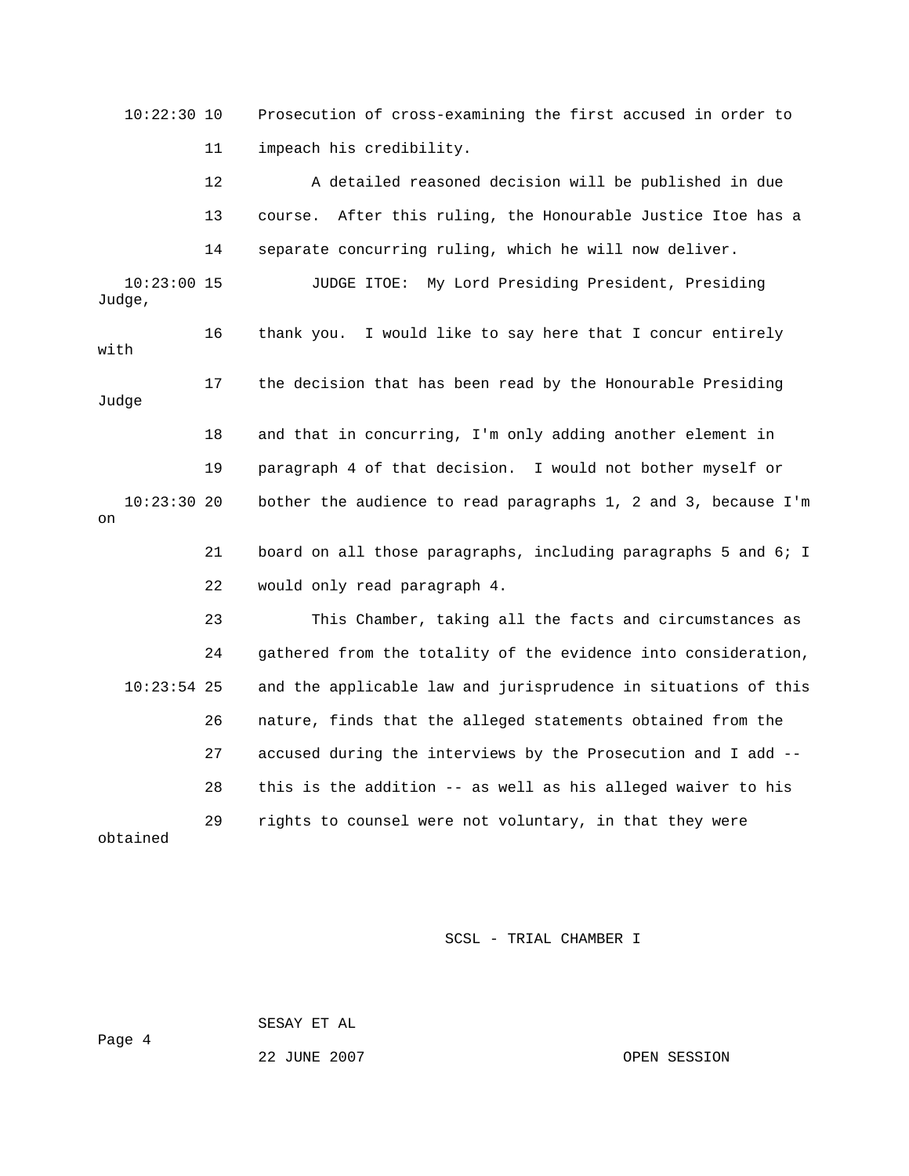10:22:30 10 Prosecution of cross-examining the first accused in order to 11 impeach his credibility. 12 A detailed reasoned decision will be published in due 13 course. After this ruling, the Honourable Justice Itoe has a 14 separate concurring ruling, which he will now deliver. 10:23:00 15 JUDGE ITOE: My Lord Presiding President, Presiding Judge, 16 thank you. I would like to say here that I concur entirely with 17 the decision that has been read by the Honourable Presiding Judge 18 and that in concurring, I'm only adding another element in 19 paragraph 4 of that decision. I would not bother myself or 10:23:30 20 bother the audience to read paragraphs 1, 2 and 3, because I'm on 21 board on all those paragraphs, including paragraphs 5 and 6; I 22 would only read paragraph 4. 23 This Chamber, taking all the facts and circumstances as 24 gathered from the totality of the evidence into consideration, 10:23:54 25 and the applicable law and jurisprudence in situations of this 26 nature, finds that the alleged statements obtained from the 27 accused during the interviews by the Prosecution and I add -- 28 this is the addition -- as well as his alleged waiver to his 29 rights to counsel were not voluntary, in that they were obtained

SCSL - TRIAL CHAMBER I

SESAY ET AL

22 JUNE 2007 CPEN SESSION

Page 4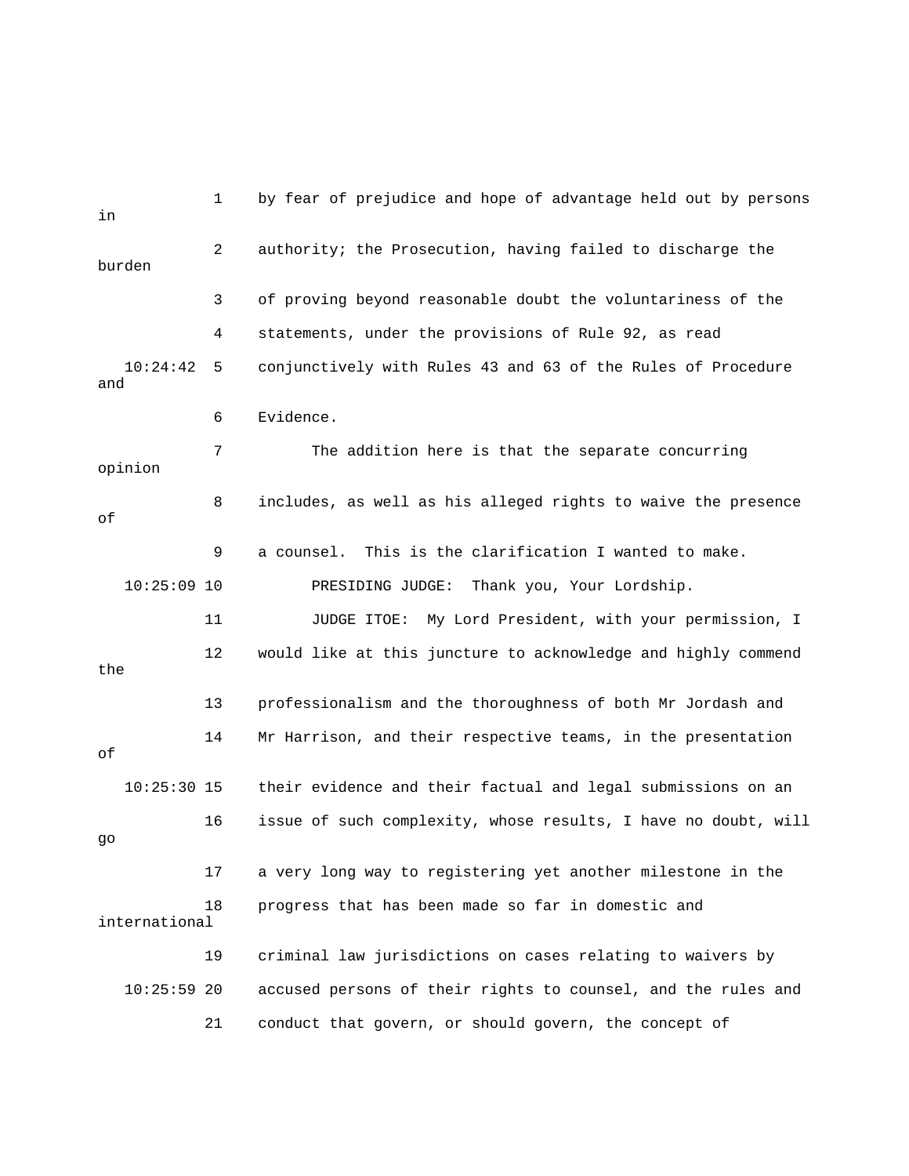1 by fear of prejudice and hope of advantage held out by persons in 2 authority; the Prosecution, having failed to discharge the burden 3 of proving beyond reasonable doubt the voluntariness of the 4 statements, under the provisions of Rule 92, as read 10:24:42 5 conjunctively with Rules 43 and 63 of the Rules of Procedure and 6 Evidence. 7 The addition here is that the separate concurring opinion 8 includes, as well as his alleged rights to waive the presence of 9 a counsel. This is the clarification I wanted to make. 10:25:09 10 PRESIDING JUDGE: Thank you, Your Lordship. 11 JUDGE ITOE: My Lord President, with your permission, I 12 would like at this juncture to acknowledge and highly commend the 13 professionalism and the thoroughness of both Mr Jordash and 14 Mr Harrison, and their respective teams, in the presentation of 10:25:30 15 their evidence and their factual and legal submissions on an 16 issue of such complexity, whose results, I have no doubt, will go 17 a very long way to registering yet another milestone in the 18 progress that has been made so far in domestic and international 19 criminal law jurisdictions on cases relating to waivers by 10:25:59 20 accused persons of their rights to counsel, and the rules and 21 conduct that govern, or should govern, the concept of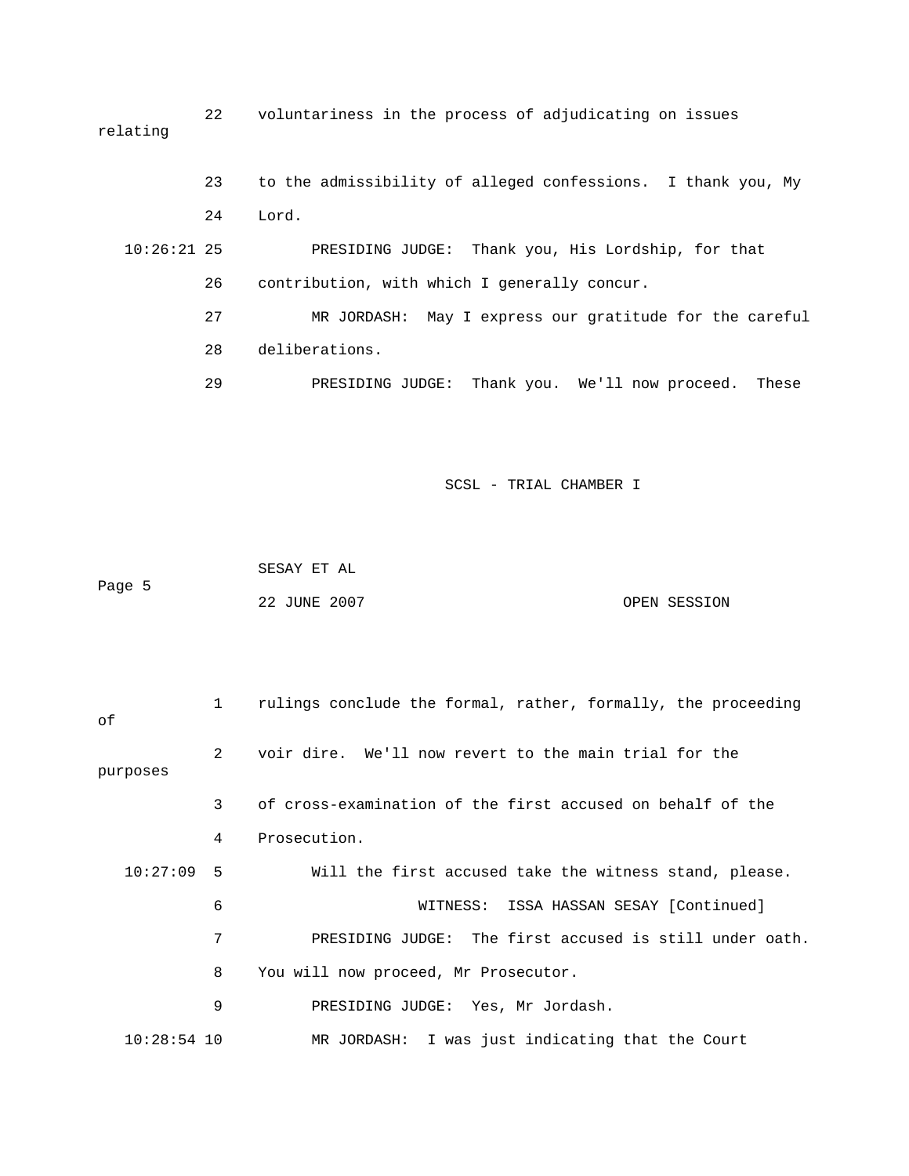22 voluntariness in the process of adjudicating on issues relating

 23 to the admissibility of alleged confessions. I thank you, My 24 Lord. 10:26:21 25 PRESIDING JUDGE: Thank you, His Lordship, for that 26 contribution, with which I generally concur. 27 MR JORDASH: May I express our gratitude for the careful 28 deliberations. 29 PRESIDING JUDGE: Thank you. We'll now proceed. These

SCSL - TRIAL CHAMBER I

 SESAY ET AL Page 5 22 JUNE 2007 OPEN SESSION

| оf            | $\mathbf{1}$ | rulings conclude the formal, rather, formally, the proceeding |
|---------------|--------------|---------------------------------------------------------------|
| purposes      | 2            | voir dire. We'll now revert to the main trial for the         |
|               | 3            | of cross-examination of the first accused on behalf of the    |
|               | 4            | Prosecution.                                                  |
| 10:27:09      | .5           | Will the first accused take the witness stand, please.        |
|               | 6            | WITNESS: ISSA HASSAN SESAY [Continued]                        |
|               | 7            | PRESIDING JUDGE: The first accused is still under oath.       |
|               | 8            | You will now proceed, Mr Prosecutor.                          |
|               | 9            | PRESIDING JUDGE: Yes, Mr Jordash.                             |
| $10:28:54$ 10 |              | MR JORDASH: I was just indicating that the Court              |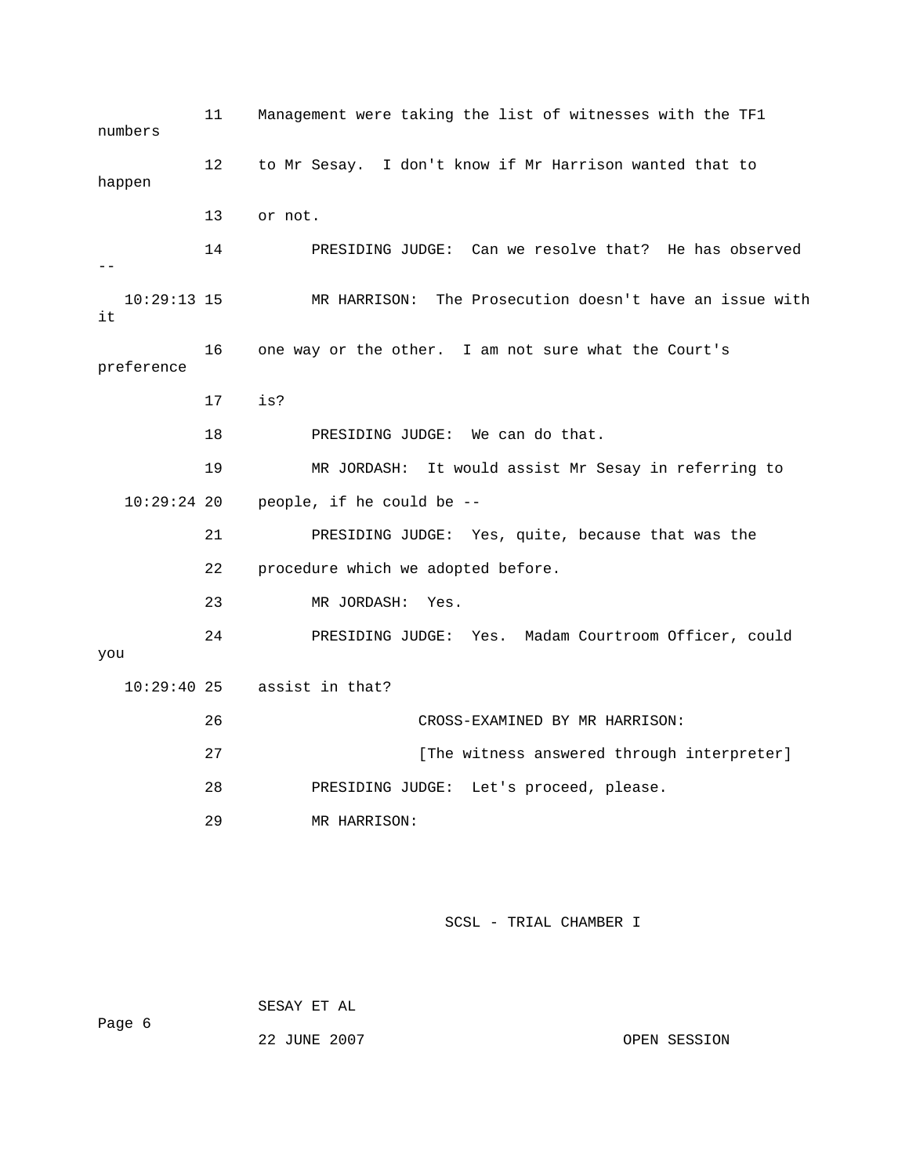11 Management were taking the list of witnesses with the TF1 numbers 12 to Mr Sesay. I don't know if Mr Harrison wanted that to happen 13 or not. 14 PRESIDING JUDGE: Can we resolve that? He has observed  $-$  10:29:13 15 MR HARRISON: The Prosecution doesn't have an issue with it 16 one way or the other. I am not sure what the Court's preference 17 is? 18 PRESIDING JUDGE: We can do that. 19 MR JORDASH: It would assist Mr Sesay in referring to 10:29:24 20 people, if he could be -- 21 PRESIDING JUDGE: Yes, quite, because that was the 22 procedure which we adopted before. 23 MR JORDASH: Yes. 24 PRESIDING JUDGE: Yes. Madam Courtroom Officer, could you 10:29:40 25 assist in that? 26 CROSS-EXAMINED BY MR HARRISON: 27 **Example 27** [The witness answered through interpreter] 28 PRESIDING JUDGE: Let's proceed, please. 29 MR HARRISON:

SCSL - TRIAL CHAMBER I

 SESAY ET AL Page 6 22 JUNE 2007 CPEN SESSION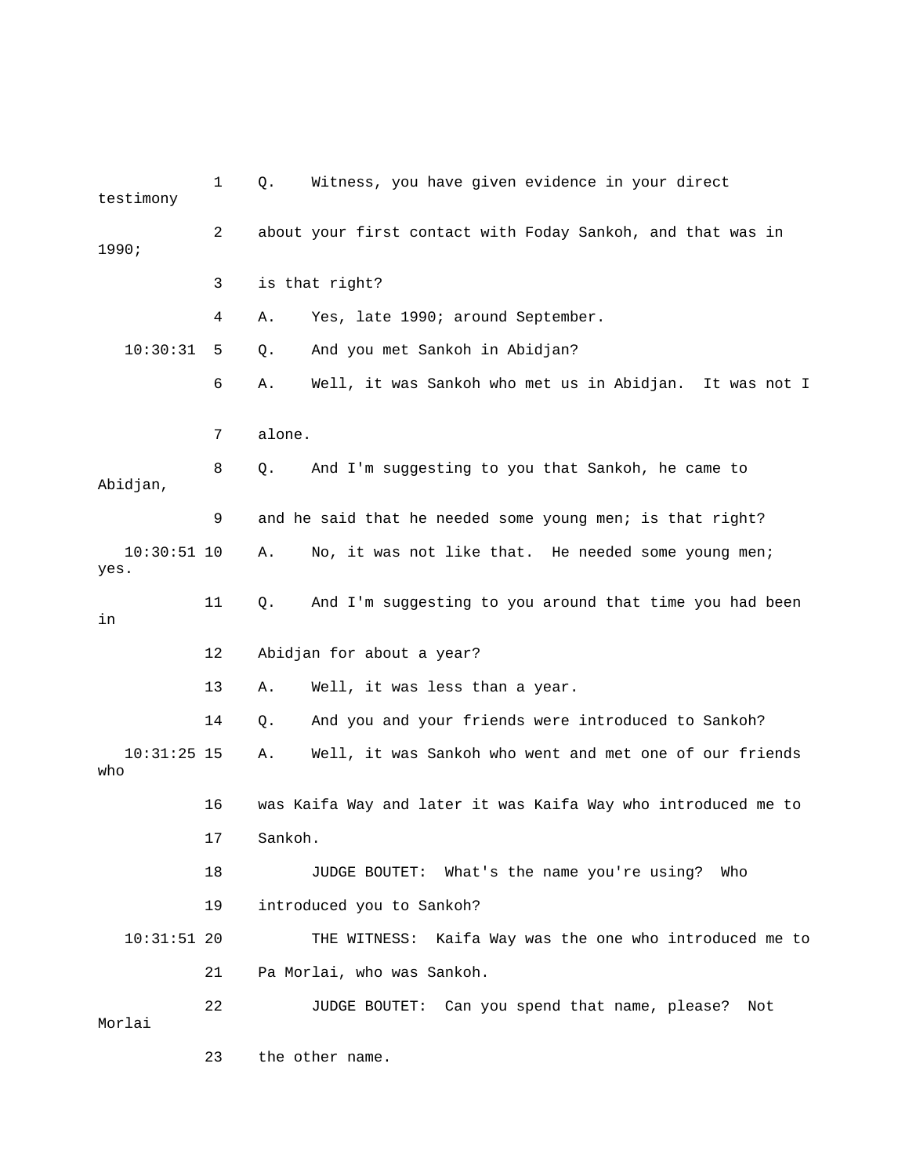1 Q. Witness, you have given evidence in your direct testimony 2 about your first contact with Foday Sankoh, and that was in 1990; 3 is that right? 4 A. Yes, late 1990; around September. 10:30:31 5 Q. And you met Sankoh in Abidjan? 6 A. Well, it was Sankoh who met us in Abidjan. It was not I 7 alone. 8 Q. And I'm suggesting to you that Sankoh, he came to Abidjan, 9 and he said that he needed some young men; is that right? 10:30:51 10 A. No, it was not like that. He needed some young men; yes. 11 Q. And I'm suggesting to you around that time you had been in 12 Abidjan for about a year? 13 A. Well, it was less than a year. 14 Q. And you and your friends were introduced to Sankoh? 10:31:25 15 A. Well, it was Sankoh who went and met one of our friends who 16 was Kaifa Way and later it was Kaifa Way who introduced me to 17 Sankoh. 18 JUDGE BOUTET: What's the name you're using? Who 19 introduced you to Sankoh? 10:31:51 20 THE WITNESS: Kaifa Way was the one who introduced me to 21 Pa Morlai, who was Sankoh. 22 JUDGE BOUTET: Can you spend that name, please? Not Morlai 23 the other name.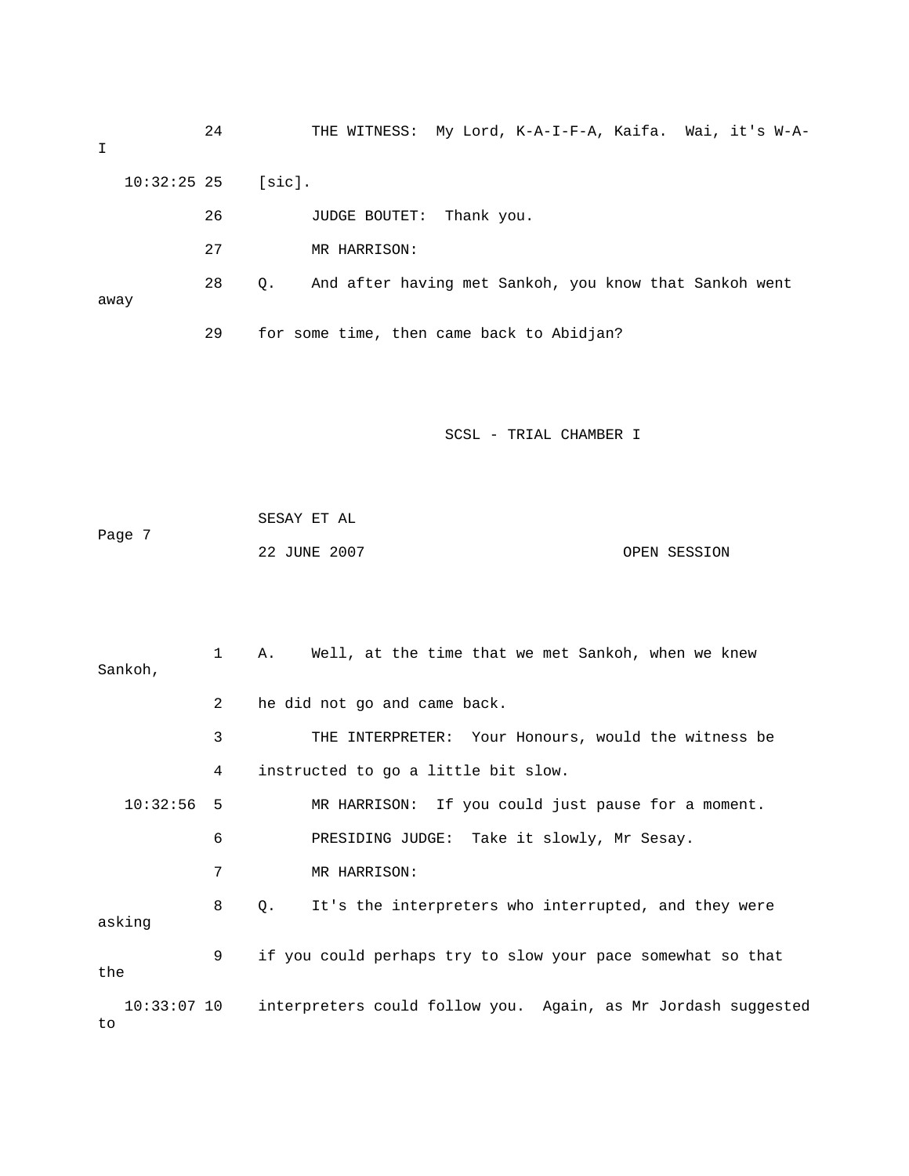| I    |               | 24 |                                                        | THE WITNESS: My Lord, K-A-I-F-A, Kaifa. Wai, it's W-A- |
|------|---------------|----|--------------------------------------------------------|--------------------------------------------------------|
|      | $10:32:25$ 25 |    | [sic].                                                 |                                                        |
|      |               | 26 |                                                        | Thank you.<br><b>JUDGE BOUTET:</b>                     |
|      |               | 27 |                                                        | MR HARRISON:                                           |
| away | 28            | Q. | And after having met Sankoh, you know that Sankoh went |                                                        |
|      |               | 29 |                                                        | for some time, then came back to Abidjan?              |
|      |               |    |                                                        |                                                        |

|        | SESAY ET AL  |              |
|--------|--------------|--------------|
| Page 7 |              |              |
|        | 22 JUNE 2007 | OPEN SESSION |

| Sankoh,              | $\mathbf 1$    | Well, at the time that we met Sankoh, when we knew<br>Α.      |
|----------------------|----------------|---------------------------------------------------------------|
|                      | $\overline{2}$ | he did not go and came back.                                  |
|                      | 3              | THE INTERPRETER: Your Honours, would the witness be           |
|                      | 4              | instructed to go a little bit slow.                           |
| 10:32:56             | - 5            | MR HARRISON: If you could just pause for a moment.            |
|                      | 6              | PRESIDING JUDGE: Take it slowly, Mr Sesay.                    |
|                      | 7              | MR HARRISON:                                                  |
| asking               | 8              | It's the interpreters who interrupted, and they were<br>Q.    |
| the                  | 9              | if you could perhaps try to slow your pace somewhat so that   |
| $10:33:07$ 10<br>to. |                | interpreters could follow you. Again, as Mr Jordash suggested |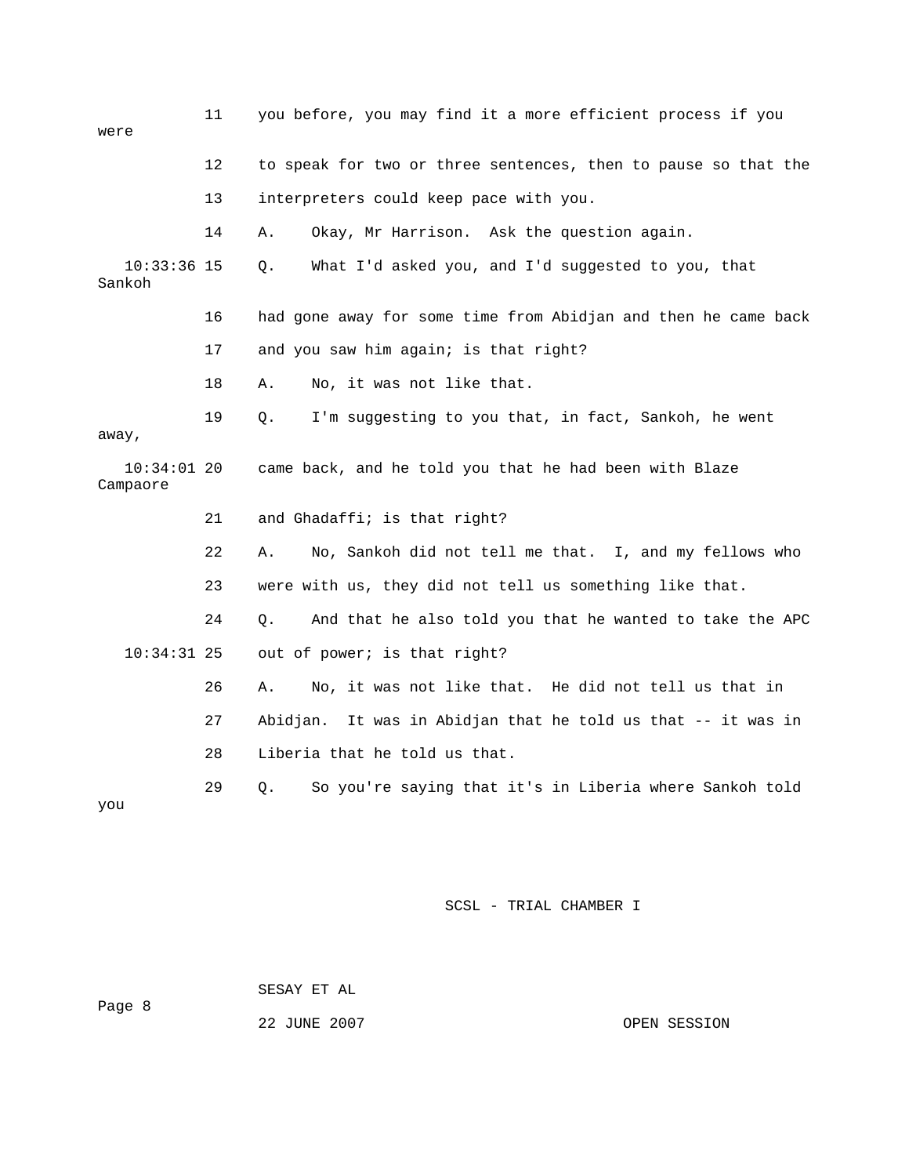| were                      | 11 | you before, you may find it a more efficient process if you     |
|---------------------------|----|-----------------------------------------------------------------|
|                           | 12 | to speak for two or three sentences, then to pause so that the  |
|                           | 13 | interpreters could keep pace with you.                          |
|                           | 14 | Okay, Mr Harrison. Ask the question again.<br>Α.                |
| $10:33:36$ 15<br>Sankoh   |    | What I'd asked you, and I'd suggested to you, that<br>Q.        |
|                           | 16 | had gone away for some time from Abidjan and then he came back  |
|                           | 17 | and you saw him again; is that right?                           |
|                           | 18 | No, it was not like that.<br>Α.                                 |
| away,                     | 19 | I'm suggesting to you that, in fact, Sankoh, he went<br>Q.      |
| $10:34:01$ 20<br>Campaore |    | came back, and he told you that he had been with Blaze          |
|                           | 21 | and Ghadaffi; is that right?                                    |
|                           | 22 | No, Sankoh did not tell me that. I, and my fellows who<br>Α.    |
|                           | 23 | were with us, they did not tell us something like that.         |
|                           | 24 | Q.<br>And that he also told you that he wanted to take the APC  |
| $10:34:31$ 25             |    | out of power; is that right?                                    |
|                           | 26 | No, it was not like that. He did not tell us that in<br>Α.      |
|                           | 27 | It was in Abidjan that he told us that -- it was in<br>Abidjan. |
|                           | 28 | Liberia that he told us that.                                   |
| you                       | 29 | So you're saying that it's in Liberia where Sankoh told<br>Q.   |

 SESAY ET AL Page 8

22 JUNE 2007 OPEN SESSION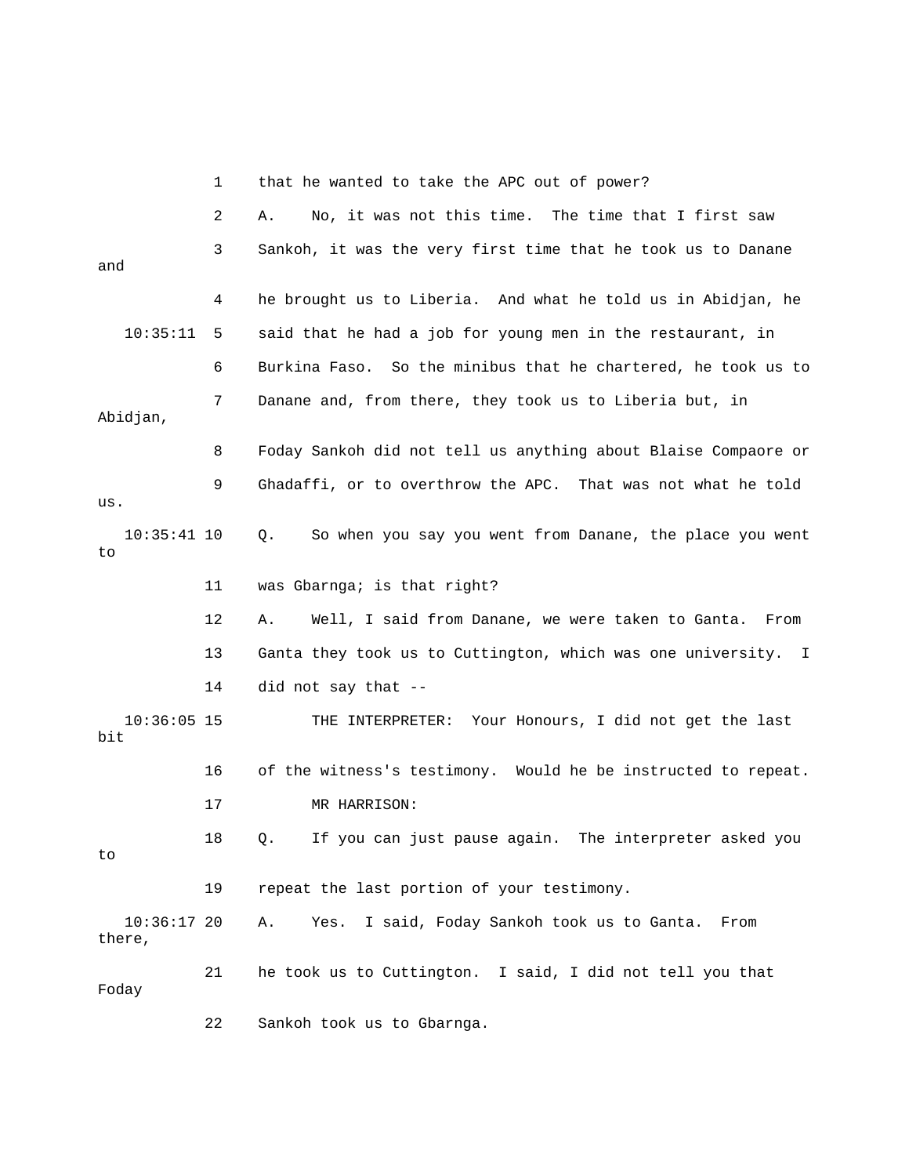|                         | 1  | that he wanted to take the APC out of power?                   |
|-------------------------|----|----------------------------------------------------------------|
|                         | 2  | No, it was not this time. The time that I first saw<br>Α.      |
| and                     | 3  | Sankoh, it was the very first time that he took us to Danane   |
|                         | 4  | he brought us to Liberia. And what he told us in Abidjan, he   |
| 10:35:11                | 5  | said that he had a job for young men in the restaurant, in     |
|                         | 6  | Burkina Faso. So the minibus that he chartered, he took us to  |
| Abidjan,                | 7  | Danane and, from there, they took us to Liberia but, in        |
|                         | 8  | Foday Sankoh did not tell us anything about Blaise Compaore or |
| us.                     | 9  | Ghadaffi, or to overthrow the APC. That was not what he told   |
| $10:35:41$ 10<br>to     |    | So when you say you went from Danane, the place you went<br>Q. |
|                         | 11 | was Gbarnga; is that right?                                    |
|                         | 12 | Well, I said from Danane, we were taken to Ganta. From<br>Α.   |
|                         | 13 | Ganta they took us to Cuttington, which was one university. I  |
|                         | 14 | did not say that --                                            |
| $10:36:05$ 15<br>bit    |    | THE INTERPRETER: Your Honours, I did not get the last          |
|                         | 16 | of the witness's testimony. Would he be instructed to repeat.  |
|                         | 17 | MR HARRISON:                                                   |
| to                      | 18 | If you can just pause again. The interpreter asked you<br>Q.   |
|                         | 19 | repeat the last portion of your testimony.                     |
| $10:36:17$ 20<br>there, |    | I said, Foday Sankoh took us to Ganta.<br>Α.<br>Yes.<br>From   |
| Foday                   | 21 | he took us to Cuttington. I said, I did not tell you that      |
|                         | 22 | Sankoh took us to Gbarnga.                                     |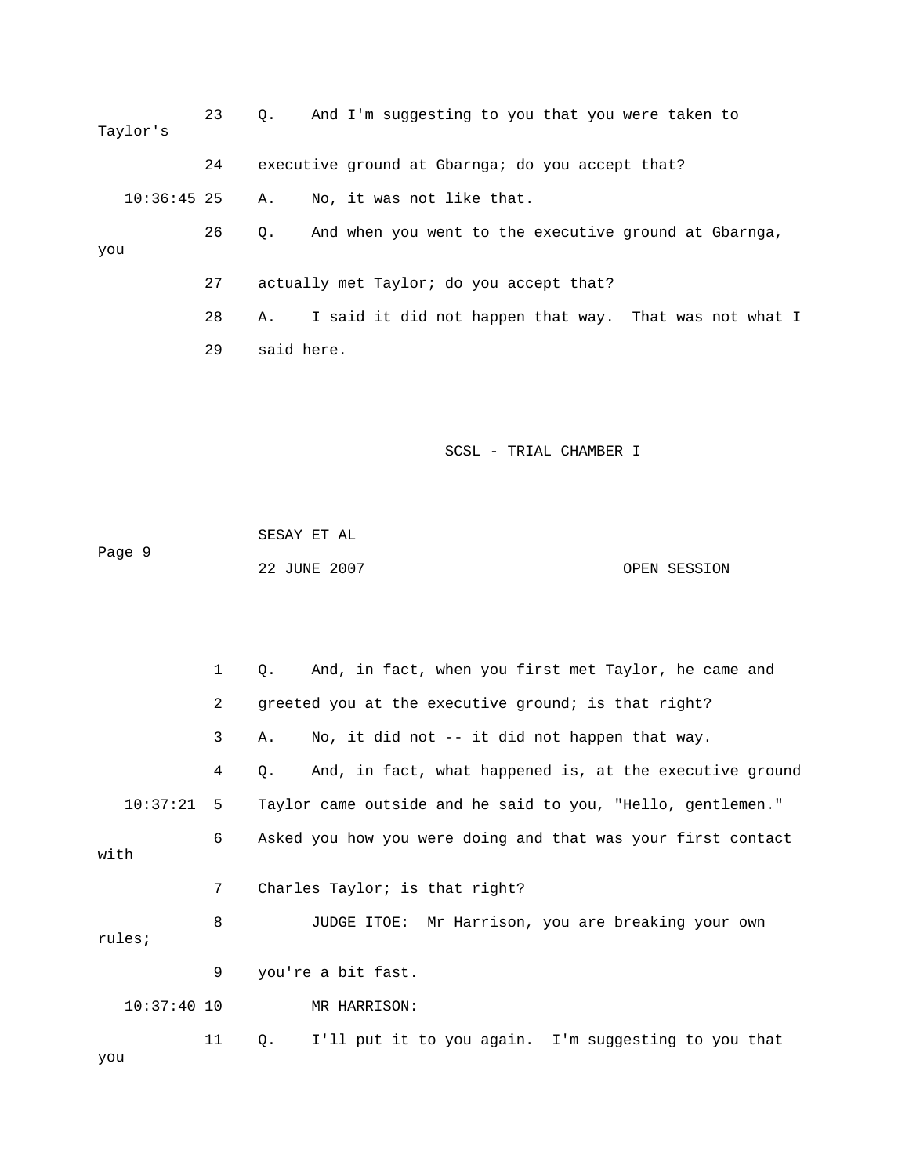| Taylor's      | 23 | And I'm suggesting to you that you were taken to<br>$\circ$ . |
|---------------|----|---------------------------------------------------------------|
|               | 24 | executive ground at Gbarnga; do you accept that?              |
| $10:36:45$ 25 |    | No, it was not like that.<br>А.                               |
| you           | 26 | And when you went to the executive ground at Gbarnga,<br>О.   |
|               | 27 | actually met Taylor; do you accept that?                      |
|               | 28 | I said it did not happen that way. That was not what I<br>Α.  |
|               | 29 | said here.                                                    |

 SESAY ET AL Page 9 22 JUNE 2007 CPEN SESSION

 1 Q. And, in fact, when you first met Taylor, he came and 2 greeted you at the executive ground; is that right? 3 A. No, it did not -- it did not happen that way. 4 Q. And, in fact, what happened is, at the executive ground 10:37:21 5 Taylor came outside and he said to you, "Hello, gentlemen." 6 Asked you how you were doing and that was your first contact with 7 Charles Taylor; is that right? 8 JUDGE ITOE: Mr Harrison, you are breaking your own rules; 9 you're a bit fast. 10:37:40 10 MR HARRISON: 11 Q. I'll put it to you again. I'm suggesting to you that

you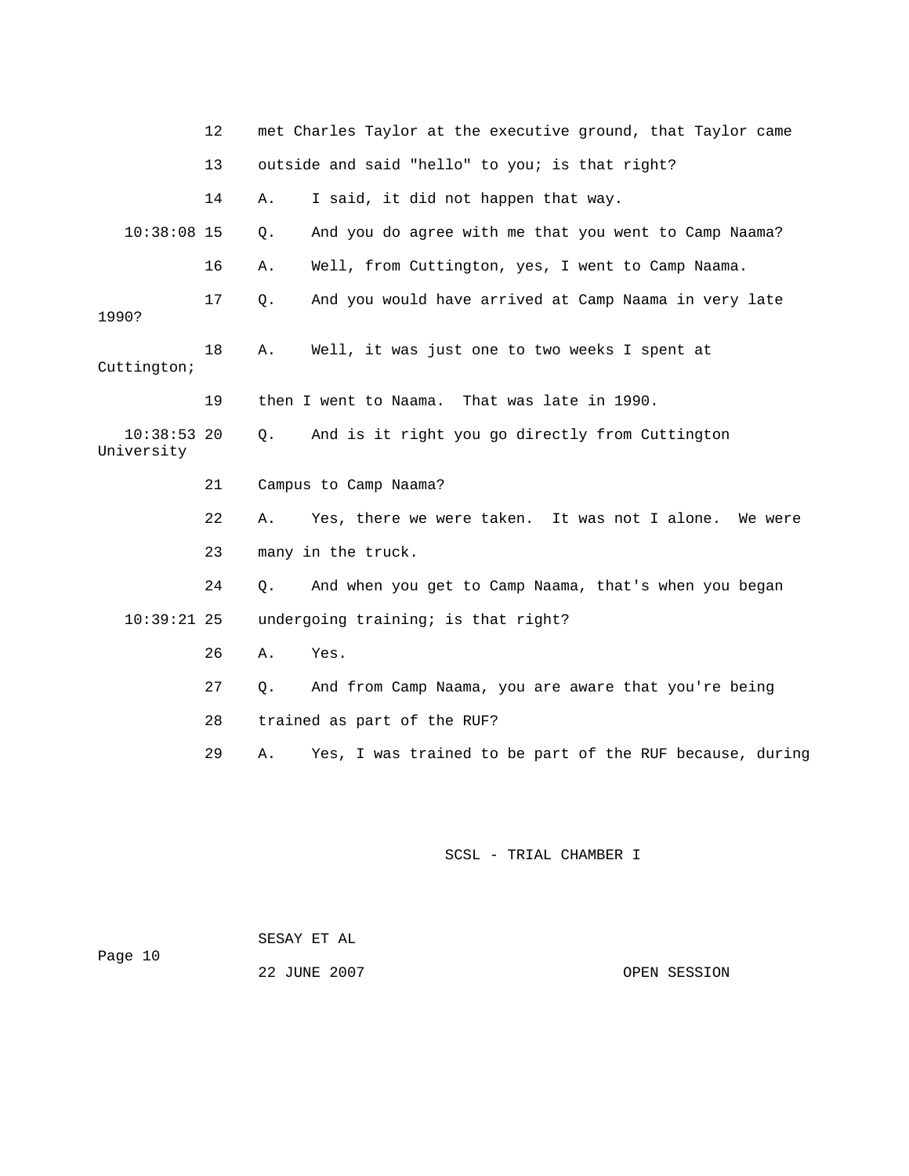|                             | 12 |       | met Charles Taylor at the executive ground, that Taylor came |
|-----------------------------|----|-------|--------------------------------------------------------------|
|                             | 13 |       | outside and said "hello" to you; is that right?              |
|                             | 14 | Α.    | I said, it did not happen that way.                          |
| $10:38:08$ 15               |    | $Q$ . | And you do agree with me that you went to Camp Naama?        |
|                             | 16 | Α.    | Well, from Cuttington, yes, I went to Camp Naama.            |
| 1990?                       | 17 | Q.    | And you would have arrived at Camp Naama in very late        |
| Cuttington;                 | 18 | Α.    | Well, it was just one to two weeks I spent at                |
|                             | 19 |       | That was late in 1990.<br>then I went to Naama.              |
| $10:38:53$ 20<br>University |    | О.    | And is it right you go directly from Cuttington              |
|                             | 21 |       | Campus to Camp Naama?                                        |
|                             | 22 | Α.    | Yes, there we were taken. It was not I alone. We were        |
|                             | 23 |       | many in the truck.                                           |
|                             | 24 | О.    | And when you get to Camp Naama, that's when you began        |
| $10:39:21$ 25               |    |       | undergoing training; is that right?                          |
|                             | 26 | Α.    | Yes.                                                         |
|                             | 27 | Q.    | And from Camp Naama, you are aware that you're being         |
|                             | 28 |       | trained as part of the RUF?                                  |
|                             | 29 | Α.    | Yes, I was trained to be part of the RUF because, during     |

 SESAY ET AL Page 10

22 JUNE 2007 OPEN SESSION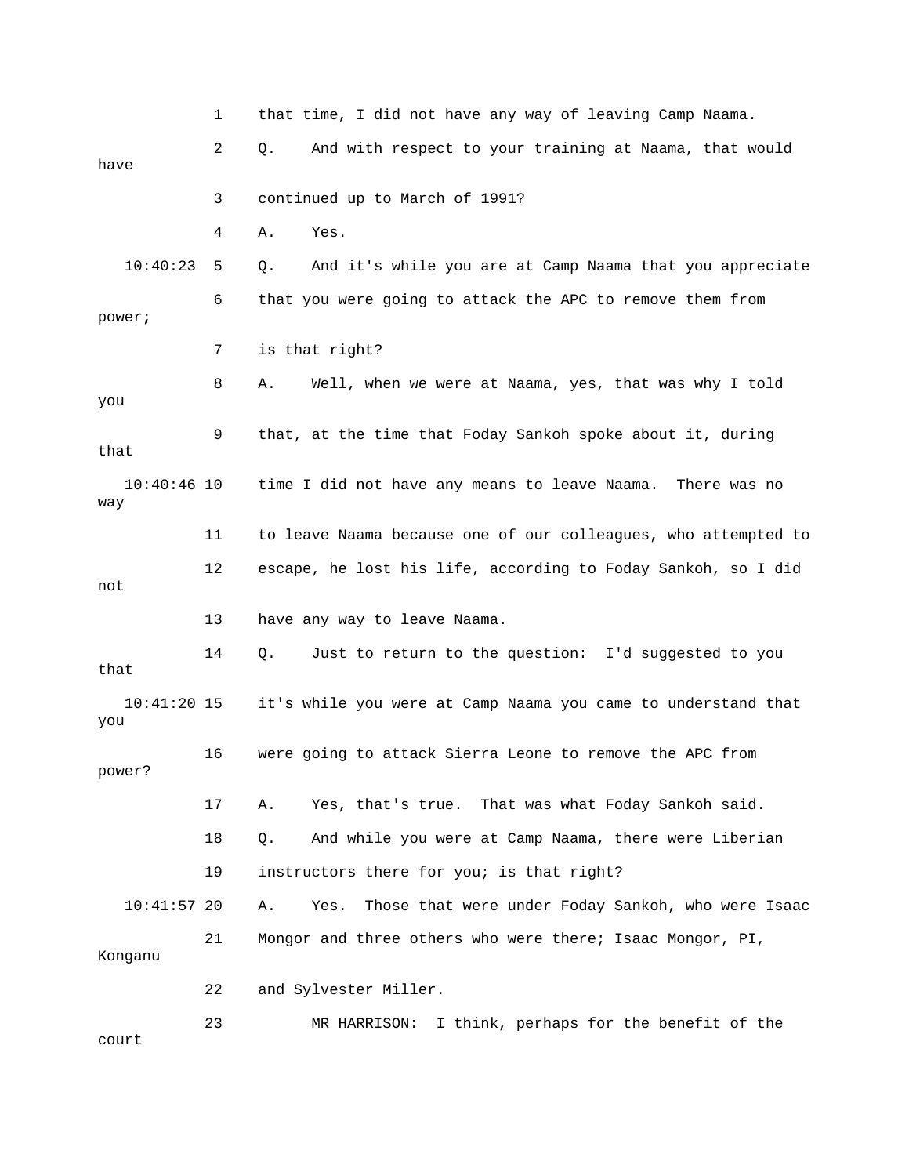1 that time, I did not have any way of leaving Camp Naama. 2 Q. And with respect to your training at Naama, that would have 3 continued up to March of 1991? 4 A. Yes. 10:40:23 5 Q. And it's while you are at Camp Naama that you appreciate 6 that you were going to attack the APC to remove them from power; 7 is that right? 8 A. Well, when we were at Naama, yes, that was why I told you 9 that, at the time that Foday Sankoh spoke about it, during that 10:40:46 10 time I did not have any means to leave Naama. There was no way 11 to leave Naama because one of our colleagues, who attempted to 12 escape, he lost his life, according to Foday Sankoh, so I did not 13 have any way to leave Naama. 14 Q. Just to return to the question: I'd suggested to you that 10:41:20 15 it's while you were at Camp Naama you came to understand that you 16 were going to attack Sierra Leone to remove the APC from power? 17 A. Yes, that's true. That was what Foday Sankoh said. 18 Q. And while you were at Camp Naama, there were Liberian 19 instructors there for you; is that right? 10:41:57 20 A. Yes. Those that were under Foday Sankoh, who were Isaac 21 Mongor and three others who were there; Isaac Mongor, PI, Konganu 22 and Sylvester Miller. 23 MR HARRISON: I think, perhaps for the benefit of the court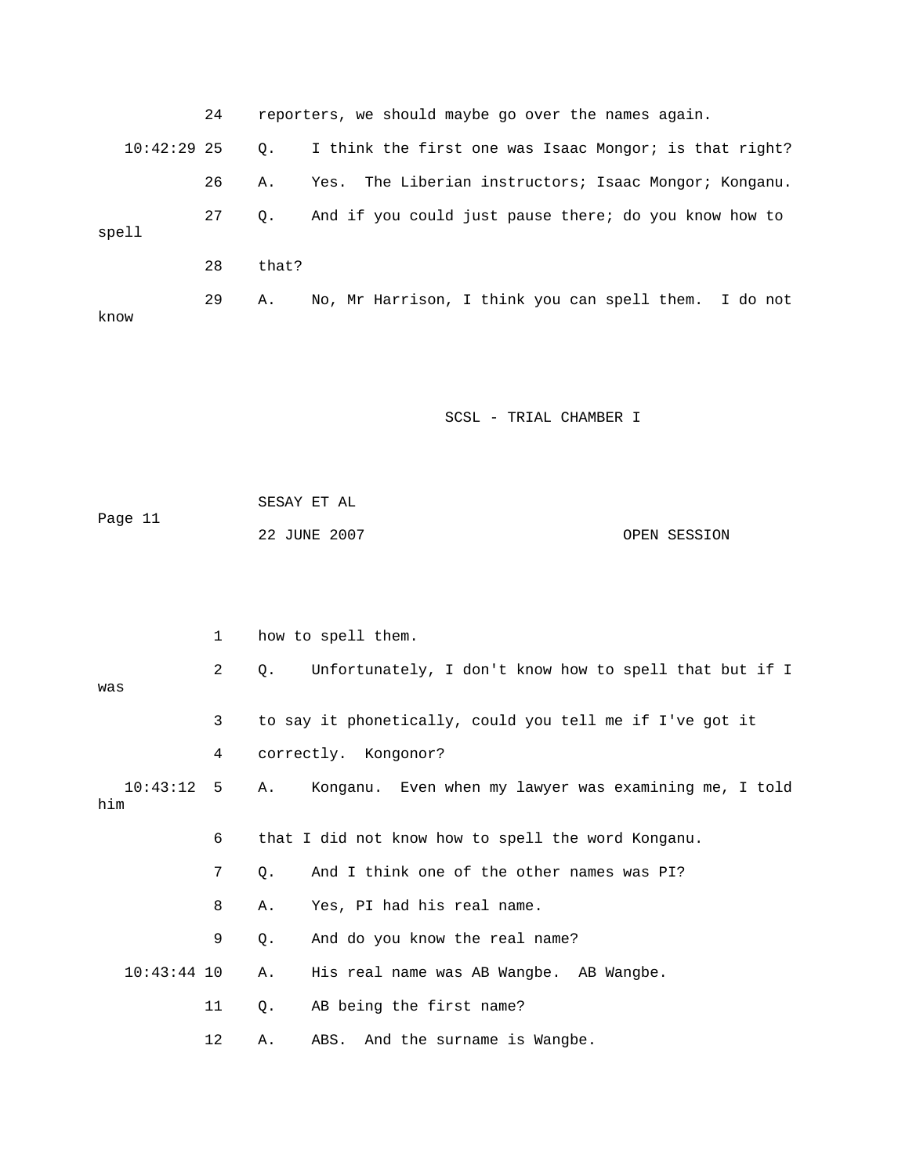|               | 24 |           | reporters, we should maybe go over the names again.    |
|---------------|----|-----------|--------------------------------------------------------|
| $10:42:29$ 25 |    | $\circ$ . | I think the first one was Isaac Mongor; is that right? |
|               | 26 | Α.        | Yes. The Liberian instructors; Isaac Mongor; Konganu.  |
| spell         | 27 | 0.        | And if you could just pause there; do you know how to  |
|               | 28 | that?     |                                                        |
| know          | 29 | Α.        | No, Mr Harrison, I think you can spell them. I do not  |

 SESAY ET AL Page 11 22 JUNE 2007 OPEN SESSION

|                     | 1               | how to spell them.                                                  |  |
|---------------------|-----------------|---------------------------------------------------------------------|--|
| was                 | $\mathbf{2}$    | Unfortunately, I don't know how to spell that but if I<br>$\circ$ . |  |
|                     | 3               | to say it phonetically, could you tell me if I've got it            |  |
|                     | $4\overline{ }$ | correctly. Kongonor?                                                |  |
| $10:43:12$ 5<br>him |                 | A. Konganu. Even when my lawyer was examining me, I told            |  |
|                     | 6               | that I did not know how to spell the word Konganu.                  |  |
|                     | 7               | And I think one of the other names was PI?<br>0.                    |  |
|                     | 8               | Yes, PI had his real name.<br>Α.                                    |  |
|                     | 9               | And do you know the real name?<br>0.                                |  |
| $10:43:44$ 10       |                 | His real name was AB Wangbe. AB Wangbe.<br>Α.                       |  |
|                     | 11              | AB being the first name?<br>Q.                                      |  |
|                     | 12              | ABS. And the surname is Wangbe.<br>Α.                               |  |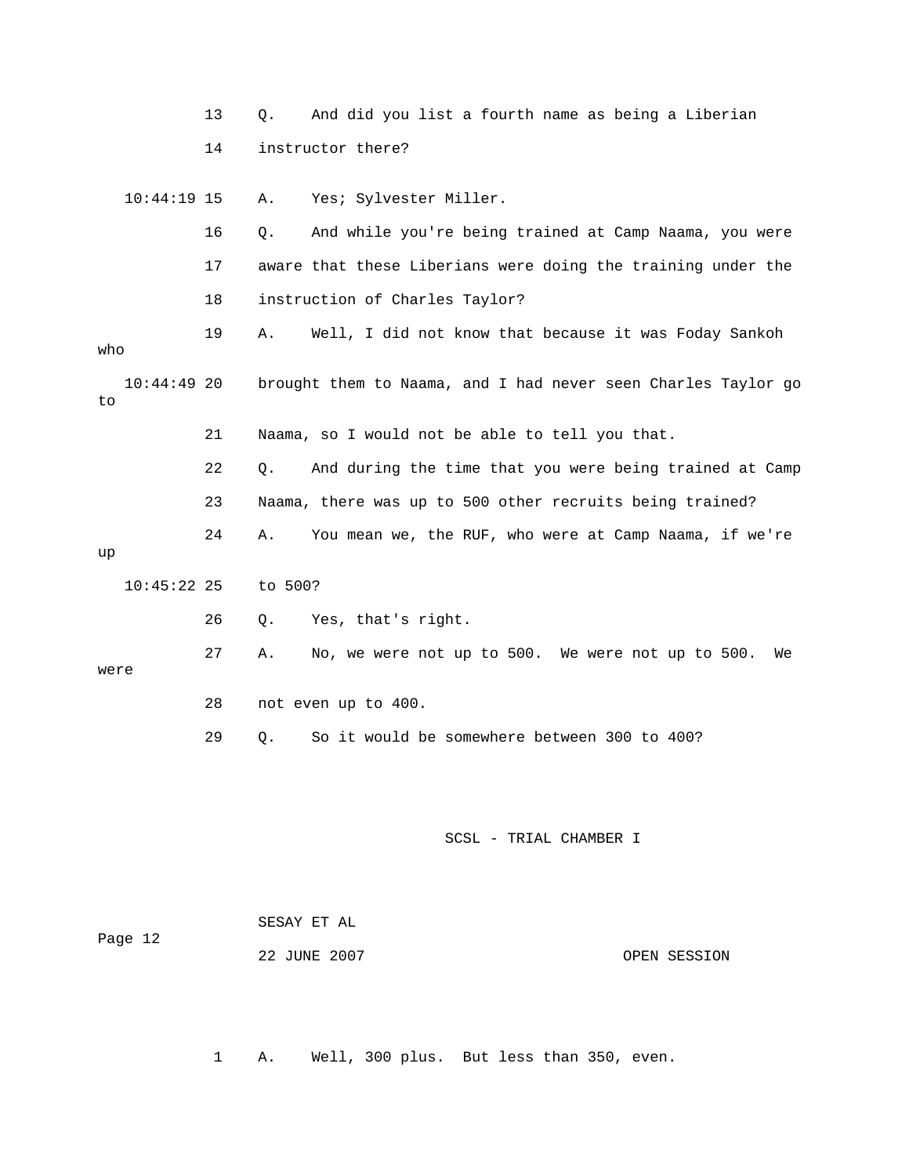|                     | 13 | Q.      | And did you list a fourth name as being a Liberian            |              |
|---------------------|----|---------|---------------------------------------------------------------|--------------|
|                     | 14 |         | instructor there?                                             |              |
| $10:44:19$ 15       |    | Α.      | Yes; Sylvester Miller.                                        |              |
|                     | 16 | $Q$ .   | And while you're being trained at Camp Naama, you were        |              |
|                     | 17 |         | aware that these Liberians were doing the training under the  |              |
|                     | 18 |         | instruction of Charles Taylor?                                |              |
| who                 | 19 | Α.      | Well, I did not know that because it was Foday Sankoh         |              |
| $10:44:49$ 20<br>to |    |         | brought them to Naama, and I had never seen Charles Taylor go |              |
|                     | 21 |         | Naama, so I would not be able to tell you that.               |              |
|                     | 22 | О.      | And during the time that you were being trained at Camp       |              |
|                     | 23 |         | Naama, there was up to 500 other recruits being trained?      |              |
| up                  | 24 | Α.      | You mean we, the RUF, who were at Camp Naama, if we're        |              |
| $10:45:22$ 25       |    | to 500? |                                                               |              |
|                     | 26 | Q.      | Yes, that's right.                                            |              |
| were                | 27 | Α.      | No, we were not up to 500. We were not up to 500.             | We           |
|                     | 28 |         | not even up to 400.                                           |              |
|                     | 29 | Q.      | So it would be somewhere between 300 to 400?                  |              |
|                     |    |         |                                                               |              |
|                     |    |         | SCSL - TRIAL CHAMBER I                                        |              |
|                     |    |         | SESAY ET AL                                                   |              |
| Page 12             |    |         | 22 JUNE 2007                                                  | OPEN SESSION |

1 A. Well, 300 plus. But less than 350, even.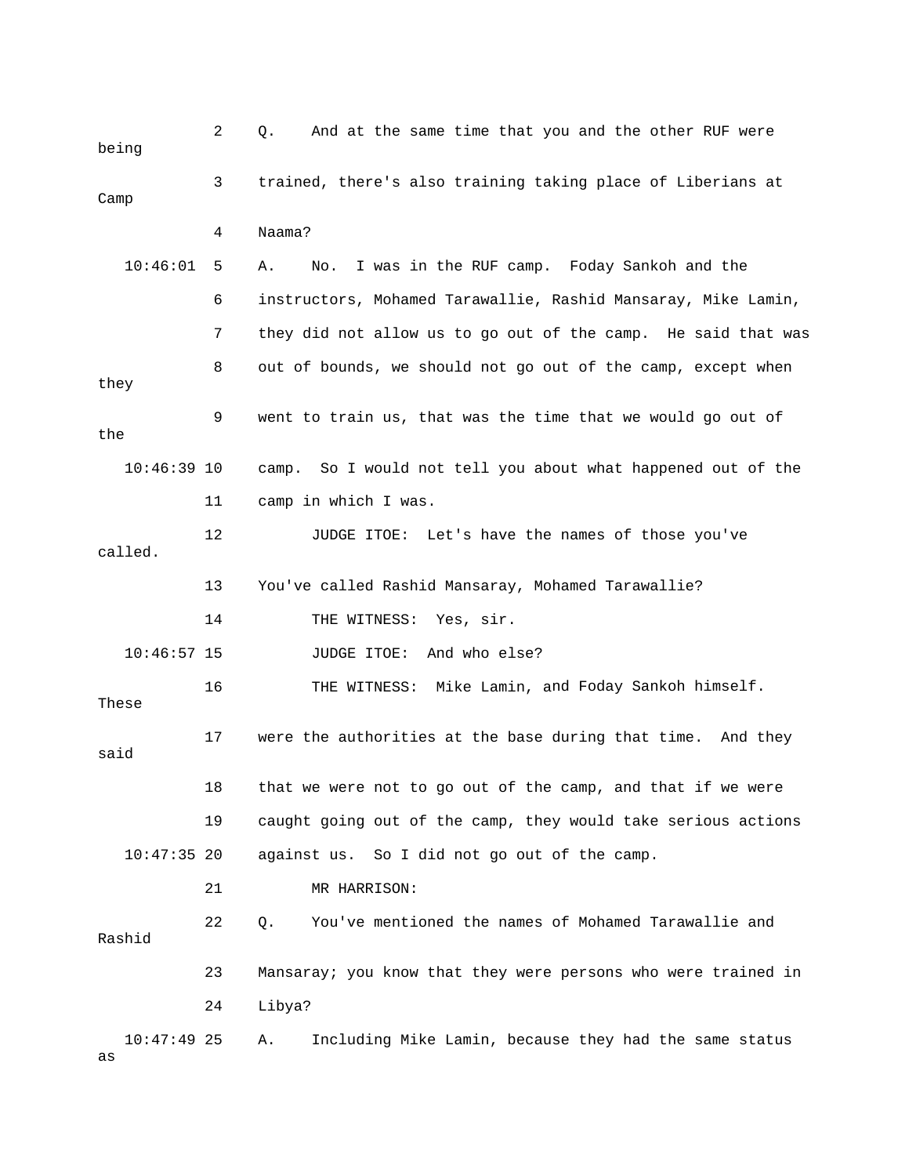| being               | 2  | And at the same time that you and the other RUF were<br>Q.    |
|---------------------|----|---------------------------------------------------------------|
| Camp                | 3  | trained, there's also training taking place of Liberians at   |
|                     | 4  | Naama?                                                        |
| 10:46:01            | 5  | I was in the RUF camp. Foday Sankoh and the<br>Α.<br>No.      |
|                     | 6  | instructors, Mohamed Tarawallie, Rashid Mansaray, Mike Lamin, |
|                     | 7  | they did not allow us to go out of the camp. He said that was |
| they                | 8  | out of bounds, we should not go out of the camp, except when  |
| the                 | 9  | went to train us, that was the time that we would go out of   |
| $10:46:39$ 10       |    | camp. So I would not tell you about what happened out of the  |
|                     | 11 | camp in which I was.                                          |
| called.             | 12 | JUDGE ITOE: Let's have the names of those you've              |
|                     | 13 | You've called Rashid Mansaray, Mohamed Tarawallie?            |
|                     | 14 | THE WITNESS:<br>Yes, sir.                                     |
| $10:46:57$ 15       |    | And who else?<br>JUDGE ITOE:                                  |
| These               | 16 | THE WITNESS: Mike Lamin, and Foday Sankoh himself.            |
| said                | 17 | were the authorities at the base during that time. And they   |
|                     | 18 | that we were not to go out of the camp, and that if we were   |
|                     | 19 | caught going out of the camp, they would take serious actions |
| $10:47:35$ 20       |    | against us. So I did not go out of the camp.                  |
|                     | 21 | MR HARRISON:                                                  |
| Rashid              | 22 | You've mentioned the names of Mohamed Tarawallie and<br>Q.    |
|                     | 23 | Mansaray; you know that they were persons who were trained in |
|                     | 24 | Libya?                                                        |
| $10:47:49$ 25<br>as |    | Including Mike Lamin, because they had the same status<br>Α.  |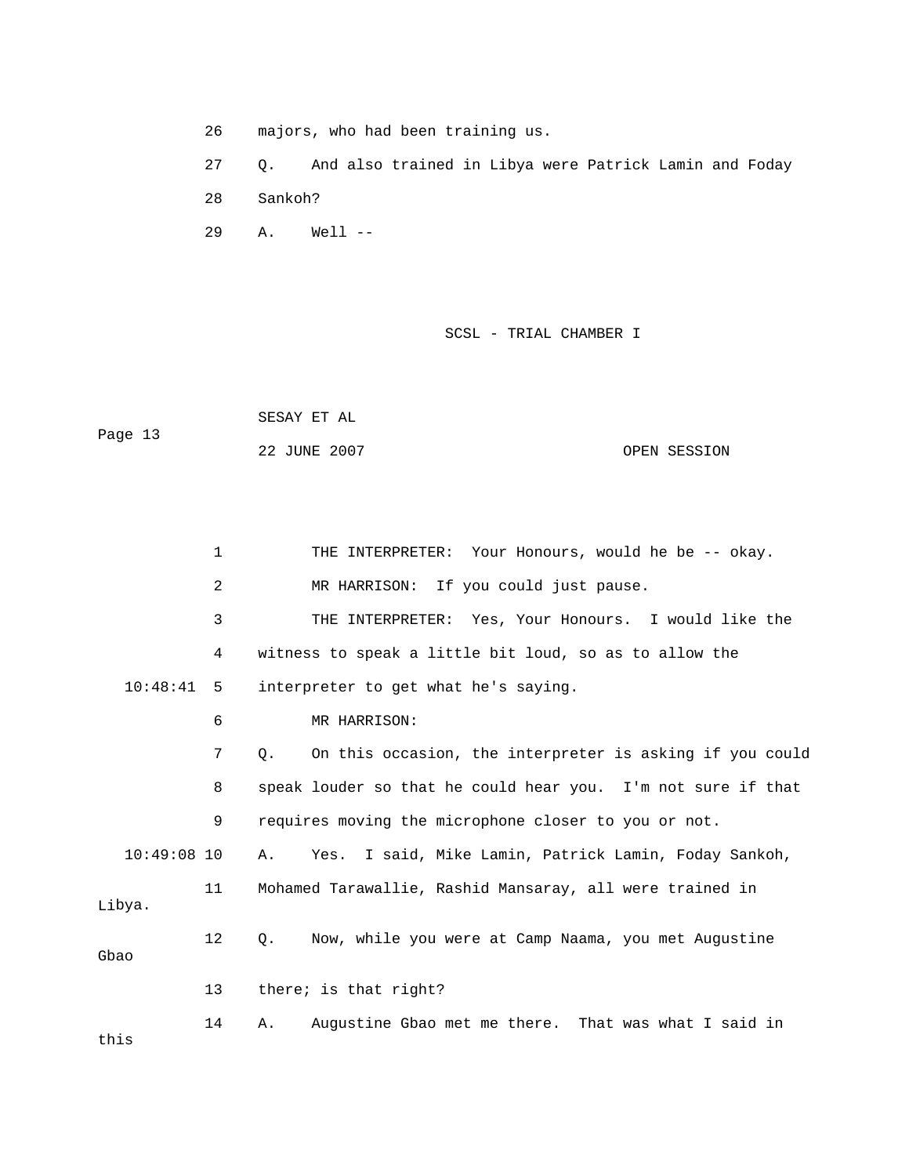26 majors, who had been training us. 27 Q. And also trained in Libya were Patrick Lamin and Foday 29 A. Well --28 Sankoh?

SCSL - TRIAL CHAMBER I

 SESAY ET AL Page 13

22 JUNE 2007 OPEN SESSION

|               | 1              | THE INTERPRETER: Your Honours, would he be -- okay.            |
|---------------|----------------|----------------------------------------------------------------|
|               | $\overline{a}$ | MR HARRISON: If you could just pause.                          |
|               | 3              | THE INTERPRETER: Yes, Your Honours. I would like the           |
|               | 4              | witness to speak a little bit loud, so as to allow the         |
| 10:48:41 5    |                | interpreter to get what he's saying.                           |
|               | 6              | MR HARRISON:                                                   |
|               | 7              | On this occasion, the interpreter is asking if you could<br>О. |
|               | 8              | speak louder so that he could hear you. I'm not sure if that   |
|               | 9              | requires moving the microphone closer to you or not.           |
| $10:49:08$ 10 |                | Yes. I said, Mike Lamin, Patrick Lamin, Foday Sankoh,<br>Α.    |
| Libya.        | 11             | Mohamed Tarawallie, Rashid Mansaray, all were trained in       |
| Gbao          | 12             | Now, while you were at Camp Naama, you met Augustine<br>О.     |
|               | 13             | there; is that right?                                          |
| this          | 14             | Augustine Gbao met me there. That was what I said in<br>Α.     |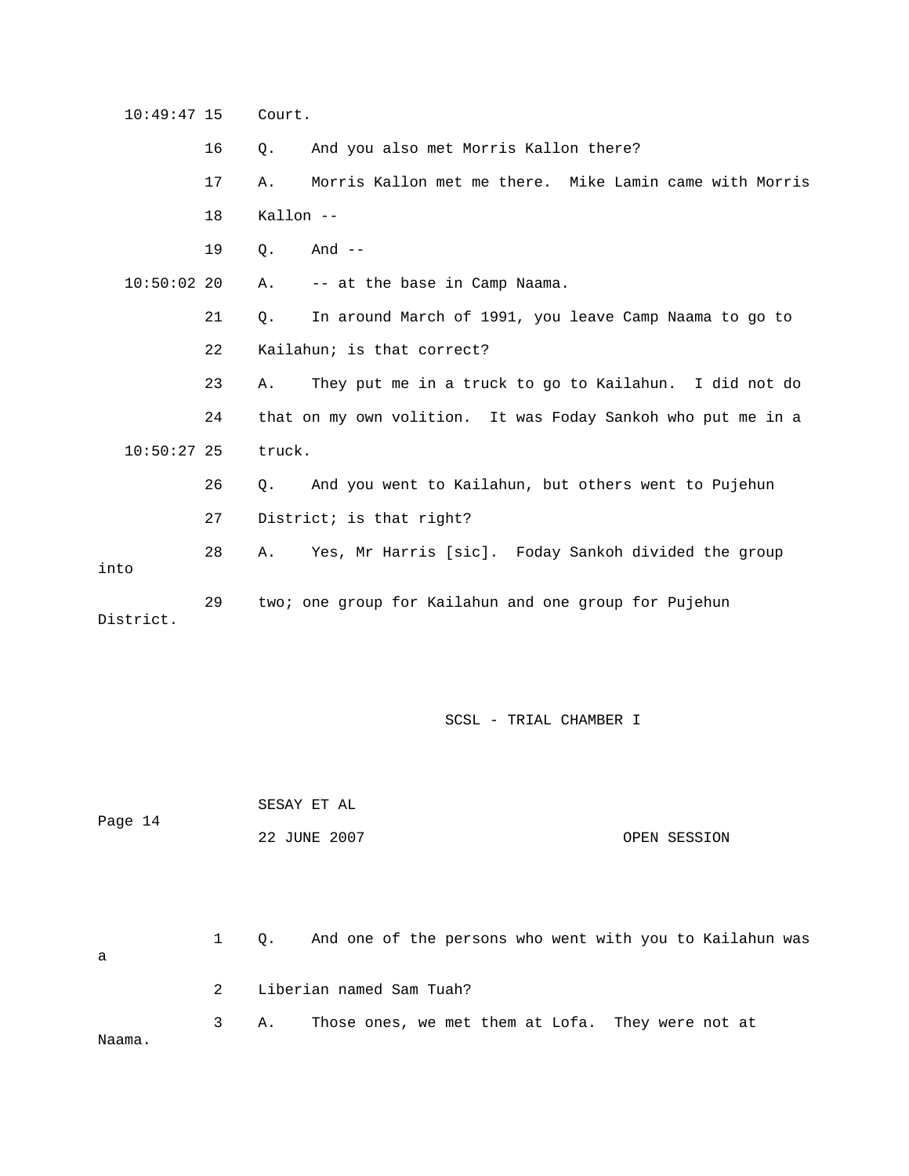10:49:47 15 Court. 16 Q. And you also met Morris Kallon there? 17 A. Morris Kallon met me there. Mike Lamin came with Morris 18 Kallon -- 19 Q. And -- -- at the base in Camp Naama. 21 Q. In around March of 1991, you leave Camp Naama to go to 22 Kailahun; is that correct? 23 A. They put me in a truck to go to Kailahun. I did not do 24 that on my own volition. It was Foday Sankoh who put me in a 10:50:27 25 truck. And you went to Kailahun, but others went to Pujehun 27 District; is that right? 28 A. Yes, Mr Harris [sic]. Foday Sankoh divided the group District.  $10:50:02$  20 A. 26 Q. A into 29 two; one group for Kailahun and one group for Pujehun

SCSL - TRIAL CHAMBER I

|         | SESAY ET AL  |              |
|---------|--------------|--------------|
| Page 14 | 22 JUNE 2007 | OPEN SESSION |
|         |              |              |
|         |              |              |

 1 Q. And one of the persons who went with you to Kailahun was 3 A. Those ones, we met them at Lofa. They were not at a 2 Liberian named Sam Tuah? Naama.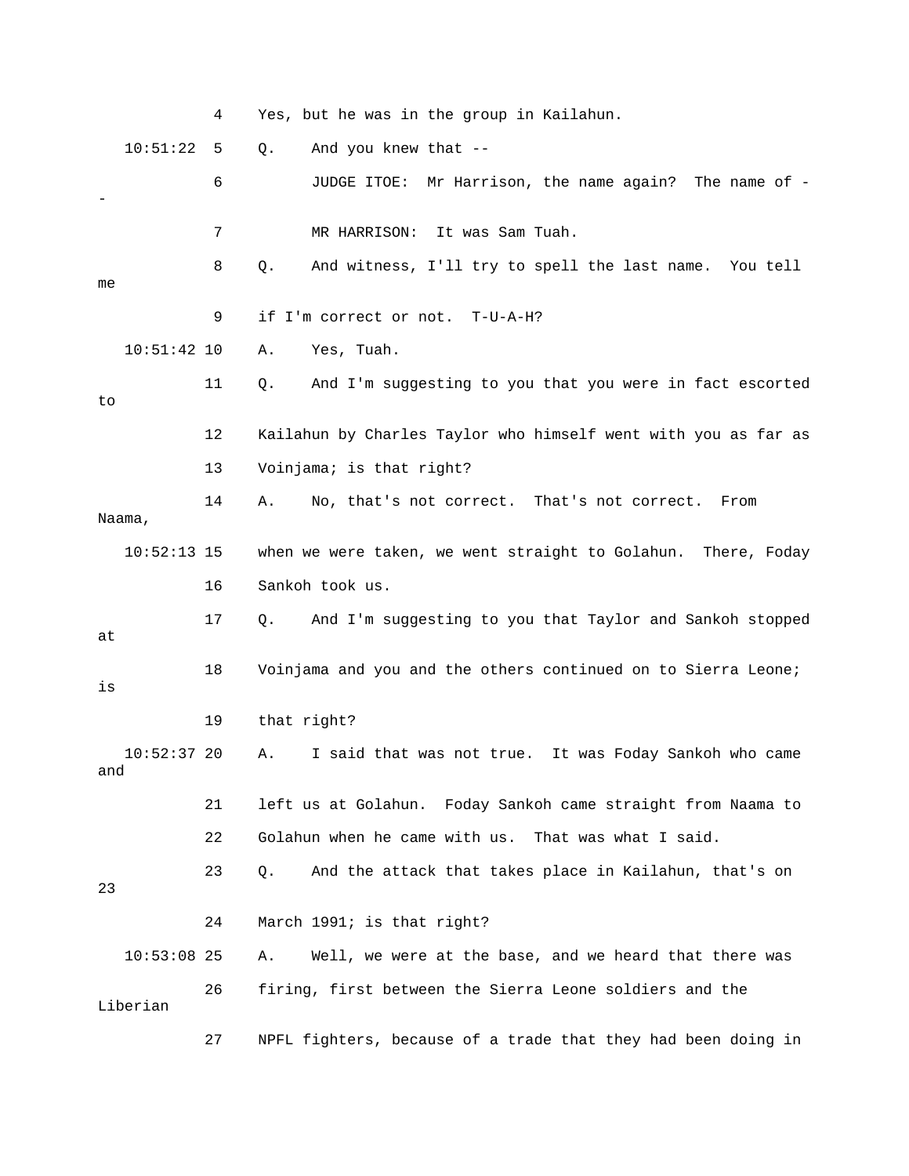|     |               | 4  | Yes, but he was in the group in Kailahun.                      |
|-----|---------------|----|----------------------------------------------------------------|
|     | 10:51:22      | 5  | And you knew that --<br>$Q$ .                                  |
|     |               | 6  | JUDGE ITOE: Mr Harrison, the name again? The name of -         |
|     |               | 7  | MR HARRISON:<br>It was Sam Tuah.                               |
| me  |               | 8  | And witness, I'll try to spell the last name. You tell<br>Q.   |
|     |               | 9  | if I'm correct or not. T-U-A-H?                                |
|     | $10:51:42$ 10 |    | Yes, Tuah.<br>Α.                                               |
| to  |               | 11 | And I'm suggesting to you that you were in fact escorted<br>Q. |
|     |               | 12 | Kailahun by Charles Taylor who himself went with you as far as |
|     |               | 13 | Voinjama; is that right?                                       |
|     | Naama,        | 14 | No, that's not correct. That's not correct.<br>Α.<br>From      |
|     | $10:52:13$ 15 |    | when we were taken, we went straight to Golahun. There, Foday  |
|     |               | 16 | Sankoh took us.                                                |
| at  |               | 17 | And I'm suggesting to you that Taylor and Sankoh stopped<br>Q. |
| is  |               | 18 | Voinjama and you and the others continued on to Sierra Leone;  |
|     |               | 19 | that right?                                                    |
| and | $10:52:37$ 20 |    | I said that was not true. It was Foday Sankoh who came<br>Α.   |
|     |               | 21 | left us at Golahun. Foday Sankoh came straight from Naama to   |
|     |               | 22 | Golahun when he came with us. That was what I said.            |
| 23  |               | 23 | And the attack that takes place in Kailahun, that's on<br>Q.   |
|     |               | 24 | March 1991; is that right?                                     |
|     | $10:53:08$ 25 |    | Well, we were at the base, and we heard that there was<br>Α.   |
|     | Liberian      | 26 | firing, first between the Sierra Leone soldiers and the        |

27 INPFL fighters, because of a trade that they had been doing in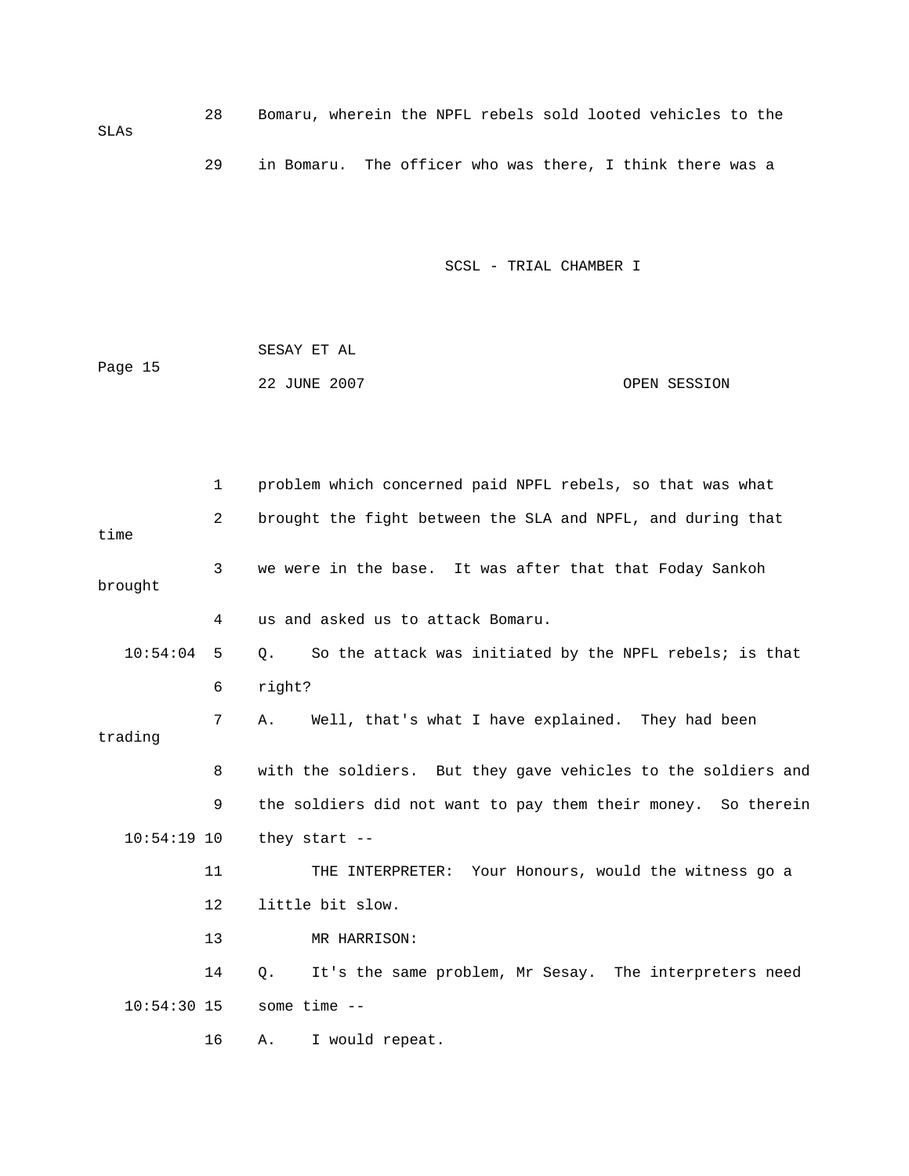28 Bomaru, wherein the NPFL rebels sold looted vehicles to the SLAs 29 in Bomaru. The officer who was there, I think there was a

SCSL - TRIAL CHAMBER I

 SESAY ET AL Page 15 22 JUNE 2007 OPEN SESSION

 1 problem which concerned paid NPFL rebels, so that was what 2 brought the fight between the SLA and NPFL, and during that 10:54:04 5 Q. So the attack was initiated by the NPFL rebels; is that 7 A. Well, that's what I have explained. They had been 8 with the soldiers. But they gave vehicles to the soldiers and 9 the soldiers did not want to pay them their money. So therein 11 THE INTERPRETER: Your Honours, would the witness go a 12 little bit slow. 14 Q. It's the same problem, Mr Sesay. The interpreters need time 3 we were in the base. It was after that that Foday Sankoh brought 4 us and asked us to attack Bomaru. 6 right? trading 10:54:19 10 they start -- 13 MR HARRISON: 10:54:30 15 some time -- 16 A. I would repeat.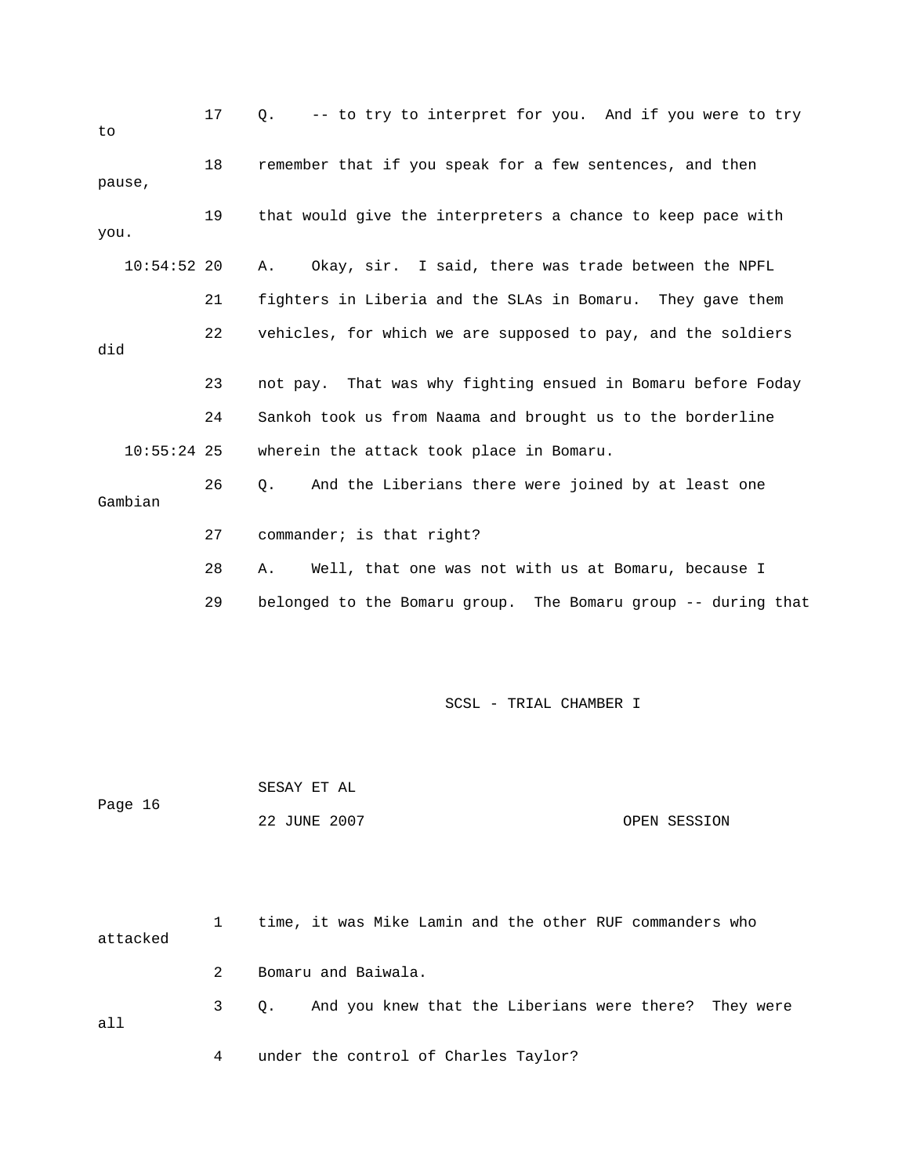| to            | 17 | -- to try to interpret for you. And if you were to try<br>Q.  |
|---------------|----|---------------------------------------------------------------|
| pause,        | 18 | remember that if you speak for a few sentences, and then      |
| you.          | 19 | that would give the interpreters a chance to keep pace with   |
| $10:54:52$ 20 |    | Okay, sir. I said, there was trade between the NPFL<br>Α.     |
|               | 21 | fighters in Liberia and the SLAs in Bomaru. They gave them    |
| did           | 22 | vehicles, for which we are supposed to pay, and the soldiers  |
|               | 23 | not pay. That was why fighting ensued in Bomaru before Foday  |
|               | 24 | Sankoh took us from Naama and brought us to the borderline    |
| $10:55:24$ 25 |    | wherein the attack took place in Bomaru.                      |
| Gambian       | 26 | And the Liberians there were joined by at least one<br>Q.     |
|               | 27 | commander; is that right?                                     |
|               | 28 | Well, that one was not with us at Bomaru, because I<br>Α.     |
|               | 29 | belonged to the Bomaru group. The Bomaru group -- during that |
|               |    | SCSL - TRIAL CHAMBER I                                        |
| Page 16       |    | SESAY ET AL<br>22 JUNE 2007<br>OPEN SESSION                   |
| attacked      | 1  | time, it was Mike Lamin and the other RUF commanders who      |

3 Q. And you knew that the Liberians were there? They were all

4 under the control of Charles Taylor?

2 Bomaru and Baiwala.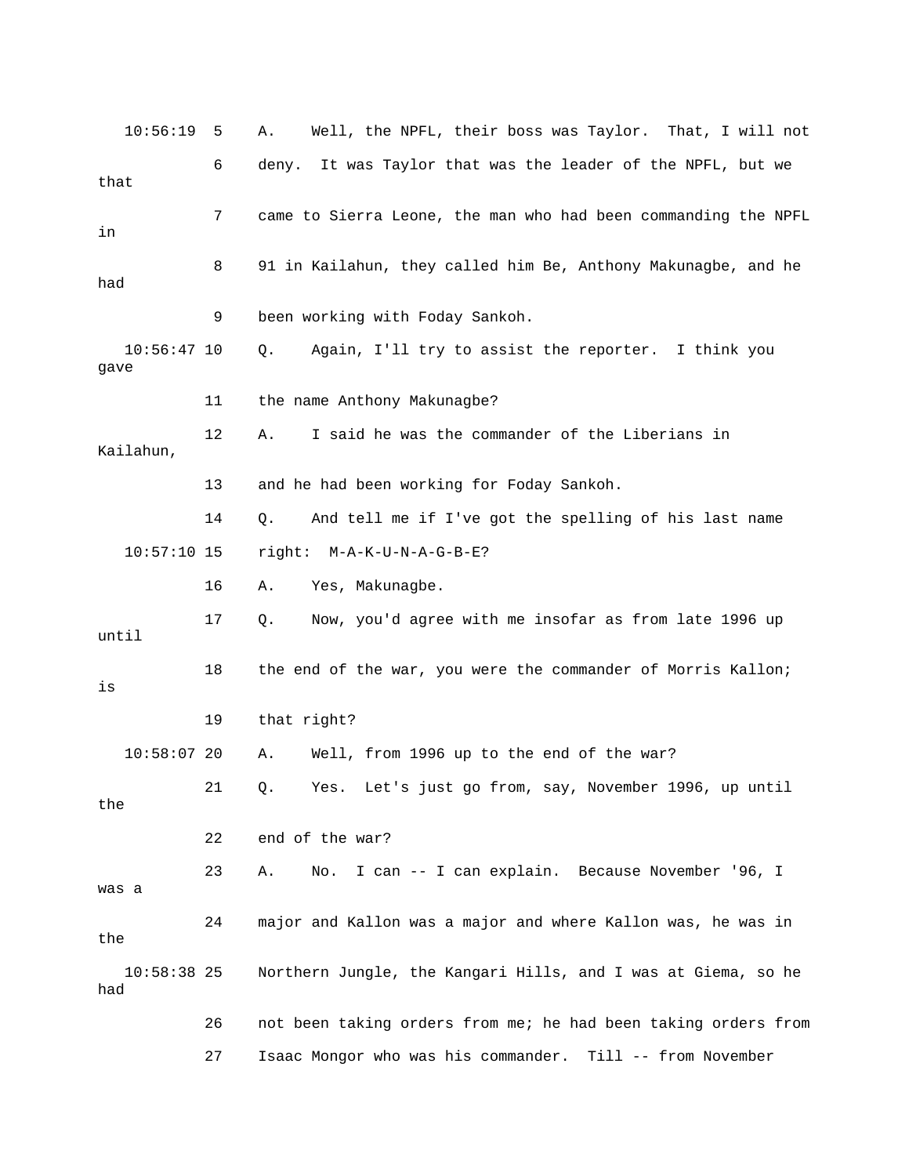| 10:56:19              | 5  | Well, the NPFL, their boss was Taylor. That, I will not<br>Α.  |
|-----------------------|----|----------------------------------------------------------------|
| that                  | 6  | deny. It was Taylor that was the leader of the NPFL, but we    |
| in                    | 7  | came to Sierra Leone, the man who had been commanding the NPFL |
| had                   | 8  | 91 in Kailahun, they called him Be, Anthony Makunagbe, and he  |
|                       | 9  | been working with Foday Sankoh.                                |
| $10:56:47$ 10<br>gave |    | Again, I'll try to assist the reporter. I think you<br>Q.      |
|                       | 11 | the name Anthony Makunagbe?                                    |
| Kailahun,             | 12 | I said he was the commander of the Liberians in<br>Α.          |
|                       | 13 | and he had been working for Foday Sankoh.                      |
|                       | 14 | Q.<br>And tell me if I've got the spelling of his last name    |
| $10:57:10$ 15         |    | right: M-A-K-U-N-A-G-B-E?                                      |
|                       | 16 | Yes, Makunagbe.<br>Α.                                          |
| until                 | 17 | Now, you'd agree with me insofar as from late 1996 up<br>Q.    |
| is                    | 18 | the end of the war, you were the commander of Morris Kallon;   |
|                       | 19 | that right?                                                    |
| $10:58:07$ 20         |    | Well, from 1996 up to the end of the war?<br>Α.                |
| the                   | 21 | Yes. Let's just go from, say, November 1996, up until<br>Q.    |
|                       | 22 | end of the war?                                                |
| was a                 | 23 | I can -- I can explain. Because November '96, I<br>Α.<br>No.   |
| the                   | 24 | major and Kallon was a major and where Kallon was, he was in   |
| $10:58:38$ 25<br>had  |    | Northern Jungle, the Kangari Hills, and I was at Giema, so he  |
|                       | 26 | not been taking orders from me; he had been taking orders from |
|                       | 27 | Isaac Mongor who was his commander. Till -- from November      |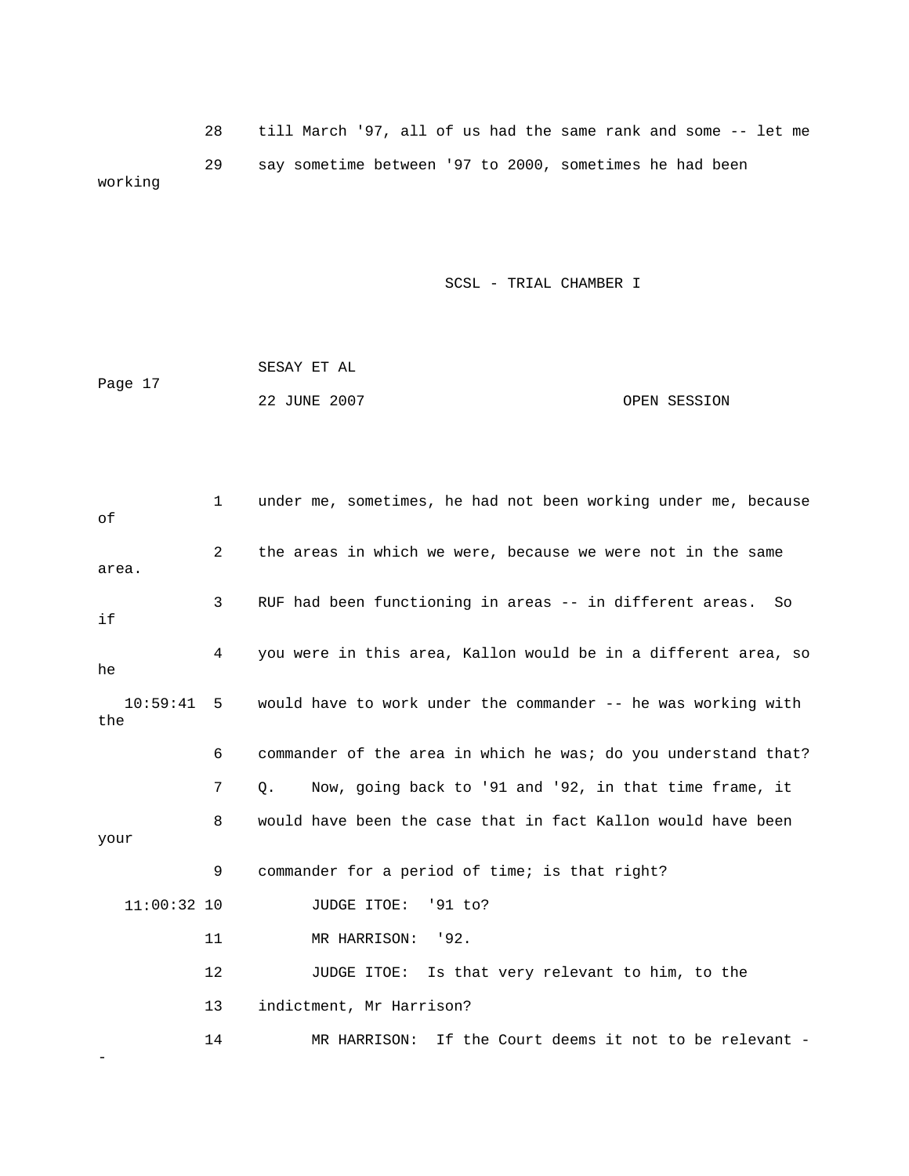28 till March '97, all of us had the same rank and some -- let me 29 say sometime between '97 to 2000, sometimes he had been working

SCSL - TRIAL CHAMBER I

|         | SESAY ET AL  |              |
|---------|--------------|--------------|
| Page 17 |              |              |
|         | 22 JUNE 2007 | OPEN SESSION |

| оf              | 1   | under me, sometimes, he had not been working under me, because |
|-----------------|-----|----------------------------------------------------------------|
| area.           | 2   | the areas in which we were, because we were not in the same    |
| if              | 3   | RUF had been functioning in areas -- in different areas.<br>So |
| he              | 4   | you were in this area, Kallon would be in a different area, so |
| 10:59:41<br>the | - 5 | would have to work under the commander -- he was working with  |
|                 | 6   | commander of the area in which he was; do you understand that? |
|                 | 7   | Now, going back to '91 and '92, in that time frame, it<br>Q.   |
| your            | 8   | would have been the case that in fact Kallon would have been   |
|                 | 9   | commander for a period of time; is that right?                 |
| $11:00:32$ 10   |     | JUDGE ITOE:<br>'91 to?                                         |
|                 | 11  | MR HARRISON: '92.                                              |
|                 | 12  | JUDGE ITOE: Is that very relevant to him, to the               |
|                 | 13  | indictment, Mr Harrison?                                       |
|                 | 14  | MR HARRISON: If the Court deems it not to be relevant -        |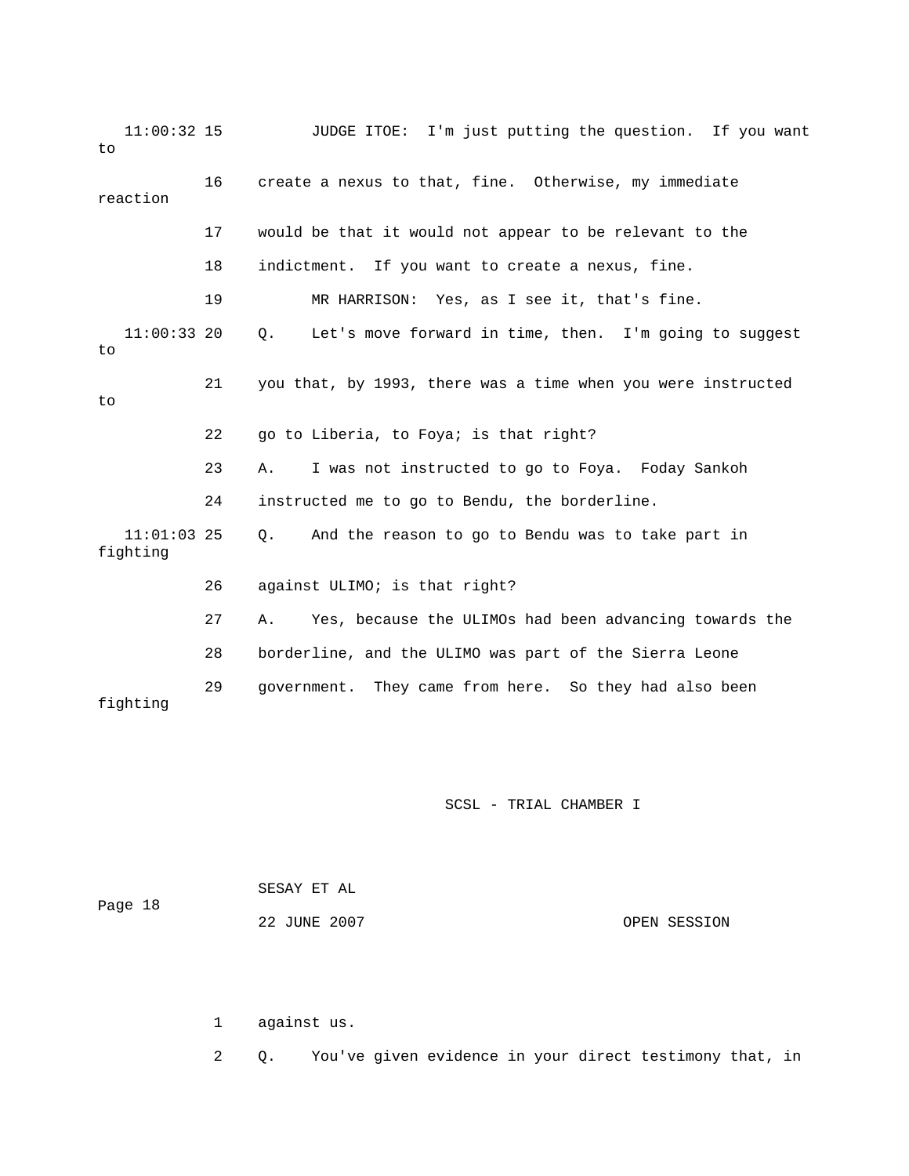11:00:32 15 JUDGE ITOE: I'm just putting the question. If you want to 18 indictment. If you want to create a nexus, fine.  $11:00:33$  20 Q. Let's move forward in time, then. I'm going to suggest 23 A. I was not instructed to go to Foya. Foday Sankoh 24 instructed me to go to Bendu, the borderline. fighting 27 A. Yes, because the ULIMOs had been advancing towards the 28 borderline, and the ULIMO was part of the Sierra Leone fighting 16 create a nexus to that, fine. Otherwise, my immediate reaction 17 would be that it would not appear to be relevant to the 19 MR HARRISON: Yes, as I see it, that's fine. to 21 you that, by 1993, there was a time when you were instructed to 22 go to Liberia, to Foya; is that right? 11:01:03 25 Q. And the reason to go to Bendu was to take part in 26 against ULIMO; is that right? 29 government. They came from here. So they had also been

SCSL - TRIAL CHAMBER I

| Page 18 | SESAY ET AL  |              |
|---------|--------------|--------------|
|         | 22 JUNE 2007 | OPEN SESSION |

1 against us.

2 Q. You've given evidence in your direct testimony that, in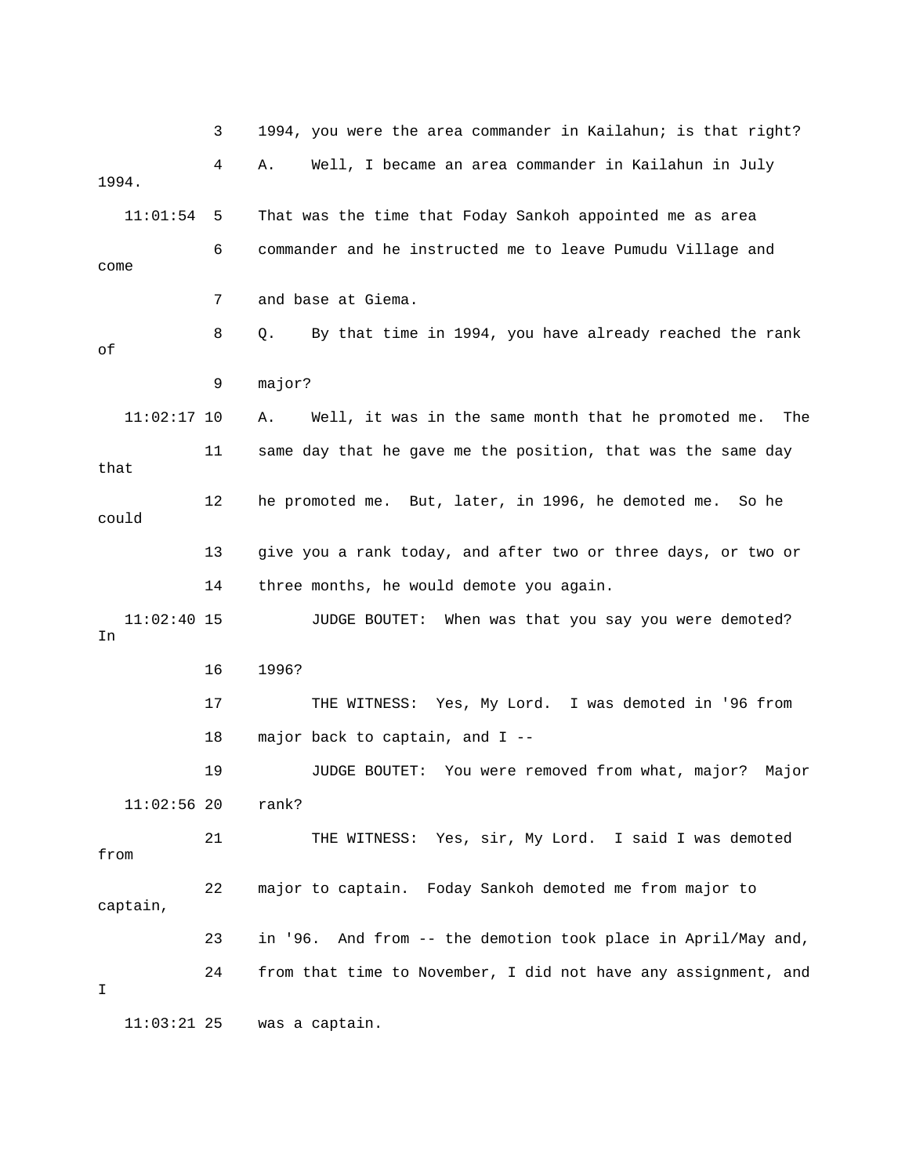3 1994, you were the area commander in Kailahun; is that right? 11:01:54 5 That was the time that Foday Sankoh appointed me as area 6 commander and he instructed me to leave Pumudu Village and come 7 and base at Giema. 8 Q. By that time in 1994, you have already reached the rank A. Well, it was in the same month that he promoted me. The 11 same day that he gave me the position, that was the same day that 12 he promoted me. But, later, in 1996, he demoted me. So he 13 give you a rank today, and after two or three days, or two or 16 1996? 17 THE WITNESS: Yes, My Lord. I was demoted in '96 from 18 major back to captain, and I -from 22 major to captain. Foday Sankoh demoted me from major to 23 in '96. And from -- the demotion took place in April/May and, 24 from that time to November, I did not have any assignment, and 11:03:21 25 was a captain. 4 A. Well, I became an area commander in Kailahun in July 1994. of 9 major?  $11:02:17$  10 could 14 three months, he would demote you again. 11:02:40 15 JUDGE BOUTET: When was that you say you were demoted? In 19 JUDGE BOUTET: You were removed from what, major? Major 11:02:56 20 rank? 21 THE WITNESS: Yes, sir, My Lord. I said I was demoted captain, I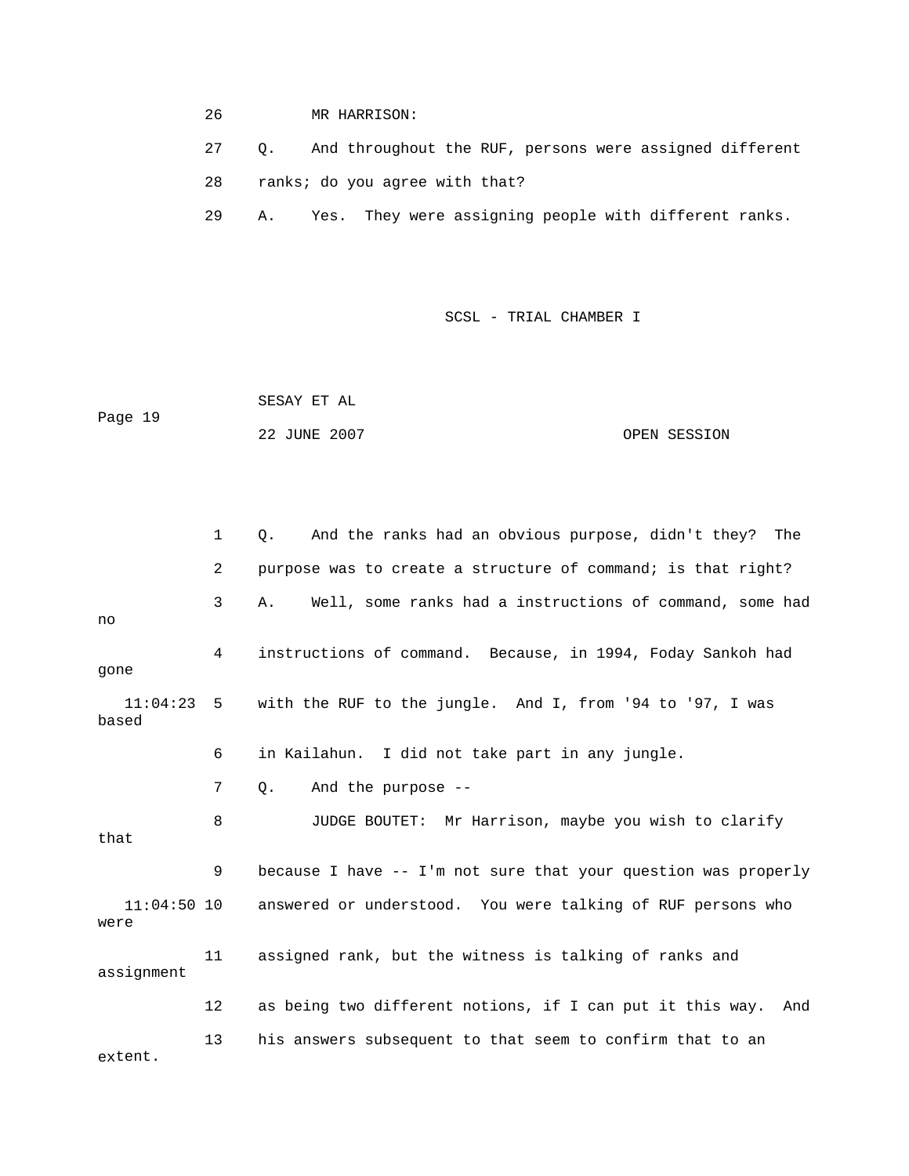26 MR HARRISON:

27 Q. And throughout the RUF, persons were assigned different

28 ranks; do you agree with that?

29 A. Yes. They were assigning people with different ranks.

SCSL - TRIAL CHAMBER I

 SESAY ET AL Page 19 22 JUNE 2007 CPEN SESSION

 1 Q. And the ranks had an obvious purpose, didn't they? The 2 purpose was to create a structure of command; is that right? 4 instructions of command. Because, in 1994, Foday Sankoh had 11:04:23 5 with the RUF to the jungle. And I, from '94 to '97, I was 6 in Kailahun. I did not take part in any jungle. 8 JUDGE BOUTET: Mr Harrison, maybe you wish to clarify 9 because I have -- I'm not sure that your question was properly answered or understood. You were talking of RUF persons who were 11 assigned rank, but the witness is talking of ranks and 12 as being two different notions, if I can put it this way. And 13 his answers subsequent to that seem to confirm that to an extent. 3 A. Well, some ranks had a instructions of command, some had no gone based 7 Q. And the purpose - that  $11:04:50$  10 assignment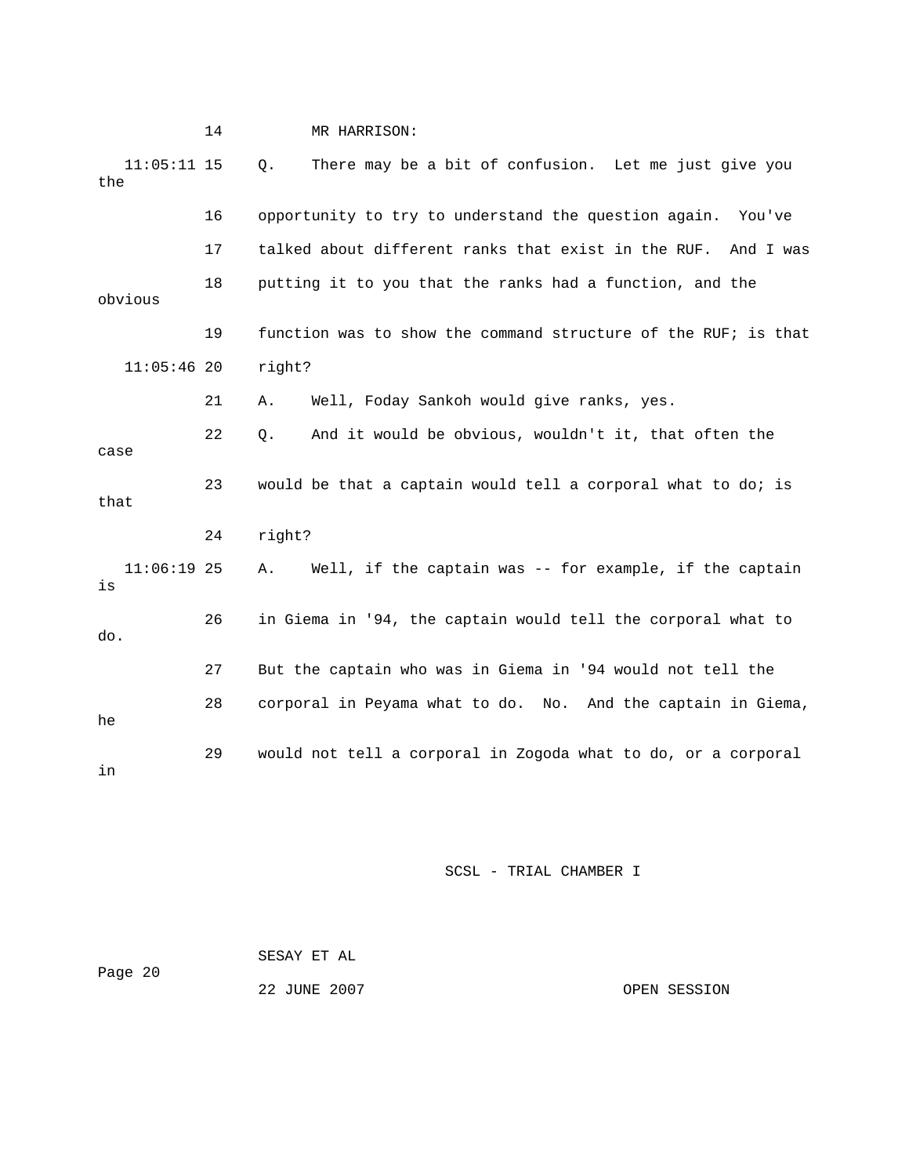|                      | 14 | MR HARRISON:                                                   |
|----------------------|----|----------------------------------------------------------------|
| $11:05:11$ 15<br>the |    | There may be a bit of confusion. Let me just give you<br>$Q$ . |
|                      | 16 | opportunity to try to understand the question again. You've    |
|                      | 17 | talked about different ranks that exist in the RUF. And I was  |
| obvious              | 18 | putting it to you that the ranks had a function, and the       |
|                      | 19 | function was to show the command structure of the RUF; is that |
| $11:05:46$ 20        |    | right?                                                         |
|                      | 21 | Well, Foday Sankoh would give ranks, yes.<br>Α.                |
| case                 | 22 | And it would be obvious, wouldn't it, that often the<br>Q.     |
| that                 | 23 | would be that a captain would tell a corporal what to do; is   |
|                      | 24 | right?                                                         |
| $11:06:19$ 25<br>is  |    | Well, if the captain was -- for example, if the captain<br>Α.  |
| do.                  | 26 | in Giema in '94, the captain would tell the corporal what to   |
|                      | 27 | But the captain who was in Giema in '94 would not tell the     |
| he                   | 28 | corporal in Peyama what to do. No. And the captain in Giema,   |
| in                   | 29 | would not tell a corporal in Zogoda what to do, or a corporal  |

| Page 20 | SESAY ET AL  |              |
|---------|--------------|--------------|
|         | 22 JUNE 2007 | OPEN SESSION |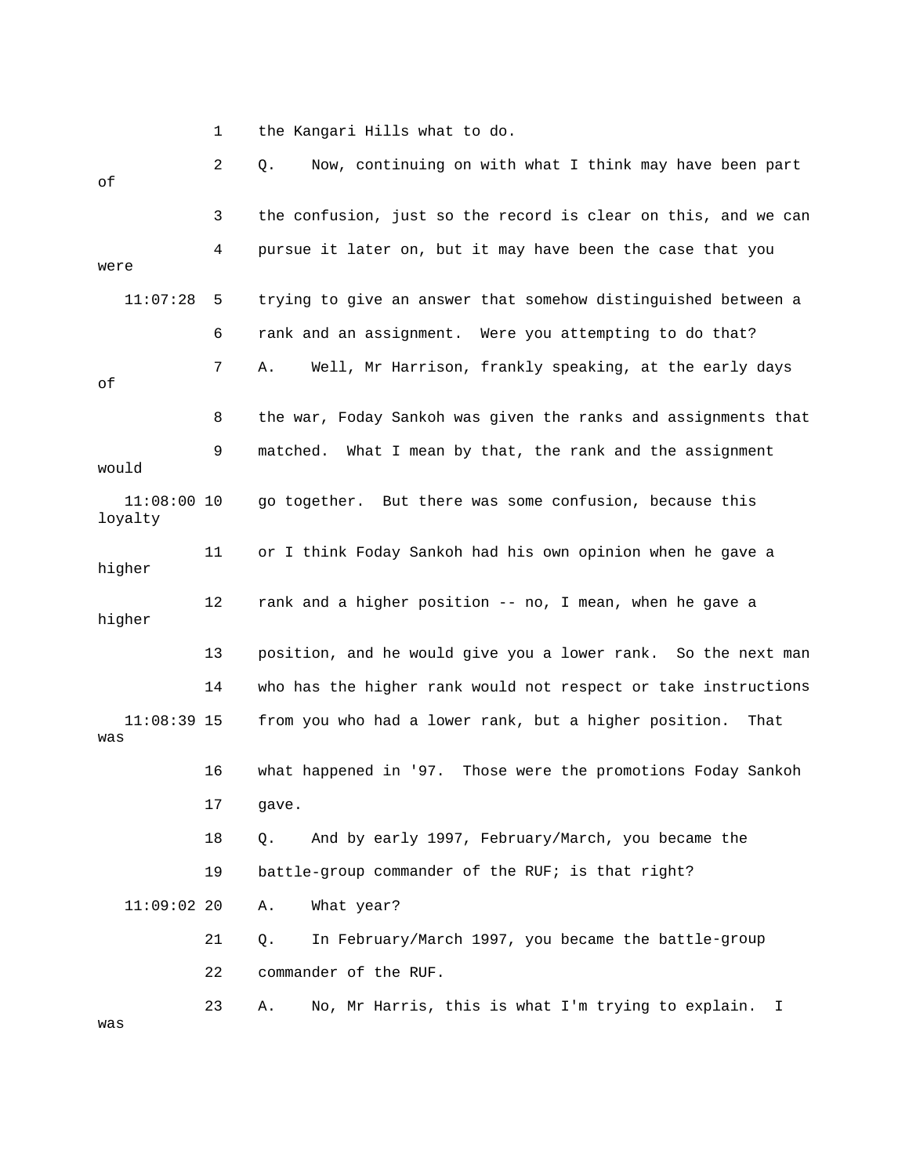1 the Kangari Hills what to do.

| оf                       | 2  | Now, continuing on with what I think may have been part<br>Q.   |
|--------------------------|----|-----------------------------------------------------------------|
|                          | 3  | the confusion, just so the record is clear on this, and we can  |
| were                     | 4  | pursue it later on, but it may have been the case that you      |
| 11:07:28                 | 5  | trying to give an answer that somehow distinguished between a   |
|                          | 6  | rank and an assignment. Were you attempting to do that?         |
| οf                       | 7  | Well, Mr Harrison, frankly speaking, at the early days<br>Α.    |
|                          | 8  | the war, Foday Sankoh was given the ranks and assignments that  |
| would                    | 9  | What I mean by that, the rank and the assignment<br>matched.    |
| $11:08:00$ 10<br>loyalty |    | go together. But there was some confusion, because this         |
| higher                   | 11 | or I think Foday Sankoh had his own opinion when he gave a      |
| higher                   | 12 | rank and a higher position -- no, I mean, when he gave a        |
|                          | 13 | position, and he would give you a lower rank. So the next man   |
|                          | 14 | who has the higher rank would not respect or take instructions  |
| $11:08:39$ 15<br>was     |    | from you who had a lower rank, but a higher position.<br>That   |
|                          | 16 | what happened in '97.<br>Those were the promotions Foday Sankoh |
|                          | 17 | gave.                                                           |
|                          | 18 | And by early 1997, February/March, you became the<br>Q.         |
|                          | 19 | battle-group commander of the RUF; is that right?               |
| $11:09:02$ 20            |    | What year?<br>Α.                                                |
|                          | 21 | In February/March 1997, you became the battle-group<br>Q.       |
|                          | 22 | commander of the RUF.                                           |
| was                      | 23 | No, Mr Harris, this is what I'm trying to explain.<br>Α.<br>I.  |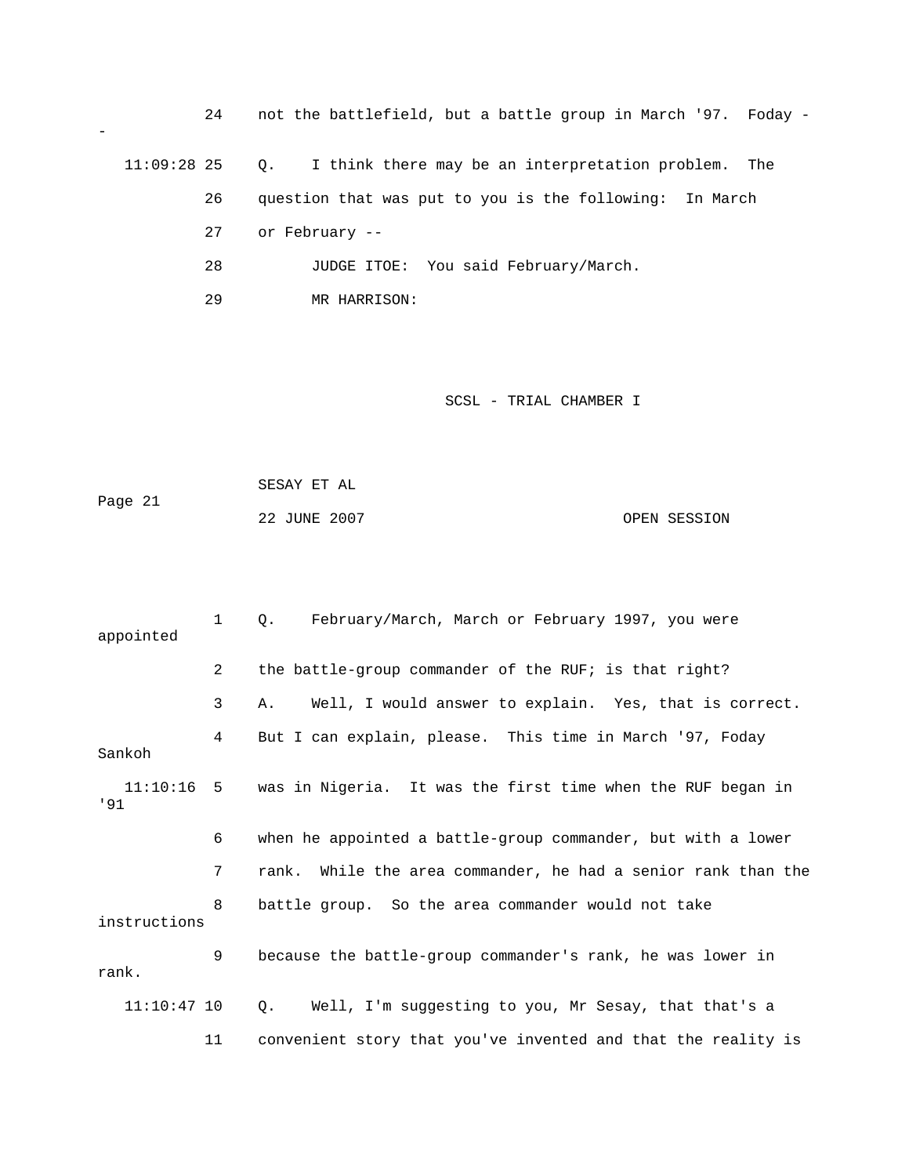| 24            | not the battlefield, but a battle group in March '97. Foday -       |
|---------------|---------------------------------------------------------------------|
| $11:09:28$ 25 | I think there may be an interpretation problem.<br>$\circ$ .<br>The |
| 26            | question that was put to you is the following:<br>In March          |
| 27            | or February --                                                      |
| 28            | JUDGE ITOE: You said February/March.                                |
| 29            | MR HARRISON:                                                        |

| Page 21 | SESAY ET AL  |              |
|---------|--------------|--------------|
|         | 22 JUNE 2007 | OPEN SESSION |

| appointed     | $\mathbf 1$ | February/March, March or February 1997, you were<br>Q.                 |
|---------------|-------------|------------------------------------------------------------------------|
|               | 2           | the battle-group commander of the RUF; is that right?                  |
|               | 3           | Well, I would answer to explain. Yes, that is correct.<br>Α.           |
| Sankoh        | 4           | But I can explain, please. This time in March '97, Foday               |
| 191           |             | 11:10:16 5 was in Nigeria. It was the first time when the RUF began in |
|               | 6           | when he appointed a battle-group commander, but with a lower           |
|               | 7           | rank. While the area commander, he had a senior rank than the          |
| instructions  | 8           | battle group. So the area commander would not take                     |
| rank.         | 9           | because the battle-group commander's rank, he was lower in             |
| $11:10:47$ 10 |             | Well, I'm suggesting to you, Mr Sesay, that that's a<br>Q.             |
|               | 11          | convenient story that you've invented and that the reality is          |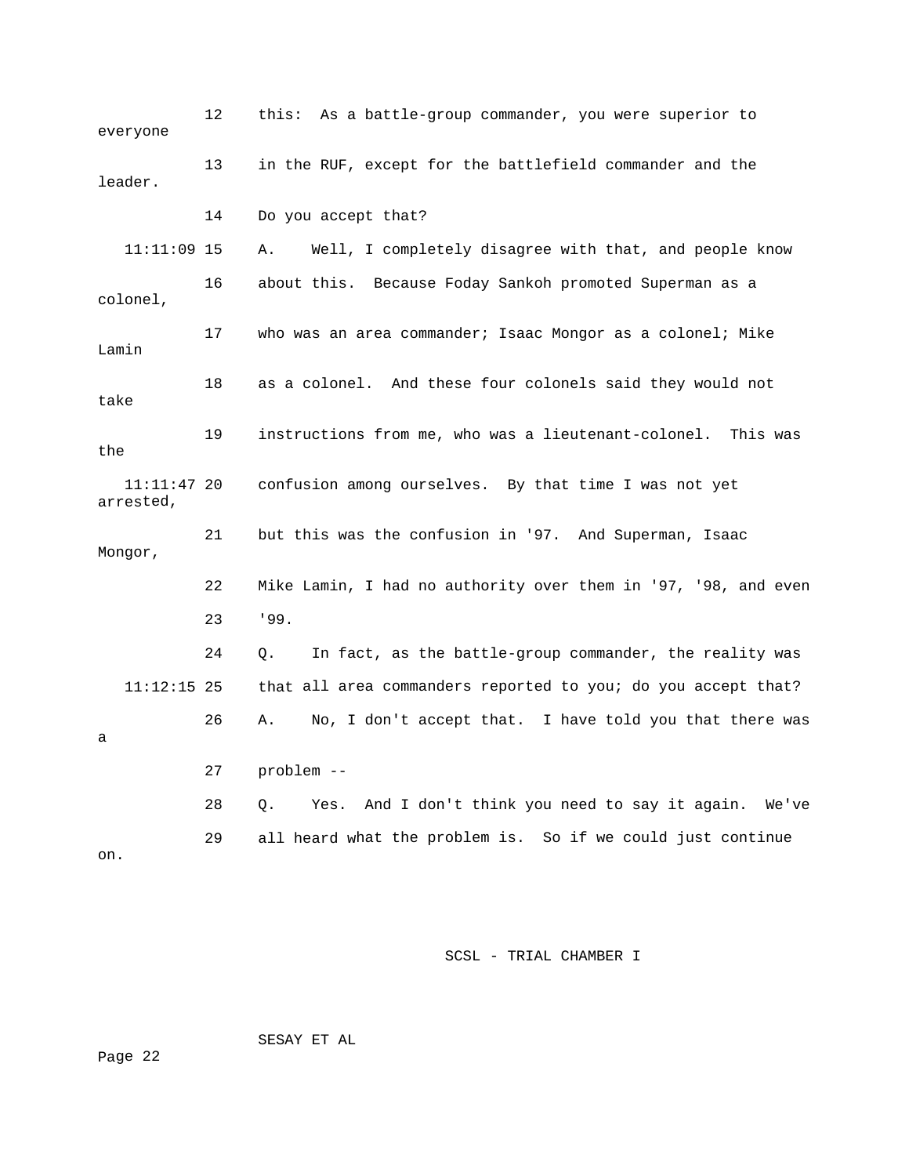| everyone                 | 12 | this: As a battle-group commander, you were superior to         |
|--------------------------|----|-----------------------------------------------------------------|
| leader.                  | 13 | in the RUF, except for the battlefield commander and the        |
|                          | 14 | Do you accept that?                                             |
| $11:11:09$ 15            |    | Well, I completely disagree with that, and people know<br>Α.    |
| colonel,                 | 16 | about this. Because Foday Sankoh promoted Superman as a         |
| Lamin                    | 17 | who was an area commander; Isaac Mongor as a colonel; Mike      |
| take                     | 18 | as a colonel. And these four colonels said they would not       |
| the                      | 19 | instructions from me, who was a lieutenant-colonel.<br>This was |
| 11:11:47 20<br>arrested, |    | confusion among ourselves. By that time I was not yet           |
| Mongor,                  | 21 | but this was the confusion in '97. And Superman, Isaac          |
|                          | 22 | Mike Lamin, I had no authority over them in '97, '98, and even  |
|                          | 23 | 199.                                                            |
|                          | 24 | In fact, as the battle-group commander, the reality was<br>0.   |
| $11:12:15$ 25            |    | that all area commanders reported to you; do you accept that?   |
| а                        | 26 | No, I don't accept that. I have told you that there was<br>Α.   |
|                          | 27 | problem --                                                      |
|                          | 28 | And I don't think you need to say it again. We've<br>О.<br>Yes. |
| on.                      | 29 | all heard what the problem is. So if we could just continue     |

SESAY ET AL

ge 22 Pa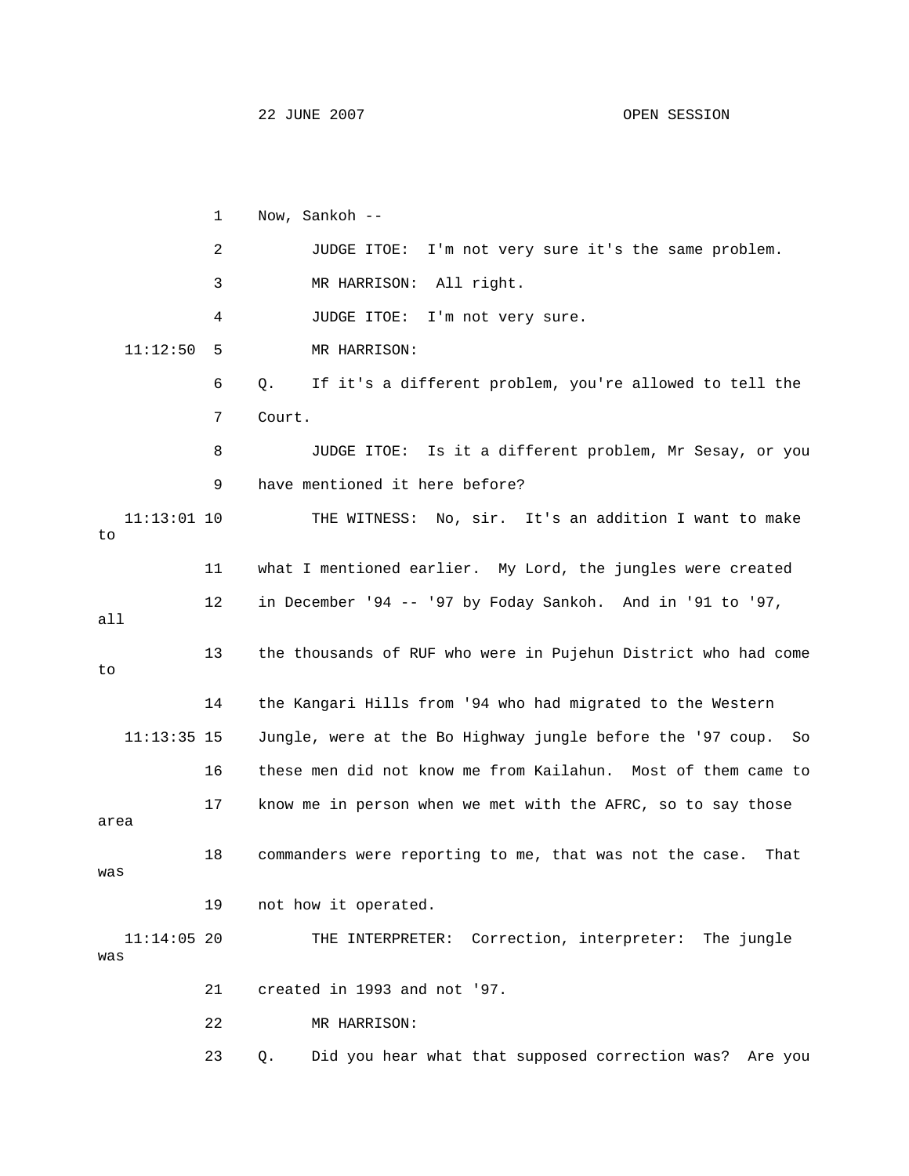22 JUNE 2007 OPEN SESSION

 1 Now, Sankoh -- 2 JUDGE ITOE: I'm not very sure it's the same problem. 3 MR HARRISON: All right. 6 Q. If it's a different problem, you're allowed to tell the 9 have mentioned it here before? 11 what I mentioned earlier. My Lord, the jungles were created 12 in December '94 -- '97 by Foday Sankoh. And in '91 to '97, all 13 the thousands of RUF who were in Pujehun District who had come 14 the Kangari Hills from '94 who had migrated to the Western 16 these men did not know me from Kailahun. Most of them came to 17 know me in person when we met with the AFRC, so to say those was 19 not how it operated. 21 created in 1993 and not '97. 23 Q. Did you hear what that supposed correction was? Are you 4 JUDGE ITOE: I'm not very sure. 11:12:50 5 MR HARRISON: 7 Court. 8 JUDGE ITOE: Is it a different problem, Mr Sesay, or you 11:13:01 10 THE WITNESS: No, sir. It's an addition I want to make to to 11:13:35 15 Jungle, were at the Bo Highway jungle before the '97 coup. So area 18 commanders were reporting to me, that was not the case. That 11:14:05 20 THE INTERPRETER: Correction, interpreter: The jungle was 22 MR HARRISON: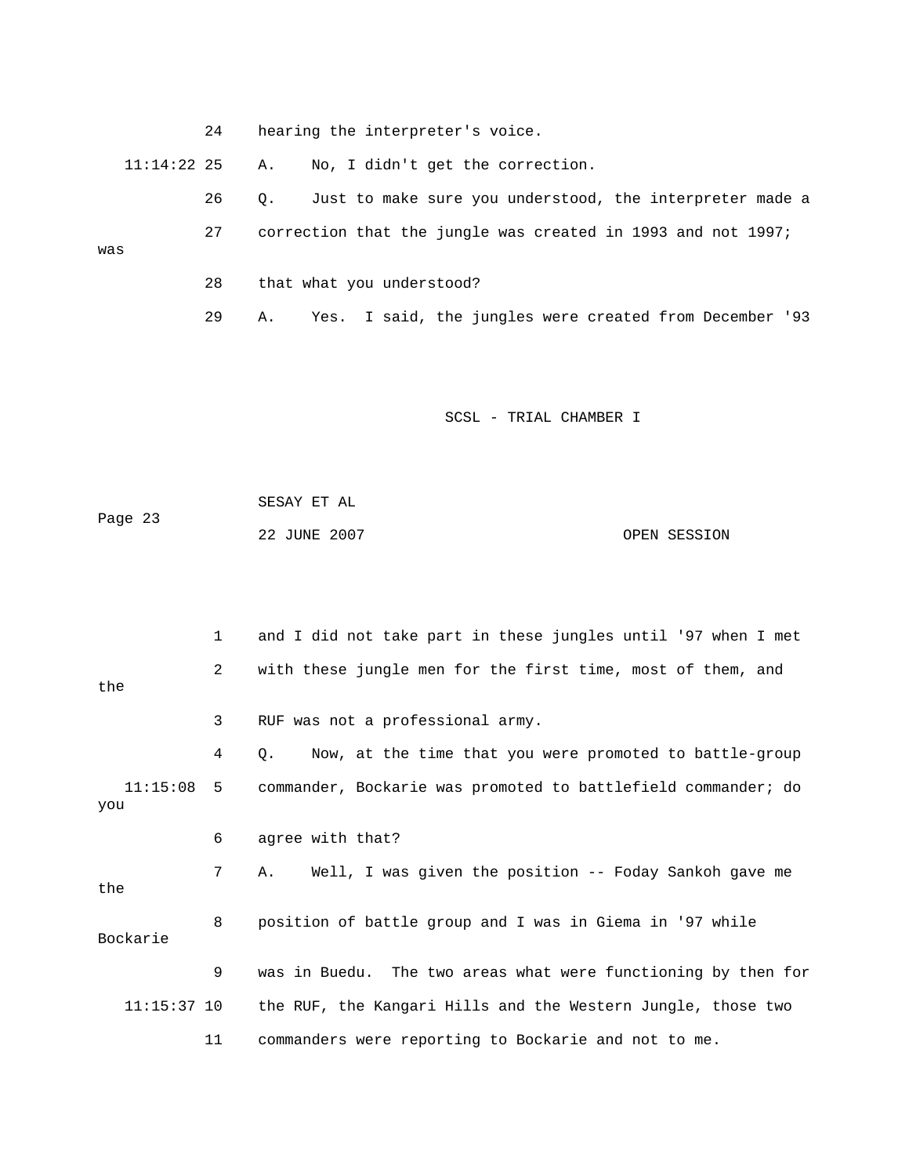|     |               | 24 | hearing the interpreter's voice.                               |
|-----|---------------|----|----------------------------------------------------------------|
|     | $11:14:22$ 25 |    | No, I didn't get the correction.<br>А.                         |
|     |               | 26 | Just to make sure you understood, the interpreter made a<br>0. |
| was |               | 27 | correction that the jungle was created in 1993 and not 1997;   |
|     |               | 28 | that what you understood?                                      |
|     |               | 29 | Yes. I said, the jungles were created from December '93<br>Α.  |
|     |               |    |                                                                |

Page 23 22 JUNE 2007 OPEN SESSION SESAY ET AL

1 and I did not take part in these jungles until '97 when I met 2 with these jungle men for the first time, most of them, and the commander, Bockarie was promoted to battlefield commander; do 8 position of battle group and I was in Giema in '97 while 9 was in Buedu. The two areas what were functioning by then for 11:15:37 10 the RUF, the Kangari Hills and the Western Jungle, those two 11 commanders were reporting to Bockarie and not to me. 3 RUF was not a professional army. 4 Q. Now, at the time that you were promoted to battle-group  $11:15:08$  5 you 6 agree with that? 7 A. Well, I was given the position -- Foday Sankoh gave me the Bockarie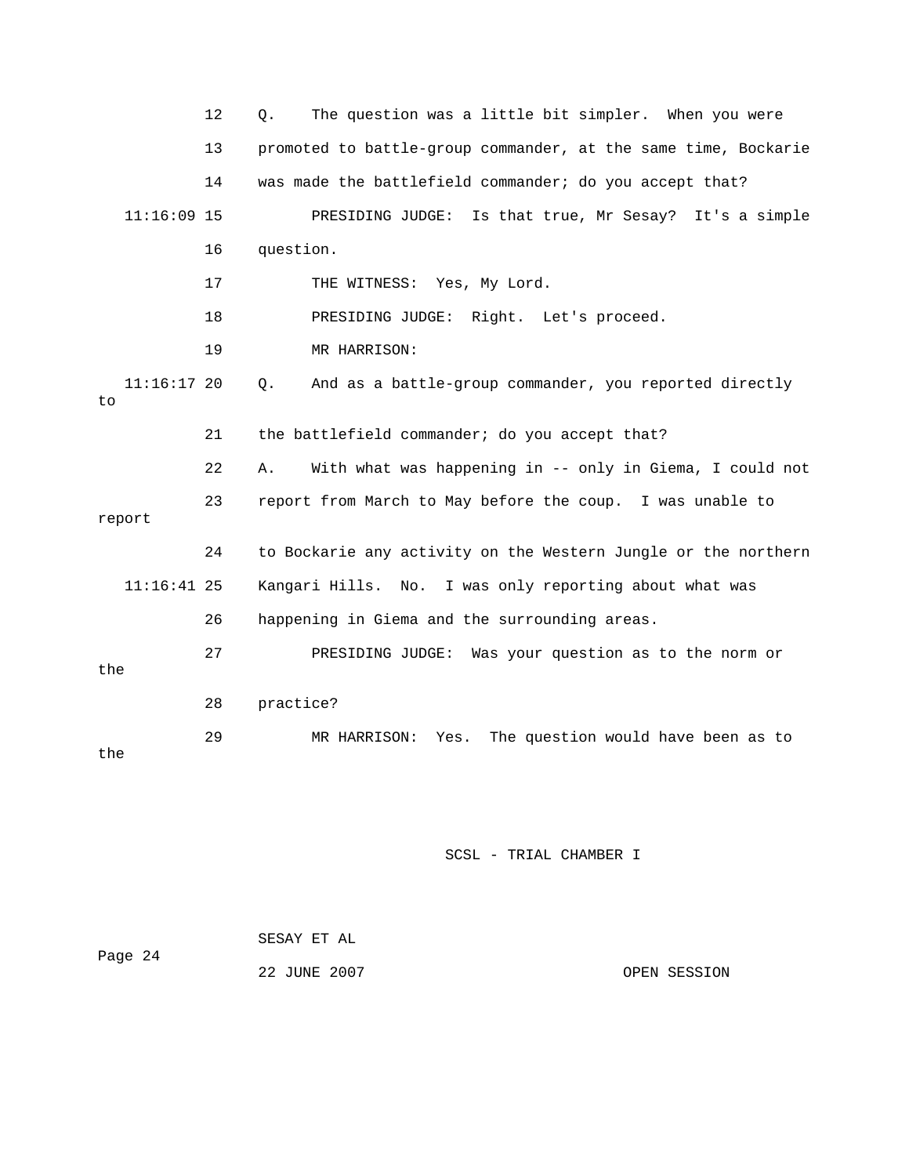|        |               | 12 | The question was a little bit simpler. When you were<br>Q.     |
|--------|---------------|----|----------------------------------------------------------------|
|        |               | 13 | promoted to battle-group commander, at the same time, Bockarie |
|        |               | 14 | was made the battlefield commander; do you accept that?        |
|        | $11:16:09$ 15 |    | PRESIDING JUDGE: Is that true, Mr Sesay? It's a simple         |
|        |               | 16 | question.                                                      |
|        |               | 17 | THE WITNESS: Yes, My Lord.                                     |
|        |               | 18 | PRESIDING JUDGE: Right. Let's proceed.                         |
|        |               | 19 | MR HARRISON:                                                   |
| to     | $11:16:17$ 20 |    | And as a battle-group commander, you reported directly<br>Q.   |
|        |               | 21 | the battlefield commander; do you accept that?                 |
|        |               | 22 | With what was happening in -- only in Giema, I could not<br>Α. |
| report |               | 23 | report from March to May before the coup. I was unable to      |
|        |               | 24 | to Bockarie any activity on the Western Jungle or the northern |
|        | $11:16:41$ 25 |    | Kangari Hills. No. I was only reporting about what was         |
|        |               | 26 | happening in Giema and the surrounding areas.                  |
| the    |               | 27 | PRESIDING JUDGE: Was your question as to the norm or           |
|        |               | 28 | practice?                                                      |
| the    |               | 29 | The question would have been as to<br>Yes.<br>MR HARRISON:     |
|        |               |    |                                                                |

| Page 24 | SESAY ET AL  |              |
|---------|--------------|--------------|
|         | 22 JUNE 2007 | OPEN SESSION |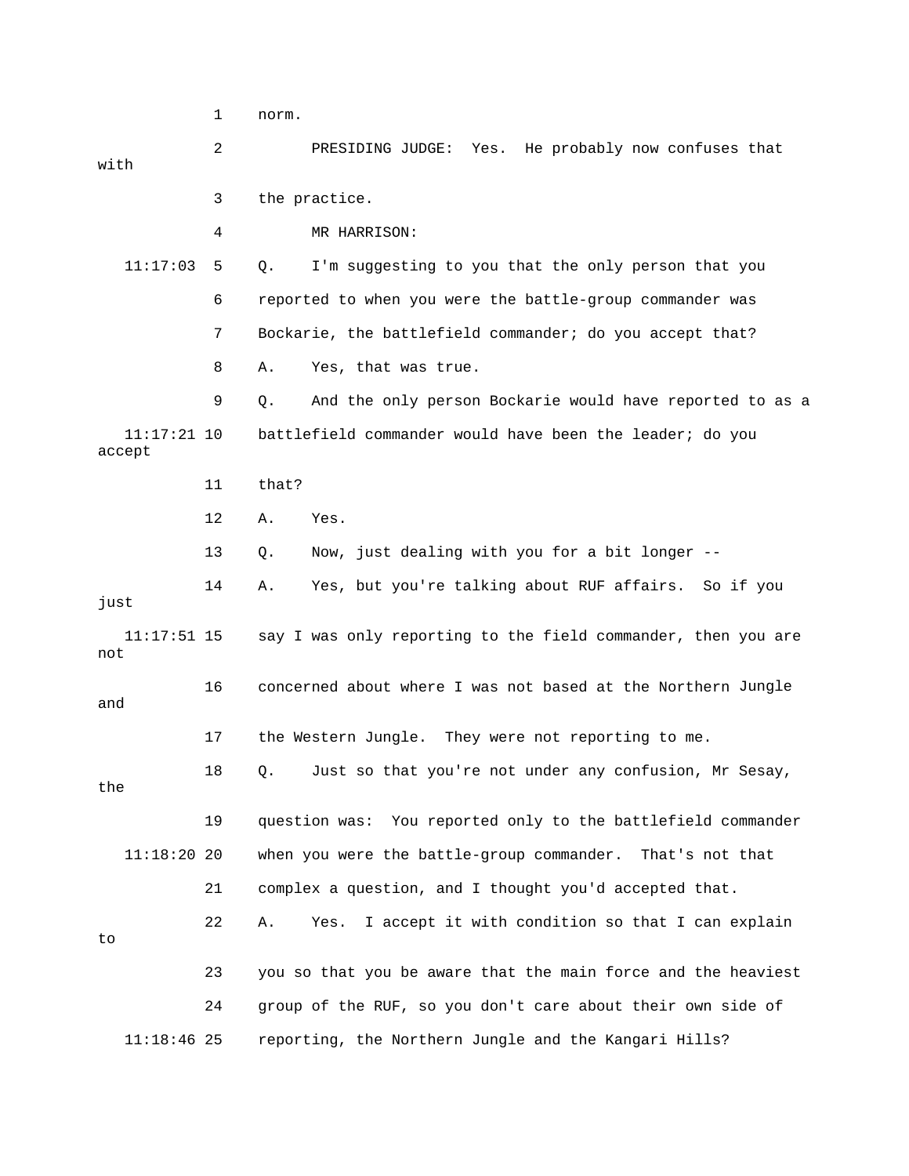1 norm.

| with                    | 2  | PRESIDING JUDGE: Yes. He probably now confuses that            |
|-------------------------|----|----------------------------------------------------------------|
|                         | 3  | the practice.                                                  |
|                         | 4  | MR HARRISON:                                                   |
| 11:17:03                | 5  | I'm suggesting to you that the only person that you<br>Q.      |
|                         | 6  | reported to when you were the battle-group commander was       |
|                         | 7  | Bockarie, the battlefield commander; do you accept that?       |
|                         | 8  | Yes, that was true.<br>Α.                                      |
|                         | 9  | And the only person Bockarie would have reported to as a<br>Q. |
| $11:17:21$ 10<br>accept |    | battlefield commander would have been the leader; do you       |
|                         | 11 | that?                                                          |
|                         | 12 | Α.<br>Yes.                                                     |
|                         | 13 | Now, just dealing with you for a bit longer --<br>Q.           |
| just                    | 14 | Yes, but you're talking about RUF affairs. So if you<br>Α.     |
| $11:17:51$ 15<br>not    |    | say I was only reporting to the field commander, then you are  |
| and                     | 16 | concerned about where I was not based at the Northern Jungle   |
|                         | 17 | the Western Jungle. They were not reporting to me.             |
| the                     | 18 | Just so that you're not under any confusion, Mr Sesay,<br>Q.   |
|                         | 19 | question was: You reported only to the battlefield commander   |
| 11:18:2020              |    | when you were the battle-group commander.<br>That's not that   |
|                         | 21 | complex a question, and I thought you'd accepted that.         |
| to                      | 22 | I accept it with condition so that I can explain<br>Α.<br>Yes. |
|                         | 23 | you so that you be aware that the main force and the heaviest  |
|                         | 24 | group of the RUF, so you don't care about their own side of    |
| $11:18:46$ 25           |    | reporting, the Northern Jungle and the Kangari Hills?          |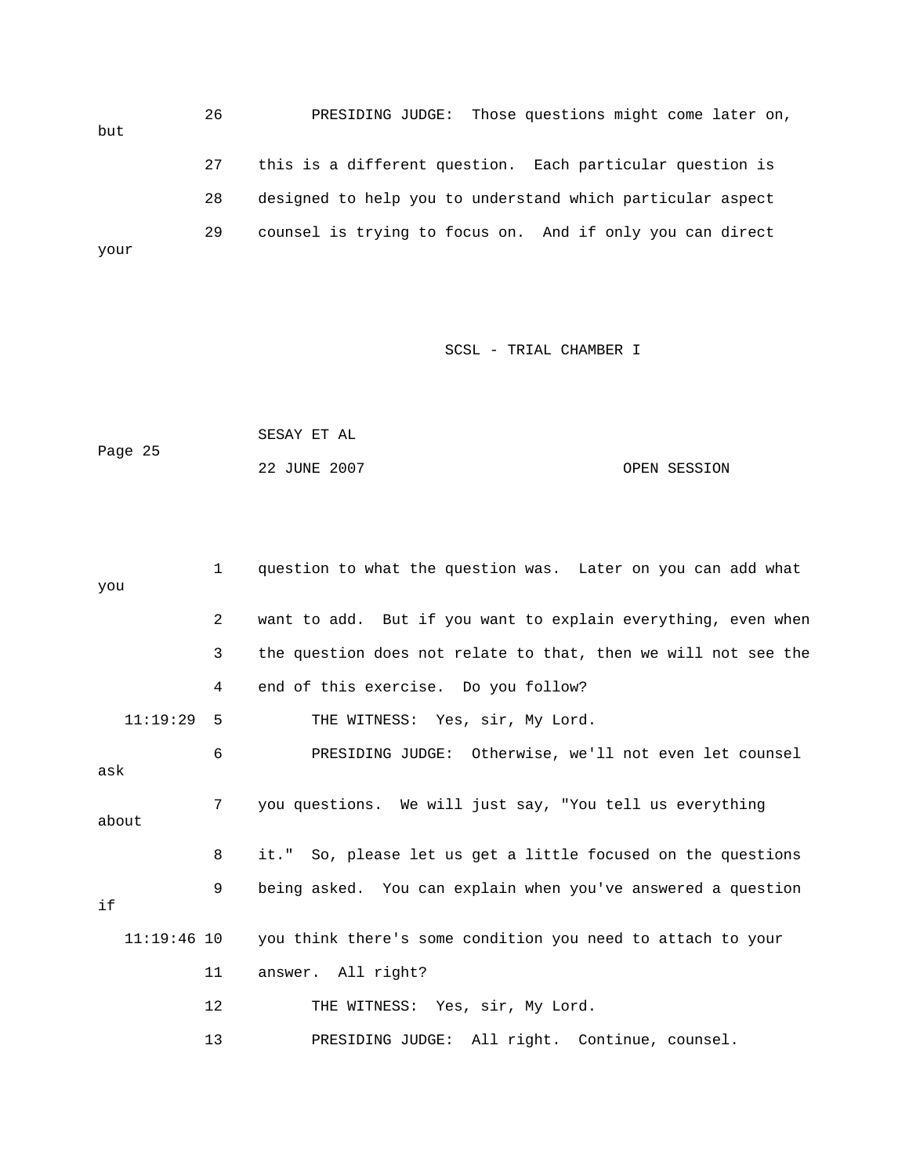26 PRESIDING JUDGE: Those questions might come later on, 28 designed to help you to understand which particular aspect but 27 this is a different question. Each particular question is 29 counsel is trying to focus on. And if only you can direct your

SCSL - TRIAL CHAMBER I

|         | SESAY ET AL  |  |              |
|---------|--------------|--|--------------|
| Page 25 |              |  |              |
|         | 22 JUNE 2007 |  | OPEN SESSION |

| you   |               | $\mathbf{1}$ | question to what the question was. Later on you can add what   |
|-------|---------------|--------------|----------------------------------------------------------------|
|       |               |              |                                                                |
|       |               | 2            | want to add. But if you want to explain everything, even when  |
|       |               | 3            | the question does not relate to that, then we will not see the |
|       |               | 4            | end of this exercise. Do you follow?                           |
|       | 11:19:29      | 5            | THE WITNESS: Yes, sir, My Lord.                                |
| ask   |               | 6            | PRESIDING JUDGE: Otherwise, we'll not even let counsel         |
| about |               | 7            | you questions. We will just say, "You tell us everything       |
|       |               | 8            | it." So, please let us get a little focused on the questions   |
| if    |               | 9            | being asked. You can explain when you've answered a question   |
|       | $11:19:46$ 10 |              | you think there's some condition you need to attach to your    |
|       |               | 11           | answer. All right?                                             |
|       |               | 12           | THE WITNESS: Yes, sir, My Lord.                                |
|       |               | 13           | PRESIDING JUDGE: All right. Continue, counsel.                 |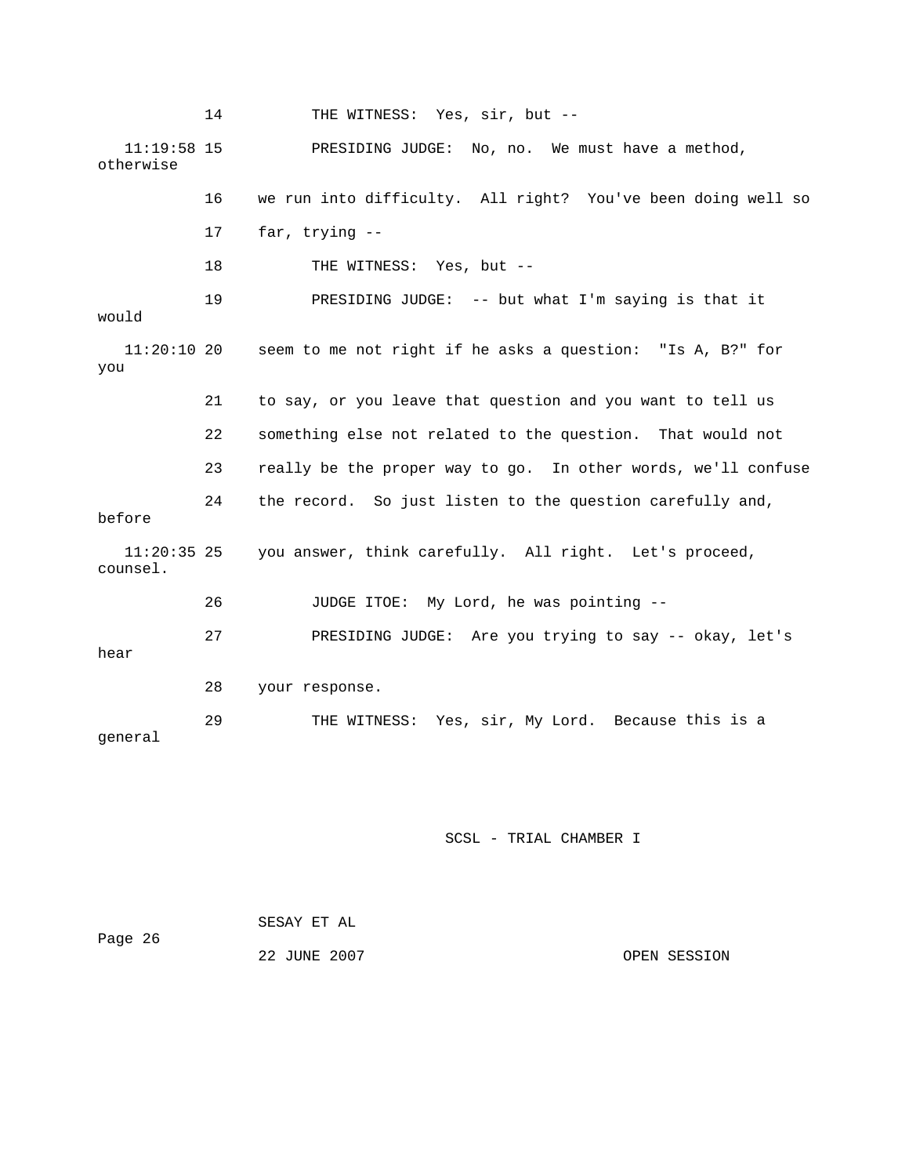14 THE WITNESS: Yes, sir, but -- 11:19:58 15 PRESIDING JUDGE: No, no. We must have a method, 16 we run into difficulty. All right? You've been doing well so 19 PRESIDING JUDGE: -- but what I'm saying is that it  $11:20:10$  20 seem to me not right if he asks a question: "Is A, B?" for you 21 to say, or you leave that question and you want to tell us 22 something else not related to the question. That would not e 23 really be the proper way to go. In other words, we'll confus 24 the record. So just listen to the question carefully and, counsel. 26 JUDGE ITOE: My Lord, he was pointing - s 27 PRESIDING JUDGE: Are you trying to say -- okay, let' hear this is a 29 THE WITNESS: Yes, sir, My Lord. Because otherwise 17 far, trying -- 18 THE WITNESS: Yes, but -would before 11:20:35 25 you answer, think carefully. All right. Let's proceed, 28 your response. general

| Page 26 | SESAY ET AL  |              |
|---------|--------------|--------------|
|         | 22 JUNE 2007 | OPEN SESSION |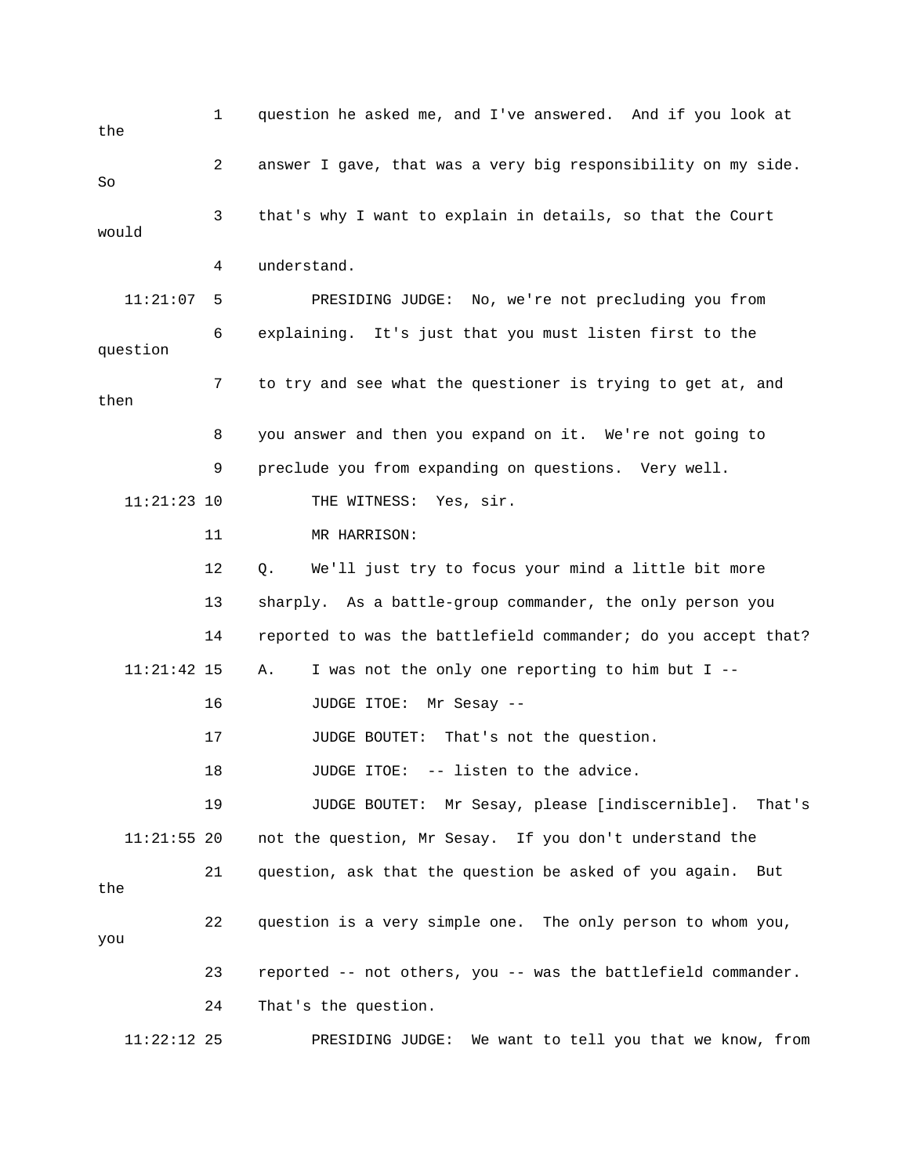1 question he asked me, and I've answered. And if you look at the 2 answer I gave, that was a very big responsibility on my side. 11:21:07 5 PRESIDING JUDGE: No, we're not precluding you from 6 explaining. It's just that you must listen first to the question 7 to try and see what the questioner is trying to get at, and 9 preclude you from expanding on questions. Very well. THE WITNESS: Yes, sir. 12 Q. We'll just try to focus your mind a little bit more 13 sharply. As a battle-group commander, the only person you battlefield commander; do you accept that? 14 reported to was the 19 JUDGE BOUTET: Mr Sesay, please [indiscernible]. That's 11:21:55 20 not the question, Mr Sesay. If you don't understand the 21 question, ask that the question be asked of you again. But 22 question is a very simple one. The only person to whom you, 11:22:12 25 PRESIDING JUDGE: We want to tell you that we know, from So 3 that's why I want to explain in details, so that the Court would 4 understand. then 8 you answer and then you expand on it. We're not going to 11:21:23 10 11 MR HARRISON: 11:21:42 15 A. I was not the only one reporting to him but I -- 16 JUDGE ITOE: Mr Sesay -- 17 JUDGE BOUTET: That's not the question. 18 JUDGE ITOE: -- listen to the advice. the you 23 reported -- not others, you -- was the battlefield commander. 24 That's the question.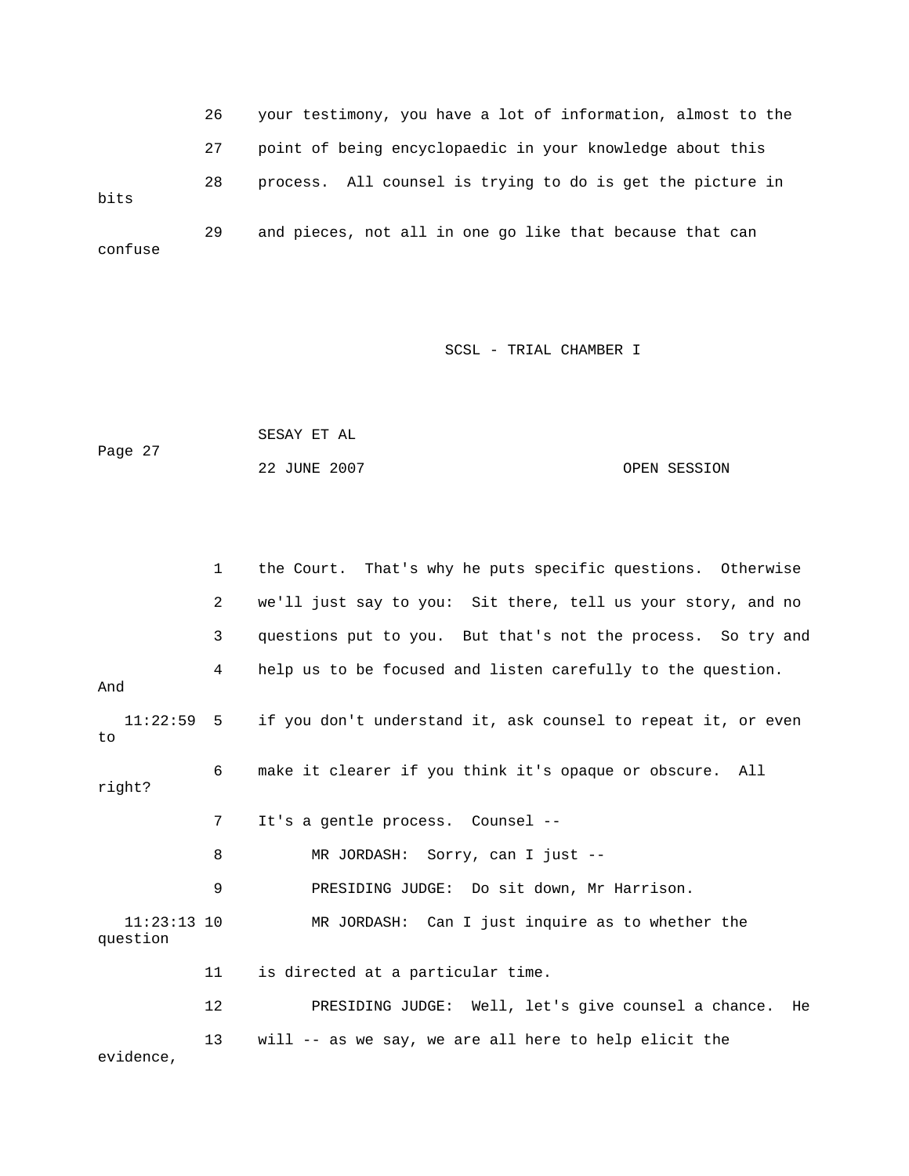26 your testimony, you have a lot of information, almost to the 27 point of being encyclopaedic in your knowledge about this bits 29 and pieces, not all in one go like that because that can confuse 28 process. All counsel is trying to do is get the picture in

```
 SESAY ET AL 
Page 27
                                                            OPEN SESSION
                 22 JUNE 2007
```

|                           | $\mathbf{1}$ | the Court. That's why he puts specific questions. Otherwise              |
|---------------------------|--------------|--------------------------------------------------------------------------|
|                           | 2            | we'll just say to you: Sit there, tell us your story, and no             |
|                           | 3            | questions put to you. But that's not the process. So try and             |
| And                       | 4            | help us to be focused and listen carefully to the question.              |
| to                        |              | 11:22:59 5 if you don't understand it, ask counsel to repeat it, or even |
| right?                    | 6            | make it clearer if you think it's opaque or obscure. All                 |
|                           | 7            | It's a gentle process. Counsel --                                        |
|                           | 8            | MR JORDASH: Sorry, can I just --                                         |
|                           | 9            | PRESIDING JUDGE: Do sit down, Mr Harrison.                               |
| $11:23:13$ 10<br>question |              | MR JORDASH: Can I just inquire as to whether the                         |
|                           | 11           | is directed at a particular time.                                        |
|                           | 12           | PRESIDING JUDGE: Well, let's give counsel a chance.<br>He                |
| evidence,                 | 13           | will -- as we say, we are all here to help elicit the                    |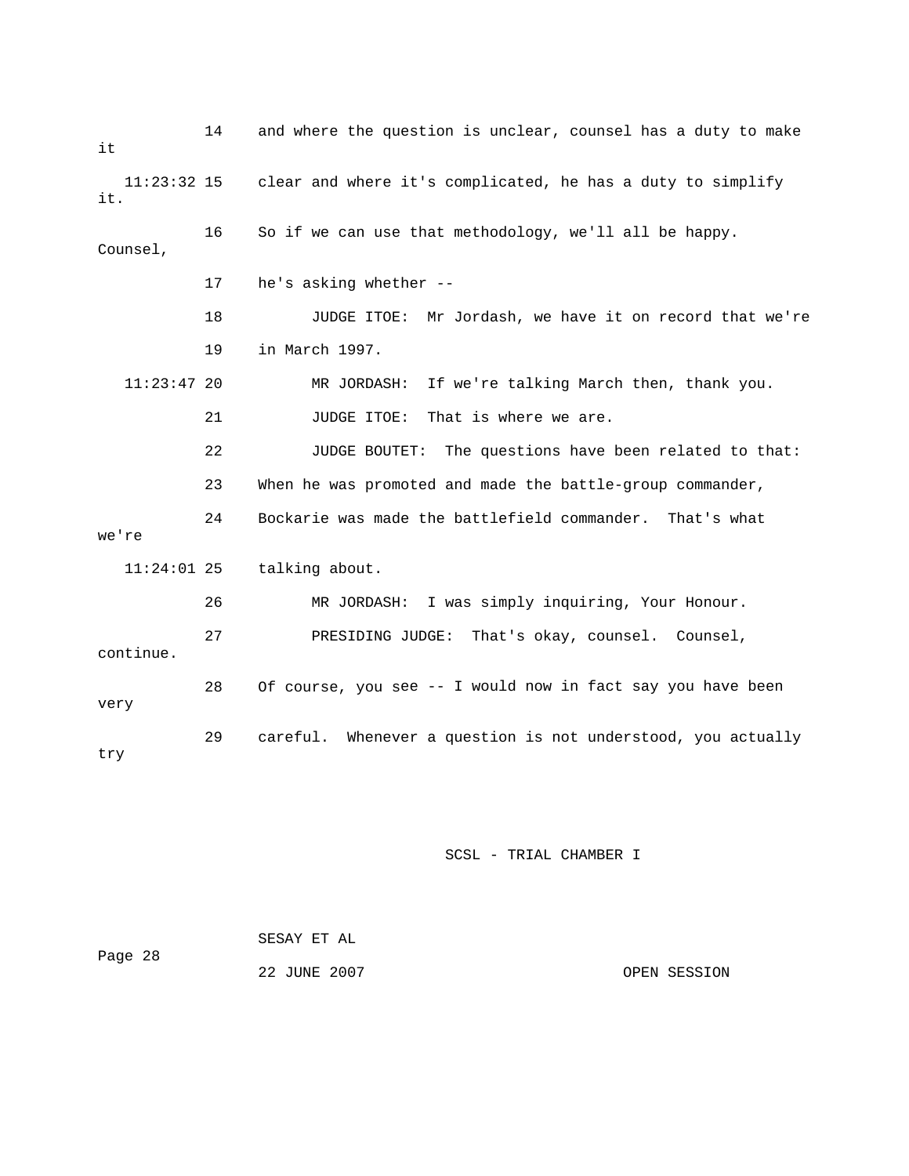14 and where the question is unclear, counsel has a duty to make 11:23:32 15 clear and where it's complicated, he has a duty to simplify 18 JUDGE ITOE: Mr Jordash, we have it on record that we're 11:23:47 20 MR JORDASH: If we're talking March then, thank you. 21 JUDGE ITOE: That is where we are. 22 JUDGE BOUTET: The questions have been related to that: 24 Bockarie was made the battlefield commander. That's what e. continu 28 Of course, you see -- I would now in fact say you have been very 29 careful. Whenever a question is not understood, you actually it it. 16 So if we can use that methodology, we'll all be happy. Counsel, 17 he's asking whether -- 19 in March 1997. 23 When he was promoted and made the battle-group commander, we're 11:24:01 25 talking about. 26 MR JORDASH: I was simply inquiring, Your Honour. 27 PRESIDING JUDGE: That's okay, counsel. Counsel, try

| Page 28 | SESAY ET AL  |  |              |
|---------|--------------|--|--------------|
|         | 22 JUNE 2007 |  | OPEN SESSION |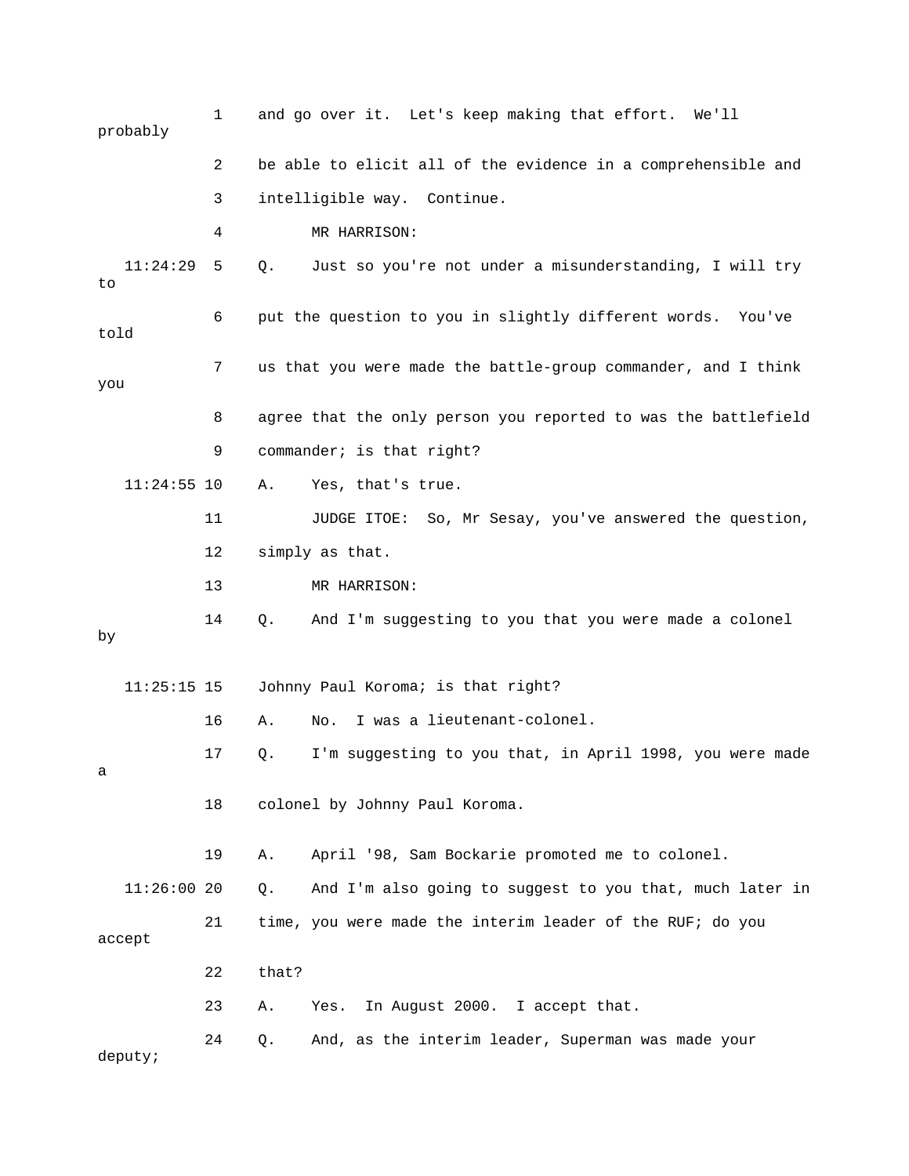|         | probably      | 1  |       | and go over it. Let's keep making that effort. We'll           |
|---------|---------------|----|-------|----------------------------------------------------------------|
|         |               | 2  |       | be able to elicit all of the evidence in a comprehensible and  |
|         |               | 3  |       | intelligible way. Continue.                                    |
|         |               | 4  |       | MR HARRISON:                                                   |
| to      | 11:24:29      | 5  | Q.    | Just so you're not under a misunderstanding, I will try        |
| told    |               | 6  |       | put the question to you in slightly different words. You've    |
| you     |               | 7  |       | us that you were made the battle-group commander, and I think  |
|         |               | 8  |       | agree that the only person you reported to was the battlefield |
|         |               | 9  |       | commander; is that right?                                      |
|         | $11:24:55$ 10 |    | Α.    | Yes, that's true.                                              |
|         |               | 11 |       | JUDGE ITOE: So, Mr Sesay, you've answered the question,        |
|         |               | 12 |       | simply as that.                                                |
|         |               | 13 |       | MR HARRISON:                                                   |
| by      |               | 14 | Q.    | And I'm suggesting to you that you were made a colonel         |
|         | $11:25:15$ 15 |    |       | Johnny Paul Koroma; is that right?                             |
|         |               | 16 | Α.    | I was a lieutenant-colonel.<br>No.                             |
| а       |               | 17 | Q.    | I'm suggesting to you that, in April 1998, you were made       |
|         |               | 18 |       | colonel by Johnny Paul Koroma.                                 |
|         |               | 19 | Α.    | April '98, Sam Bockarie promoted me to colonel.                |
|         | $11:26:00$ 20 |    | Q.    | And I'm also going to suggest to you that, much later in       |
| accept  |               | 21 |       | time, you were made the interim leader of the RUF; do you      |
|         |               | 22 | that? |                                                                |
|         |               | 23 | Α.    | In August 2000. I accept that.<br>Yes.                         |
| deputy; |               | 24 | Q.    | And, as the interim leader, Superman was made your             |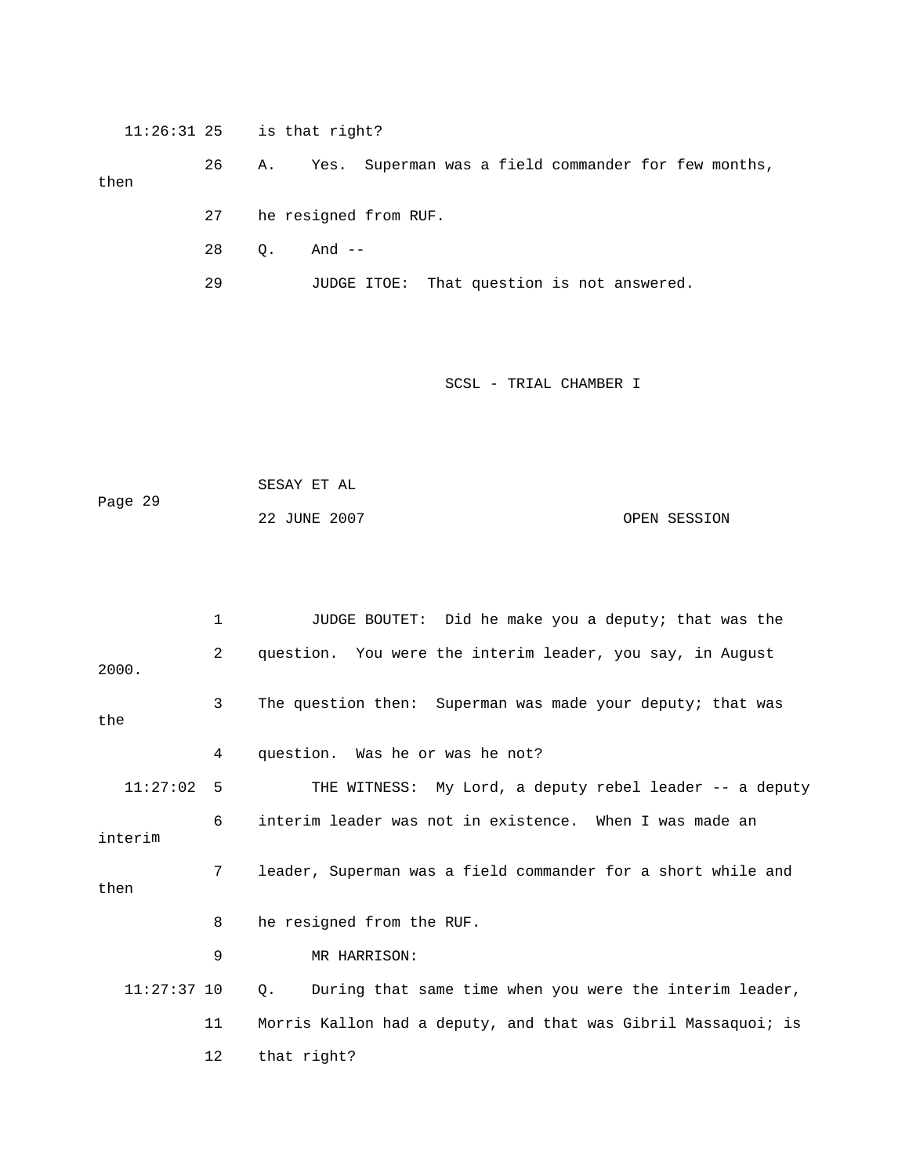11:26:31 25 is that right?

Yes. Superman was a field commander for few months, 27 he resigned from RUF. 26 A. then

- 
- 28 Q. And --
- 29 JUDGE ITOE: That question is not answered.

```
 SESAY ET AL 
Page 29
            22 JUNE 2007 OPEN SESSION
```

|               | 1  | JUDGE BOUTET: Did he make you a deputy; that was the                 |
|---------------|----|----------------------------------------------------------------------|
| 2000.         | 2  | question. You were the interim leader, you say, in August            |
| the           | 3  | The question then: Superman was made your deputy; that was           |
|               | 4  | question. Was he or was he not?                                      |
| $11:27:02$ 5  |    | THE WITNESS: My Lord, a deputy rebel leader -- a deputy              |
| interim       | 6  | interim leader was not in existence. When I was made an              |
| then          | 7  | leader, Superman was a field commander for a short while and         |
|               | 8  | he resigned from the RUF.                                            |
|               | 9  | MR HARRISON:                                                         |
| $11:27:37$ 10 |    | During that same time when you were the interim leader,<br>$\circ$ . |
|               | 11 | Morris Kallon had a deputy, and that was Gibril Massaquoi; is        |
|               | 12 | that right?                                                          |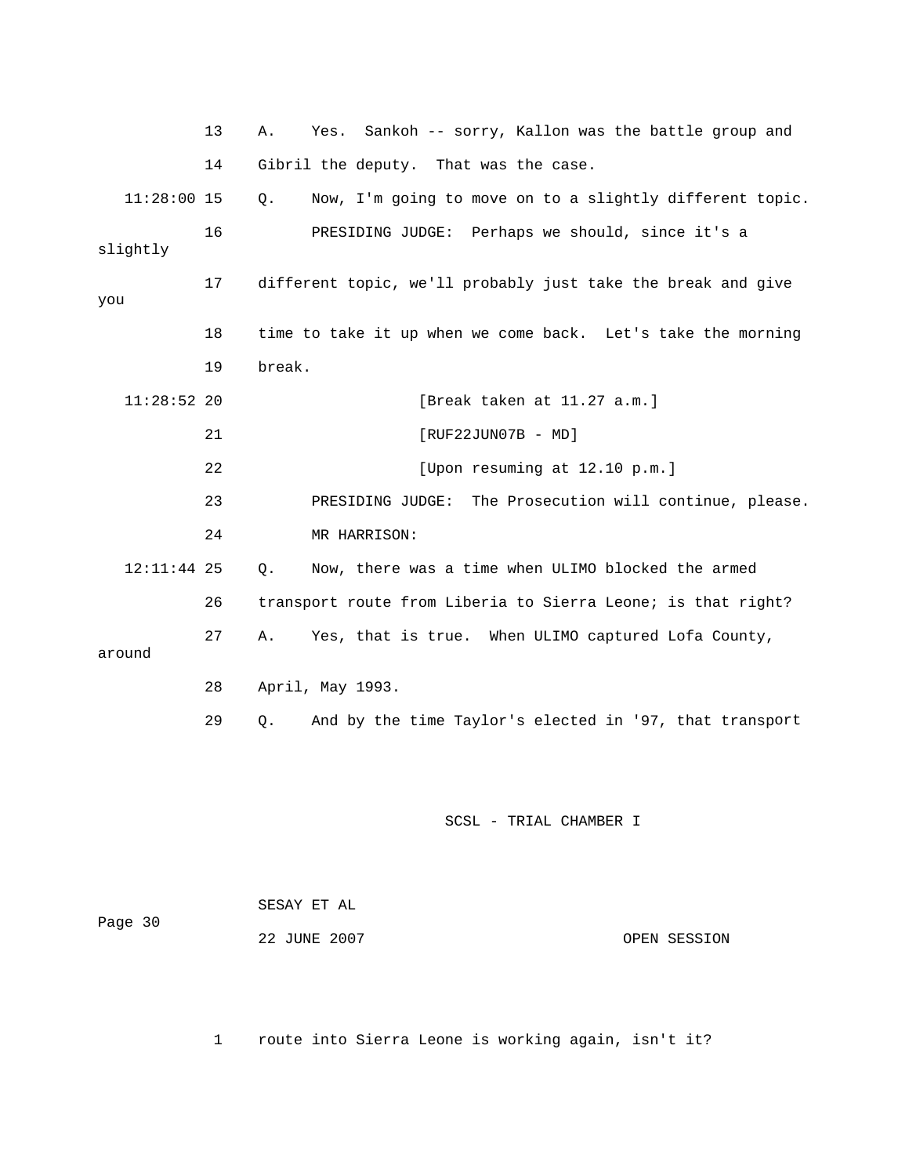|               | 13 | Sankoh -- sorry, Kallon was the battle group and<br>Α.<br>Yes. |
|---------------|----|----------------------------------------------------------------|
|               | 14 | Gibril the deputy. That was the case.                          |
| $11:28:00$ 15 |    | Now, I'm going to move on to a slightly different topic.<br>Q. |
| slightly      | 16 | PRESIDING JUDGE: Perhaps we should, since it's a               |
| you           | 17 | different topic, we'll probably just take the break and give   |
|               | 18 | time to take it up when we come back. Let's take the morning   |
|               | 19 | break.                                                         |
| $11:28:52$ 20 |    | [Break taken at 11.27 a.m.]                                    |
|               | 21 | $[RUF22JUN07B - MD]$                                           |
|               | 22 | [Upon resuming at 12.10 p.m.]                                  |
|               | 23 | PRESIDING JUDGE: The Prosecution will continue, please.        |
|               | 24 | MR HARRISON:                                                   |
| 12:11:44 25   |    | Now, there was a time when ULIMO blocked the armed<br>Q.       |
|               | 26 | transport route from Liberia to Sierra Leone; is that right?   |
| around        | 27 | Yes, that is true. When ULIMO captured Lofa County,<br>Α.      |
|               | 28 | April, May 1993.                                               |
|               | 29 | And by the time Taylor's elected in '97, that transport<br>О.  |
|               |    |                                                                |
|               |    | SCSL - TRIAL CHAMBER I                                         |

 SESAY ET AL Page 30 22 JUNE 2007 OPEN SESSION

1 route into Sierra Leone is working again, isn't it?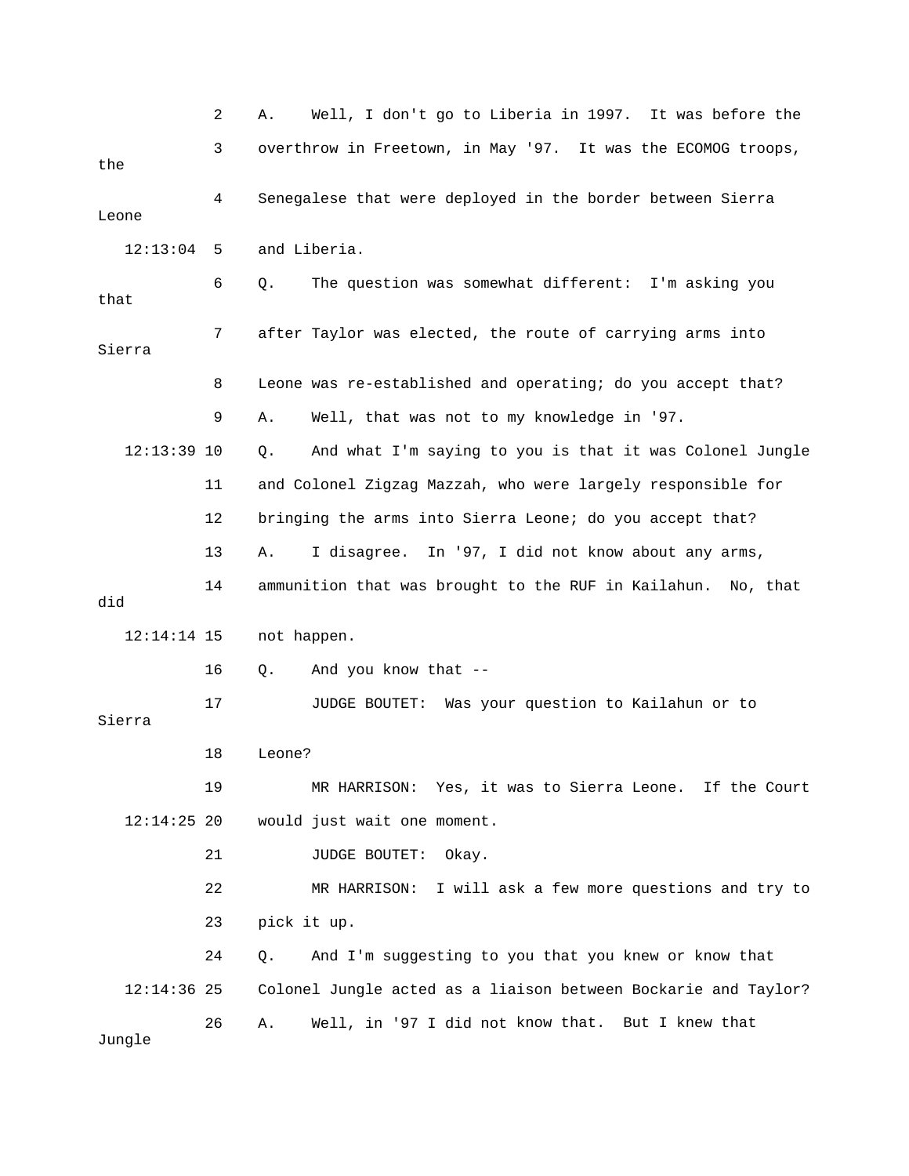|               | 2  | Well, I don't go to Liberia in 1997. It was before the<br>Α.   |
|---------------|----|----------------------------------------------------------------|
| the           | 3  | overthrow in Freetown, in May '97. It was the ECOMOG troops,   |
| Leone         | 4  | Senegalese that were deployed in the border between Sierra     |
| 12:13:04      | 5  | and Liberia.                                                   |
| that          | 6  | The question was somewhat different: I'm asking you<br>Q.      |
| Sierra        | 7  | after Taylor was elected, the route of carrying arms into      |
|               | 8  | Leone was re-established and operating; do you accept that?    |
|               | 9  | Well, that was not to my knowledge in '97.<br>Α.               |
| $12:13:39$ 10 |    | And what I'm saying to you is that it was Colonel Jungle<br>Q. |
|               | 11 | and Colonel Zigzag Mazzah, who were largely responsible for    |
|               | 12 | bringing the arms into Sierra Leone; do you accept that?       |
|               | 13 | I disagree. In '97, I did not know about any arms,<br>Α.       |
| did           | 14 | ammunition that was brought to the RUF in Kailahun. No, that   |
| $12:14:14$ 15 |    | not happen.                                                    |
|               | 16 | And you know that --<br>Q.                                     |
| Sierra        | 17 | Was your question to Kailahun or to<br>JUDGE BOUTET:           |
|               | 18 | Leone?                                                         |
|               | 19 | MR HARRISON: Yes, it was to Sierra Leone. If the Court         |
| $12:14:25$ 20 |    | would just wait one moment.                                    |
|               | 21 | JUDGE BOUTET:<br>Okay.                                         |
|               | 22 | I will ask a few more questions and try to<br>MR HARRISON:     |
|               | 23 | pick it up.                                                    |
|               | 24 | And I'm suggesting to you that you knew or know that<br>Q.     |
| $12:14:36$ 25 |    | Colonel Jungle acted as a liaison between Bockarie and Taylor? |
| Jungle        | 26 | Well, in '97 I did not know that. But I knew that<br>Α.        |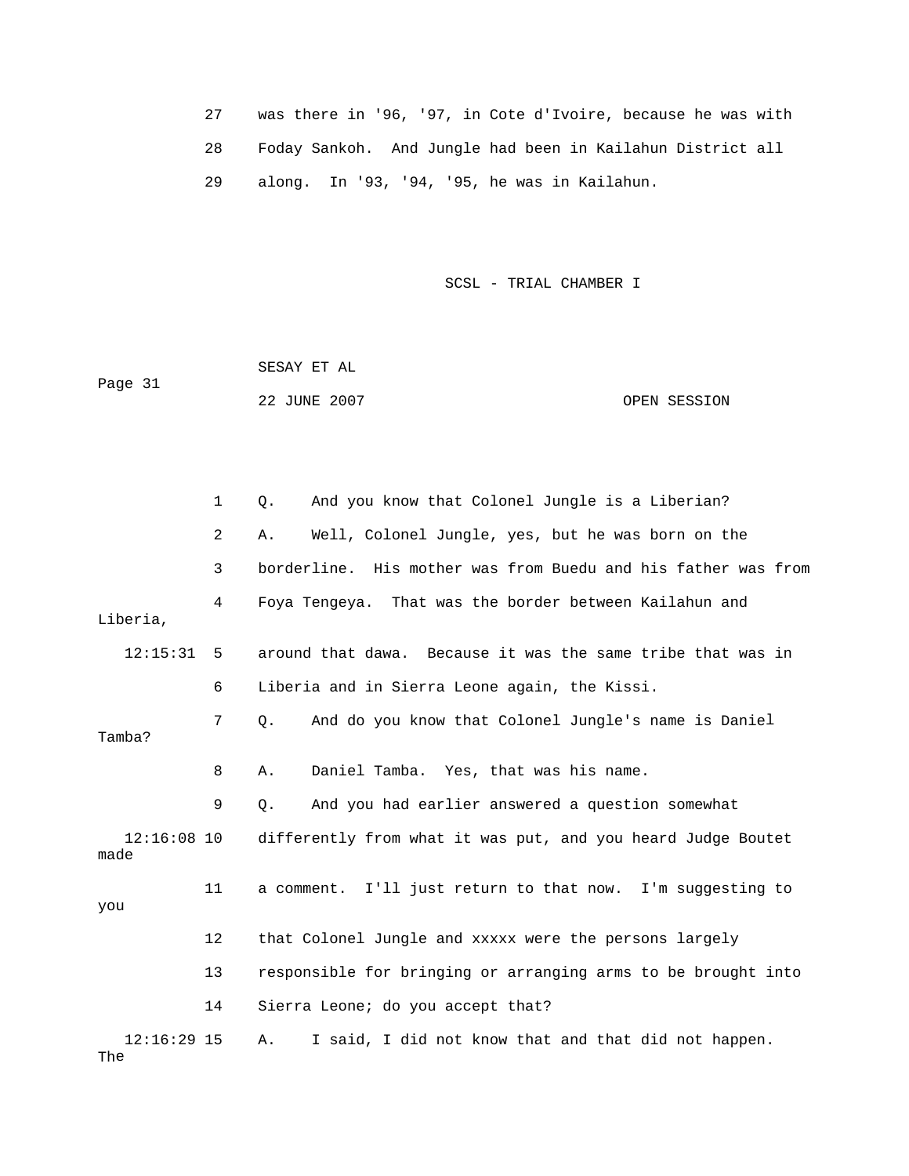| was there in '96, '97, in Cote d'Ivoire, because he was with |
|--------------------------------------------------------------|
| Foday Sankoh. And Jungle had been in Kailahun District all   |
| along. In '93, '94, '95, he was in Kailahun.                 |

Page 31 22 JUNE 2007 OPEN SESSION SESAY ET AL

 1 Q. And you know that Colonel Jungle is a Liberian? 3 borderline. His mother was from Buedu and his father was from 4 Foya Tengeya. That was the border between Kailahun and Liberia, 12:15:31 5 around that dawa. Because it was the same tribe that was in 7 Q. And do you know that Colonel Jungle's name is Daniel 8 A. Daniel Tamba. Yes, that was his name. 9 Q. And you had earlier answered a question somewhat made 11 a comment. I'll just return to that now. I'm suggesting to 12 that Colonel Jungle and xxxxx were the persons largely 13 responsible for bringing or arranging arms to be brought into The 2 A. Well, Colonel Jungle, yes, but he was born on the 6 Liberia and in Sierra Leone again, the Kissi. Tamba? 12:16:08 10 differently from what it was put, and you heard Judge Boutet you 14 Sierra Leone; do you accept that? 12:16:29 15 A. I said, I did not know that and that did not happen.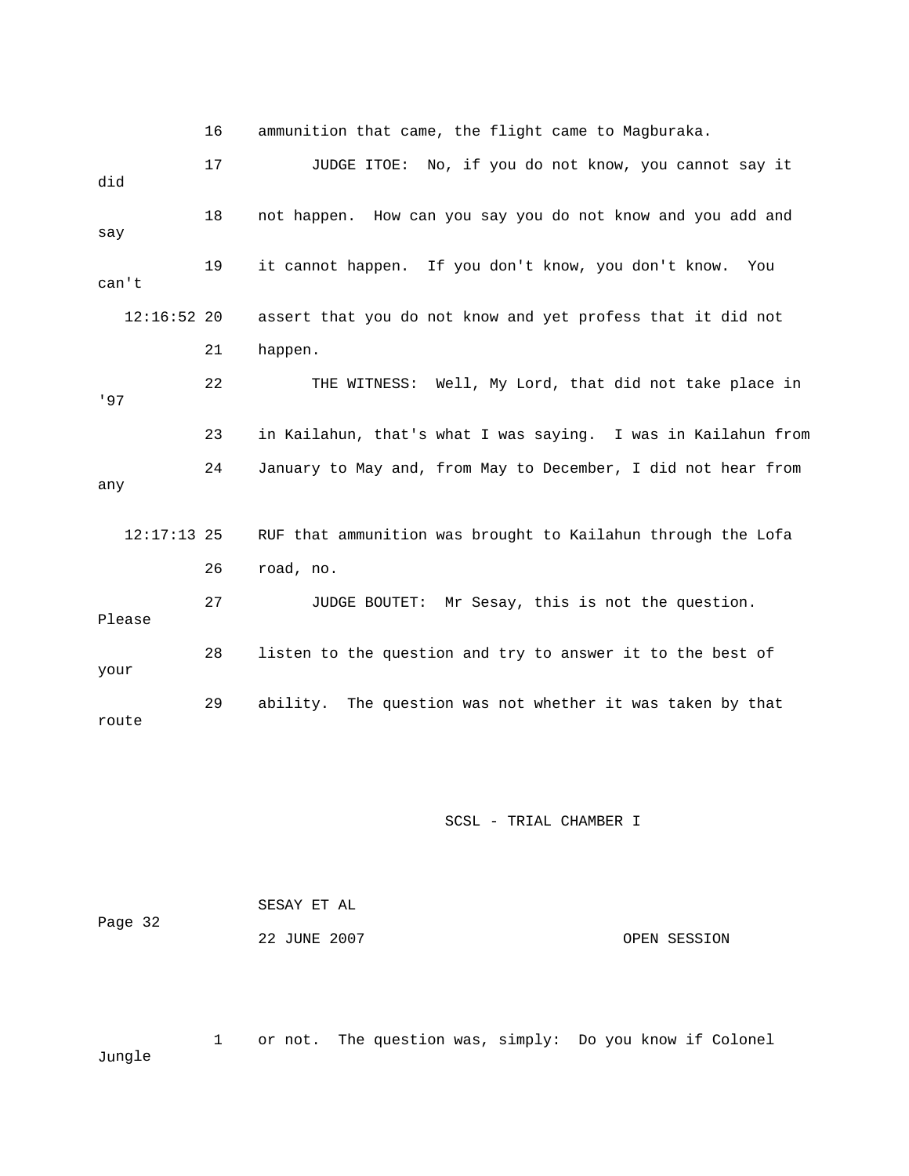16 ammunition that came, the flight came to Magburaka. 17 JUDGE ITOE: No, if you do not know, you cannot say it 18 not happen. How can you say you do not know and you add and 12:16:52 20 assert that you do not know and yet profess that it did not 23 in Kailahun, that's what I was saying. I was in Kailahun from 24 January to May and, from May to December, I did not hear from RUF that ammunition was brought to Kailahun through the Lofa 27 JUDGE BOUTET: Mr Sesay, this is not the question. 29 ability. The question was not whether it was taken by that did say 19 it cannot happen. If you don't know, you don't know. You can't 21 happen. 22 THE WITNESS: Well, My Lord, that did not take place in '97 any  $12:17:13$  25 26 road, no. Please 28 listen to the question and try to answer it to the best of your route

## SCSL - TRIAL CHAMBER I

|         | SESAY ET AL  |              |
|---------|--------------|--------------|
| Page 32 |              |              |
|         | 22 JUNE 2007 | OPEN SESSION |

 1 or not. The question was, simply: Do you know if Colonel Jungle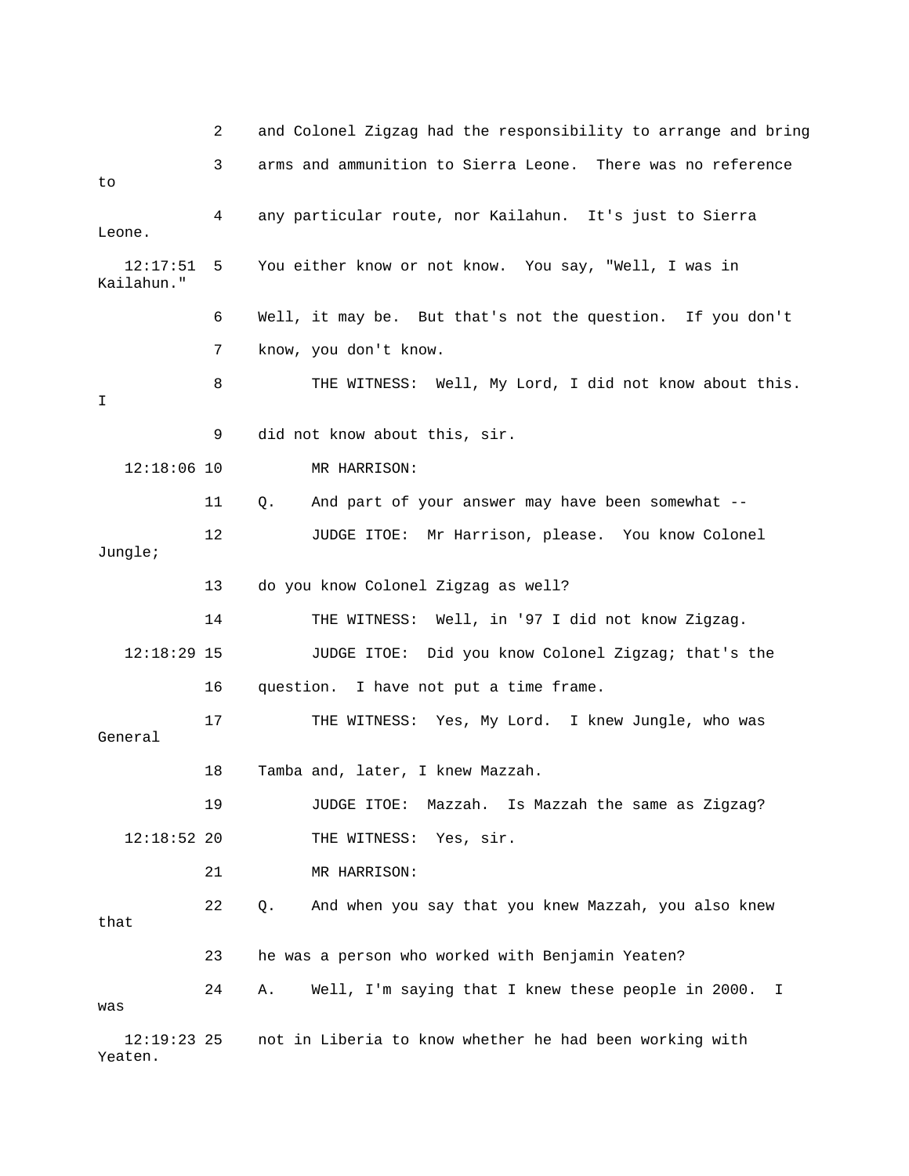|                          | 2  | and Colonel Zigzag had the responsibility to arrange and bring |
|--------------------------|----|----------------------------------------------------------------|
| to                       | 3  | arms and ammunition to Sierra Leone. There was no reference    |
| Leone.                   | 4  | any particular route, nor Kailahun. It's just to Sierra        |
| 12:17:51<br>Kailahun."   | 5  | You either know or not know. You say, "Well, I was in          |
|                          | 6  | Well, it may be. But that's not the question. If you don't     |
|                          | 7  | know, you don't know.                                          |
| I.                       | 8  | THE WITNESS: Well, My Lord, I did not know about this.         |
|                          | 9  | did not know about this, sir.                                  |
| $12:18:06$ 10            |    | MR HARRISON:                                                   |
|                          | 11 | Q.<br>And part of your answer may have been somewhat --        |
| Jungle;                  | 12 | JUDGE ITOE: Mr Harrison, please. You know Colonel              |
|                          | 13 | do you know Colonel Zigzag as well?                            |
|                          | 14 | THE WITNESS: Well, in '97 I did not know Zigzag.               |
| $12:18:29$ 15            |    | JUDGE ITOE: Did you know Colonel Zigzag; that's the            |
|                          | 16 | question. I have not put a time frame.                         |
| General                  | 17 | THE WITNESS: Yes, My Lord. I knew Jungle, who was              |
|                          | 18 | Tamba and, later, I knew Mazzah.                               |
|                          | 19 | Mazzah.<br>Is Mazzah the same as Zigzag?<br>JUDGE ITOE:        |
| $12:18:52$ 20            |    | THE WITNESS:<br>Yes, sir.                                      |
|                          | 21 | MR HARRISON:                                                   |
| that                     | 22 | Q.<br>And when you say that you knew Mazzah, you also knew     |
|                          | 23 | he was a person who worked with Benjamin Yeaten?               |
| was                      | 24 | Well, I'm saying that I knew these people in 2000.<br>Α.<br>Ι  |
| $12:19:23$ 25<br>Yeaten. |    | not in Liberia to know whether he had been working with        |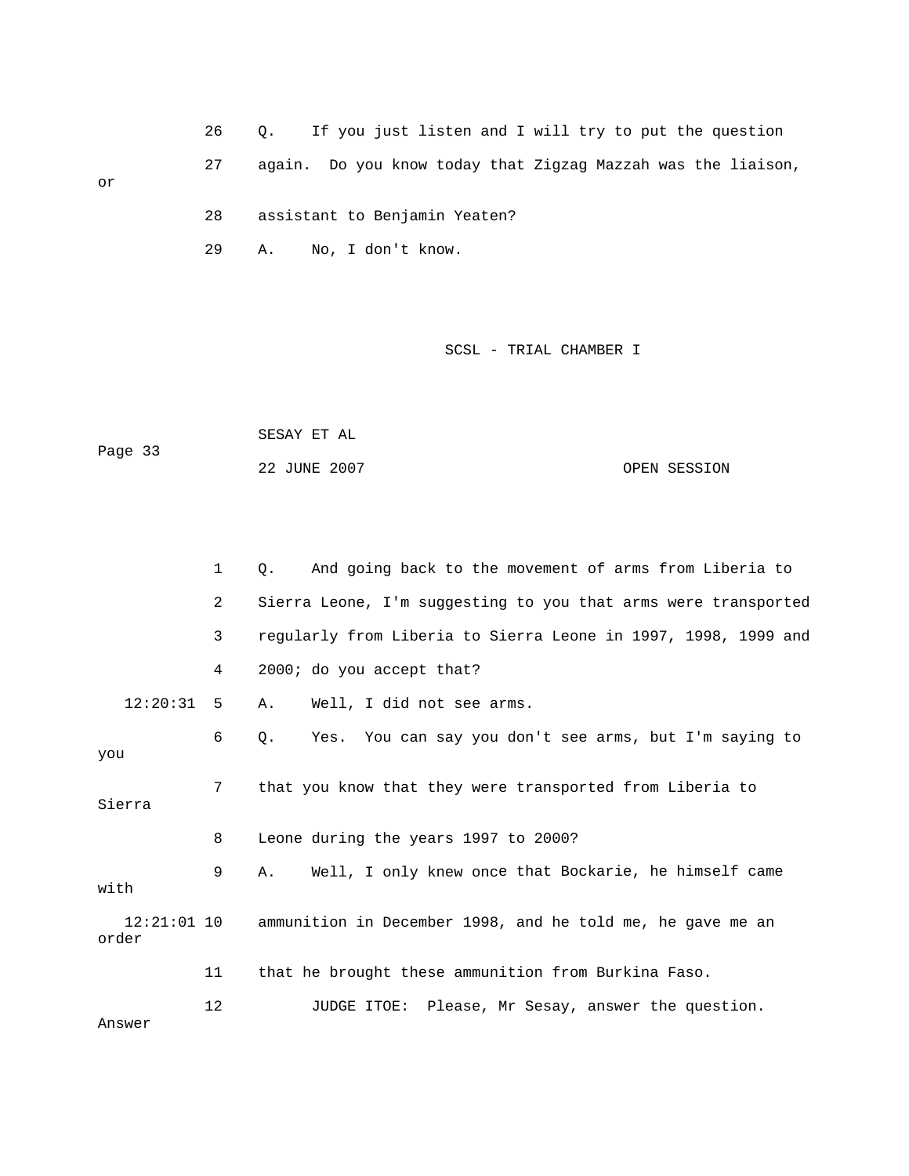26 Q. If you just listen and I will try to put the question 27 again. Do you know today that Zigzag Mazzah was the liaison, 28 assistant to Benjamin Yeaten? or

29 A. No, I don't know.

SCSL - TRIAL CHAMBER I

 22 JUNE 2007 OPEN SESSION SESAY ET AL Page 33

|                        | $\mathbf{1}$   | And going back to the movement of arms from Liberia to<br>$\circ$ . |
|------------------------|----------------|---------------------------------------------------------------------|
|                        | $\overline{2}$ | Sierra Leone, I'm suggesting to you that arms were transported      |
|                        | 3              | regularly from Liberia to Sierra Leone in 1997, 1998, 1999 and      |
|                        | 4              | 2000; do you accept that?                                           |
| 12:20:31               | 5              | Well, I did not see arms.<br>Α.                                     |
| you                    | 6              | Yes. You can say you don't see arms, but I'm saying to<br>$\circ$ . |
| Sierra                 | 7              | that you know that they were transported from Liberia to            |
|                        | 8              | Leone during the years 1997 to 2000?                                |
| with                   | 9              | Well, I only knew once that Bockarie, he himself came<br>Α.         |
| $12:21:01$ 10<br>order |                | ammunition in December 1998, and he told me, he gave me an          |
|                        | 11             | that he brought these ammunition from Burkina Faso.                 |
| Answer                 | 12             | JUDGE ITOE: Please, Mr Sesay, answer the question.                  |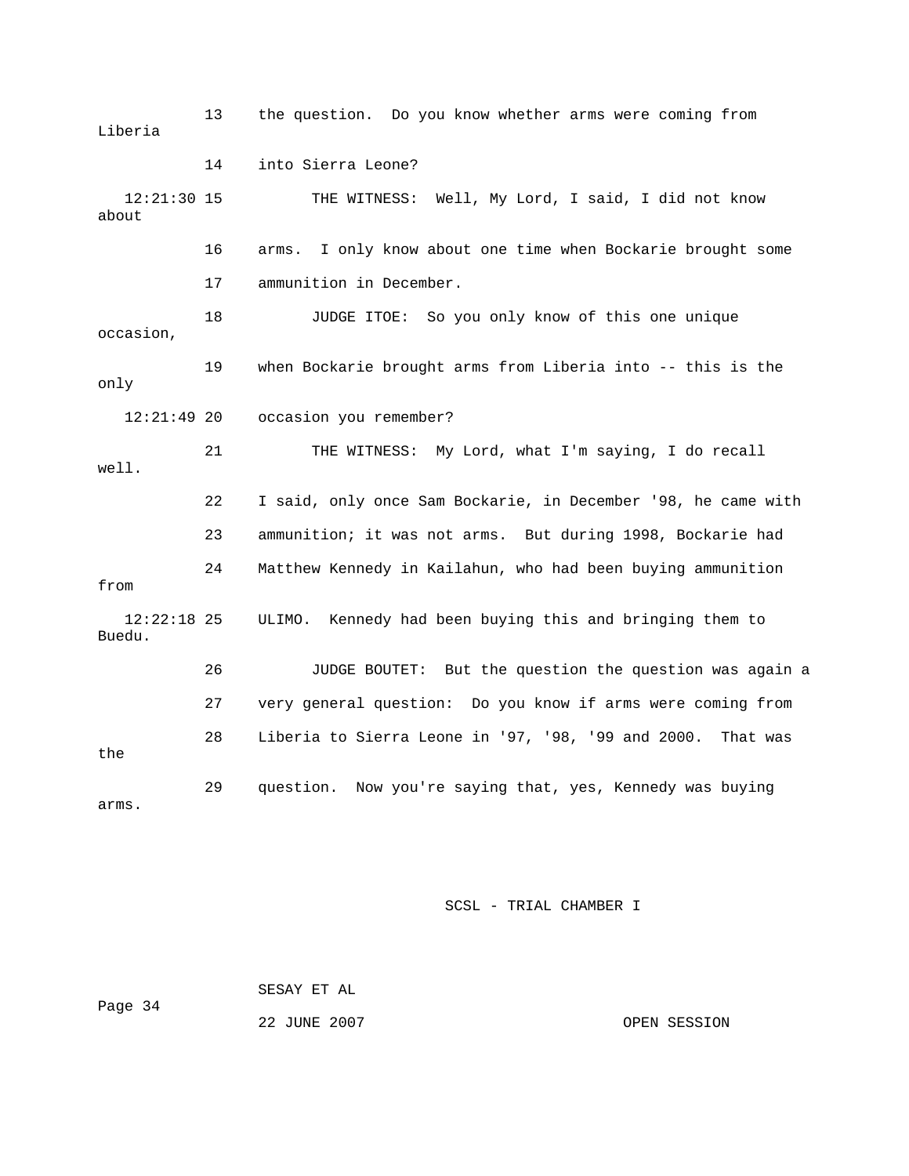13 the question. Do you know whether arms were coming from 14 into Sierra Leone? THE WITNESS: Well, My Lord, I said, I did not know about 16 arms. I only know about one time when Bockarie brought some 17 ammunition in December. 19 when Bockarie brought arms from Liberia into -- this is the occasion you remember? well. 22 I said, only once Sam Bockarie, in December '98, he came with 23 ammunition; it was not arms. But during 1998, Bockarie had 12:22:18 25 ULIMO. Kennedy had been buying this and bringing them to 26 JUDGE BOUTET: But the question the question was again a the arms. Liberia  $12:21:30$  15 18 JUDGE ITOE: So you only know of this one unique occasion, only 12:21:49 20 21 THE WITNESS: My Lord, what I'm saying, I do recall 24 Matthew Kennedy in Kailahun, who had been buying ammunition from Buedu. 27 very general question: Do you know if arms were coming from 28 Liberia to Sierra Leone in '97, '98, '99 and 2000. That was 29 question. Now you're saying that, yes, Kennedy was buying

SCSL - TRIAL CHAMBER I

 SESAY ET AL Page 34

22 JUNE 2007 OPEN SESSION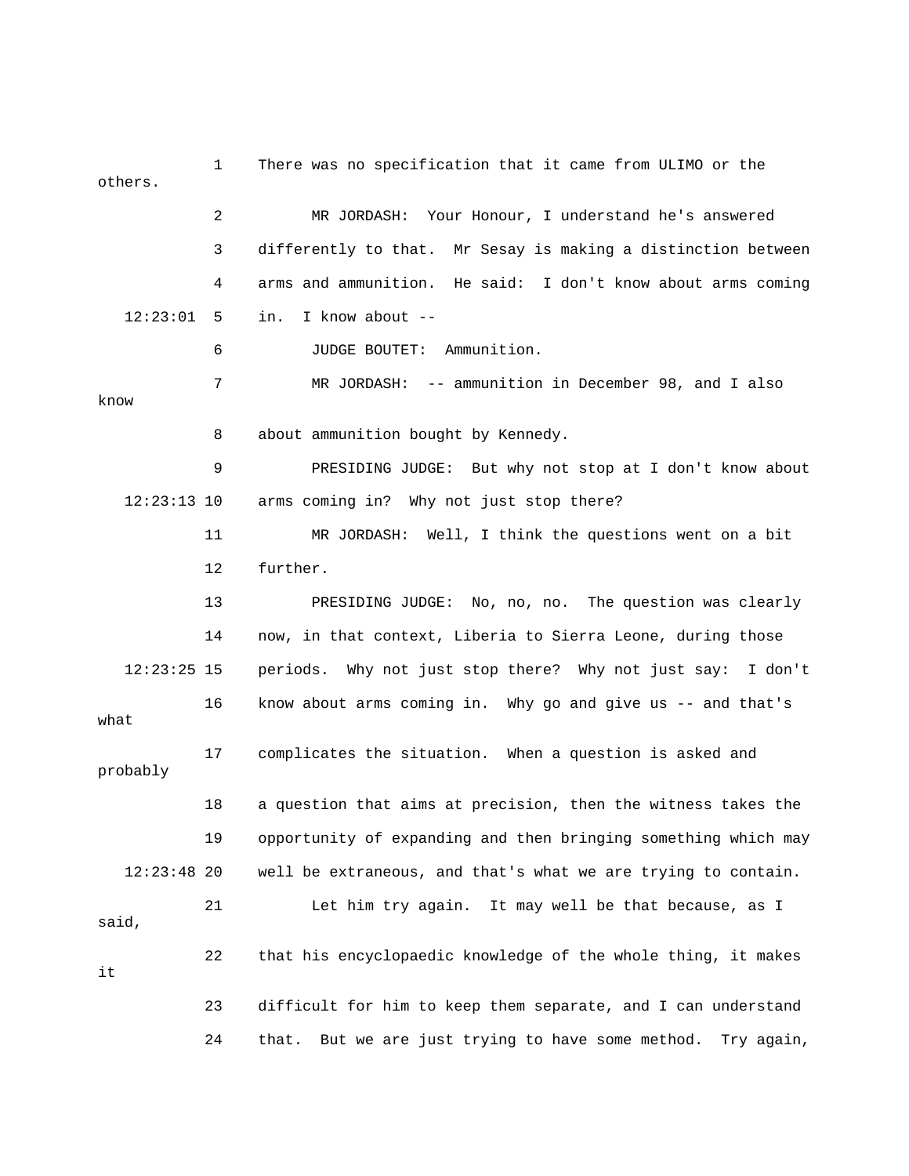1 There was no specification that it came from ULIMO or the others. 2 MR JORDASH: Your Honour, I understand he's answered 3 differently to that. Mr Sesay is making a distinction between 4 arms and ammunition. He said: I don't know about arms coming 12:23:01 5 in. I know about -- 6 JUDGE BOUTET: Ammunition. 7 MR JORDASH: -- ammunition in December 98, and I also know 9 PRESIDING JUDGE: But why not stop at I don't know about 12:23:13 10 arms coming in? Why not just stop there? 11 MR JORDASH: Well, I think the questions went on a bit 12 further. 13 PRESIDING JUDGE: No, no, no. The question was clearly 14 now, in that context, Liberia to Sierra Leone, during those 16 know about arms coming in. Why go and give us -- and that's what 17 complicates the situation. When a question is asked and 19 opportunity of expanding and then bringing something which may 22 that his encyclopaedic knowledge of the whole thing, it makes 8 about ammunition bought by Kennedy. 12:23:25 15 periods. Why not just stop there? Why not just say: I don't probably 18 a question that aims at precision, then the witness takes the 12:23:48 20 well be extraneous, and that's what we are trying to contain. 21 Let him try again. It may well be that because, as I said, it 23 difficult for him to keep them separate, and I can understand 24 that. But we are just trying to have some method. Try again,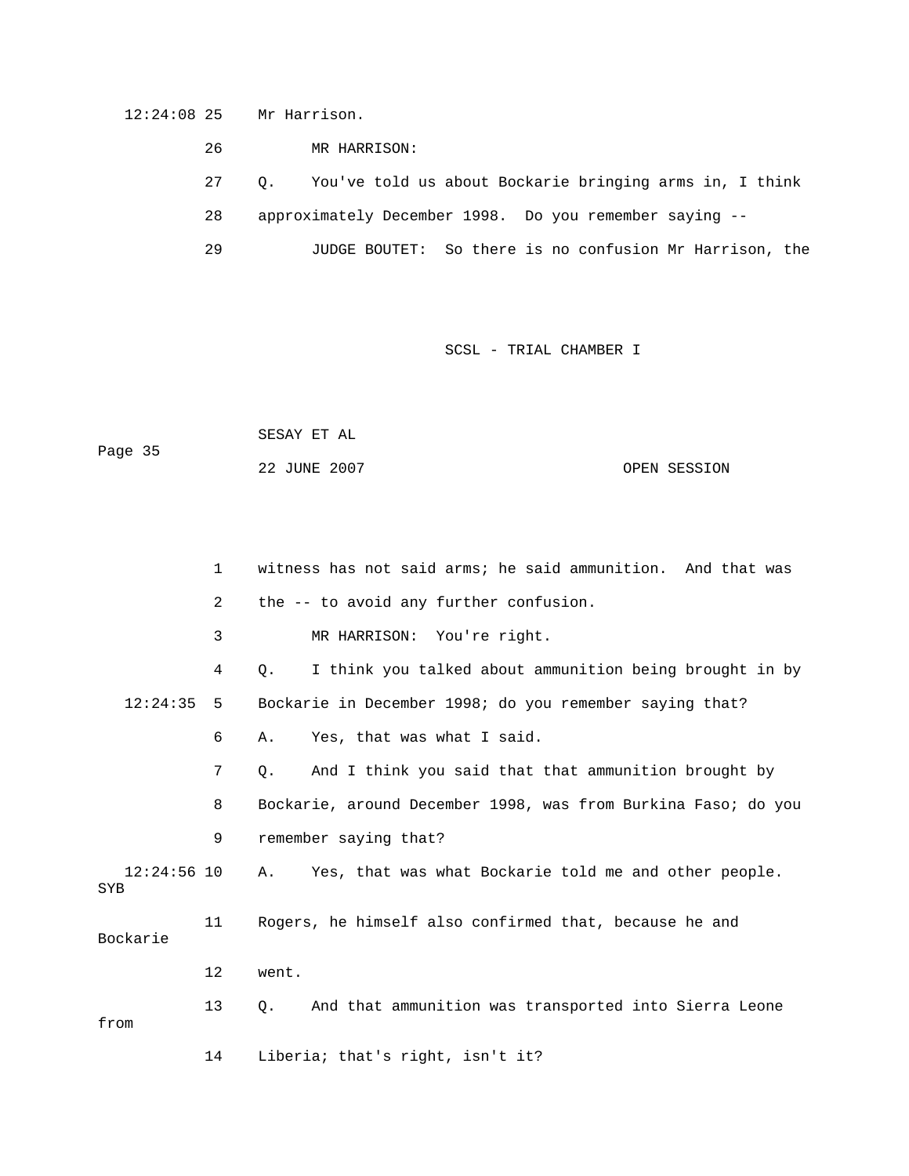12:24:08 25 Mr Harrison.

26 MR HARRISON:

27 Q. You've told us about Bockarie bringing arms in, I think

28 approximately December 1998. Do you remember saying --

29 JUDGE BOUTET: So there is no confusion Mr Harrison, the

|         | SESAY ET AL  |              |
|---------|--------------|--------------|
| Page 35 |              |              |
|         | 22 JUNE 2007 | OPEN SESSION |

|                      | 1              | witness has not said arms; he said ammunition. And that was    |
|----------------------|----------------|----------------------------------------------------------------|
|                      | $\overline{2}$ | the -- to avoid any further confusion.                         |
|                      | 3              | MR HARRISON: You're right.                                     |
|                      | 4              | I think you talked about ammunition being brought in by<br>Q.  |
| 12:24:35             | 5              | Bockarie in December 1998; do you remember saying that?        |
|                      | 6              | Yes, that was what I said.<br>Α.                               |
|                      | 7              | And I think you said that that ammunition brought by<br>Q.     |
|                      | 8              | Bockarie, around December 1998, was from Burkina Faso; do you  |
|                      | 9              | remember saying that?                                          |
| $12:24:56$ 10<br>SYB |                | Yes, that was what Bockarie told me and other people.<br>Α.    |
| Bockarie             | 11             | Rogers, he himself also confirmed that, because he and         |
|                      | $12 \,$        | went.                                                          |
| from                 | 13             | And that ammunition was transported into Sierra Leone<br>$Q$ . |
|                      | 14             | Liberia; that's right, isn't it?                               |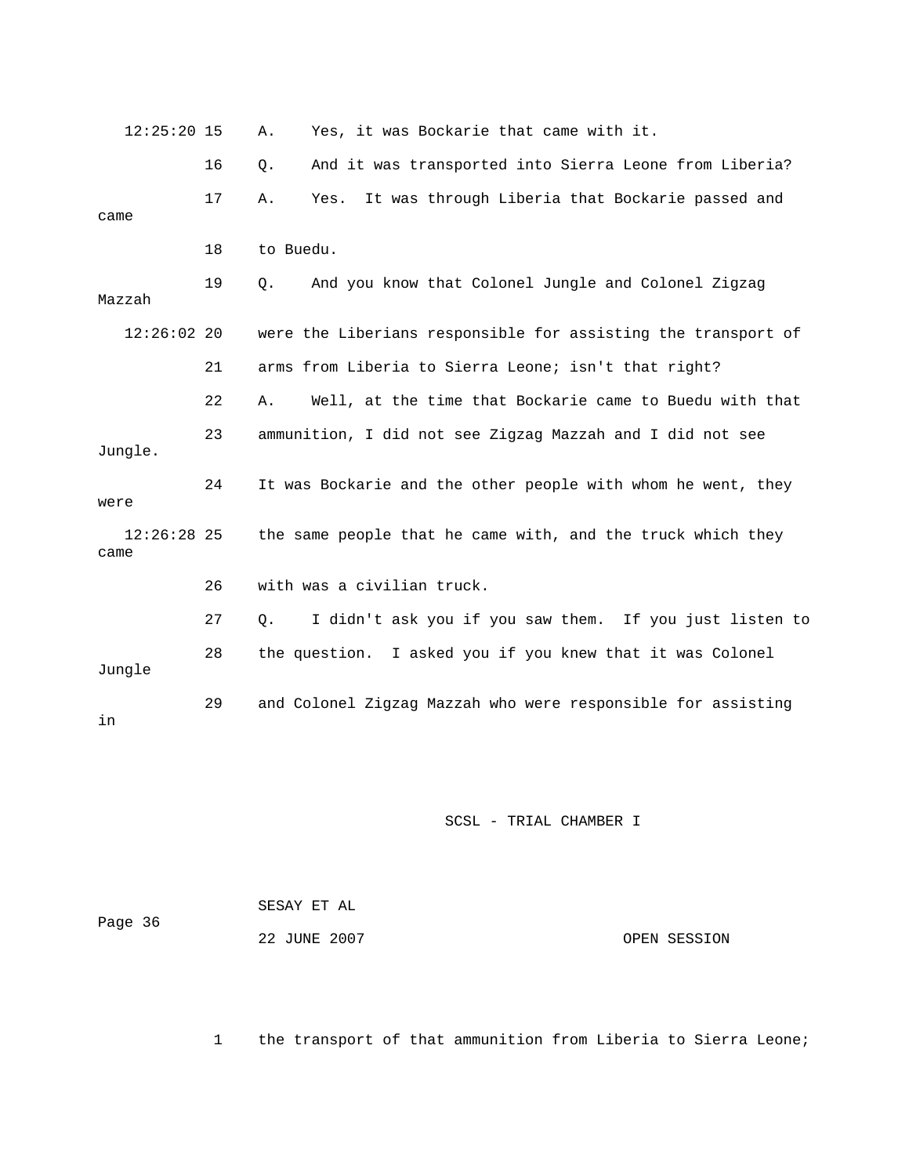| $12:25:20$ 15         |    | Yes, it was Bockarie that came with it.<br>Α.                 |
|-----------------------|----|---------------------------------------------------------------|
|                       | 16 | And it was transported into Sierra Leone from Liberia?<br>Q.  |
| came                  | 17 | It was through Liberia that Bockarie passed and<br>Α.<br>Yes. |
|                       | 18 | to Buedu.                                                     |
| Mazzah                | 19 | And you know that Colonel Jungle and Colonel Zigzag<br>0.     |
| $12:26:02$ 20         |    | were the Liberians responsible for assisting the transport of |
|                       | 21 | arms from Liberia to Sierra Leone; isn't that right?          |
|                       | 22 | Well, at the time that Bockarie came to Buedu with that<br>Α. |
| Jungle.               | 23 | ammunition, I did not see Zigzag Mazzah and I did not see     |
| were                  | 24 | It was Bockarie and the other people with whom he went, they  |
| $12:26:28$ 25<br>came |    | the same people that he came with, and the truck which they   |
|                       | 26 | with was a civilian truck.                                    |
|                       | 27 | I didn't ask you if you saw them. If you just listen to<br>О. |
| Jungle                | 28 | the question. I asked you if you knew that it was Colonel     |
| in                    | 29 | and Colonel Zigzag Mazzah who were responsible for assisting  |

| Page 36 | SESAY ET AL  |              |
|---------|--------------|--------------|
|         | 22 JUNE 2007 | OPEN SESSION |

1 the transport of that ammunition from Liberia to Sierra Leone;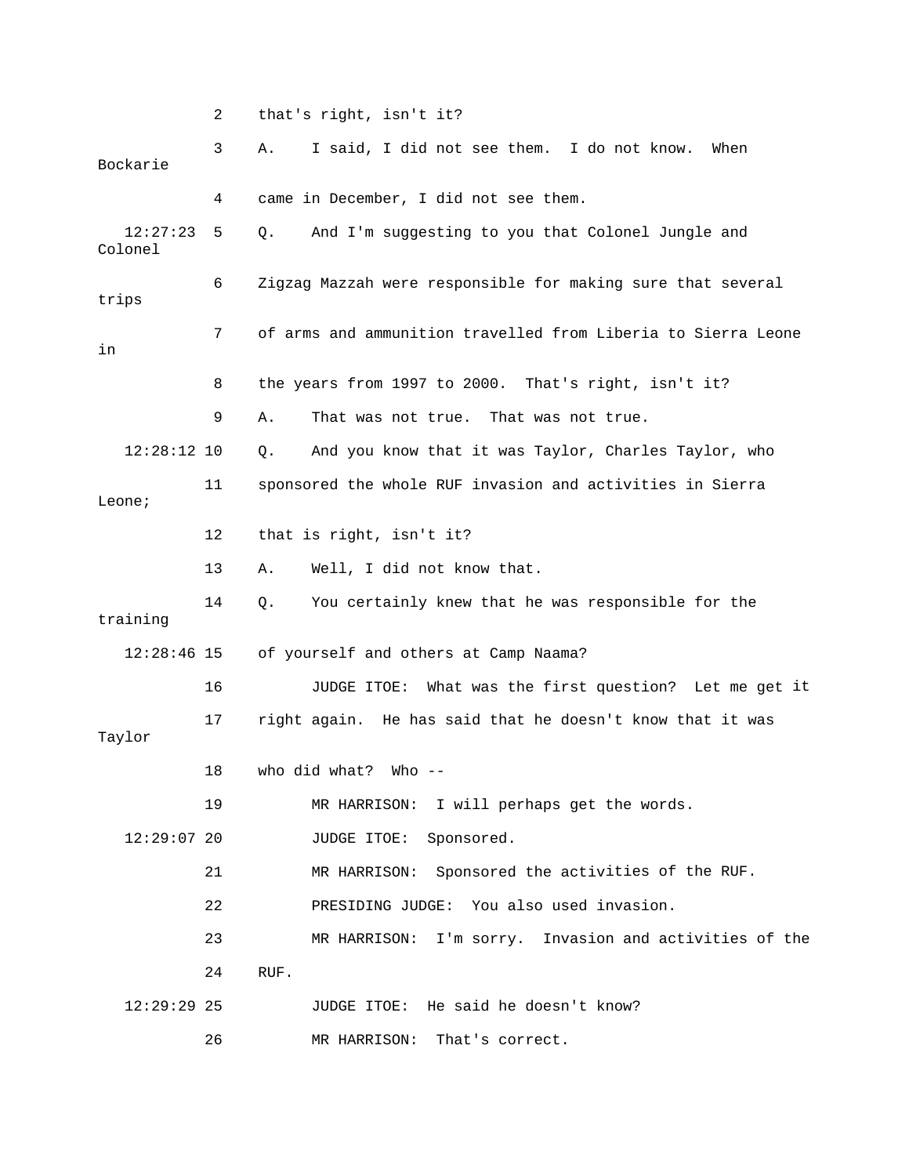|                     | 2  | that's right, isn't it?                                       |  |  |  |  |  |  |  |
|---------------------|----|---------------------------------------------------------------|--|--|--|--|--|--|--|
| Bockarie            | 3  | I said, I did not see them. I do not know.<br>When<br>Α.      |  |  |  |  |  |  |  |
|                     | 4  | came in December, I did not see them.                         |  |  |  |  |  |  |  |
| 12:27:23<br>Colonel | 5  | And I'm suggesting to you that Colonel Jungle and<br>Q.       |  |  |  |  |  |  |  |
| trips               | 6  | Zigzag Mazzah were responsible for making sure that several   |  |  |  |  |  |  |  |
| in                  | 7  | of arms and ammunition travelled from Liberia to Sierra Leone |  |  |  |  |  |  |  |
|                     | 8  | the years from 1997 to 2000. That's right, isn't it?          |  |  |  |  |  |  |  |
|                     | 9  | That was not true. That was not true.<br>Α.                   |  |  |  |  |  |  |  |
| $12:28:12$ 10       |    | And you know that it was Taylor, Charles Taylor, who<br>Q.    |  |  |  |  |  |  |  |
| Leone;              | 11 | sponsored the whole RUF invasion and activities in Sierra     |  |  |  |  |  |  |  |
|                     | 12 | that is right, isn't it?                                      |  |  |  |  |  |  |  |
|                     | 13 | Well, I did not know that.<br>Α.                              |  |  |  |  |  |  |  |
| training            | 14 | You certainly knew that he was responsible for the<br>Q.      |  |  |  |  |  |  |  |
| $12:28:46$ 15       |    | of yourself and others at Camp Naama?                         |  |  |  |  |  |  |  |
|                     | 16 | JUDGE ITOE: What was the first question? Let me get it        |  |  |  |  |  |  |  |
| Taylor              | 17 | right again. He has said that he doesn't know that it was     |  |  |  |  |  |  |  |
|                     | 18 | who did what?<br>Who --                                       |  |  |  |  |  |  |  |
|                     | 19 | MR HARRISON: I will perhaps get the words.                    |  |  |  |  |  |  |  |
| $12:29:07$ 20       |    | Sponsored.<br>JUDGE ITOE:                                     |  |  |  |  |  |  |  |
|                     | 21 | Sponsored the activities of the RUF.<br>MR HARRISON:          |  |  |  |  |  |  |  |
|                     | 22 | PRESIDING JUDGE: You also used invasion.                      |  |  |  |  |  |  |  |
|                     | 23 | I'm sorry. Invasion and activities of the<br>MR HARRISON:     |  |  |  |  |  |  |  |
|                     | 24 | RUF.                                                          |  |  |  |  |  |  |  |
| $12:29:29$ 25       |    | JUDGE ITOE: He said he doesn't know?                          |  |  |  |  |  |  |  |
|                     | 26 | MR HARRISON:<br>That's correct.                               |  |  |  |  |  |  |  |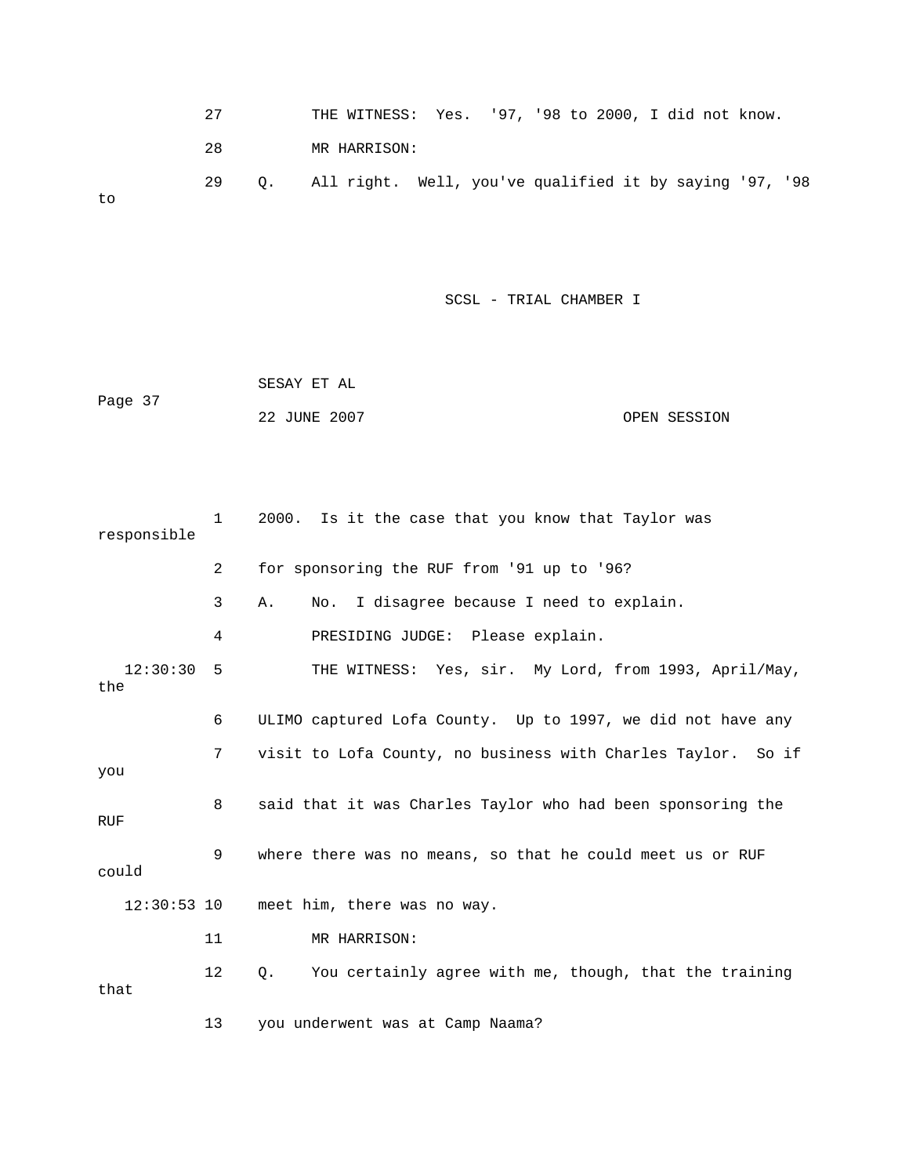|    | 27 |  | THE WITNESS: Yes. '97, '98 to 2000, I did not know.        |  |  |  |  |  |
|----|----|--|------------------------------------------------------------|--|--|--|--|--|
|    | 28 |  | MR HARRISON:                                               |  |  |  |  |  |
| to | 29 |  | Q. All right. Well, you've qualified it by saying '97, '98 |  |  |  |  |  |

```
22 JUNE 2007 CPEN SESSION
            SESAY ET AL 
Page 37
```

| responsible     | $\mathbf{1}$ | 2000. Is it the case that you know that Taylor was           |  |  |  |  |  |
|-----------------|--------------|--------------------------------------------------------------|--|--|--|--|--|
|                 | 2            | for sponsoring the RUF from '91 up to '96?                   |  |  |  |  |  |
|                 | 3            | No. I disagree because I need to explain.<br>Α.              |  |  |  |  |  |
|                 | 4            | PRESIDING JUDGE: Please explain.                             |  |  |  |  |  |
| 12:30:30<br>the | 5            | THE WITNESS: Yes, sir. My Lord, from 1993, April/May,        |  |  |  |  |  |
|                 | 6            | ULIMO captured Lofa County. Up to 1997, we did not have any  |  |  |  |  |  |
| you             | 7            | visit to Lofa County, no business with Charles Taylor. So if |  |  |  |  |  |
| <b>RUF</b>      | 8            | said that it was Charles Taylor who had been sponsoring the  |  |  |  |  |  |
| could           | 9            | where there was no means, so that he could meet us or RUF    |  |  |  |  |  |
| $12:30:53$ 10   |              | meet him, there was no way.                                  |  |  |  |  |  |
|                 | 11           | MR HARRISON:                                                 |  |  |  |  |  |
| that            | 12           | You certainly agree with me, though, that the training<br>0. |  |  |  |  |  |
|                 | 13           | you underwent was at Camp Naama?                             |  |  |  |  |  |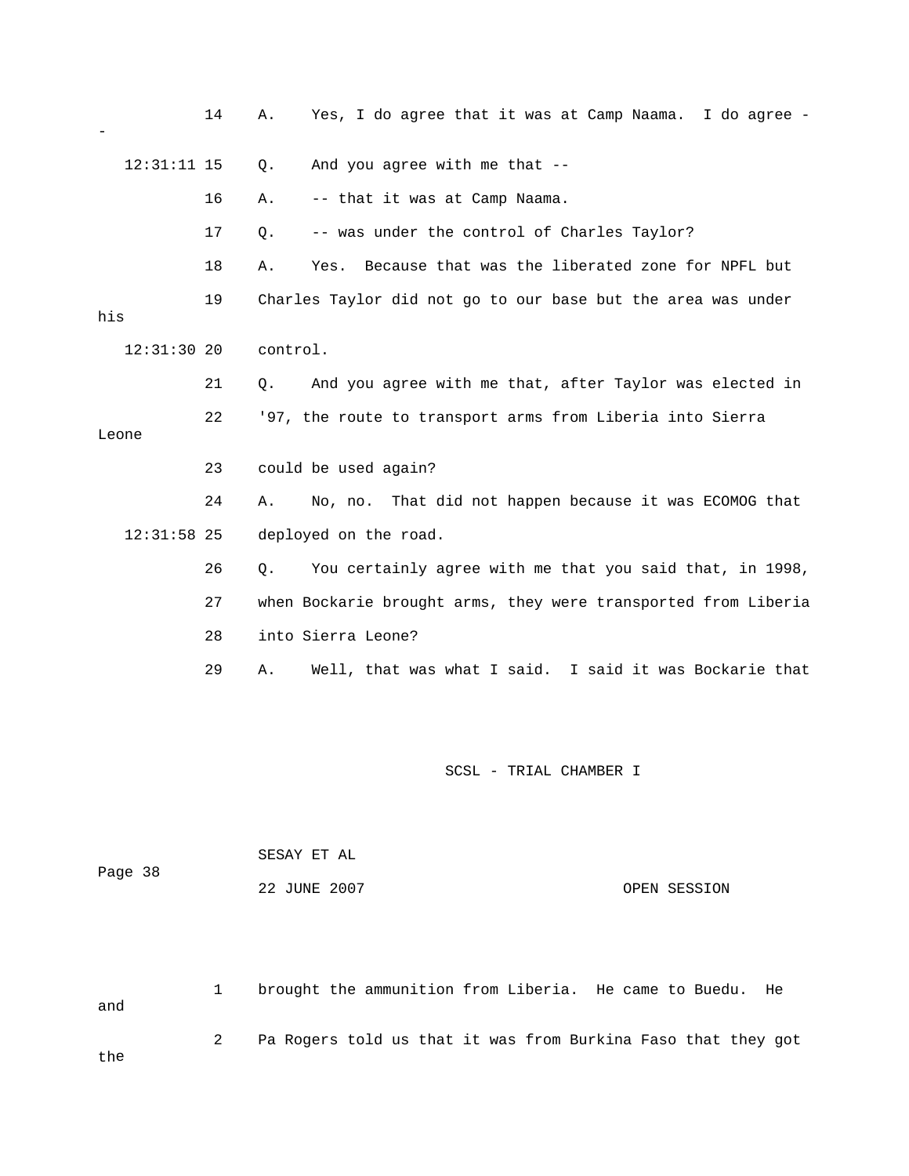|     |               | 14 | Α.       | Yes, I do agree that it was at Camp Naama. I do agree -        |
|-----|---------------|----|----------|----------------------------------------------------------------|
|     | $12:31:11$ 15 |    | $Q$ .    | And you agree with me that --                                  |
|     |               | 16 | Α.       | -- that it was at Camp Naama.                                  |
|     |               | 17 | Q.       | -- was under the control of Charles Taylor?                    |
|     |               | 18 | Α.       | Because that was the liberated zone for NPFL but<br>Yes.       |
| his |               | 19 |          | Charles Taylor did not go to our base but the area was under   |
|     | $12:31:30$ 20 |    | control. |                                                                |
|     |               | 21 | Q.       | And you agree with me that, after Taylor was elected in        |
|     | Leone         | 22 |          | '97, the route to transport arms from Liberia into Sierra      |
|     |               | 23 |          | could be used again?                                           |
|     |               | 24 | Α.       | No, no. That did not happen because it was ECOMOG that         |
|     | $12:31:58$ 25 |    |          | deployed on the road.                                          |
|     |               | 26 | Q.       | You certainly agree with me that you said that, in 1998,       |
|     |               | 27 |          | when Bockarie brought arms, they were transported from Liberia |
|     |               | 28 |          | into Sierra Leone?                                             |
|     |               | 29 | Α.       | Well, that was what I said. I said it was Bockarie that        |
|     |               |    |          |                                                                |
|     |               |    |          |                                                                |

| Page 38 | SESAY ET AL  |              |
|---------|--------------|--------------|
|         | 22 JUNE 2007 | OPEN SESSION |

1 brought the ammunition from Liberia. He came to Buedu. He and 2 Pa Rogers told us that it was from Burkina Faso that they got e th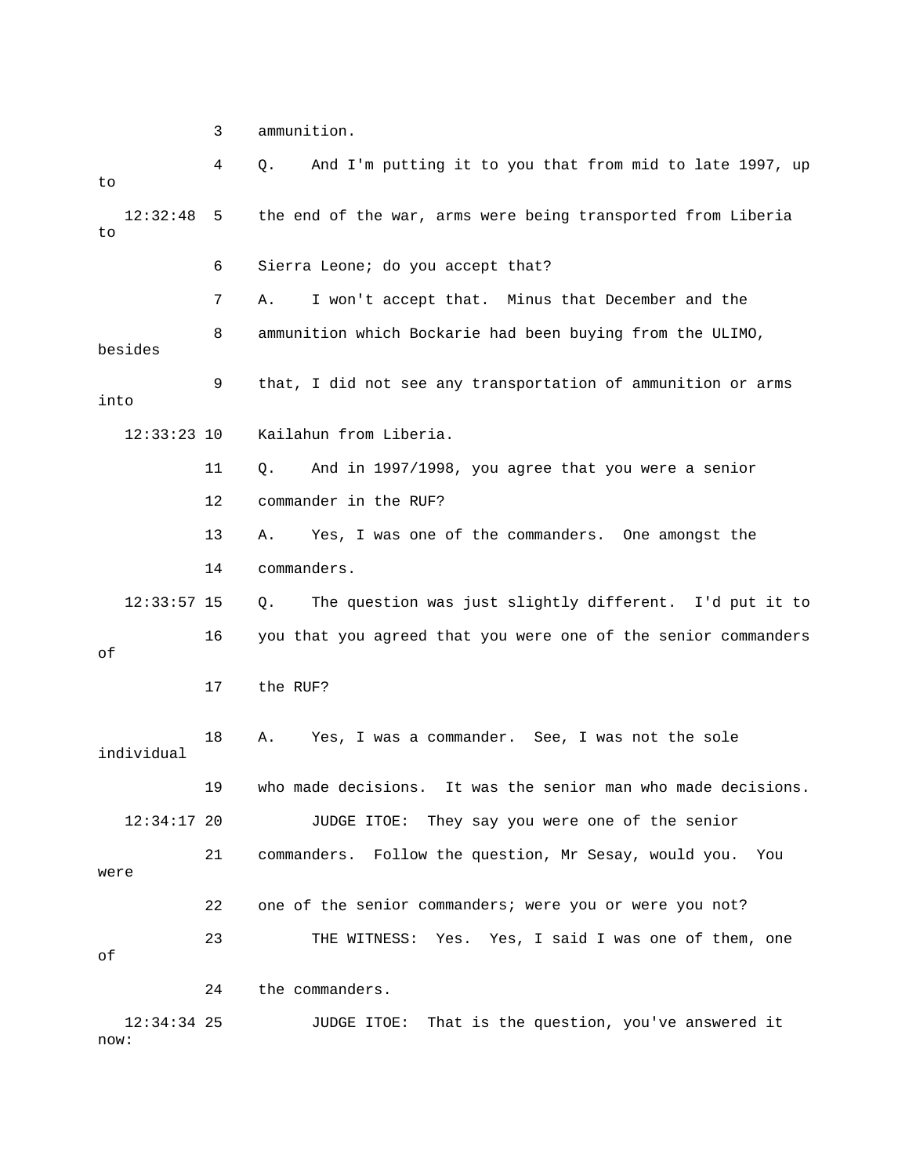3 ammunition.

| to                    | 4  | And I'm putting it to you that from mid to late 1997, up<br>Q. |
|-----------------------|----|----------------------------------------------------------------|
| 12:32:48<br>to        | 5  | the end of the war, arms were being transported from Liberia   |
|                       | 6  | Sierra Leone; do you accept that?                              |
|                       | 7  | I won't accept that. Minus that December and the<br>Α.         |
| besides               | 8  | ammunition which Bockarie had been buying from the ULIMO,      |
| into                  | 9  | that, I did not see any transportation of ammunition or arms   |
| $12:33:23$ 10         |    | Kailahun from Liberia.                                         |
|                       | 11 | And in 1997/1998, you agree that you were a senior<br>Q.       |
|                       | 12 | commander in the RUF?                                          |
|                       | 13 | Yes, I was one of the commanders. One amongst the<br>Α.        |
|                       | 14 | commanders.                                                    |
| $12:33:57$ 15         |    | The question was just slightly different. I'd put it to<br>Q.  |
| оf                    | 16 | you that you agreed that you were one of the senior commanders |
|                       | 17 | the RUF?                                                       |
| individual            | 18 | Yes, I was a commander. See, I was not the sole<br>Α.          |
|                       | 19 | who made decisions. It was the senior man who made decisions.  |
| 12:34:17 20           |    | JUDGE ITOE: They say you were one of the senior                |
| were                  | 21 | commanders. Follow the question, Mr Sesay, would you.<br>You   |
|                       | 22 | one of the senior commanders; were you or were you not?        |
| оf                    | 23 | THE WITNESS: Yes. Yes, I said I was one of them, one           |
|                       | 24 | the commanders.                                                |
| $12:34:34$ 25<br>now: |    | That is the question, you've answered it<br>JUDGE ITOE:        |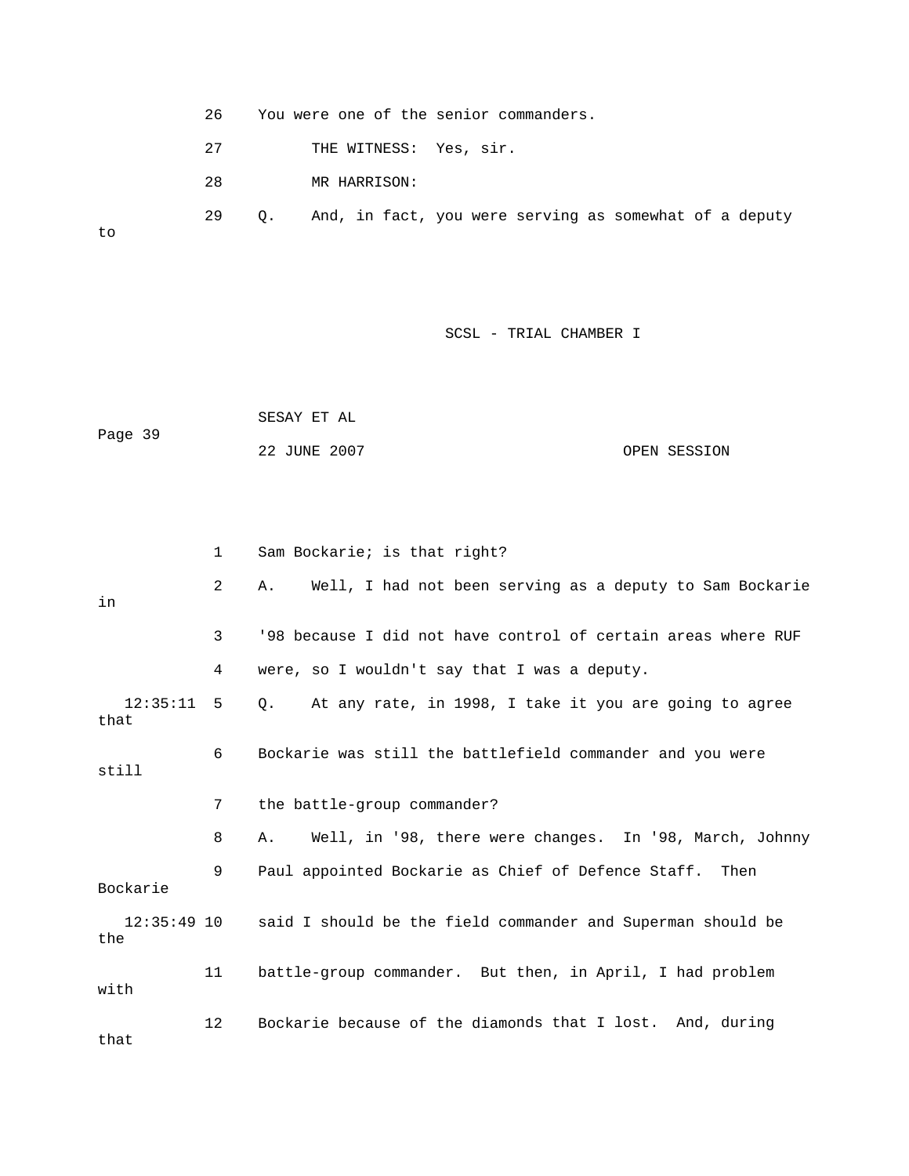26 You were one of the senior commanders. 27 THE WITNESS: Yes, sir. 29 Q. And, in fact, you were serving as somewhat of a deputy 28 MR HARRISON:

to

## SCSL - TRIAL CHAMBER I

 SESAY ET AL 22 JUNE 2007 CPEN SESSION Page 39

|                      | $\mathbf{1}$   | Sam Bockarie; is that right?                                            |
|----------------------|----------------|-------------------------------------------------------------------------|
| in                   | $\overline{2}$ | Well, I had not been serving as a deputy to Sam Bockarie<br>Α.          |
|                      | 3              | '98 because I did not have control of certain areas where RUF           |
|                      | 4              | were, so I wouldn't say that I was a deputy.                            |
| $12:35:11$ 5<br>that |                | Q. At any rate, in 1998, I take it you are going to agree               |
| still                | 6              | Bockarie was still the battlefield commander and you were               |
|                      | 7              | the battle-group commander?                                             |
|                      | 8              | Well, in '98, there were changes. In '98, March, Johnny<br>Α.           |
| Bockarie             | 9              | Paul appointed Bockarie as Chief of Defence Staff. Then                 |
| the                  |                | 12:35:49 10 said I should be the field commander and Superman should be |
| with                 | 11             | battle-group commander. But then, in April, I had problem               |
| that                 | 12             | Bockarie because of the diamonds that I lost. And, during               |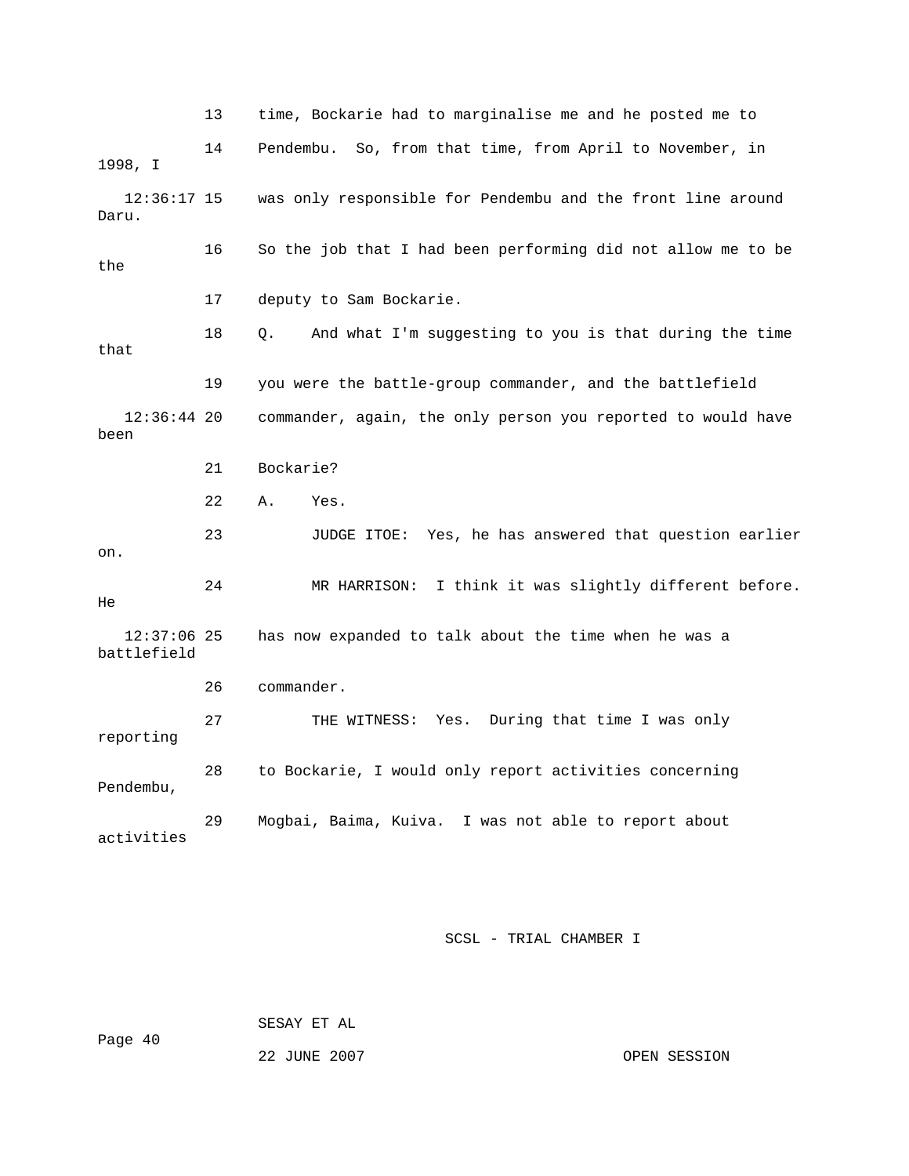13 time, Bockarie had to marginalise me and he posted me to 14 Pendembu. So, from that time, from April to November, in was only responsible for Pendembu and the front line around Daru. 16 So the job that I had been performing did not allow me to be the 17 deputy to Sam Bockarie. 18 Q. And what I'm suggesting to you is that during the time that 19 you were the battle-group commander, and the battlefield 22 A. Yes. 24 MR HARRISON: I think it was slightly different before. battlefield 27 THE WITNESS: Yes. During that time I was only 28 to Bockarie, I would only report activities concerning Pendembu, 29 Mogbai, Baima, Kuiva. I was not able to report about activities 1998, I  $12:36:17$  15 12:36:44 20 commander, again, the only person you reported to would have been 21 Bockarie? 23 JUDGE ITOE: Yes, he has answered that question earlier on. He 12:37:06 25 has now expanded to talk about the time when he was a 26 commander. reporting

SCSL - TRIAL CHAMBER I

SESAY ET AL

Page 40

22 JUNE 2007 OPEN SESSION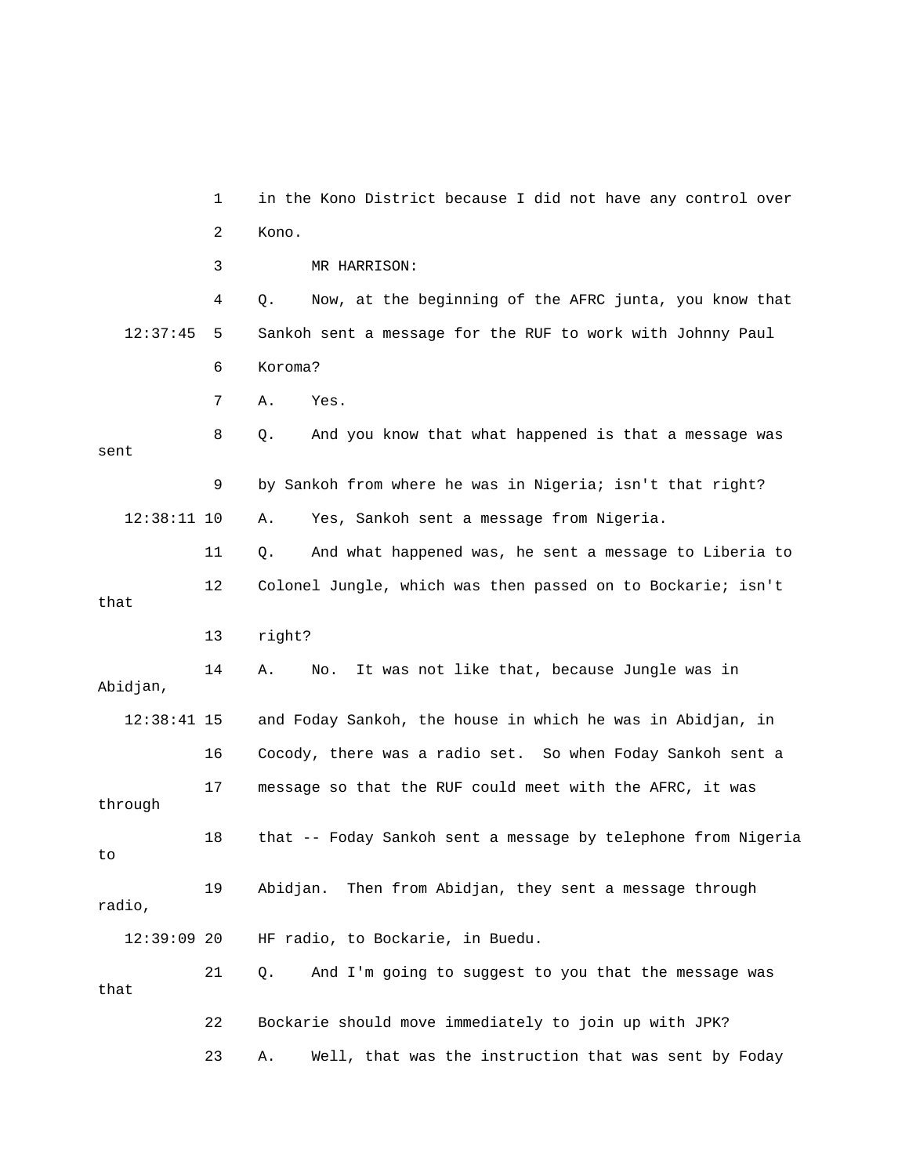1 in the Kono District because I did not have any control over 2 Kono. 3 MR HARRISON: 4 Q. Now, at the beginning of the AFRC junta, you know that 12:37:45 5 Sankoh sent a message for the RUF to work with Johnny Paul 6 Koroma? 7 A. Yes. And you know that what happened is that a message was 9 by Sankoh from where he was in Nigeria; isn't that right? 12 Colonel Jungle, which was then passed on to Bockarie; isn't that 14 A. No. It was not like that, because Jungle was in Abidjan, 12:38:41 15 and Foday Sankoh, the house in which he was in Abidjan, in 16 Cocody, there was a radio set. So when Foday Sankoh sent a 18 that -- Foday Sankoh sent a message by telephone from Nigeria 22 Bockarie should move immediately to join up with JPK? 23 A. Well, that was the instruction that was sent by Foday  $8Q$ . sent 12:38:11 10 A. Yes, Sankoh sent a message from Nigeria. 11 Q. And what happened was, he sent a message to Liberia to 13 right? 17 message so that the RUF could meet with the AFRC, it was through to 19 Abidjan. Then from Abidjan, they sent a message through radio, 12:39:09 20 HF radio, to Bockarie, in Buedu. 21 Q. And I'm going to suggest to you that the message was that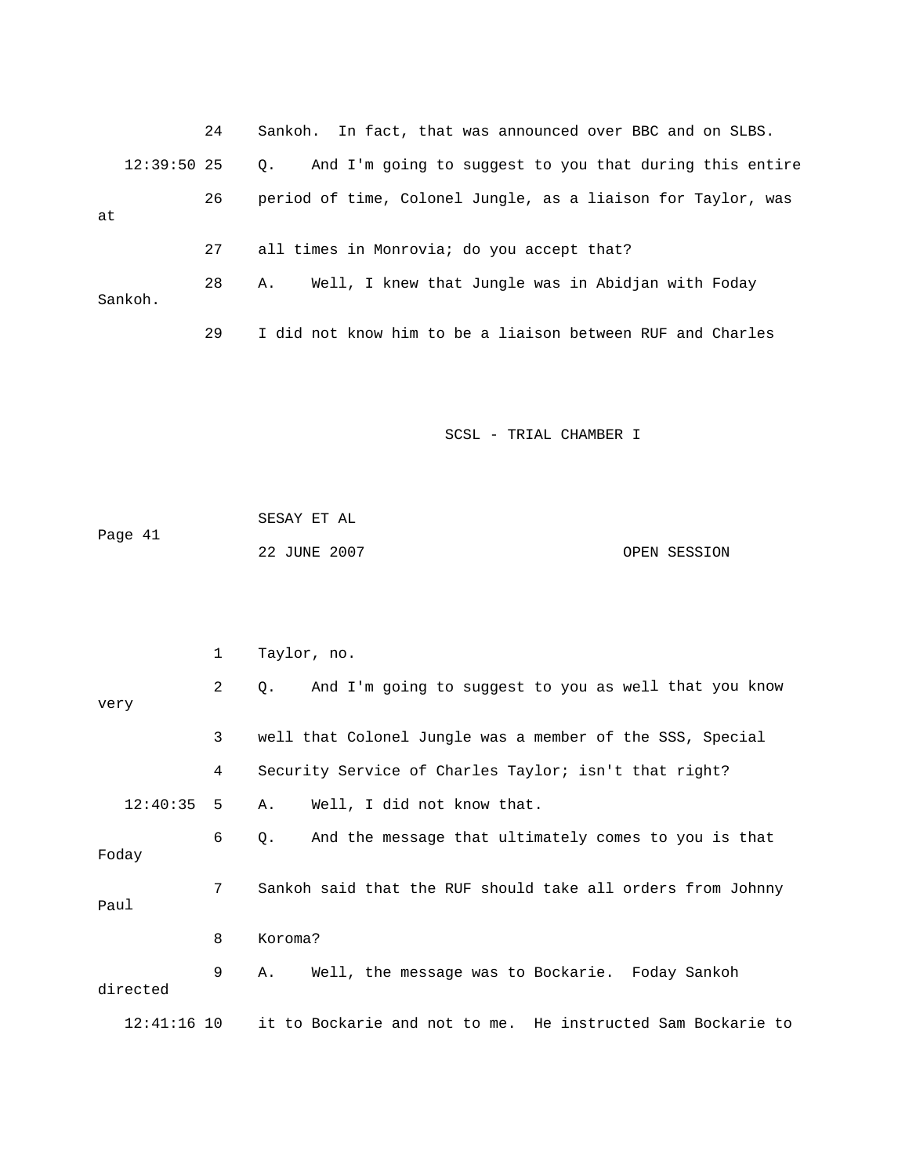|               | 24 | Sankoh. In fact, that was announced over BBC and on SLBS.     |
|---------------|----|---------------------------------------------------------------|
| $12:39:50$ 25 |    | And I'm going to suggest to you that during this entire<br>0. |
| at            | 26 | period of time, Colonel Jungle, as a liaison for Taylor, was  |
|               | 27 | all times in Monrovia; do you accept that?                    |
| Sankoh.       | 28 | Well, I knew that Jungle was in Abidjan with Foday<br>А.      |
|               | 29 | I did not know him to be a liaison between RUF and Charles    |

|         | SESAY ET AL  |              |
|---------|--------------|--------------|
| Page 41 |              |              |
|         | 22 JUNE 2007 | OPEN SESSION |

|               | 1 | Taylor, no.                                                 |
|---------------|---|-------------------------------------------------------------|
| very          | 2 | Q. And I'm going to suggest to you as well that you know    |
|               | 3 | well that Colonel Jungle was a member of the SSS, Special   |
|               | 4 | Security Service of Charles Taylor; isn't that right?       |
| $12:40:35$ 5  |   | Well, I did not know that.<br>A.                            |
| Foday         | 6 | And the message that ultimately comes to you is that<br>Q.  |
| Paul          | 7 | Sankoh said that the RUF should take all orders from Johnny |
|               | 8 | Koroma?                                                     |
| directed      | 9 | Well, the message was to Bockarie. Foday Sankoh<br>A.,      |
| $12:41:16$ 10 |   | it to Bockarie and not to me. He instructed Sam Bockarie to |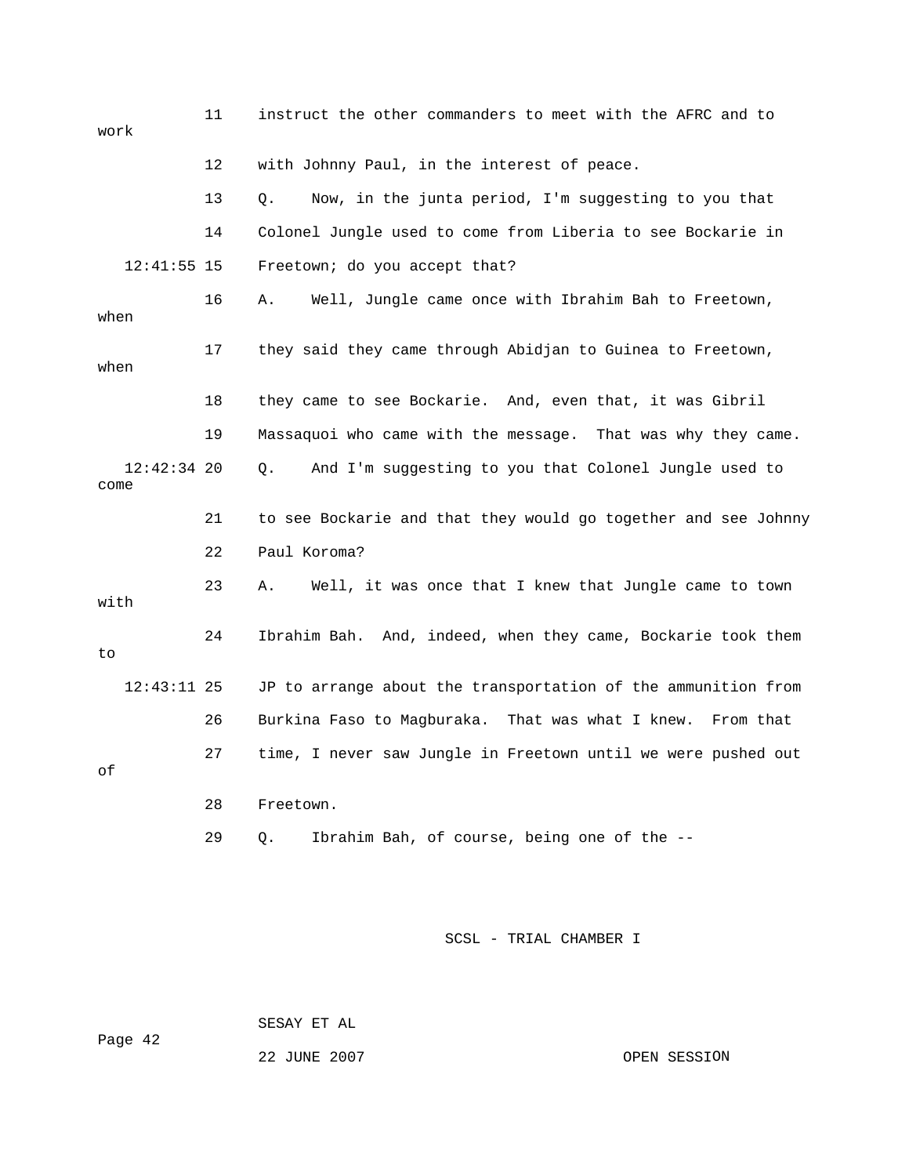11 instruct the other commanders to meet with the AFRC and to work 12 with Johnny Paul, in the interest of peace. 13 Q. Now, in the junta period, I'm suggesting to you that 14 Colonel Jungle used to come from Liberia to see Bockarie in Freetown; do you accept that? when 17 they said they came through Abidjan to Guinea to Freetown, when 18 they came to see Bockarie. And, even that, it was Gibril . 19 Massaquoi who came with the message. That was why they came 12:42:34 20 Q. And I'm suggesting to you that Colonel Jungle used to 21 to see Bockarie and that they would go together and see Johnny 22 Paul Koroma? 23 A. Well, it was once that I knew that Jungle came to town with 24 Ibrahim Bah. And, indeed, when they came, Bockarie took them 26 Burkina Faso to Magburaka. That was what I knew. From that 27 time, I never saw Jungle in Freetown until we were pushed out 29 Q. Ibrahim Bah, of course, being one of the -- 12:41:5 16 A. Well, Jungle came once with Ibrahim Bah to Freetown, come to 12:43:11 25 JP to arrange about the transportation of the ammunition from of 28 Freetown.

SCSL - TRIAL CHAMBER I

SESAY ET AL

Page 42

22 JUNE 2007

OPEN SESSION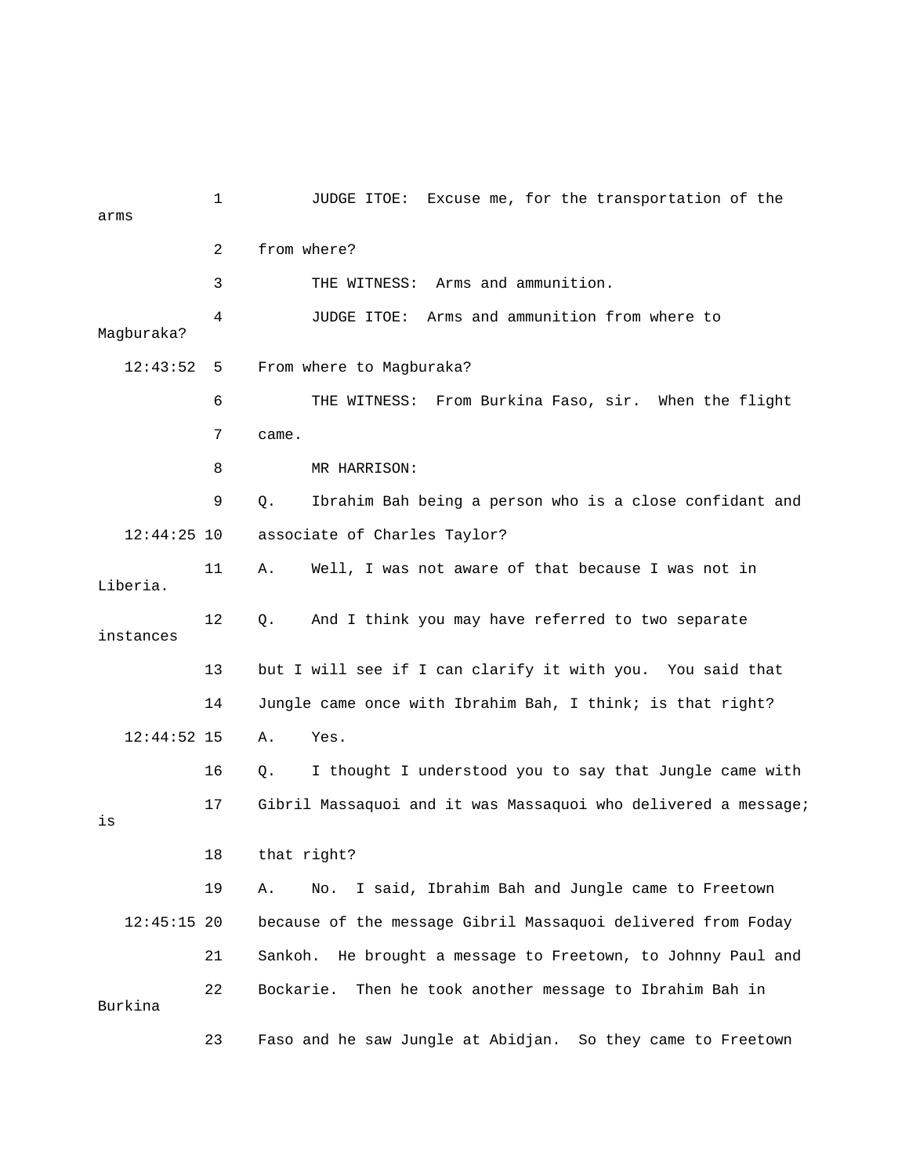| arms          | $\mathbf 1$ | JUDGE ITOE: Excuse me, for the transportation of the            |
|---------------|-------------|-----------------------------------------------------------------|
|               | 2           | from where?                                                     |
|               | 3           | THE WITNESS: Arms and ammunition.                               |
| Magburaka?    | 4           | Arms and ammunition from where to<br>JUDGE ITOE:                |
| 12:43:52      | 5           | From where to Magburaka?                                        |
|               | 6           | THE WITNESS: From Burkina Faso, sir. When the flight            |
|               | 7           | came.                                                           |
|               | 8           | MR HARRISON:                                                    |
|               | 9           | Ibrahim Bah being a person who is a close confidant and<br>Q.   |
| $12:44:25$ 10 |             | associate of Charles Taylor?                                    |
| Liberia.      | 11          | Well, I was not aware of that because I was not in<br>Α.        |
| instances     | 12          | And I think you may have referred to two separate<br>Q.         |
|               | 13          | but I will see if I can clarify it with you. You said that      |
|               | 14          | Jungle came once with Ibrahim Bah, I think; is that right?      |
| $12:44:52$ 15 |             | Α.<br>Yes.                                                      |
|               | 16          | I thought I understood you to say that Jungle came with<br>Q.   |
| is            | 17          | Gibril Massaquoi and it was Massaquoi who delivered a message;  |
|               | 18          | that right?                                                     |
|               | 19          | I said, Ibrahim Bah and Jungle came to Freetown<br>Α.<br>No.    |
| $12:45:15$ 20 |             | because of the message Gibril Massaquoi delivered from Foday    |
|               | 21          | He brought a message to Freetown, to Johnny Paul and<br>Sankoh. |
| Burkina       | 22          | Then he took another message to Ibrahim Bah in<br>Bockarie.     |
|               | 23          | Faso and he saw Jungle at Abidjan. So they came to Freetown     |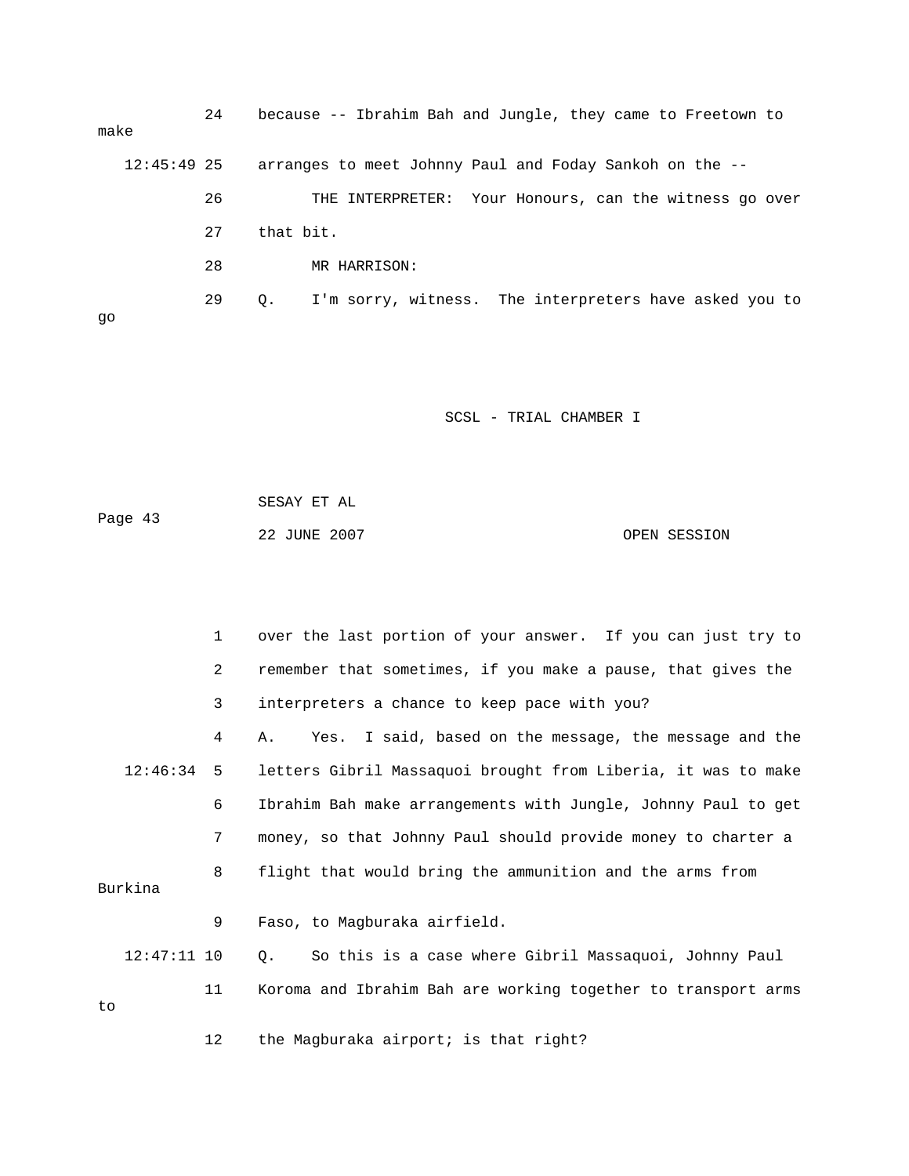24 because -- Ibrahim Bah and Jungle, they came to Freetown to 29 Q. I'm sorry, witness. The interpreters have asked you to make 12:45:49 25 arranges to meet Johnny Paul and Foday Sankoh on the -- 26 THE INTERPRETER: Your Honours, can the witness go over 27 that bit. 28 MR HARRISON: go

|         | SESAY ET AL  |              |
|---------|--------------|--------------|
| Page 43 |              |              |
|         | 22 JUNE 2007 | OPEN SESSION |

|    |               | 1              | over the last portion of your answer. If you can just try to       |
|----|---------------|----------------|--------------------------------------------------------------------|
|    |               | $\overline{2}$ | remember that sometimes, if you make a pause, that gives the       |
|    |               | 3              | interpreters a chance to keep pace with you?                       |
|    |               | 4              | Yes. I said, based on the message, the message and the<br>Α.       |
|    | $12:46:34$ 5  |                | letters Gibril Massaquoi brought from Liberia, it was to make      |
|    |               | 6              | Ibrahim Bah make arrangements with Jungle, Johnny Paul to get      |
|    |               | 7              | money, so that Johnny Paul should provide money to charter a       |
|    | Burkina       | 8              | flight that would bring the ammunition and the arms from           |
|    |               | 9              | Faso, to Magburaka airfield.                                       |
|    | $12:47:11$ 10 |                | So this is a case where Gibril Massaquoi, Johnny Paul<br>$\circ$ . |
| to |               | 11             | Koroma and Ibrahim Bah are working together to transport arms      |
|    |               | 12             | the Magburaka airport; is that right?                              |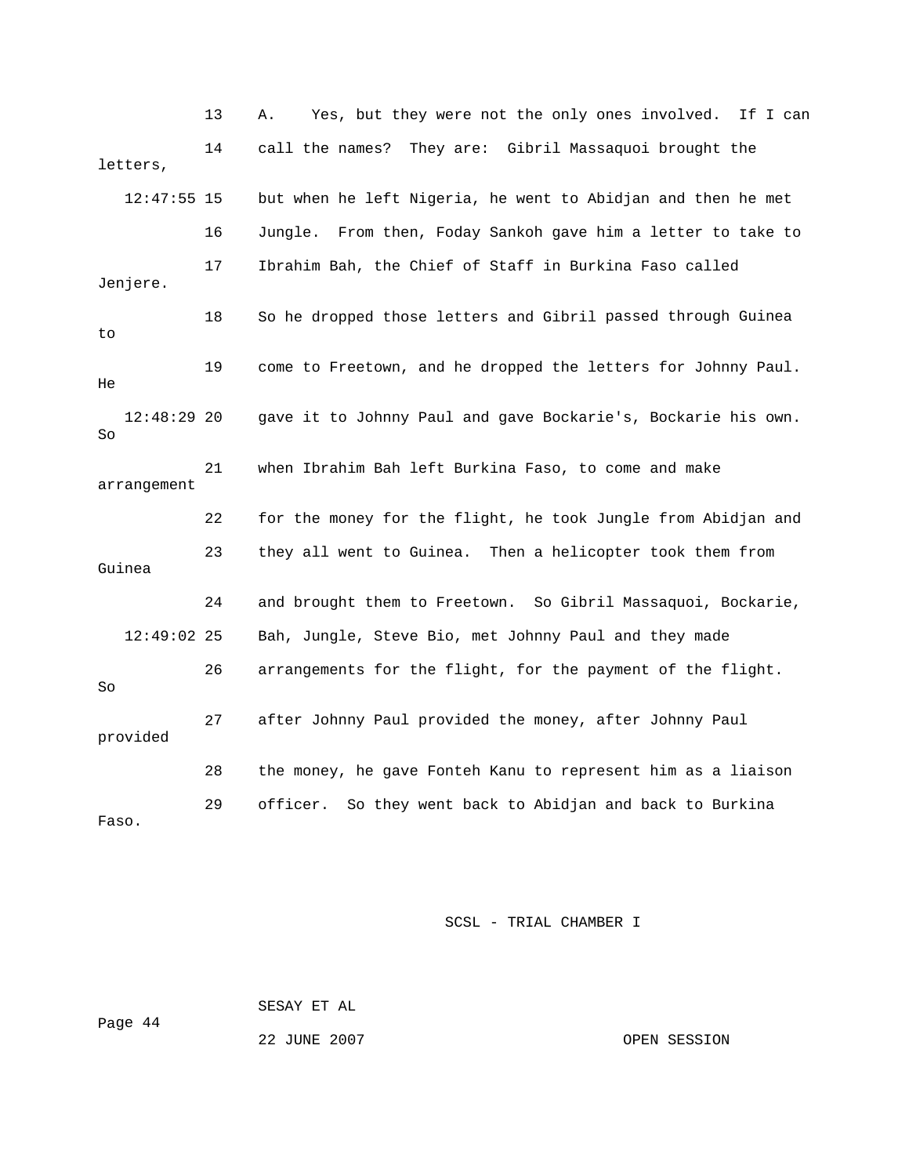13 A. Yes, but they were not the only ones involved. If I can 12:47:55 15 but when he left Nigeria, he went to Abidjan and then he met Jenjere. 18 So he dropped those letters and Gibril passed through Guinea 19 come to Freetown, and he dropped the letters for Johnny Paul. 12:48:29 20 gave it to Johnny Paul and gave Bockarie's, Bockarie his own. 22 for the money for the flight, he took Jungle from Abidjan and Guinea 12:49:02 25 Bah, Jungle, Steve Bio, met Johnny Paul and they made 26 arrangements for the flight, for the payment of the flight. 7 after Johnny Paul provided the money, after Johnny Paul 28 the money, he gave Fonteh Kanu to represent him as a liaison 29 officer. So they went back to Abidjan and back to Burkina Faso. 14 call the names? They are: Gibril Massaquoi brought the letters, 16 Jungle. From then, Foday Sankoh gave him a letter to take to 17 Ibrahim Bah, the Chief of Staff in Burkina Faso called to He So 21 when Ibrahim Bah left Burkina Faso, to come and make arrangement 23 they all went to Guinea. Then a helicopter took them from 24 and brought them to Freetown. So Gibril Massaquoi, Bockarie, So 2 provided

SCSL - TRIAL CHAMBER I

Page 44 SESAY ET AL

22 JUNE 2007 CPEN SESSION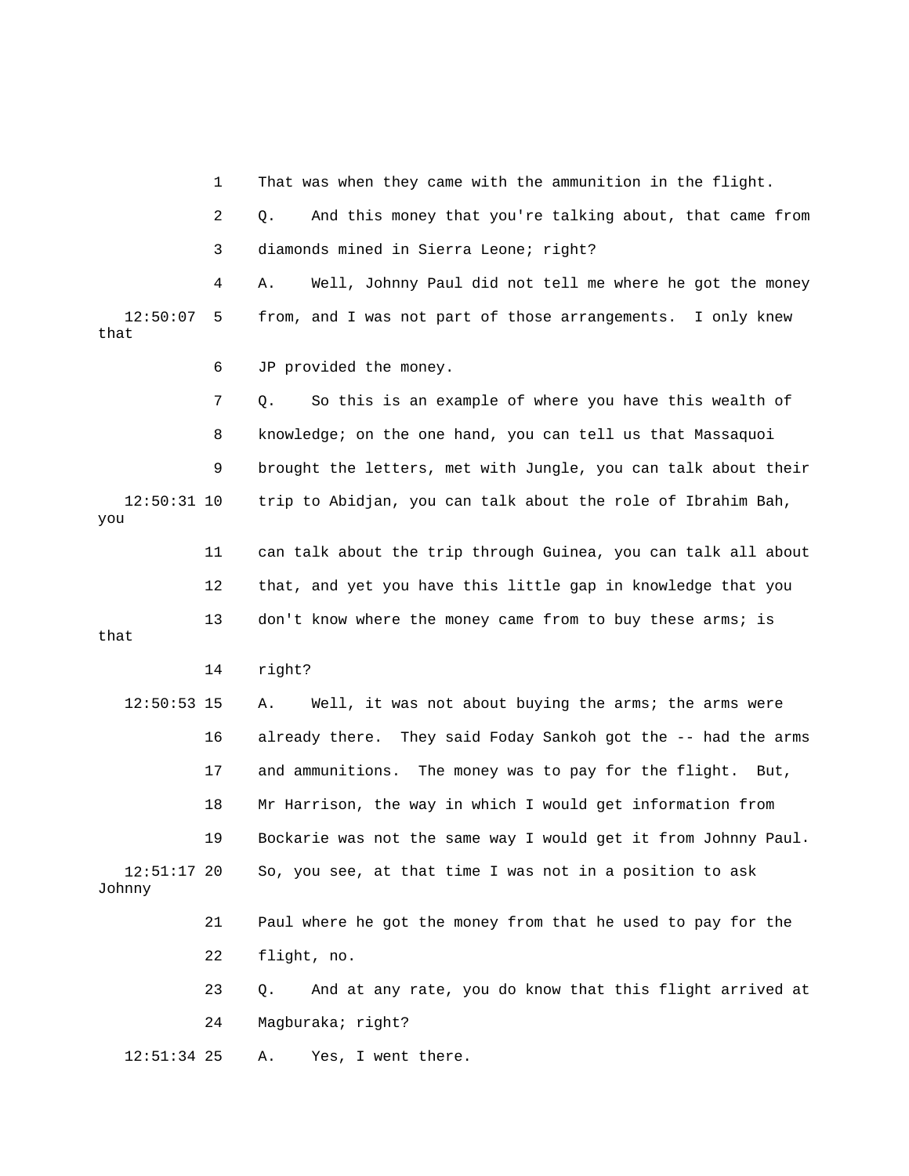1 That was when they came with the ammunition in the flight. 2 Q. And this money that you're talking about, that came from 3 diamonds mined in Sierra Leone; right? 4 A. Well, Johnny Paul did not tell me where he got the money 12:50:07 5 from, and I was not part of those arrangements. I only knew that 6 JP provided the money. 7 Q. So this is an example of where you have this wealth of 9 brought the letters, met with Jungle, you can talk about their 12:50:31 10 trip to Abidjan, you can talk about the role of Ibrahim Bah, 12 that, and yet you have this little gap in knowledge that you 13 don't know where the money came from to buy these arms; is 17 and ammunitions. The money was to pay for the flight. But, 18 Mr Harrison, the way in which I would get information from . 19 Bockarie was not the same way I would get it from Johnny Paul So, you see, at that time I was not in a position to ask Johnny 21 Paul where he got the money from that he used to pay for the 22 flight, no. 24 Magburaka; right? 12:51:34 25 A. Yes, I went there. 8 knowledge; on the one hand, you can tell us that Massaquoi you 11 can talk about the trip through Guinea, you can talk all about that 14 right? 12:50:53 15 A. Well, it was not about buying the arms; the arms were 16 already there. They said Foday Sankoh got the -- had the arms  $12:51:17$  20 23 Q. And at any rate, you do know that this flight arrived at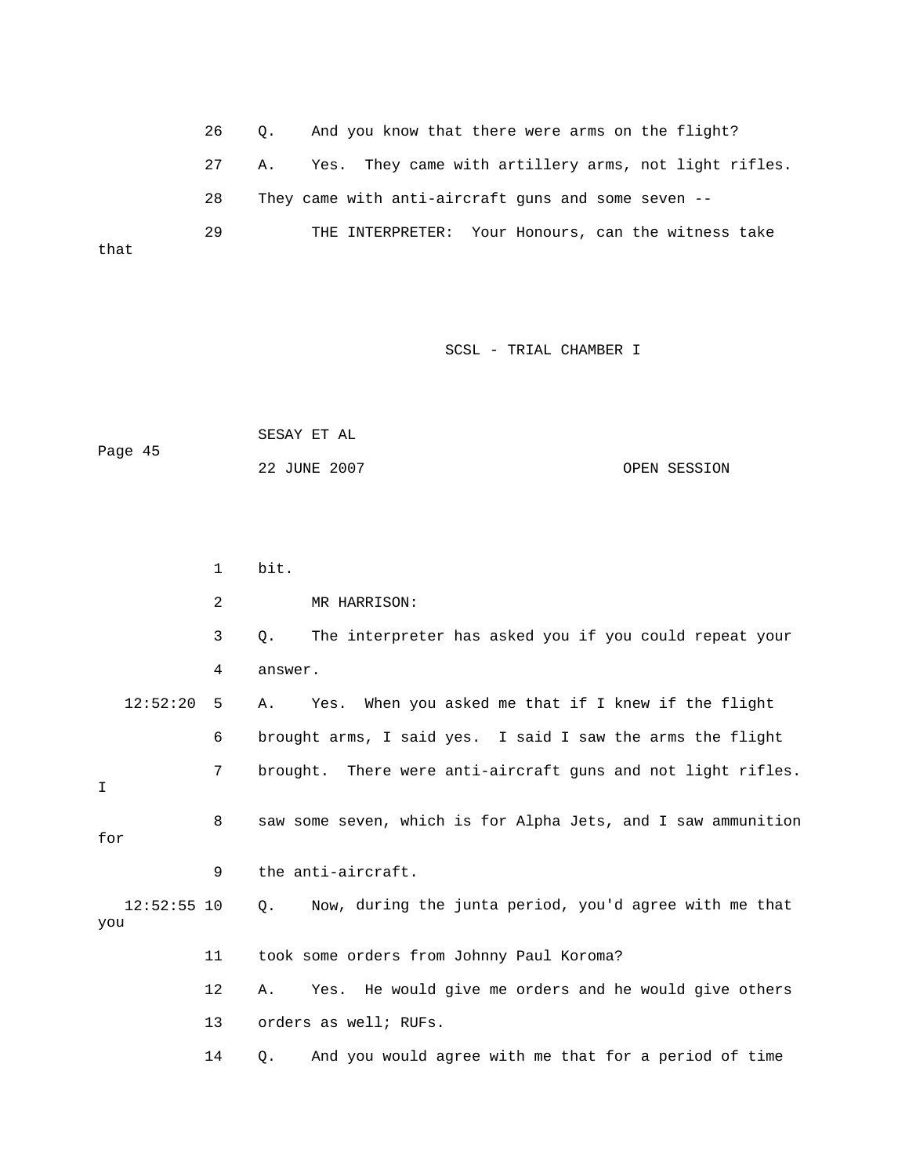26 Q. And you know that there were arms on the flight? 27 A. Yes. They came with artillery arms, not light rifles. ERPRETER: Your Honours, can the witness take 29 THE INT that 28 They came with anti-aircraft guns and some seven --

|         | SESAY ET AL  |              |
|---------|--------------|--------------|
| Page 45 |              |              |
|         | 22 JUNE 2007 | OPEN SESSION |

|                      | $\mathbf{1}$ | bit.                                                          |
|----------------------|--------------|---------------------------------------------------------------|
|                      | 2            | MR HARRISON:                                                  |
|                      | 3            | The interpreter has asked you if you could repeat your<br>Q.  |
|                      | 4            | answer.                                                       |
| 12:52:20             | 5            | Yes. When you asked me that if I knew if the flight<br>Α.     |
|                      | 6            | brought arms, I said yes. I said I saw the arms the flight    |
| I.                   | 7            | brought. There were anti-aircraft guns and not light rifles.  |
| for                  | 8            | saw some seven, which is for Alpha Jets, and I saw ammunition |
|                      | 9            | the anti-aircraft.                                            |
| $12:52:55$ 10<br>you |              | Now, during the junta period, you'd agree with me that<br>О.  |
|                      | 11           | took some orders from Johnny Paul Koroma?                     |
|                      | 12           | Yes. He would give me orders and he would give others<br>Α.   |
|                      | 13           | orders as well; RUFs.                                         |
|                      | 14           | And you would agree with me that for a period of time<br>Q.   |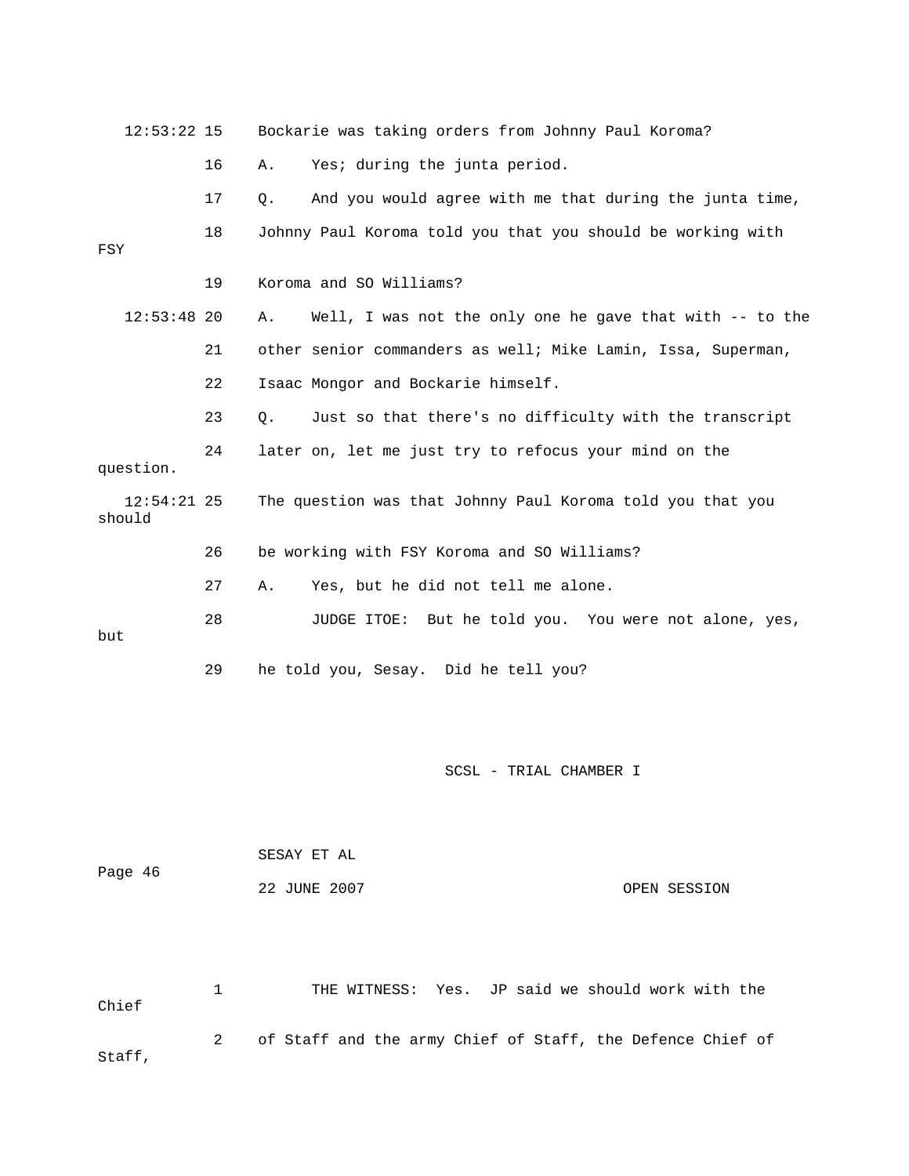| $12:53:22$ 15           |    | Bockarie was taking orders from Johnny Paul Koroma?            |
|-------------------------|----|----------------------------------------------------------------|
|                         | 16 | Yes; during the junta period.<br>Α.                            |
|                         | 17 | And you would agree with me that during the junta time,<br>Q.  |
| FSY                     | 18 | Johnny Paul Koroma told you that you should be working with    |
|                         | 19 | Koroma and SO Williams?                                        |
| $12:53:48$ 20           |    | Well, I was not the only one he gave that with -- to the<br>Α. |
|                         | 21 | other senior commanders as well; Mike Lamin, Issa, Superman,   |
|                         | 22 | Isaac Mongor and Bockarie himself.                             |
|                         | 23 | Just so that there's no difficulty with the transcript<br>Q.   |
| question.               | 24 | later on, let me just try to refocus your mind on the          |
| $12:54:21$ 25<br>should |    | The question was that Johnny Paul Koroma told you that you     |
|                         | 26 | be working with FSY Koroma and SO Williams?                    |
|                         | 27 | Yes, but he did not tell me alone.<br>Α.                       |
| but                     | 28 | JUDGE ITOE: But he told you. You were not alone, yes,          |
|                         | 29 | he told you, Sesay. Did he tell you?                           |
|                         |    |                                                                |
|                         |    | SCSL - TRIAL CHAMBER I                                         |

|         | SESAY ET AL  |              |
|---------|--------------|--------------|
| Page 46 |              |              |
|         | 22 JUNE 2007 | OPEN SESSION |

 1 THE WITNESS: Yes. JP said we should work with the 2 of Staff and the army Chief of Staff, the Defence Chief of Staff, Chief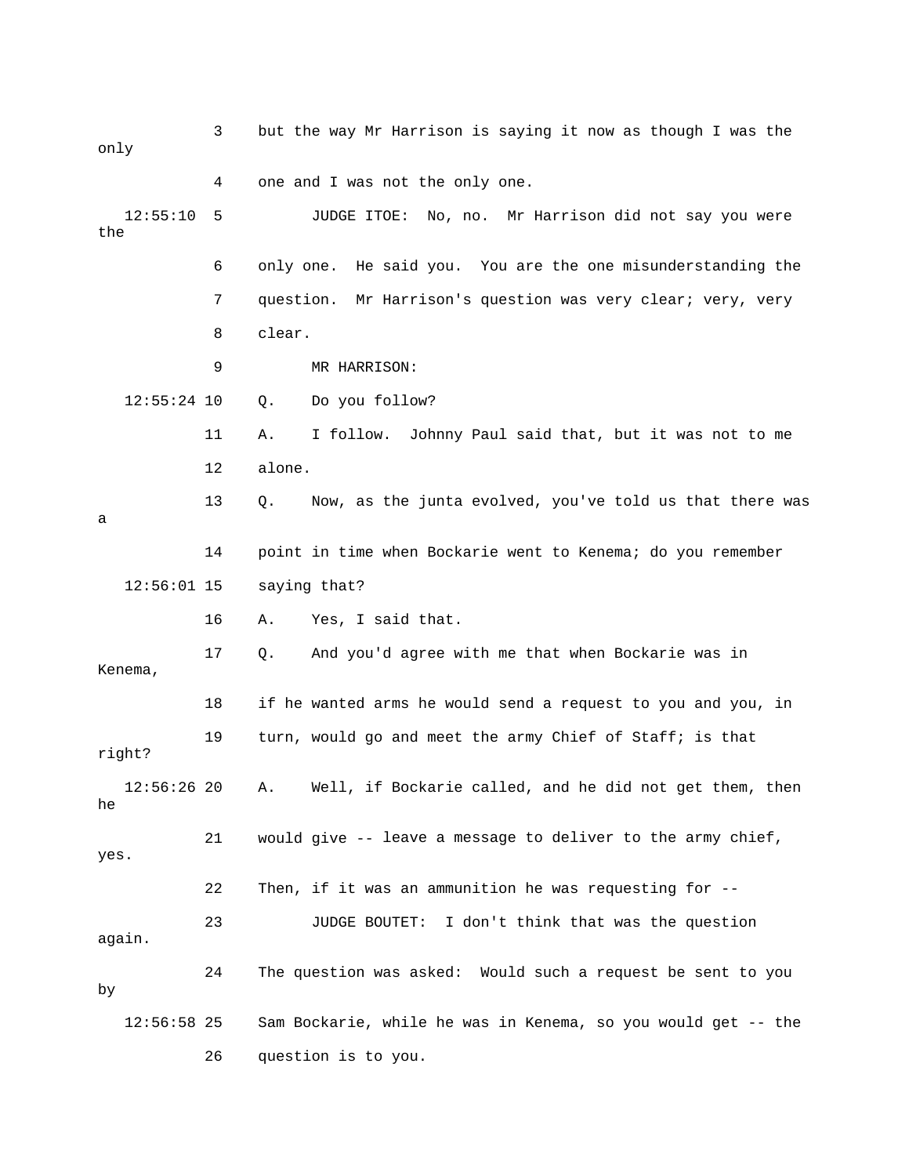| only             | 3  | but the way Mr Harrison is saying it now as though I was the   |
|------------------|----|----------------------------------------------------------------|
|                  | 4  | one and I was not the only one.                                |
| 12:55:10<br>the  | 5  | JUDGE ITOE: No, no. Mr Harrison did not say you were           |
|                  | 6  | only one. He said you. You are the one misunderstanding the    |
|                  | 7  | Mr Harrison's question was very clear; very, very<br>question. |
|                  | 8  | clear.                                                         |
|                  | 9  | MR HARRISON:                                                   |
| $12:55:24$ 10    |    | Do you follow?<br>Q.                                           |
|                  | 11 | I follow. Johnny Paul said that, but it was not to me<br>Α.    |
|                  | 12 | alone.                                                         |
| a                | 13 | Now, as the junta evolved, you've told us that there was<br>Q. |
|                  | 14 | point in time when Bockarie went to Kenema; do you remember    |
| $12:56:01$ 15    |    | saying that?                                                   |
|                  | 16 | Yes, I said that.<br>Α.                                        |
| Kenema,          | 17 | And you'd agree with me that when Bockarie was in<br>О.        |
|                  | 18 | if he wanted arms he would send a request to you and you, in   |
| right?           | 19 | turn, would go and meet the army Chief of Staff; is that       |
| 12:56:2620<br>he |    | Well, if Bockarie called, and he did not get them, then<br>Α.  |
| yes.             | 21 | would give -- leave a message to deliver to the army chief,    |
|                  | 22 | Then, if it was an ammunition he was requesting for --         |
| again.           | 23 | JUDGE BOUTET: I don't think that was the question              |
| by               | 24 | The question was asked: Would such a request be sent to you    |
| $12:56:58$ 25    |    | Sam Bockarie, while he was in Kenema, so you would get -- the  |
|                  | 26 | question is to you.                                            |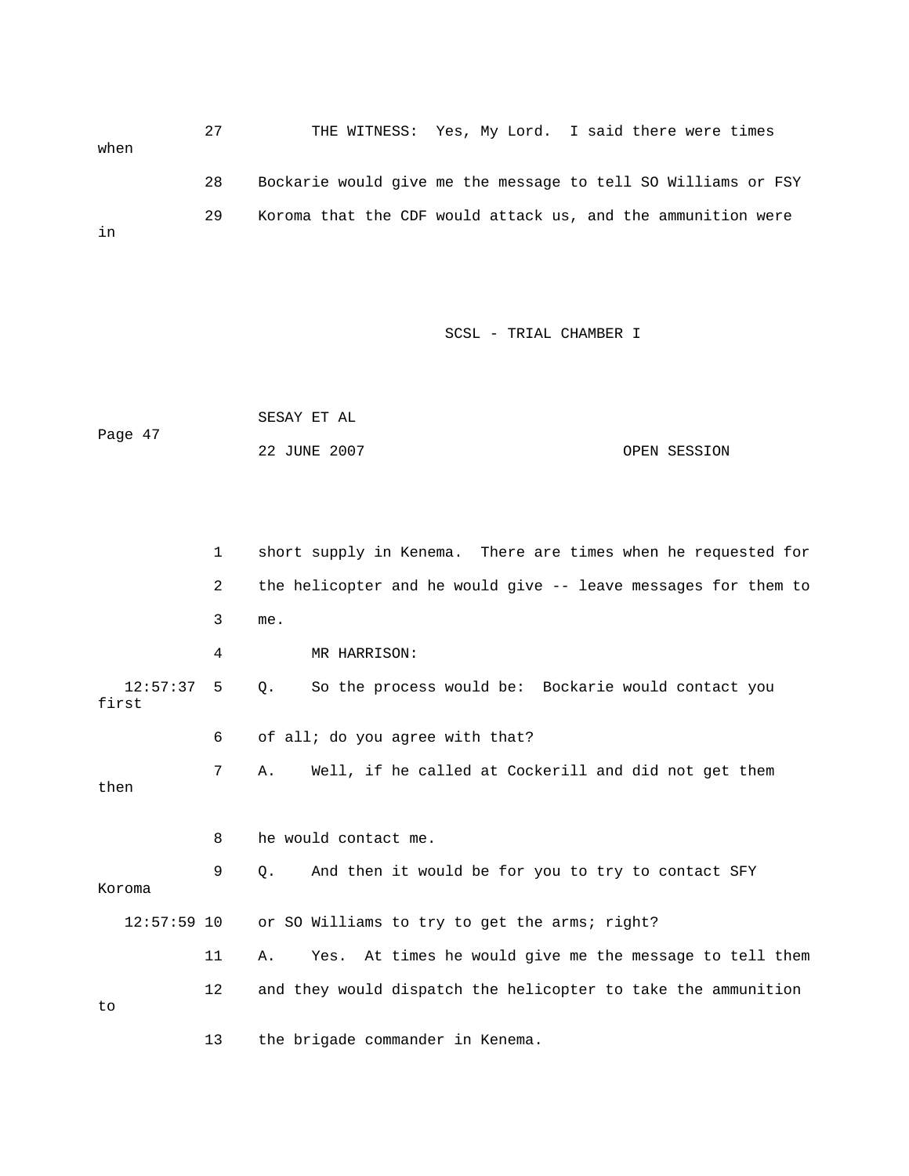27 THE WITNESS: Yes, My Lord. I said there were times when 28 Bockarie would give me the message to tell SO Williams or FSY 29 Koroma that the CDF would attack us, and the ammunition were in

SCSL - TRIAL CHAMBER I

 SESAY ET AL Page 47 22 JUNE 2007 CPEN SESSION

 1 short supply in Kenema. There are times when he requested for 2 the helicopter and he would give -- leave messages for them to 3 me. 4 MR HARRISON: 7 A. Well, if he called at Cockerill and did not get them then 9 Q. And then it would be for you to try to contact SFY 12:57:59 10 or SO Williams to try to get the arms; right? 11 A. Yes. At times he would give me the message to tell them 12 and they would dispatch the helicopter to take the ammunition 12:57:37 5 Q. So the process would be: Bockarie would contact you first 6 of all; do you agree with that? 8 he would contact me. Koroma to 13 the brigade commander in Kenema.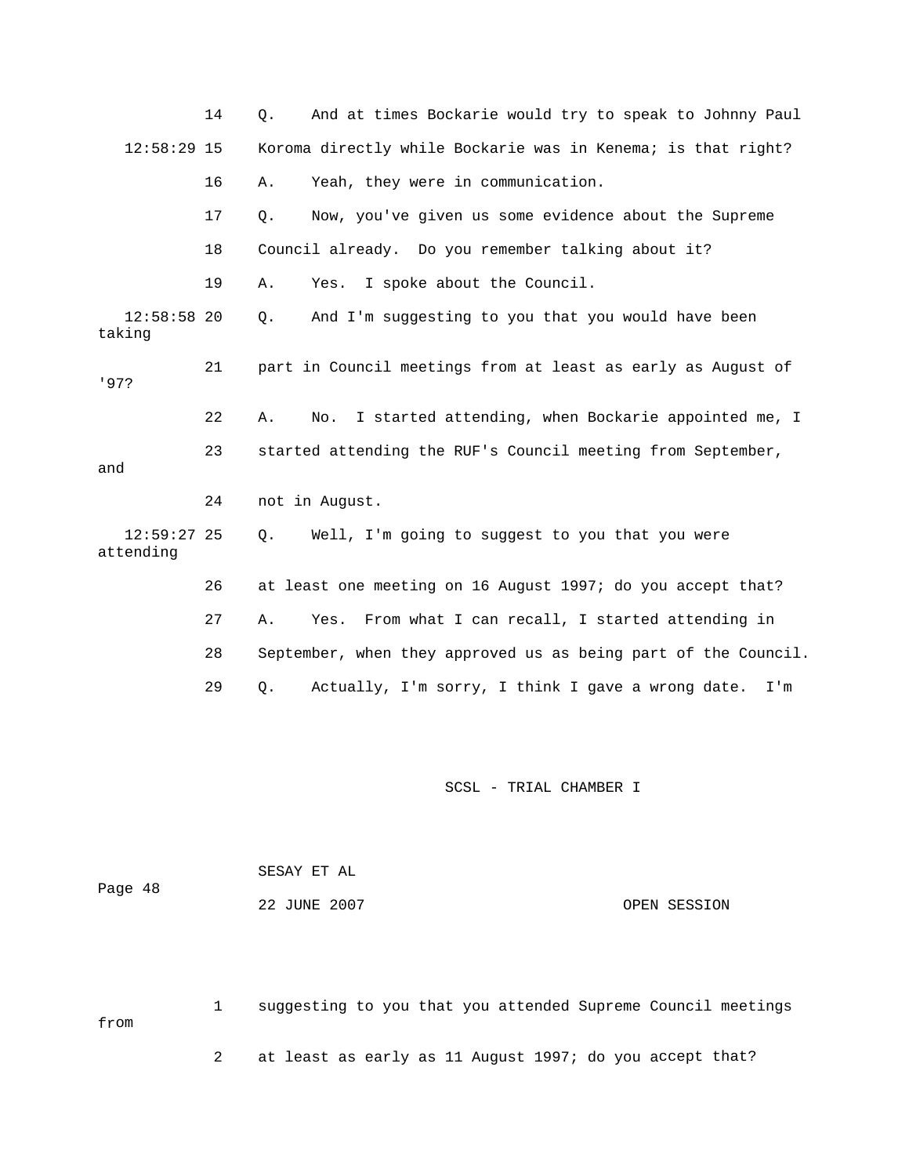|                            | 14 | And at times Bockarie would try to speak to Johnny Paul<br>Q.   |
|----------------------------|----|-----------------------------------------------------------------|
| $12:58:29$ 15              |    | Koroma directly while Bockarie was in Kenema; is that right?    |
|                            | 16 | Yeah, they were in communication.<br>Α.                         |
|                            | 17 | Now, you've given us some evidence about the Supreme<br>Q.      |
|                            | 18 | Council already. Do you remember talking about it?              |
|                            | 19 | I spoke about the Council.<br>Α.<br>Yes.                        |
| 12:58:5820<br>taking       |    | And I'm suggesting to you that you would have been<br>Q.        |
| 197?                       | 21 | part in Council meetings from at least as early as August of    |
|                            | 22 | I started attending, when Bockarie appointed me, I<br>Α.<br>No. |
| and                        | 23 | started attending the RUF's Council meeting from September,     |
|                            | 24 | not in August.                                                  |
| $12:59:27$ 25<br>attending |    | Well, I'm going to suggest to you that you were<br>О.           |
|                            | 26 | at least one meeting on 16 August 1997; do you accept that?     |
|                            | 27 | From what I can recall, I started attending in<br>Α.<br>Yes.    |
|                            | 28 | September, when they approved us as being part of the Council.  |
|                            | 29 | Actually, I'm sorry, I think I gave a wrong date.<br>Q.<br>I'm  |

| Page 48 | SESAY ET AL  |              |
|---------|--------------|--------------|
|         | 22 JUNE 2007 | OPEN SESSION |

 1 suggesting to you that you attended Supreme Council meetings om 2 at least as early as 11 August 1997; do you accept that? fr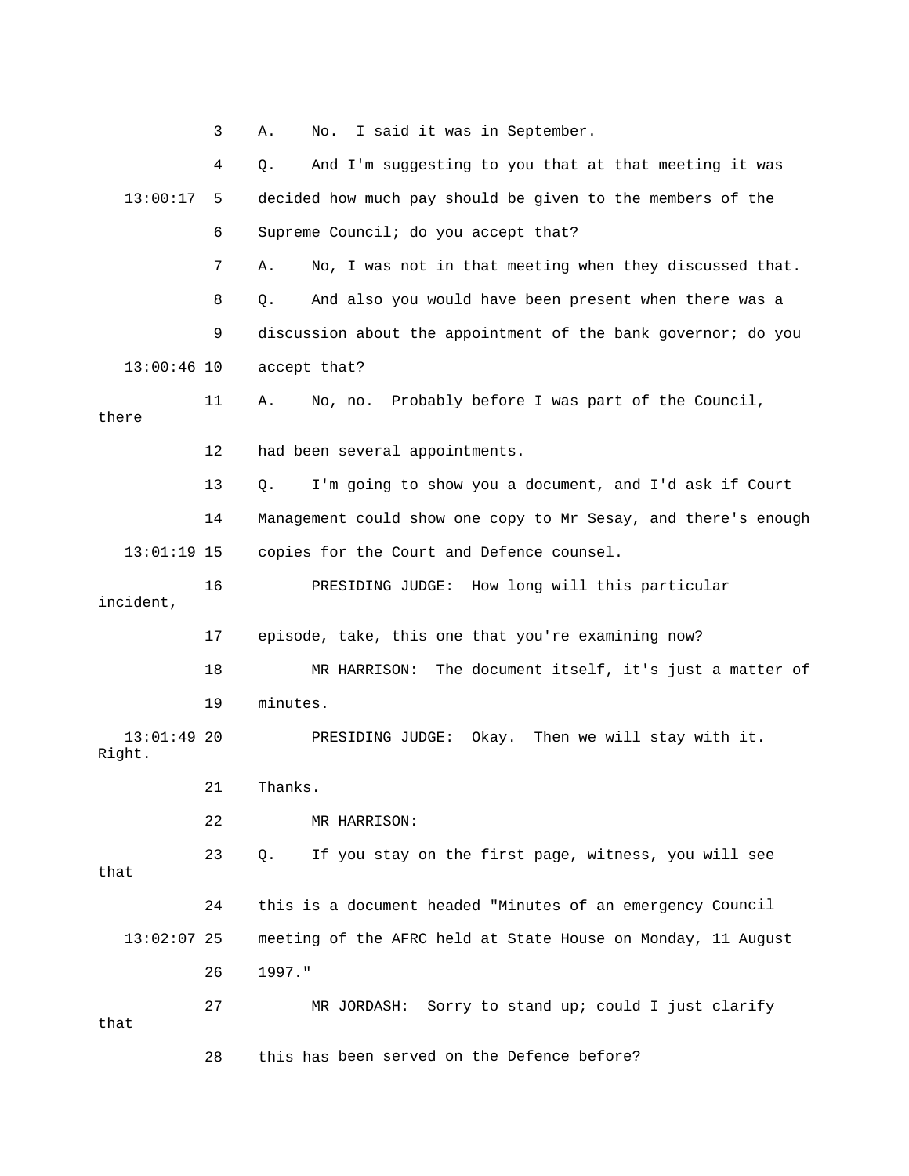|                         | 3  | I said it was in September.<br>Α.<br>No.                               |
|-------------------------|----|------------------------------------------------------------------------|
|                         | 4  | And I'm suggesting to you that at that meeting it was<br>Q.            |
| 13:00:17                | 5  | decided how much pay should be given to the members of the             |
|                         | 6  | Supreme Council; do you accept that?                                   |
|                         | 7  | No, I was not in that meeting when they discussed that.<br>Α.          |
|                         | 8  | And also you would have been present when there was a<br>Q.            |
|                         | 9  | discussion about the appointment of the bank governor; do you          |
| $13:00:46$ 10           |    | accept that?                                                           |
| there                   | 11 | Probably before I was part of the Council,<br>No, no.<br>Α.            |
|                         | 12 | had been several appointments.                                         |
|                         | 13 | I'm going to show you a document, and I'd ask if Court<br>Q.           |
|                         | 14 | Management could show one copy to Mr Sesay, and there's enough         |
| $13:01:19$ 15           |    | copies for the Court and Defence counsel.                              |
| incident,               | 16 | PRESIDING JUDGE: How long will this particular                         |
|                         | 17 | episode, take, this one that you're examining now?                     |
|                         | 18 | The document itself, it's just a matter of<br>MR HARRISON:             |
|                         | 19 | minutes.                                                               |
| $13:01:49$ 20<br>Right. |    | PRESIDING JUDGE: Okay. Then we will stay with it.                      |
|                         | 21 | Thanks                                                                 |
|                         | 22 | MR HARRISON:                                                           |
| that                    | 23 | If you stay on the first page, witness, you will see<br>Q <sub>1</sub> |
|                         | 24 | this is a document headed "Minutes of an emergency Council             |
| $13:02:07$ 25           |    | meeting of the AFRC held at State House on Monday, 11 August           |
|                         | 26 | 1997."                                                                 |
| that                    | 27 | MR JORDASH: Sorry to stand up; could I just clarify                    |
|                         | 28 | this has been served on the Defence before?                            |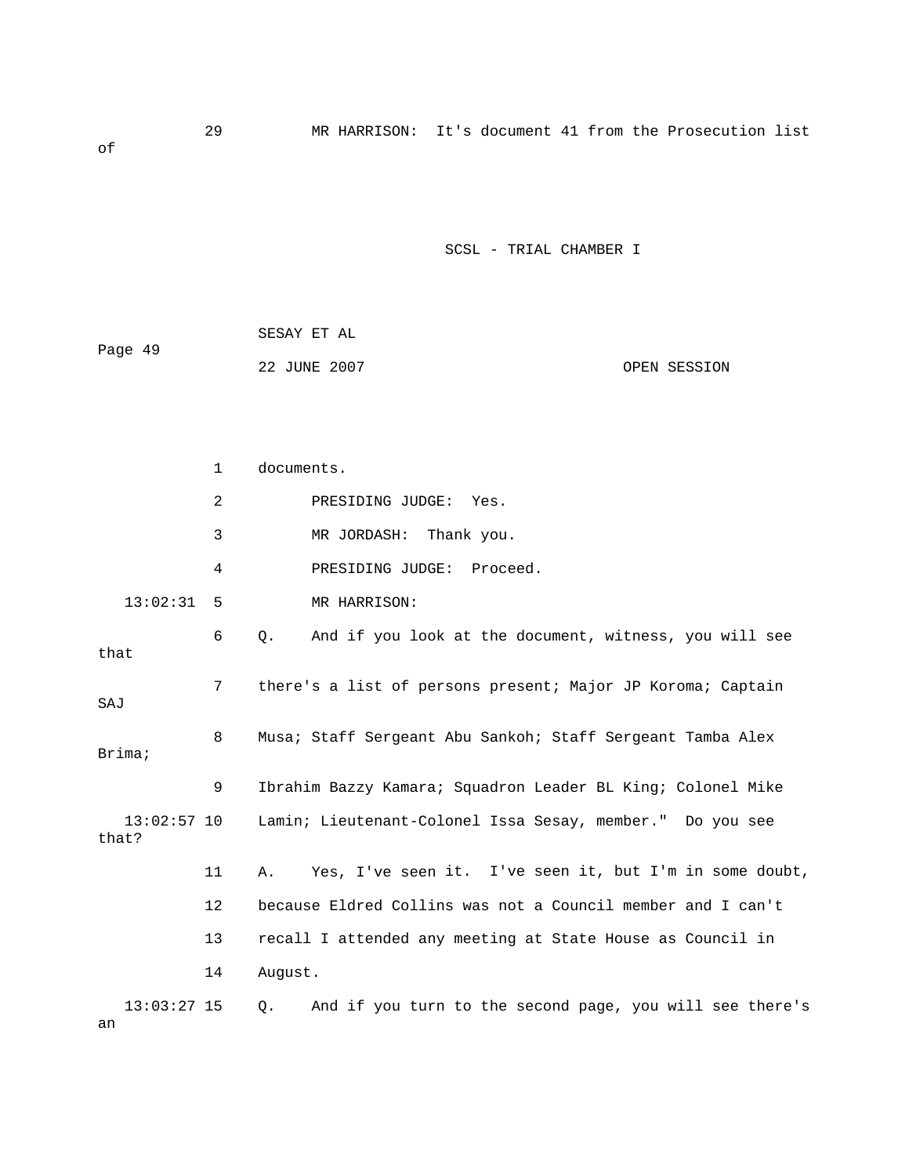|         | SESAY ET AL  |              |
|---------|--------------|--------------|
| Page 49 |              |              |
|         | 22 JUNE 2007 | OPEN SESSION |

of

|                        | $\mathbf{1}$ | documents.                                                      |
|------------------------|--------------|-----------------------------------------------------------------|
|                        | 2            | PRESIDING JUDGE: Yes.                                           |
|                        | 3            | MR JORDASH:<br>Thank you.                                       |
|                        | 4            | PRESIDING JUDGE: Proceed.                                       |
| 13:02:31               | 5            | MR HARRISON:                                                    |
| that                   | 6            | And if you look at the document, witness, you will see<br>$Q$ . |
| SAJ                    | 7            | there's a list of persons present; Major JP Koroma; Captain     |
| Brima;                 | 8            | Musa; Staff Sergeant Abu Sankoh; Staff Sergeant Tamba Alex      |
|                        | 9            | Ibrahim Bazzy Kamara; Squadron Leader BL King; Colonel Mike     |
| $13:02:57$ 10<br>that? |              | Lamin; Lieutenant-Colonel Issa Sesay, member." Do you see       |
|                        | 11           | Yes, I've seen it. I've seen it, but I'm in some doubt,<br>Α.   |
|                        | 12           | because Eldred Collins was not a Council member and I can't     |
|                        | 13           | recall I attended any meeting at State House as Council in      |
|                        | 14           | August.                                                         |
| $13:03:27$ 15<br>an    |              | And if you turn to the second page, you will see there's<br>Q.  |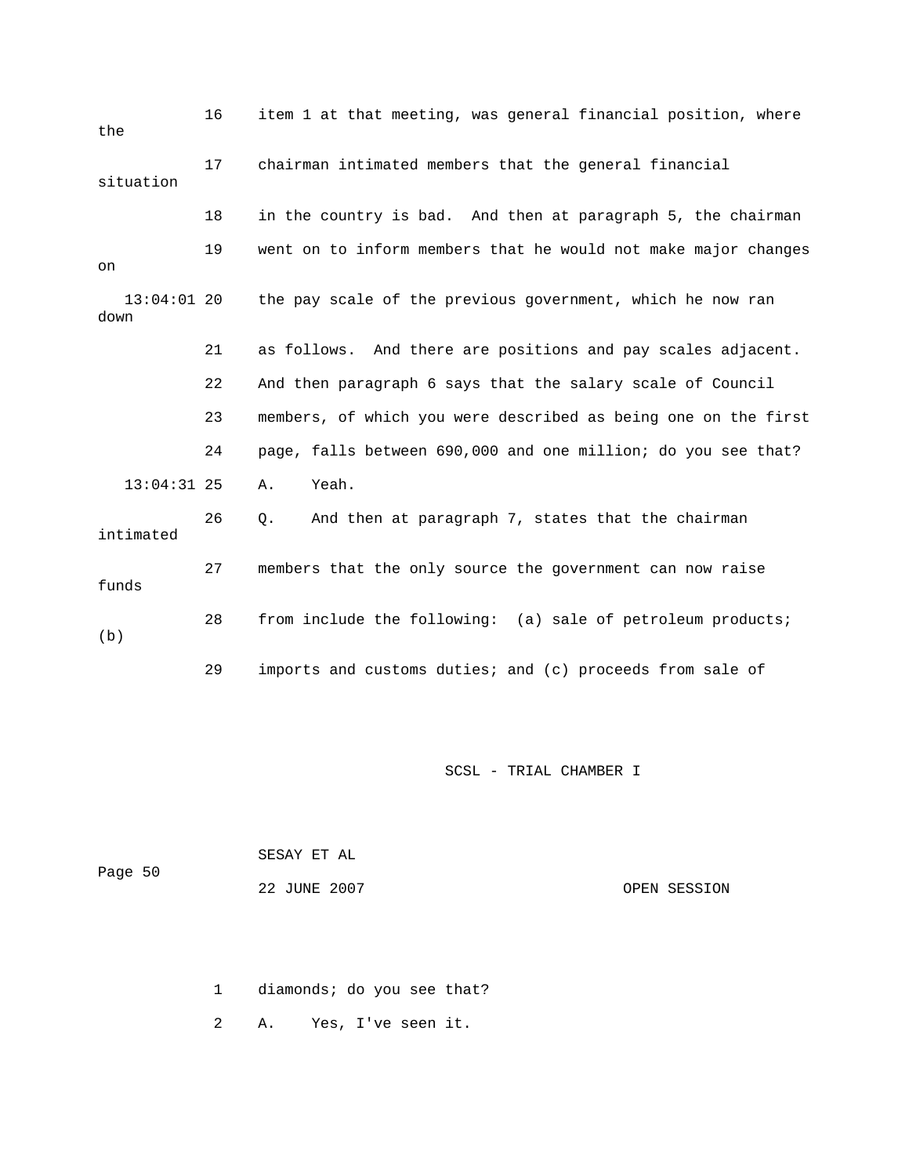| the                   | 16 | item 1 at that meeting, was general financial position, where  |
|-----------------------|----|----------------------------------------------------------------|
| situation             | 17 | chairman intimated members that the general financial          |
|                       | 18 | in the country is bad. And then at paragraph 5, the chairman   |
| on                    | 19 | went on to inform members that he would not make major changes |
| $13:04:01$ 20<br>down |    | the pay scale of the previous government, which he now ran     |
|                       | 21 | as follows. And there are positions and pay scales adjacent.   |
|                       | 22 | And then paragraph 6 says that the salary scale of Council     |
|                       | 23 | members, of which you were described as being one on the first |
|                       | 24 | page, falls between 690,000 and one million; do you see that?  |
| $13:04:31$ 25         |    | Yeah.<br>Α.                                                    |
| intimated             | 26 | And then at paragraph 7, states that the chairman<br>Q.        |
| funds                 | 27 | members that the only source the government can now raise      |
| (b)                   | 28 | from include the following: (a) sale of petroleum products;    |
|                       | 29 | imports and customs duties; and (c) proceeds from sale of      |

| Page 50 | SESAY ET AL  |              |
|---------|--------------|--------------|
|         | 22 JUNE 2007 | OPEN SESSION |

1 diamonds; do you see that?

2 A. Yes, I've seen it.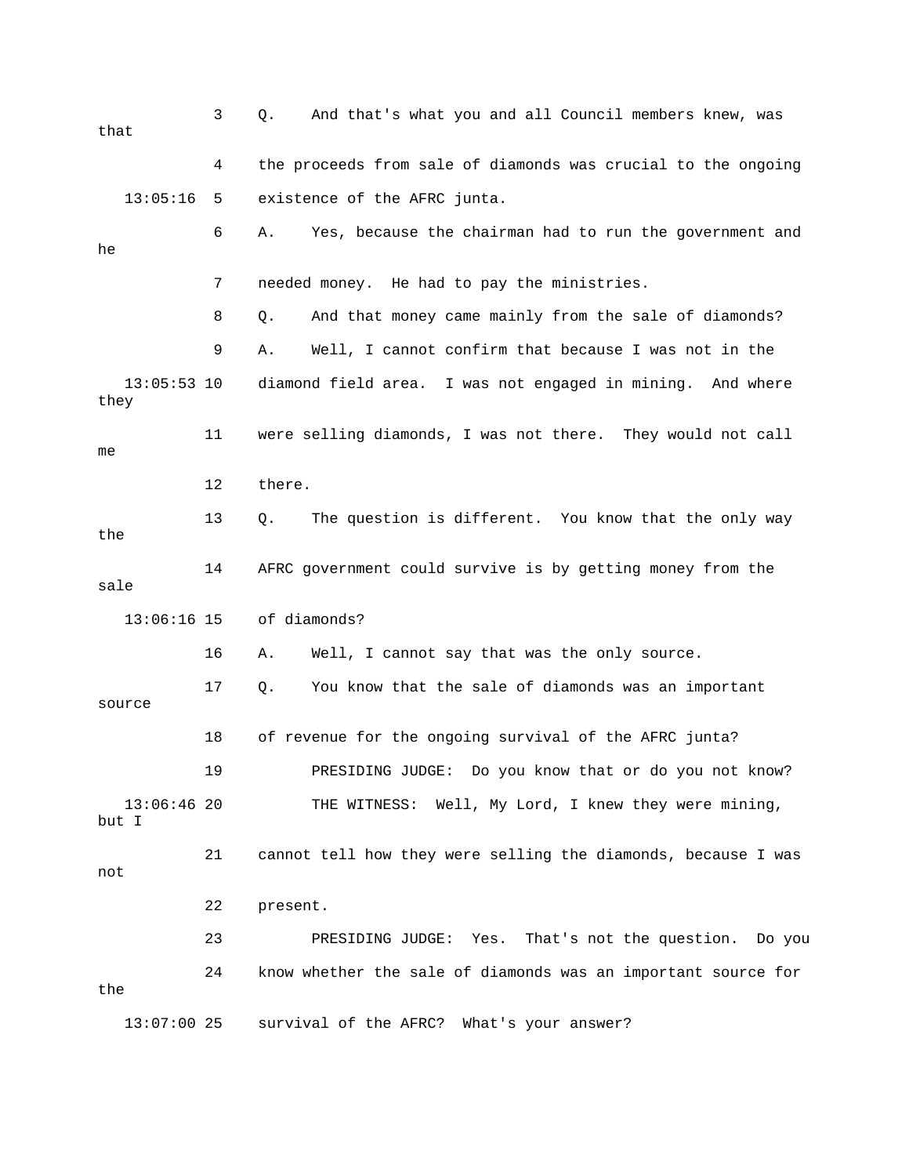3 Q. And that's what you and all Council members knew, was 4 the proceeds from sale of diamonds was crucial to the ongoing 13:05:16 5 existence of the AFRC junta. 6 A. Yes, because the chairman had to run the government and 7 needed money. He had to pay the ministries. 8 Q. And that money came mainly from the sale of diamonds? 11 were selling diamonds, I was not there. They would not call 12 there. 13 Q. The question is different. You know that the only way 14 AFRC government could survive is by getting money from the sale 13:06:16 15 of diamonds? 16 A. Well, I cannot say that was the only source. source 18 of revenue for the ongoing survival of the AFRC junta? 13:06:46 20 THE WITNESS: Well, My Lord, I knew they were mining, 21 cannot tell how they were selling the diamonds, because I was you 23 PRESIDING JUDGE: Yes. That's not the question. Do 24 know whether the sale of diamonds was an important source for that he 9 A. Well, I cannot confirm that because I was not in the 13:05:53 10 diamond field area. I was not engaged in mining. And where they me the 17 Q. You know that the sale of diamonds was an important 19 PRESIDING JUDGE: Do you know that or do you not know? but I not 22 present. the 13:07:00 25 survival of the AFRC? What's your answer?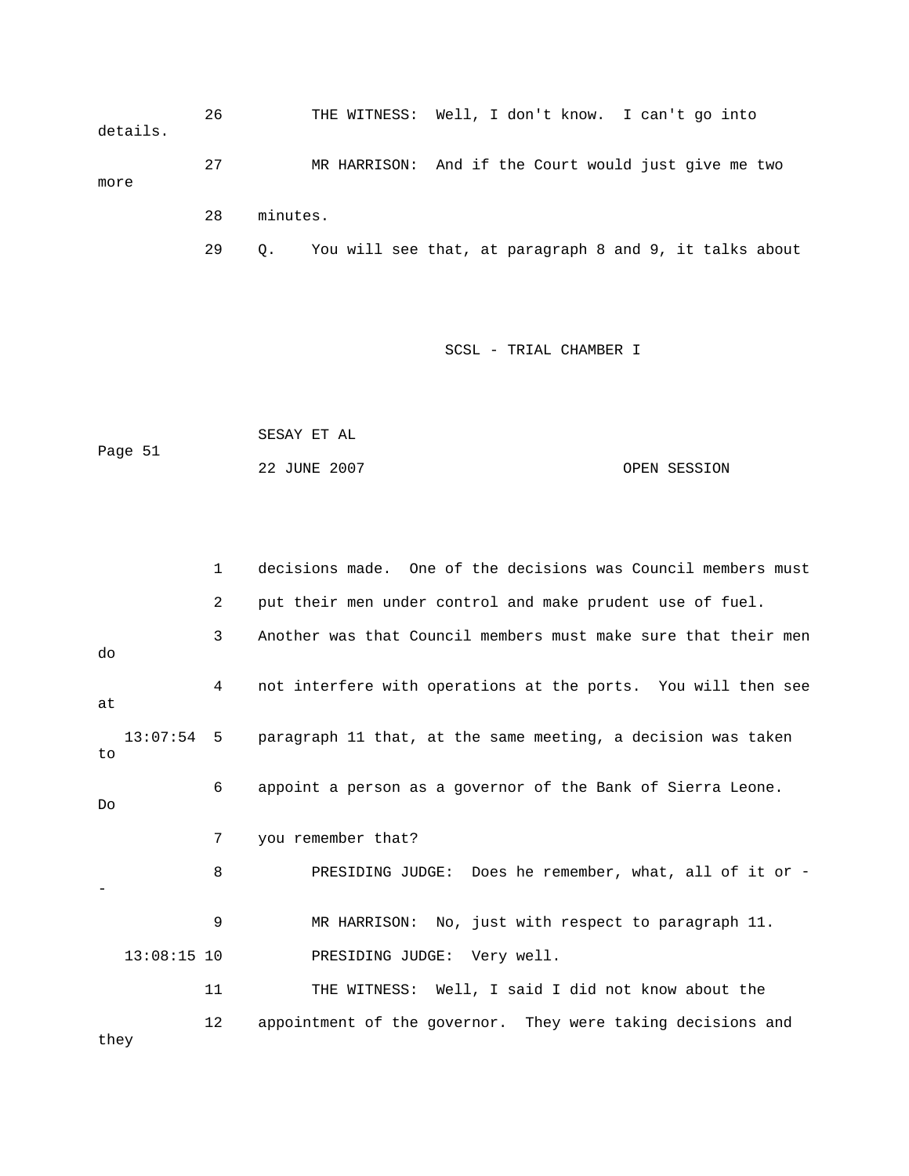26 THE WITNESS: Well, I don't know. I can't go into details. 27 MR HARRISON: And if the Court would just give me two more 28 minutes. 29 Q. You will see that, at paragraph 8 and 9, it talks about

```
 SESAY ET AL 
Page 51
                                                         OPEN SESSION
                 22 JUNE 20
```

|      | $\mathbf{1}$  | decisions made. One of the decisions was Council members must           |
|------|---------------|-------------------------------------------------------------------------|
|      | 2             | put their men under control and make prudent use of fuel.               |
| do   | 3             | Another was that Council members must make sure that their men          |
| at   | 4             | not interfere with operations at the ports. You will then see           |
| to   |               | 13:07:54 5 paragraph 11 that, at the same meeting, a decision was taken |
| Do   | 6             | appoint a person as a governor of the Bank of Sierra Leone.             |
|      | 7             | you remember that?                                                      |
|      | 8             | PRESIDING JUDGE: Does he remember, what, all of it or -                 |
|      | 9             | MR HARRISON: No, just with respect to paragraph 11.                     |
|      | $13:08:15$ 10 | PRESIDING JUDGE: Very well.                                             |
|      | 11            | THE WITNESS: Well, I said I did not know about the                      |
| they | 12            | appointment of the governor. They were taking decisions and             |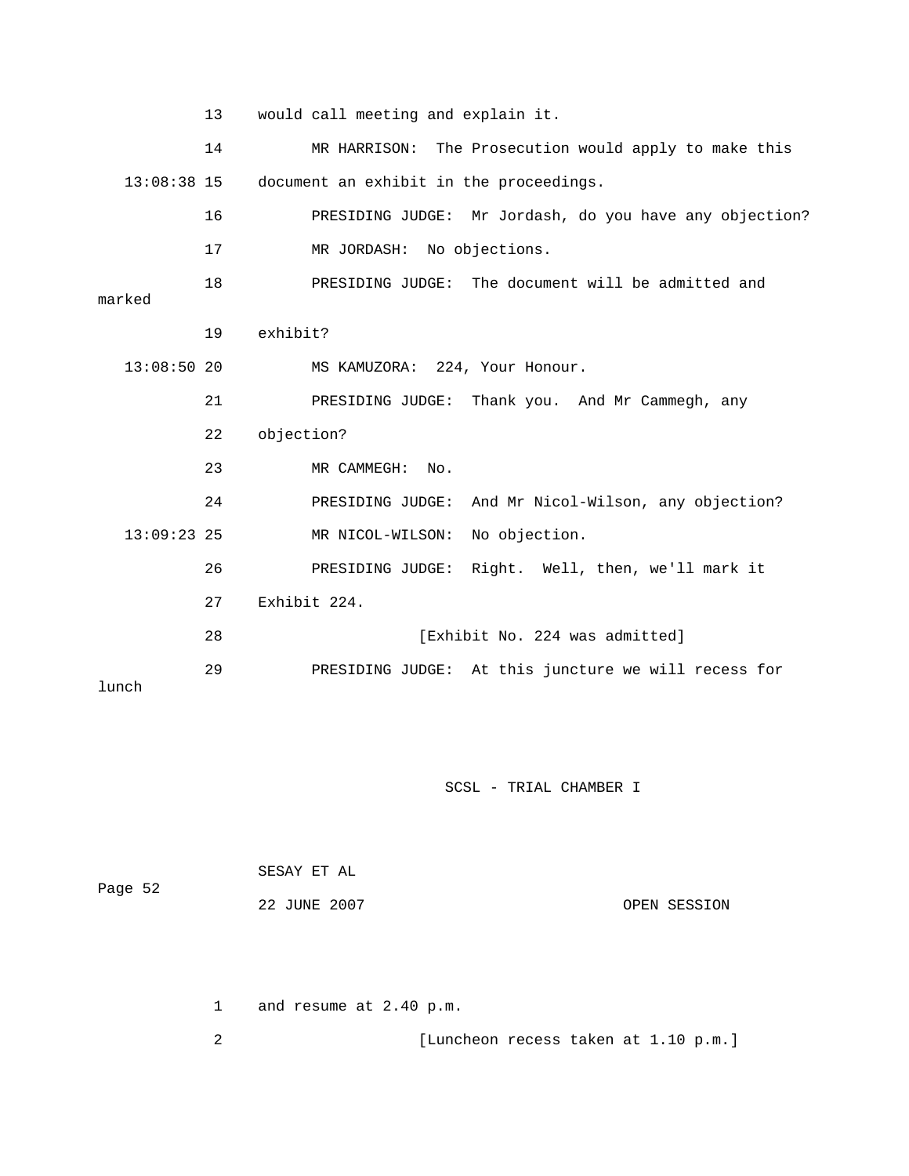|               | 13 | would call meeting and explain it.                      |
|---------------|----|---------------------------------------------------------|
|               | 14 | MR HARRISON: The Prosecution would apply to make this   |
| $13:08:38$ 15 |    | document an exhibit in the proceedings.                 |
|               | 16 | PRESIDING JUDGE: Mr Jordash, do you have any objection? |
|               | 17 | MR JORDASH: No objections.                              |
| marked        | 18 | PRESIDING JUDGE: The document will be admitted and      |
|               |    |                                                         |
|               | 19 | exhibit?                                                |
| 13:08:5020    |    | MS KAMUZORA: 224, Your Honour.                          |
|               | 21 | PRESIDING JUDGE: Thank you. And Mr Cammegh, any         |
|               | 22 | objection?                                              |
|               | 23 | MR CAMMEGH:<br>No.                                      |
|               | 24 | PRESIDING JUDGE: And Mr Nicol-Wilson, any objection?    |
| $13:09:23$ 25 |    | MR NICOL-WILSON: No objection.                          |
|               | 26 | PRESIDING JUDGE: Right. Well, then, we'll mark it       |
|               | 27 | Exhibit 224.                                            |
|               | 28 | [Exhibit No. 224 was admitted]                          |
| lunch         | 29 | PRESIDING JUDGE: At this juncture we will recess for    |

| Page 52 | SESAY ET AL  |              |
|---------|--------------|--------------|
|         | 22 JUNE 2007 | OPEN SESSION |

1 and resume at 2.40 p.m.

2 [Luncheon recess taken at 1.10 p.m.]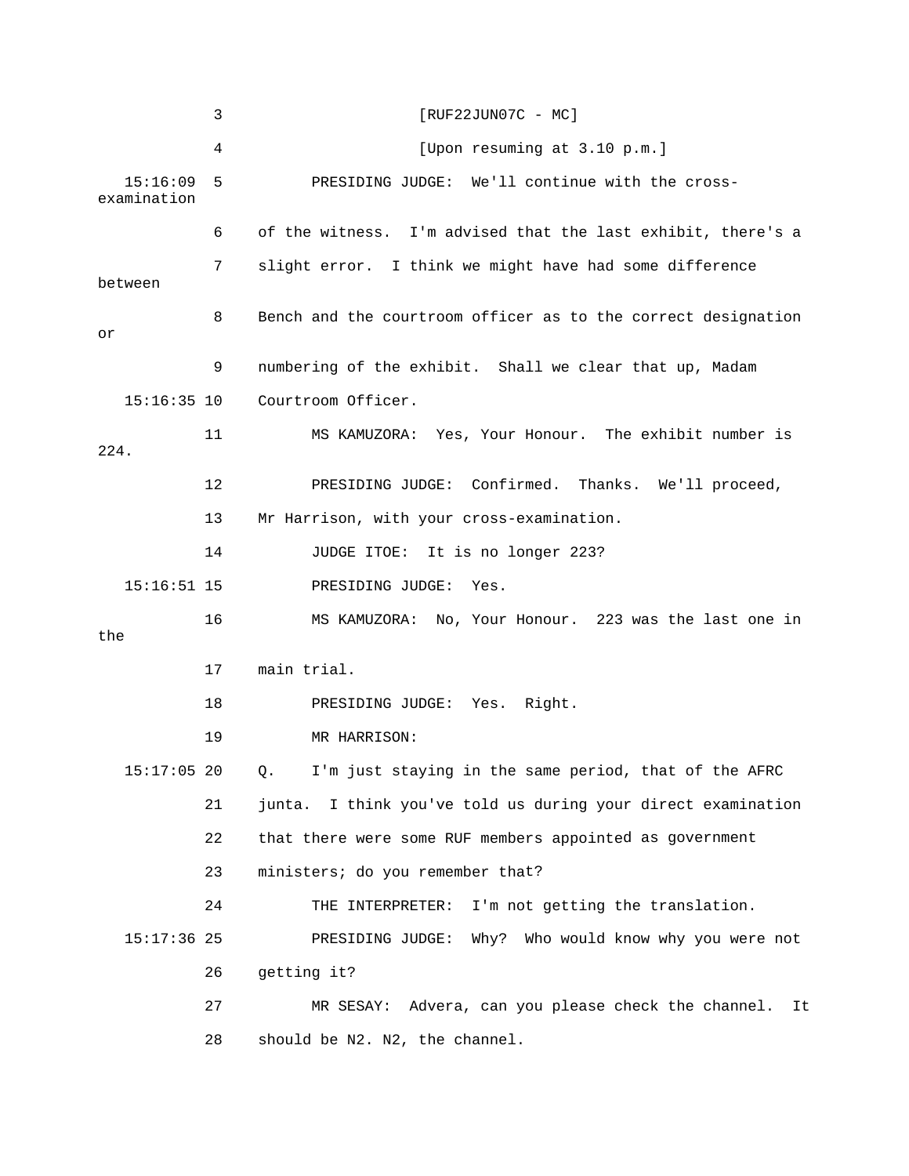|                         | 3  | $[RUF22JUN07C - MC]$                                            |
|-------------------------|----|-----------------------------------------------------------------|
|                         | 4  | [Upon resuming at 3.10 p.m.]                                    |
| 15:16:09<br>examination | 5  | PRESIDING JUDGE: We'll continue with the cross-                 |
|                         | 6  | of the witness. I'm advised that the last exhibit, there's a    |
| between                 | 7  | slight error. I think we might have had some difference         |
| or                      | 8  | Bench and the courtroom officer as to the correct designation   |
|                         | 9  | numbering of the exhibit. Shall we clear that up, Madam         |
| $15:16:35$ 10           |    | Courtroom Officer.                                              |
| 224.                    | 11 | MS KAMUZORA: Yes, Your Honour. The exhibit number is            |
|                         | 12 | PRESIDING JUDGE: Confirmed. Thanks. We'll proceed,              |
|                         | 13 | Mr Harrison, with your cross-examination.                       |
|                         | 14 | JUDGE ITOE: It is no longer 223?                                |
| $15:16:51$ 15           |    | PRESIDING JUDGE:<br>Yes.                                        |
| the                     | 16 | MS KAMUZORA: No, Your Honour. 223 was the last one in           |
|                         | 17 | main trial.                                                     |
|                         | 18 | PRESIDING JUDGE: Yes. Right.                                    |
|                         | 19 | MR HARRISON:                                                    |
| $15:17:05$ 20           |    | I'm just staying in the same period, that of the AFRC<br>Q.     |
|                         | 21 | I think you've told us during your direct examination<br>junta. |
|                         | 22 | that there were some RUF members appointed as government        |
|                         | 23 | ministers; do you remember that?                                |
|                         | 24 | THE INTERPRETER: I'm not getting the translation.               |
| $15:17:36$ 25           |    | PRESIDING JUDGE: Why? Who would know why you were not           |
|                         | 26 | getting it?                                                     |
|                         | 27 | MR SESAY: Advera, can you please check the channel.<br>It       |
|                         | 28 | should be N2. N2, the channel.                                  |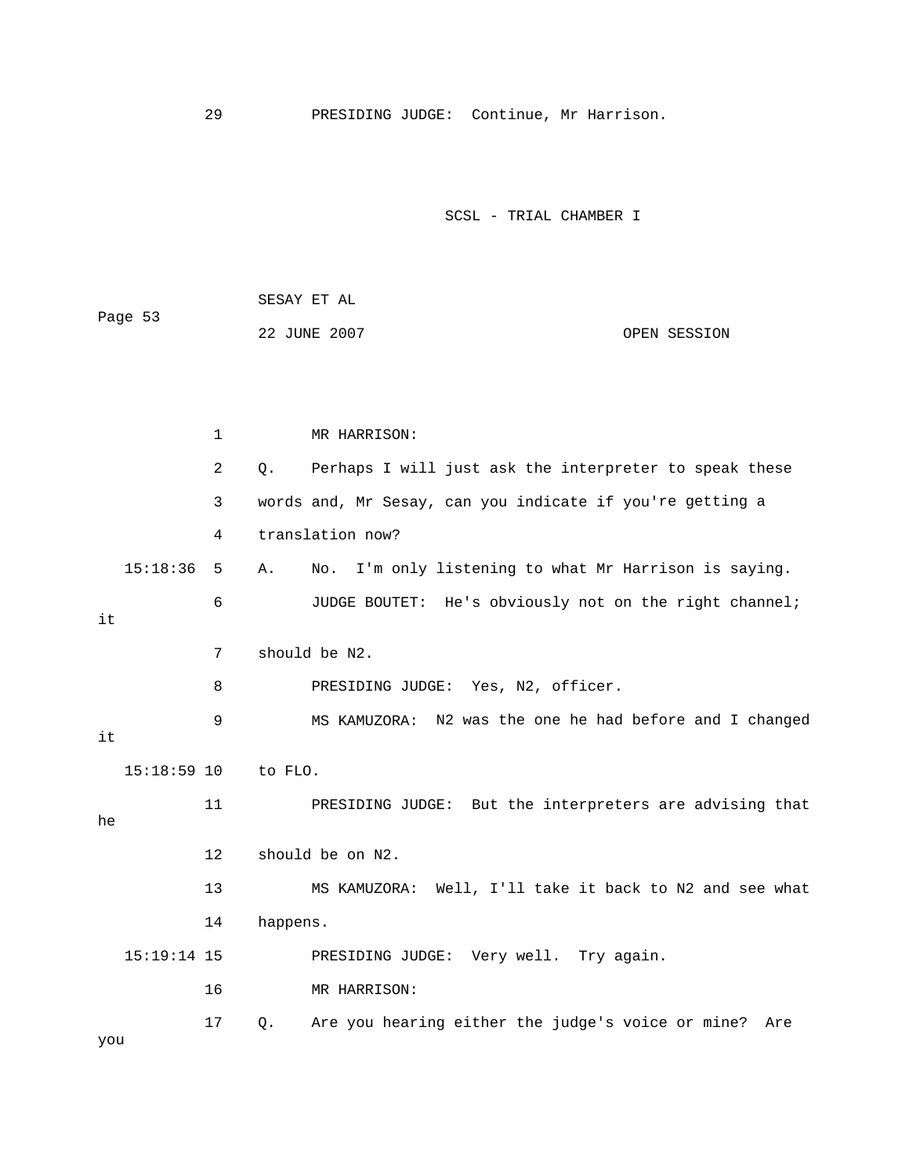29 PRESIDING JUDGE: Continue, Mr Harrison.

SCSL - TRIAL CHAMBER I

Page 53 1 MR HARRISON: 2 Q. Perhaps I will just ask the interpreter to speak these 3 words and, Mr Sesay, can you indicate if you're getting a 4 translation now? 15:18:36 5 A. No. I'm only listening to what Mr Harrison is saying. 6 JUDGE BOUTET: He's obviously not on the right channel; 7 should be N2. 8 PRESIDING JUDGE: Yes, N2, officer. N2 was the one he had before and I changed 9 MS KAMUZORA: 15:18:59 10 to FLO. 11 PRESIDING JUDGE: But the interpreters are advising that 14 happens. 15:19:14 15 PRESIDING JUDGE: Very well. Try again. 17 Q. Are you hearing either the judge's voice or mine? Are SESAY ET AL 22 JUNE 2007 OPEN SESSION it it he 12 should be on N2. 13 MS KAMUZORA: Well, I'll take it back to N2 and see what 16 MR HARRISON: you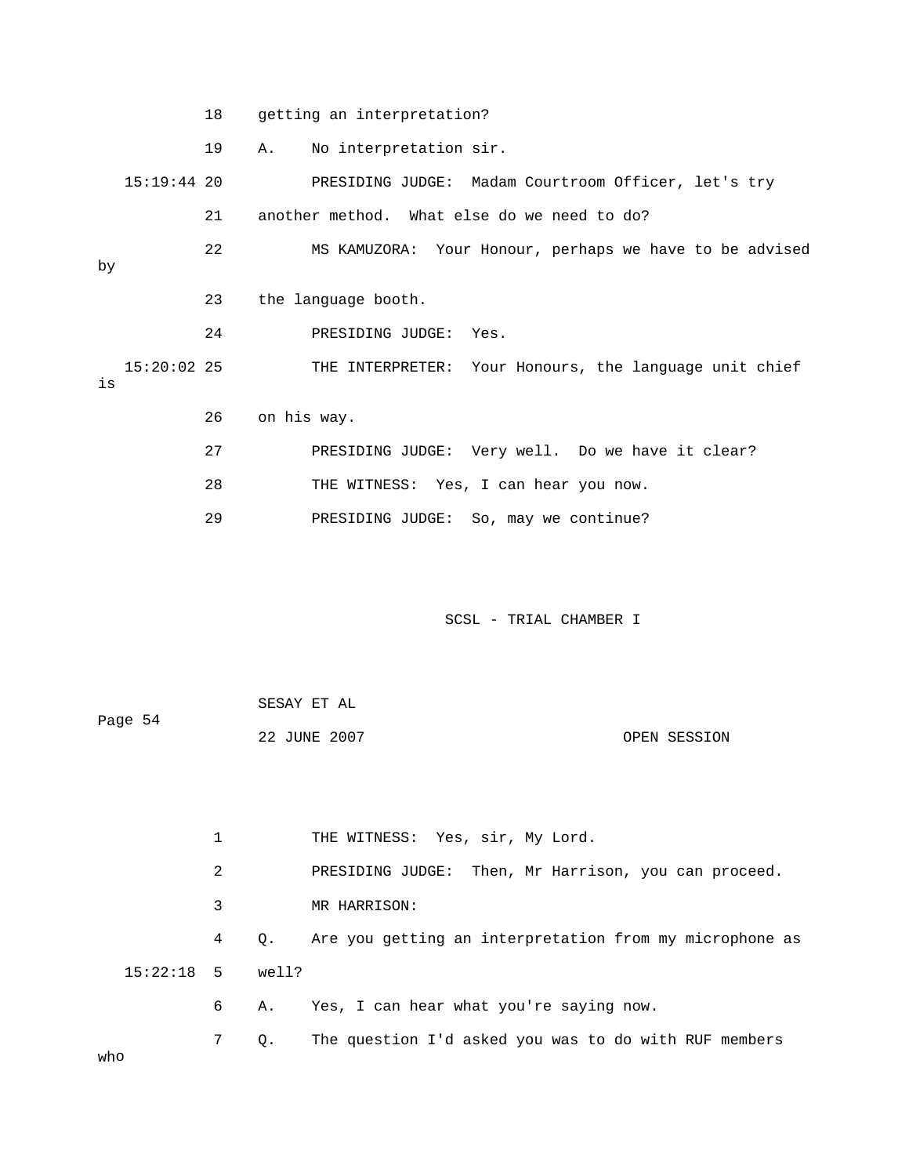18 getting an interpretation?

19 A. No interpretation sir.

15:19:44 20 PRESIDING JUDGE: Madam Courtroom Officer, let's try 22 MS KAMUZORA: Your Honour, perhaps we have to be advised 23 the language booth. THE INTERPRETER: Your Honours, the language unit chief 26 on his way. 27 PRESIDING JUDGE: Very well. Do we have it clear? 21 another method. What else do we need to do? by 24 PRESIDING JUDGE: Yes.  $15:20:02$  25 is 28 THE WITNESS: Yes, I can hear you now.

29 PRESIDING JUDGE: So, may we continue?

| Page 54 | SESAY ET AL  |              |
|---------|--------------|--------------|
|         | 22 JUNE 2007 | OPEN SESSION |

|     |                    | 1 |    | THE WITNESS: Yes, sir, My Lord.                         |
|-----|--------------------|---|----|---------------------------------------------------------|
|     |                    | 2 |    | PRESIDING JUDGE: Then, Mr Harrison, you can proceed.    |
|     |                    | 3 |    | MR HARRISON:                                            |
|     |                    | 4 | 0. | Are you getting an interpretation from my microphone as |
|     | $15:22:18$ 5 well? |   |    |                                                         |
|     |                    | 6 | А. | Yes, I can hear what you're saying now.                 |
|     |                    | 7 | Q. | The question I'd asked you was to do with RUF members   |
| who |                    |   |    |                                                         |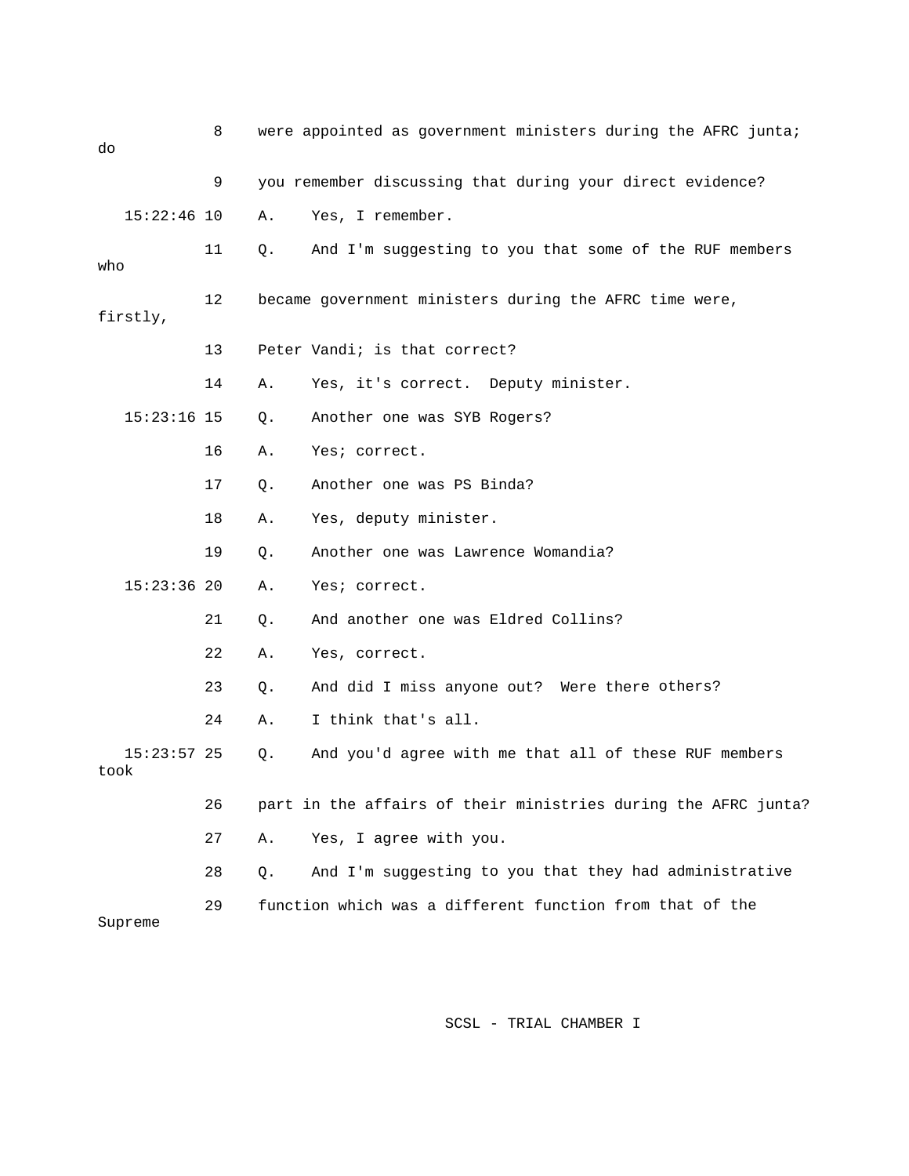| do                    | 8  |    | were appointed as government ministers during the AFRC junta;  |
|-----------------------|----|----|----------------------------------------------------------------|
|                       | 9  |    | you remember discussing that during your direct evidence?      |
| $15:22:46$ 10         |    | Α. | Yes, I remember.                                               |
| who                   | 11 | Q. | And I'm suggesting to you that some of the RUF members         |
| firstly,              | 12 |    | became government ministers during the AFRC time were,         |
|                       | 13 |    | Peter Vandi; is that correct?                                  |
|                       | 14 | Α. | Yes, it's correct. Deputy minister.                            |
| $15:23:16$ 15         |    | Q. | Another one was SYB Rogers?                                    |
|                       | 16 | Α. | Yes; correct.                                                  |
|                       | 17 | Q. | Another one was PS Binda?                                      |
|                       | 18 | Α. | Yes, deputy minister.                                          |
|                       | 19 | Q. | Another one was Lawrence Womandia?                             |
| $15:23:36$ 20         |    | Α. | Yes; correct.                                                  |
|                       | 21 | Q. | And another one was Eldred Collins?                            |
|                       | 22 | Α. | Yes, correct.                                                  |
|                       | 23 | Q. | And did I miss anyone out? Were there others?                  |
|                       | 24 | Α. | I think that's all.                                            |
| $15:23:57$ 25<br>took |    | Q. | And you'd agree with me that all of these RUF members          |
|                       | 26 |    | part in the affairs of their ministries during the AFRC junta? |
|                       | 27 | Α. | Yes, I agree with you.                                         |
|                       | 28 | Q. | And I'm suggesting to you that they had administrative         |
| Supreme               | 29 |    | function which was a different function from that of the       |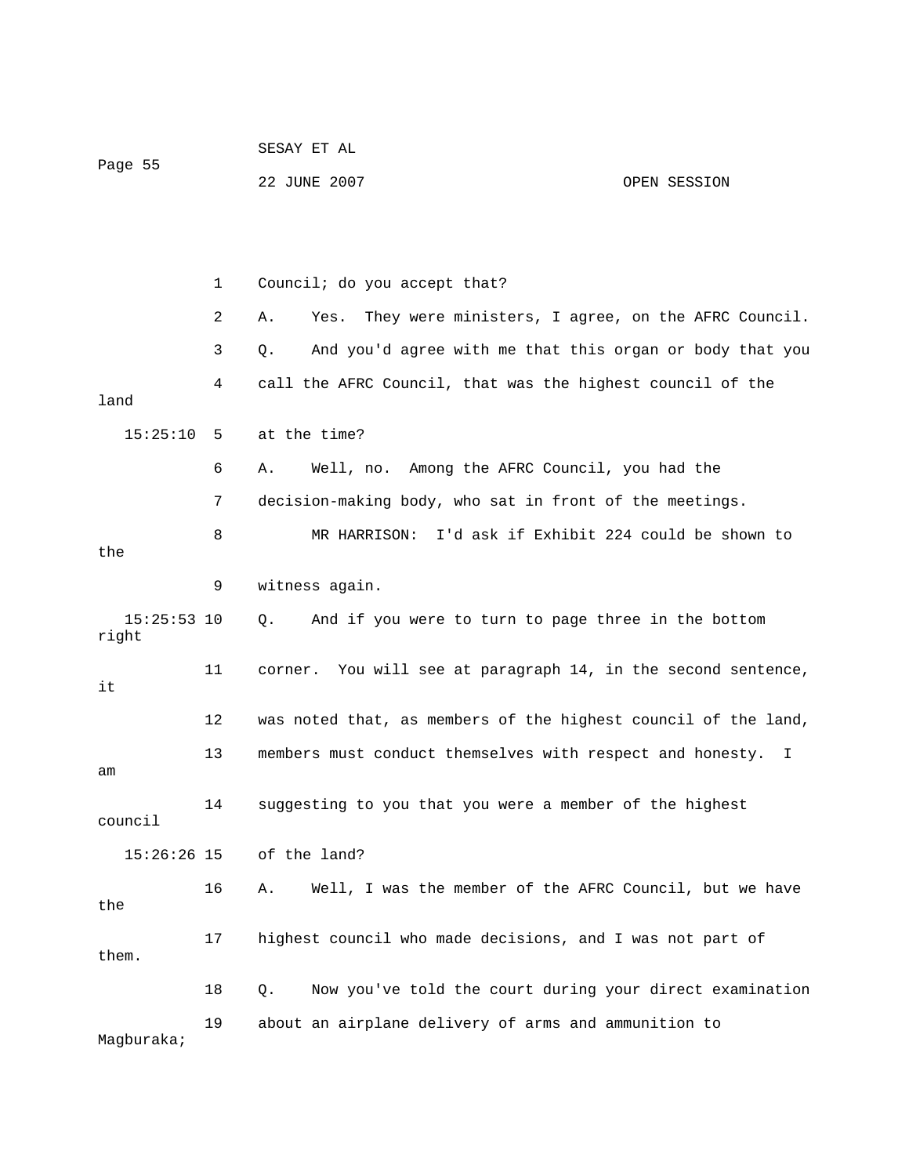| Page 55                |    | 22 JUNE 2007                                                     | OPEN SESSION |
|------------------------|----|------------------------------------------------------------------|--------------|
|                        |    |                                                                  |              |
|                        | 1  | Council; do you accept that?                                     |              |
|                        | 2  | They were ministers, I agree, on the AFRC Council.<br>Α.<br>Yes. |              |
|                        | 3  | And you'd agree with me that this organ or body that you<br>Q.   |              |
| land                   | 4  | call the AFRC Council, that was the highest council of the       |              |
| 15:25:10               | 5  | at the time?                                                     |              |
|                        | 6  | Well, no. Among the AFRC Council, you had the<br>Α.              |              |
|                        | 7  | decision-making body, who sat in front of the meetings.          |              |
| the                    | 8  | I'd ask if Exhibit 224 could be shown to<br>MR HARRISON:         |              |
|                        | 9  | witness again.                                                   |              |
| $15:25:53$ 10<br>right |    | And if you were to turn to page three in the bottom<br>Q.        |              |
| it                     | 11 | corner. You will see at paragraph 14, in the second sentence,    |              |
|                        | 12 | was noted that, as members of the highest council of the land,   |              |
| am                     | 13 | members must conduct themselves with respect and honesty.        | I            |
| council                | 14 | suggesting to you that you were a member of the highest          |              |
| $15:26:26$ 15          |    | of the land?                                                     |              |
| the                    | 16 | Well, I was the member of the AFRC Council, but we have<br>Α.    |              |
| them.                  | 17 | highest council who made decisions, and I was not part of        |              |
|                        | 18 | Now you've told the court during your direct examination<br>Q.   |              |
| Magburaka;             | 19 | about an airplane delivery of arms and ammunition to             |              |

SESAY ET AL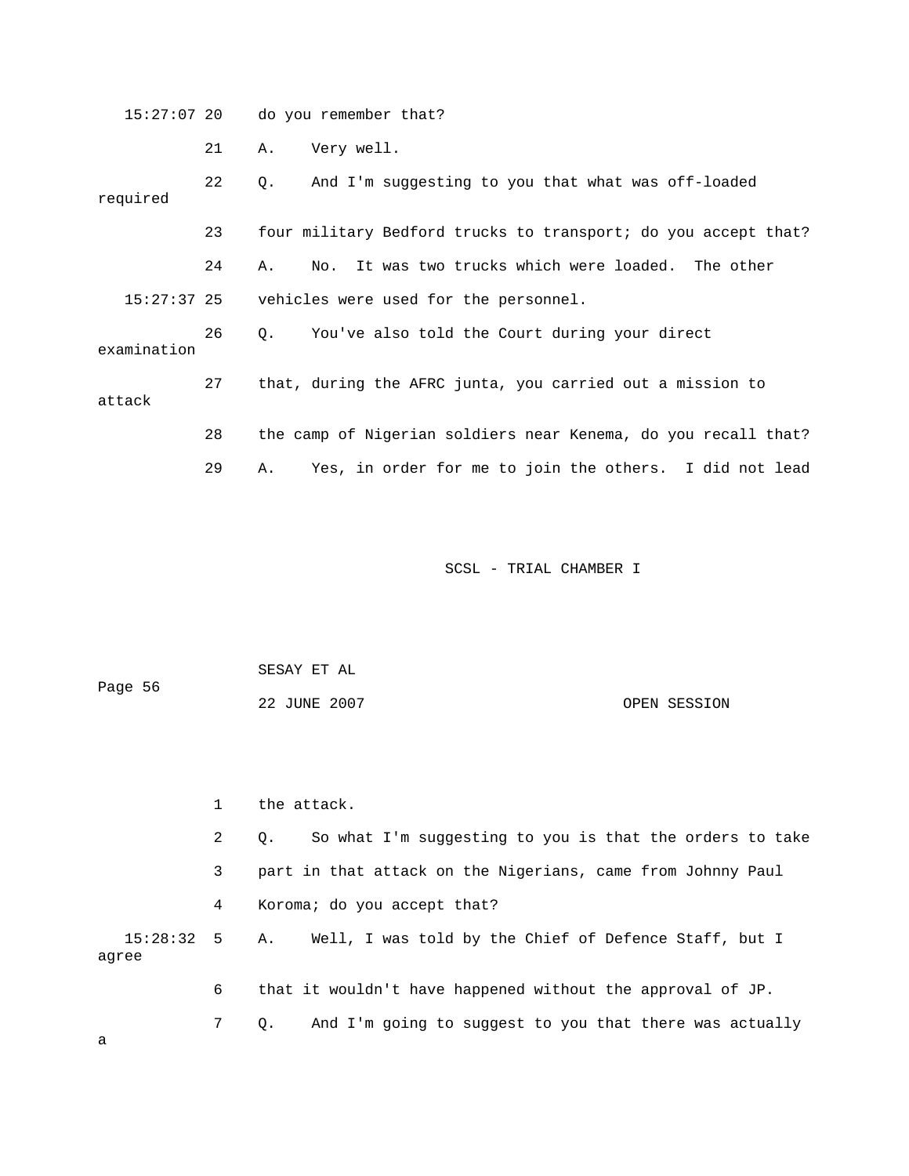15:27:07 20 do you remember that?

21 A. Very well.

 22 Q. And I'm suggesting to you that what was off-loaded required 24 A. No. It was two trucks which were loaded. The other 27 that, during the AFRC junta, you carried out a mission to 28 the camp of Nigerian soldiers near Kenema, do you recall that? 29 A. Yes, in order for me to join the others. I did not lead 23 four military Bedford trucks to transport; do you accept that? 15:27:37 25 vehicles were used for the personnel. 26 Q. You've also told the Court during your direct examination attack

SCSL - TRIAL CHAMBER I

| Page 56 | SESAY ET AL  |              |  |
|---------|--------------|--------------|--|
|         | 22 JUNE 2007 | OPEN SESSION |  |

 2 Q. So what I'm suggesting to you is that the orders to take 3 part in that attack on the Nigerians, came from Johnny Paul 4 Koroma; do you accept that? 15:28:32 5 A. Well, I was told by the Chief of Defence Staff, but I agree 6 that it wouldn't have happened without the approval of JP. 1 the attack. 7 Q. And I'm going to suggest to you that there was actually

a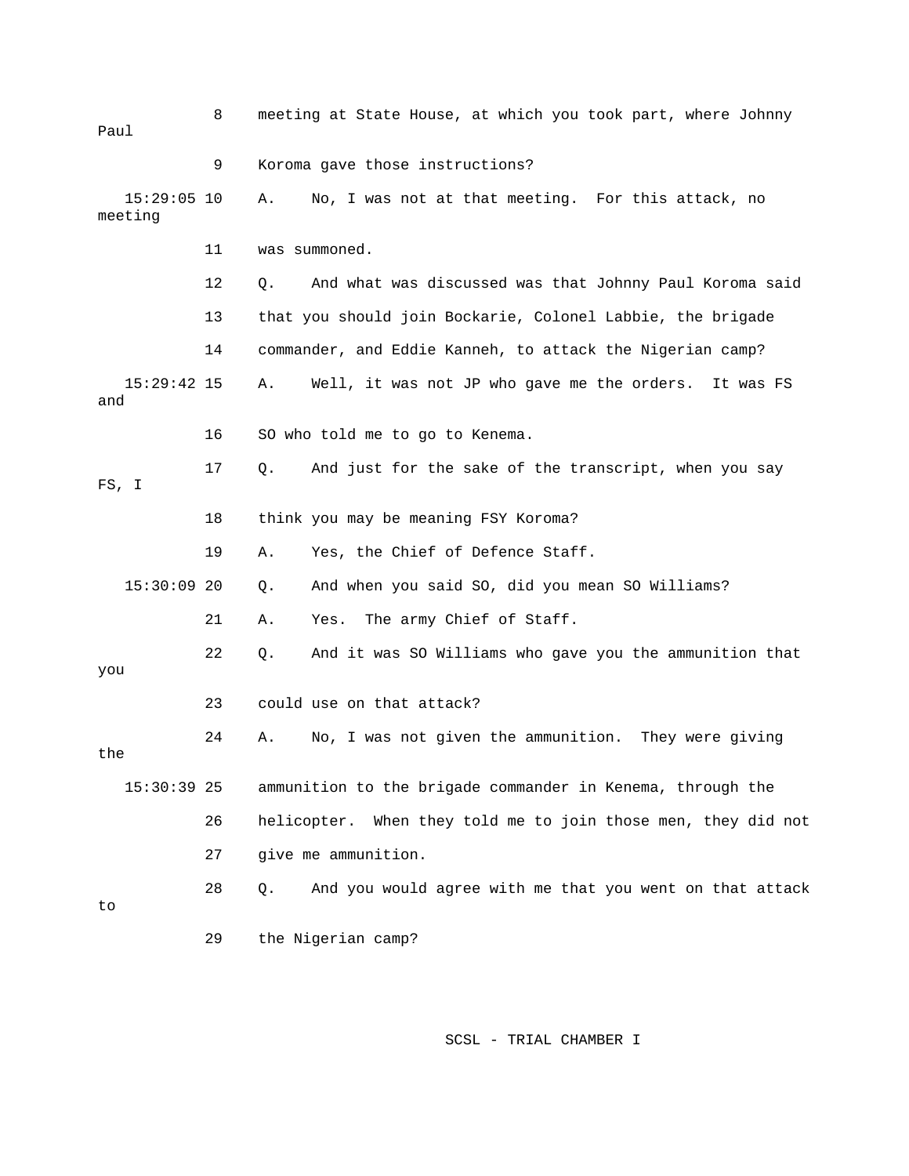| Paul                     | 8  | meeting at State House, at which you took part, where Johnny      |
|--------------------------|----|-------------------------------------------------------------------|
|                          | 9  | Koroma gave those instructions?                                   |
| $15:29:05$ 10<br>meeting |    | No, I was not at that meeting. For this attack, no<br>Α.          |
|                          | 11 | was summoned.                                                     |
|                          | 12 | And what was discussed was that Johnny Paul Koroma said<br>Q.     |
|                          | 13 | that you should join Bockarie, Colonel Labbie, the brigade        |
|                          | 14 | commander, and Eddie Kanneh, to attack the Nigerian camp?         |
| $15:29:42$ 15<br>and     |    | Well, it was not JP who gave me the orders.<br>Α.<br>It was FS    |
|                          | 16 | SO who told me to go to Kenema.                                   |
| FS, I                    | 17 | And just for the sake of the transcript, when you say<br>Q.       |
|                          | 18 | think you may be meaning FSY Koroma?                              |
|                          | 19 | Yes, the Chief of Defence Staff.<br>Α.                            |
| $15:30:09$ 20            |    | And when you said SO, did you mean SO Williams?<br>Q.             |
|                          | 21 | The army Chief of Staff.<br>Α.<br>Yes.                            |
| you                      | 22 | And it was SO Williams who gave you the ammunition that<br>Q.     |
|                          | 23 | could use on that attack?                                         |
| the                      | 24 | No, I was not given the ammunition. They were giving<br>Α.        |
| $15:30:39$ 25            |    | ammunition to the brigade commander in Kenema, through the        |
|                          | 26 | When they told me to join those men, they did not<br>helicopter.  |
|                          | 27 | give me ammunition.                                               |
| to                       | 28 | And you would agree with me that you went on that attack<br>$Q$ . |
|                          | 29 | the Nigerian camp?                                                |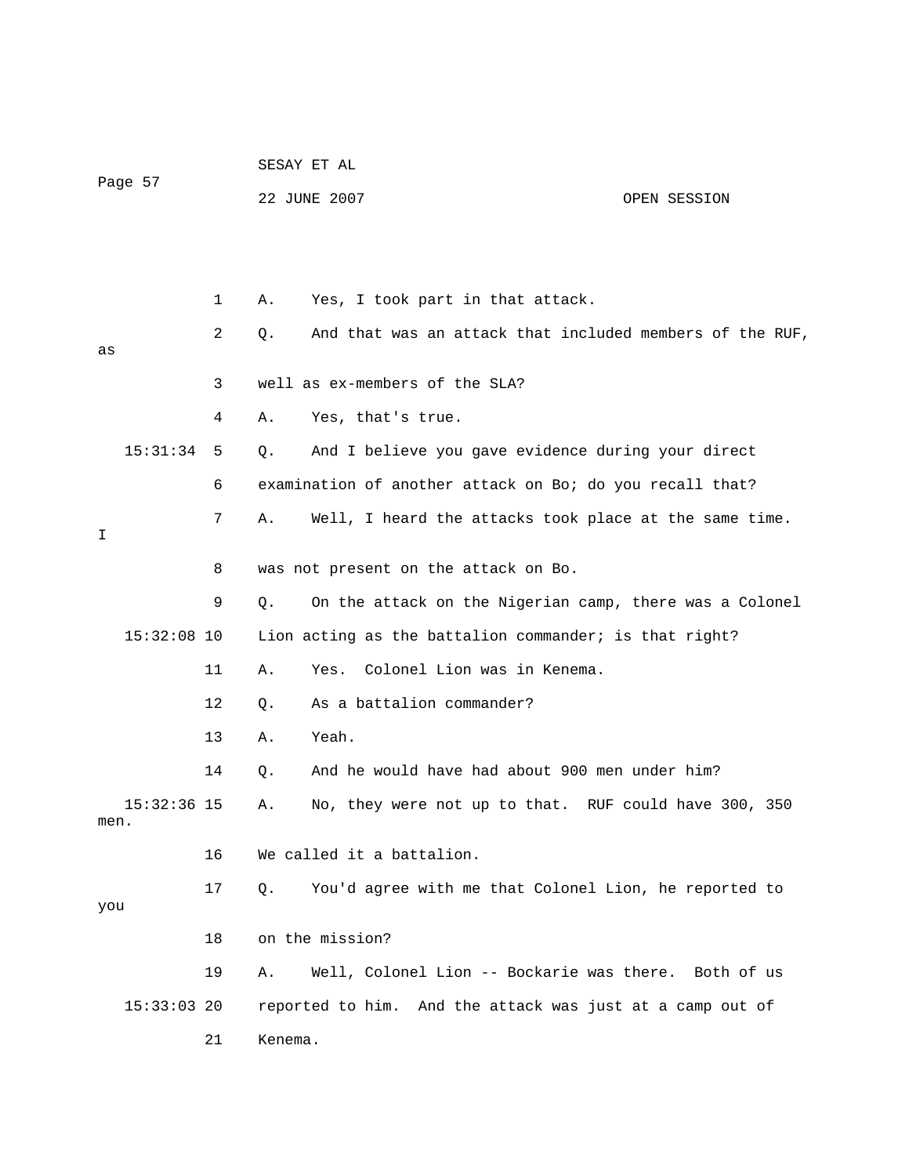|               |    | SESAY ET AL  |                                                           |              |
|---------------|----|--------------|-----------------------------------------------------------|--------------|
| Page 57       |    | 22 JUNE 2007 |                                                           | OPEN SESSION |
|               |    |              |                                                           |              |
|               |    |              |                                                           |              |
|               | 1  | Α.           | Yes, I took part in that attack.                          |              |
|               | 2  | Q.           | And that was an attack that included members of the RUF,  |              |
| as            |    |              |                                                           |              |
|               | 3  |              | well as ex-members of the SLA?                            |              |
|               | 4  | Α.           | Yes, that's true.                                         |              |
| 15:31:34      | 5  | Q.           | And I believe you gave evidence during your direct        |              |
|               | 6  |              | examination of another attack on Bo; do you recall that?  |              |
|               | 7  | Α.           | Well, I heard the attacks took place at the same time.    |              |
| I             |    |              |                                                           |              |
|               | 8  |              | was not present on the attack on Bo.                      |              |
|               | 9  | Q.           | On the attack on the Nigerian camp, there was a Colonel   |              |
| $15:32:08$ 10 |    |              | Lion acting as the battalion commander; is that right?    |              |
|               | 11 | Α.           | Colonel Lion was in Kenema.<br>Yes.                       |              |
|               | 12 | Q.           | As a battalion commander?                                 |              |
|               | 13 | Α.           | Yeah.                                                     |              |
|               | 14 | Q.           | And he would have had about 900 men under him?            |              |
| $15:32:36$ 15 |    | Α.           | No, they were not up to that. RUF could have 300, 350     |              |
| men.          |    |              |                                                           |              |
|               | 16 |              | We called it a battalion.                                 |              |
| you           | 17 | Q.           | You'd agree with me that Colonel Lion, he reported to     |              |
|               |    |              |                                                           |              |
|               | 18 |              | on the mission?                                           |              |
|               | 19 | Α.           | Well, Colonel Lion -- Bockarie was there. Both of us      |              |
| $15:33:03$ 20 |    |              | reported to him. And the attack was just at a camp out of |              |
|               | 21 | Kenema.      |                                                           |              |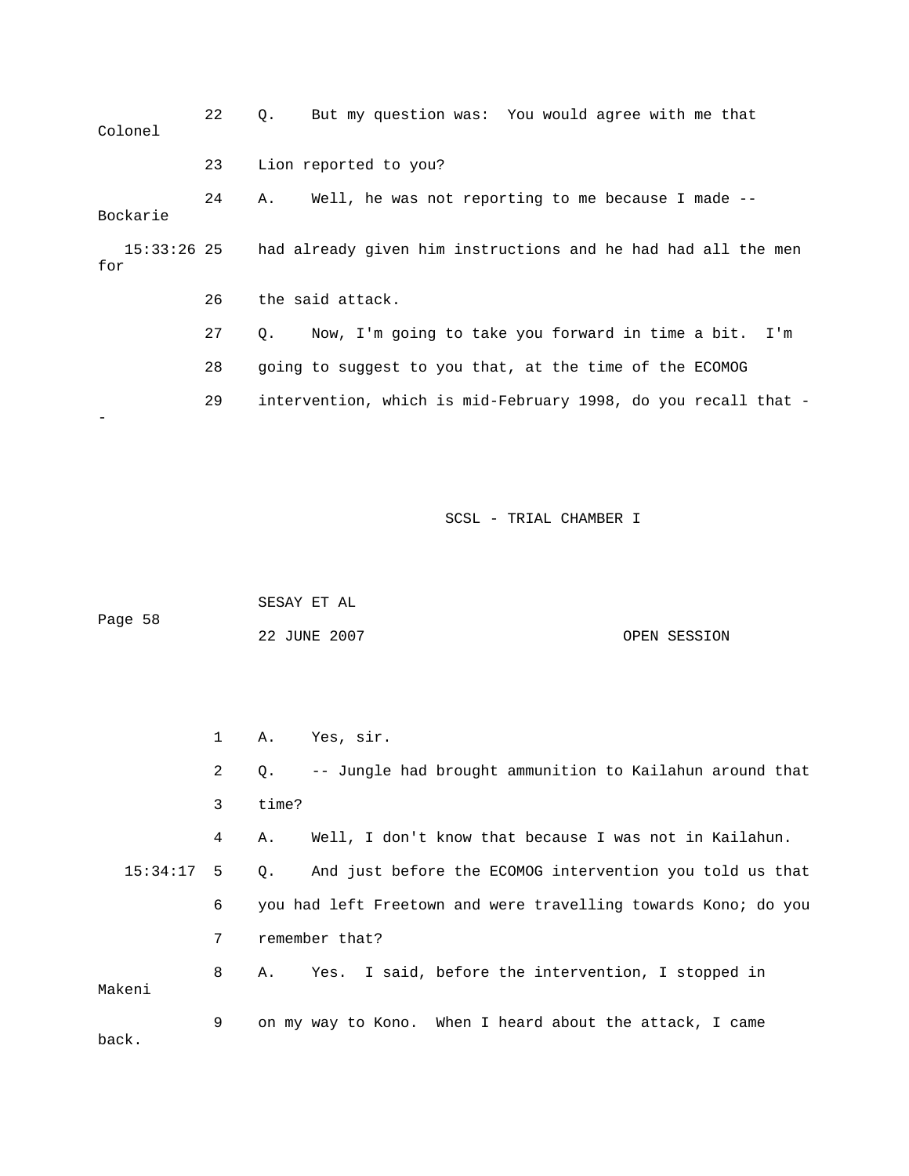| Colonel            | 22 | But my question was: You would agree with me that<br>$\circ$ .     |
|--------------------|----|--------------------------------------------------------------------|
|                    | 23 | Lion reported to you?                                              |
| Bockarie           | 24 | Well, he was not reporting to me because I made --<br>Α.           |
| 15:33:26 25<br>for |    | had already given him instructions and he had had all the men      |
|                    | 26 | the said attack.                                                   |
|                    | 27 | Now, I'm going to take you forward in time a bit. I'm<br>$\circ$ . |
|                    | 28 | going to suggest to you that, at the time of the ECOMOG            |
|                    | 29 | intervention, which is mid-February 1998, do you recall that -     |
|                    |    |                                                                    |

|         | SESAY ET AL  |              |
|---------|--------------|--------------|
| Page 58 |              |              |
|         | 22 JUNE 2007 | OPEN SESSION |

2 Q. -- Jungle had brought ammunition to Kailahun around that 4 A. Well, I don't know that because I was not in Kailahun. 15:34:17 5 Q. And just before the ECOMOG intervention you told us that 6 you had left Freetown and were travelling towards Kono; do you 8 A. Yes. I said, before the intervention, I stopped in keni 9 on my way to Kono. When I heard about the attack, I came 1 A. Yes, sir. 3 time? 7 remember that? Ma back.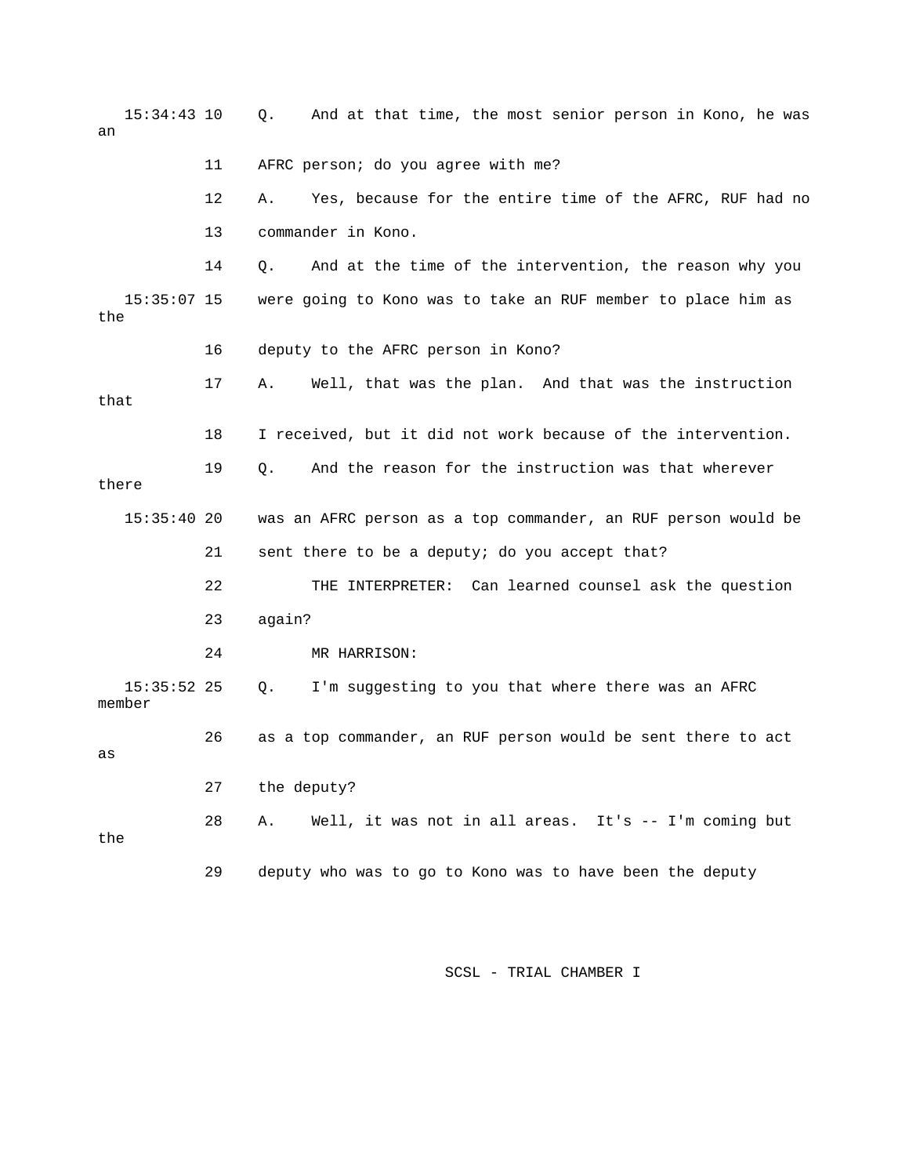| $15:34:43$ 10<br>an     |    | And at that time, the most senior person in Kono, he was<br>Q. |
|-------------------------|----|----------------------------------------------------------------|
|                         | 11 | AFRC person; do you agree with me?                             |
|                         | 12 | Yes, because for the entire time of the AFRC, RUF had no<br>Α. |
|                         | 13 | commander in Kono.                                             |
|                         | 14 | And at the time of the intervention, the reason why you<br>Q.  |
| $15:35:07$ 15<br>the    |    | were going to Kono was to take an RUF member to place him as   |
|                         | 16 | deputy to the AFRC person in Kono?                             |
| that                    | 17 | Well, that was the plan. And that was the instruction<br>Α.    |
|                         | 18 | I received, but it did not work because of the intervention.   |
| there                   | 19 | And the reason for the instruction was that wherever<br>Q.     |
| 15:35:4020              |    | was an AFRC person as a top commander, an RUF person would be  |
|                         | 21 | sent there to be a deputy; do you accept that?                 |
|                         | 22 | THE INTERPRETER: Can learned counsel ask the question          |
|                         | 23 | again?                                                         |
|                         | 24 | MR HARRISON:                                                   |
| $15:35:52$ 25<br>member |    | I'm suggesting to you that where there was an AFRC<br>Q.       |
| as                      | 26 | as a top commander, an RUF person would be sent there to act   |
|                         | 27 | the deputy?                                                    |
| the                     | 28 | Well, it was not in all areas. It's -- I'm coming but<br>Α.    |
|                         | 29 | deputy who was to go to Kono was to have been the deputy       |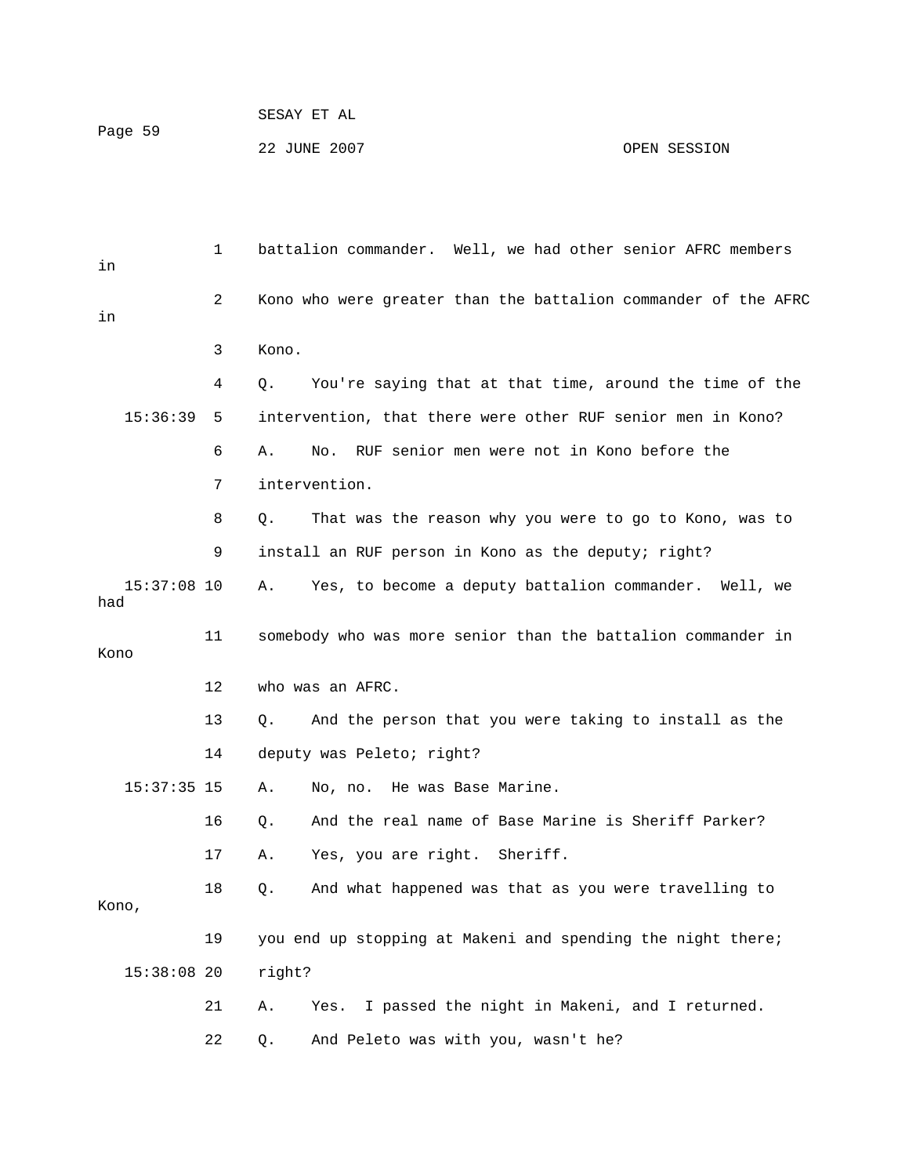1 battalion commander. Well, we had other senior AFRC members 2 Kono who were greater than the battalion commander of the AFRC 3 Kono. 4 Q. You're saying that at that time, around the time of the 15:36:39 5 intervention, that there were other RUF senior men in Kono? 6 A. No. RUF senior men were not in Kono before the 8 Q. That was the reason why you were to go to Kono, was to 9 install an RUF person in Kono as the deputy; right? 15:37:08 10 A. Yes, to become a deputy battalion commander. Well, we had 13 Q. And the person that you were taking to install as the 14 deputy was Peleto; right? 16 Q. And the real name of Base Marine is Sheriff Parker? 17 A. Yes, you are right. Sheriff. 18 Q. And what happened was that as you were travelling to 19 you end up stopping at Makeni and spending the night there; in in 7 intervention. 11 somebody who was more senior than the battalion commander in Kono 12 who was an AFRC. 15:37:35 15 A. No, no. He was Base Marine. Kono, 15:38:08 20 right? 21 A. Yes. I passed the night in Makeni, and I returned. 22 Q. And Peleto was with you, wasn't he?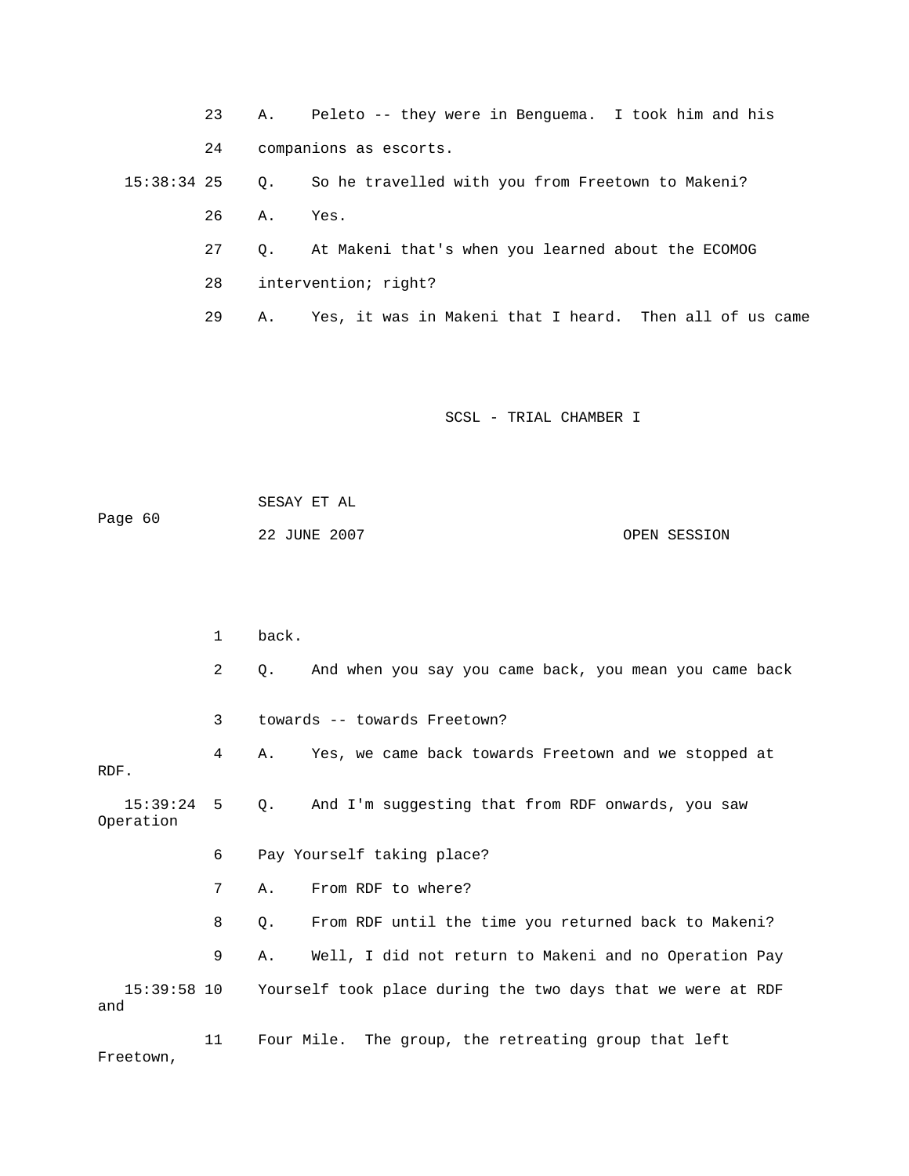23 A. Peleto -- they were in Benguema. I took him and his 15:38:34 25 Q. So he travelled with you from Freetown to Makeni? 29 A. Yes, it was in Makeni that I heard. Then all of us came 24 companions as escorts. 26 A. Yes. 27 Q. At Makeni that's when you learned about the ECOMOG 28 intervention; right?

SCSL - TRIAL CHAMBER I

Page 60 OPEN SESSION SESAY ET AL 22 JUNE 2007

2 Q. And when you say you came back, you mean you came back 3 towards -- towards Freetown? 4 A. Yes, we came back towards Freetown and we stopped at RDF. 15:39:24 5 Q. And I'm suggesting that from RDF onwards, you saw Operation 6 Pay Yourself taking place? 8 Q. From RDF until the time you returned back to Makeni? 9 A. Well, I did not return to Makeni and no Operation Pay 15:39:58 10 Yourself took place during the two days that we were at RDF 1 back. 7 A. From RDF to where? and

11 Four Mile. The group, the retreating group that left Freetown,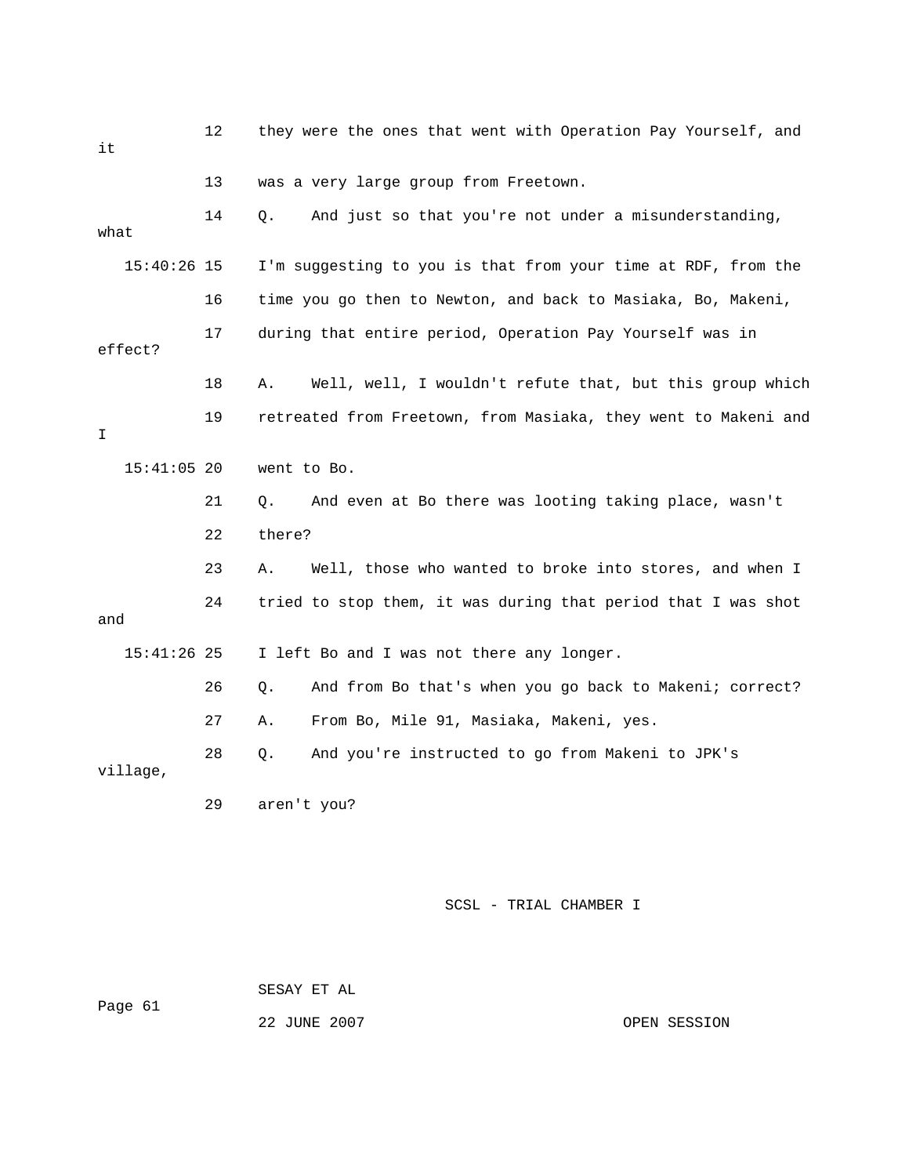12 they were the ones that went with Operation Pay Yourself, and it 14 Q. And just so that you're not under a misunderstanding, 15:40:26 15 I'm suggesting to you is that from your time at RDF, from the 16 time you go then to Newton, and back to Masiaka, Bo, Makeni, 18 A. Well, well, I wouldn't refute that, but this group which 19 retreated from Freetown, from Masiaka, they went to Makeni and 21 Q. And even at Bo there was looting taking place, wasn't 22 there? 23 A. Well, those who wanted to broke into stores, and when I 28 Q. And you're instructed to go from Makeni to JPK's 13 was a very large group from Freetown. what 17 during that entire period, Operation Pay Yourself was in effect? I 15:41:05 20 went to Bo. 24 tried to stop them, it was during that period that I was shot and 15:41:26 25 I left Bo and I was not there any longer. 26 Q. And from Bo that's when you go back to Makeni; correct? 27 A. From Bo, Mile 91, Masiaka, Makeni, yes. village, 29 aren't you?

SCSL - TRIAL CHAMBER I

Page 61 SESAY ET AL

22 JUNE 2007 OPEN SESSION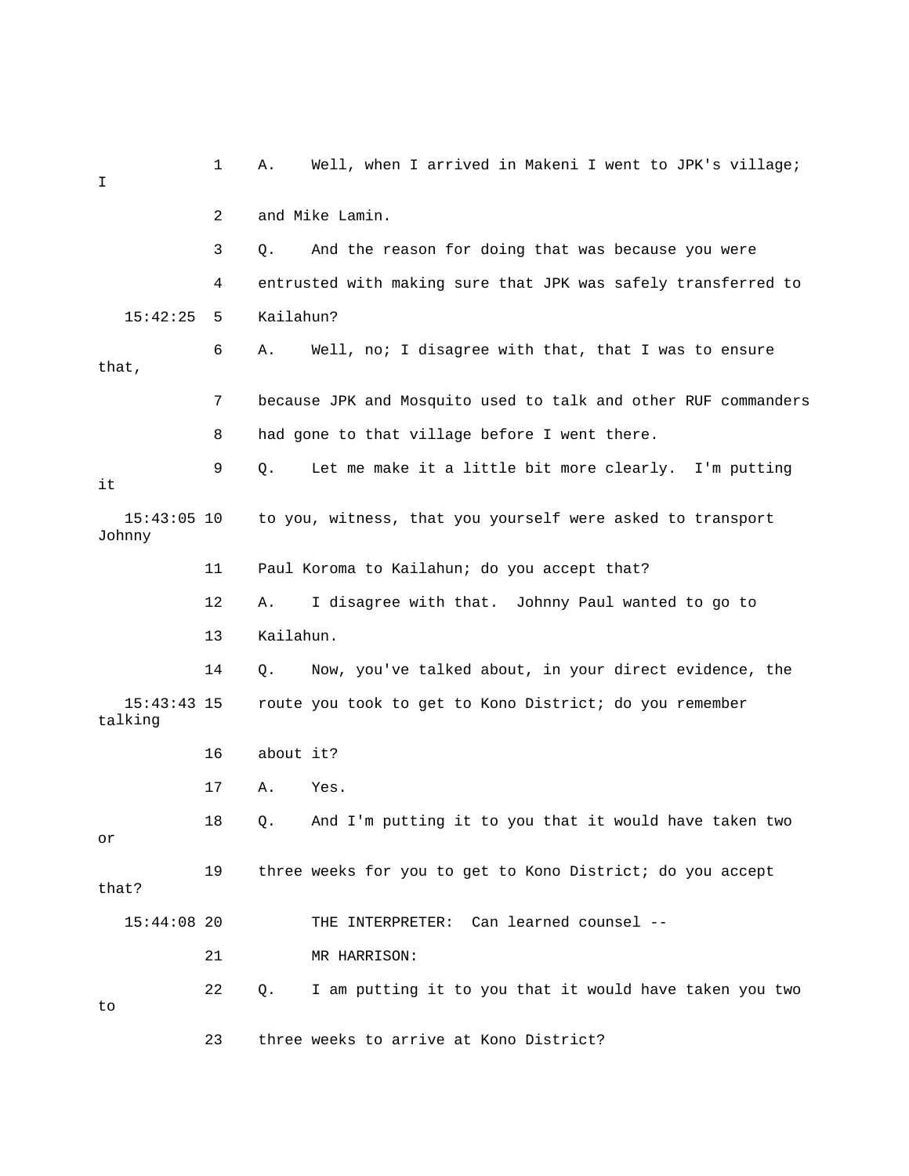| I                        | 1  | Well, when I arrived in Makeni I went to JPK's village;<br>Α.  |
|--------------------------|----|----------------------------------------------------------------|
|                          | 2  | and Mike Lamin.                                                |
|                          | 3  | And the reason for doing that was because you were<br>О.       |
|                          | 4  | entrusted with making sure that JPK was safely transferred to  |
| 15:42:25                 | 5  | Kailahun?                                                      |
| that,                    | 6  | Well, no; I disagree with that, that I was to ensure<br>Α.     |
|                          | 7  | because JPK and Mosquito used to talk and other RUF commanders |
|                          | 8  | had gone to that village before I went there.                  |
| it                       | 9  | Let me make it a little bit more clearly. I'm putting<br>Q.    |
| $15:43:05$ 10<br>Johnny  |    | to you, witness, that you yourself were asked to transport     |
|                          | 11 | Paul Koroma to Kailahun; do you accept that?                   |
|                          | 12 | I disagree with that. Johnny Paul wanted to go to<br>Α.        |
|                          | 13 | Kailahun.                                                      |
|                          | 14 | Now, you've talked about, in your direct evidence, the<br>Q.   |
| $15:43:43$ 15<br>talking |    | route you took to get to Kono District; do you remember        |
|                          | 16 | about it?                                                      |
|                          | 17 | Α.<br>Yes.                                                     |
| or                       | 18 | And I'm putting it to you that it would have taken two<br>Q.   |
| that?                    | 19 | three weeks for you to get to Kono District; do you accept     |
| $15:44:08$ 20            |    | THE INTERPRETER: Can learned counsel --                        |
|                          | 21 | MR HARRISON:                                                   |
| to                       | 22 | I am putting it to you that it would have taken you two<br>Q.  |
|                          | 23 | three weeks to arrive at Kono District?                        |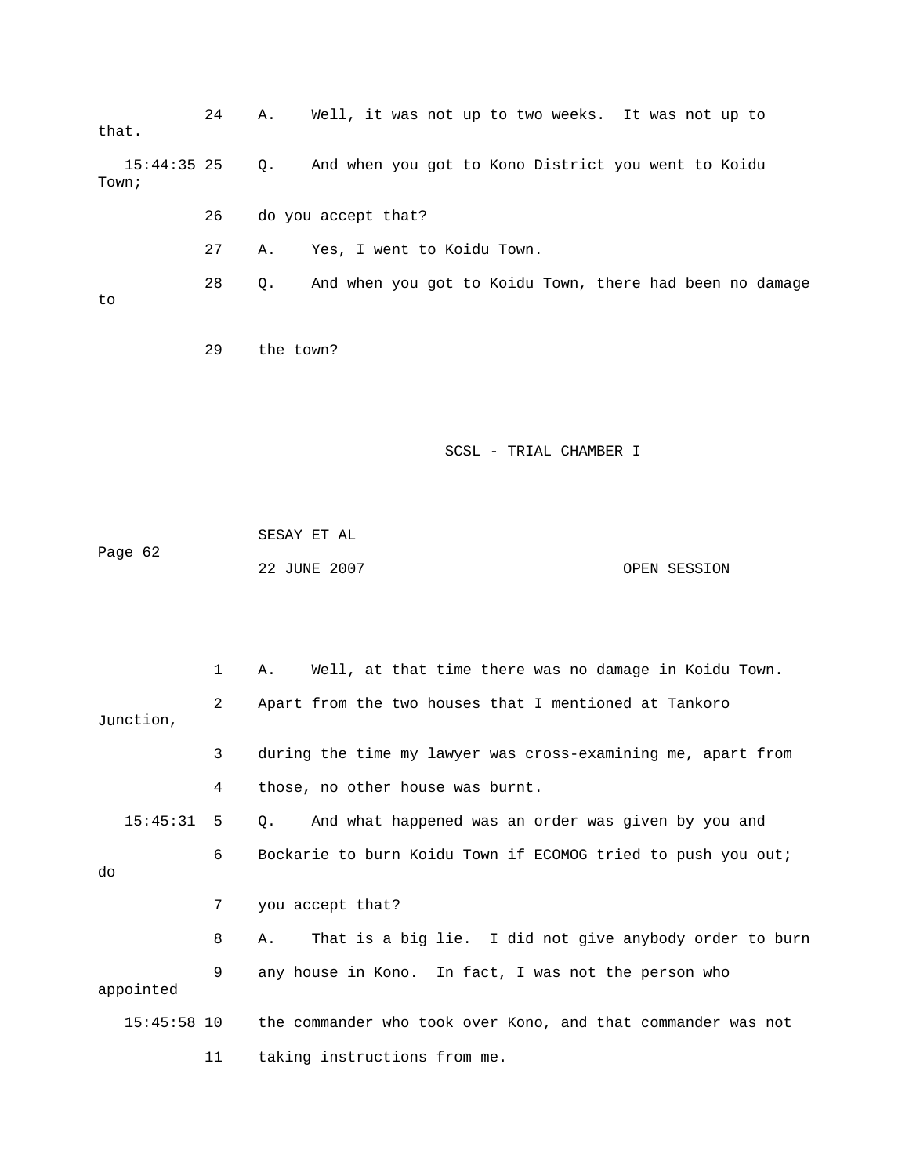| that.                  | 24 | Well, it was not up to two weeks. It was not up to<br>Α.       |
|------------------------|----|----------------------------------------------------------------|
| $15:44:35$ 25<br>Town; |    | And when you got to Kono District you went to Koidu<br>Q.      |
|                        | 26 | do you accept that?                                            |
|                        | 27 | Yes, I went to Koidu Town.<br>Α.                               |
| to                     | 28 | And when you got to Koidu Town, there had been no damage<br>Q. |
|                        | 29 | the town?                                                      |
|                        |    | SCSL - TRIAL CHAMBER I                                         |
| Page 62                |    | SESAY ET AL<br>22 JUNE 2007<br>OPEN SESSION                    |
|                        |    |                                                                |
|                        | 1  | Well, at that time there was no damage in Koidu Town.<br>Α.    |
| Junction,              | 2  | Apart from the two houses that I mentioned at Tankoro          |
|                        | 3  | during the time my lawyer was cross-examining me, apart from   |
|                        | 4  | those, no other house was burnt.                               |
| 15:45:31               | 5  | And what happened was an order was given by you and<br>Q.      |
| do                     | 6  | Bockarie to burn Koidu Town if ECOMOG tried to push you out;   |
|                        | 7  | you accept that?                                               |
|                        | 8  | That is a big lie. I did not give anybody order to burn<br>Α.  |
| appointed              | 9  | any house in Kono. In fact, I was not the person who           |
| $15:45:58$ 10          |    | the commander who took over Kono, and that commander was not   |
|                        | 11 | taking instructions from me.                                   |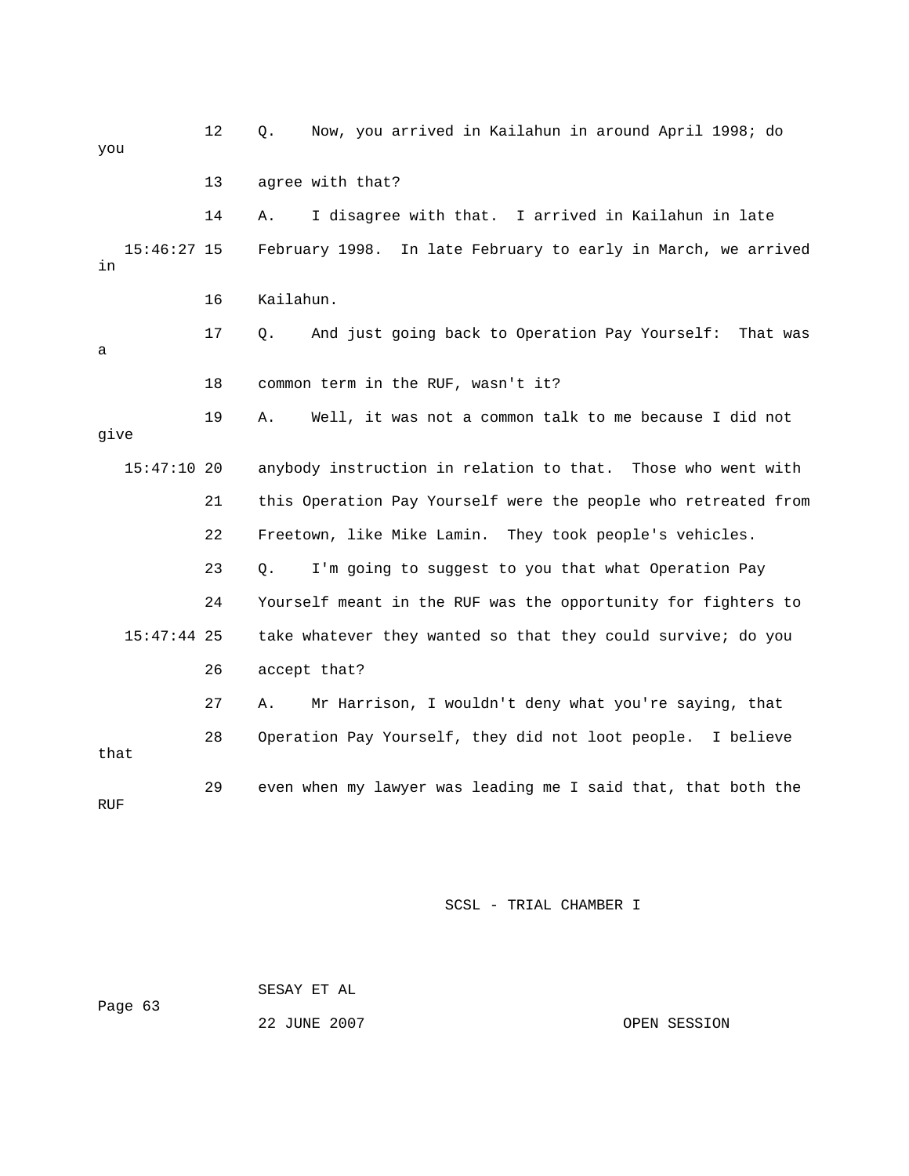12 Q. Now, you arrived in Kailahun in around April 1998 ; do you 14 A. I disagree with that. I arrived in Kailahun in late 15:46:27 15 February 1998. In late February to early in March, we arrived 16 Kailahun. 17 Q. And just going back to Operation Pay Yourself: That was 19 A. Well, it was not a common talk to me because I did not 15:47:10 20 anybody instruction in relation to that. Those who went with 21 this Operation Pay Yourself were the people who retreated from 22 Freetown, like Mike Lamin. They took people's vehicles. 23 Q. I'm going to suggest to you that what Operation Pay 24 Yourself meant in the RUF was the opportunity for fighters to 26 accept that? 27 A. Mr Harrison, I wouldn't deny what you're saying, that that 29 even when my lawyer was leading me I said that, that both the 13 agree with that? in a 18 common term in the RUF, wasn't it? give 15:47:44 25 take whatever they wanted so that they could survive; do you 28 Operation Pay Yourself, they did not loot people. I believe RUF

SCSL - TRIAL CHAMBER I

 SESAY ET AL Page 63

22 JUNE 2007 CPEN SESSION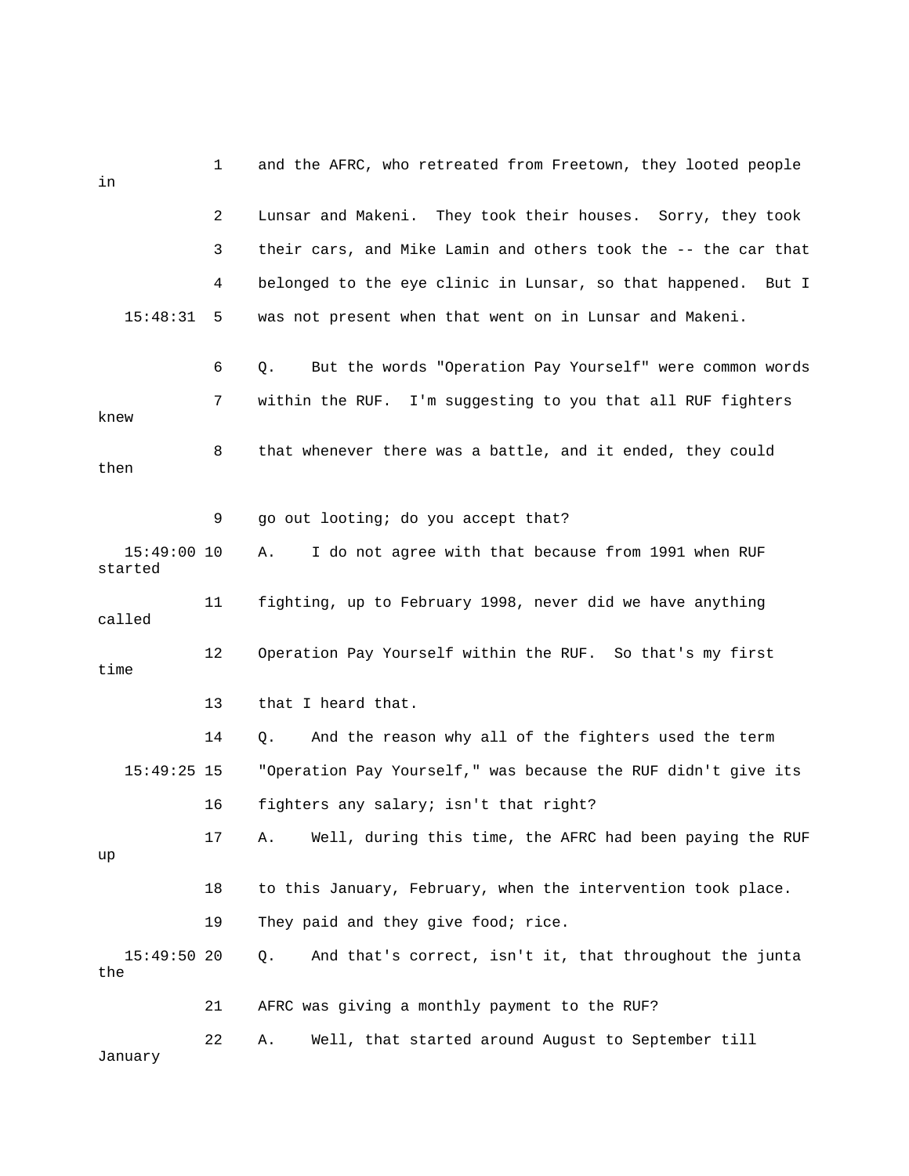| in                       | 1  | and the AFRC, who retreated from Freetown, they looted people  |
|--------------------------|----|----------------------------------------------------------------|
|                          | 2  | Lunsar and Makeni. They took their houses. Sorry, they took    |
|                          | 3  | their cars, and Mike Lamin and others took the -- the car that |
|                          | 4  | belonged to the eye clinic in Lunsar, so that happened. But I  |
| 15:48:31                 | 5  | was not present when that went on in Lunsar and Makeni.        |
|                          | 6  | But the words "Operation Pay Yourself" were common words<br>Q. |
| knew                     | 7  | within the RUF. I'm suggesting to you that all RUF fighters    |
| then                     | 8  | that whenever there was a battle, and it ended, they could     |
|                          | 9  | go out looting; do you accept that?                            |
| $15:49:00$ 10<br>started |    | I do not agree with that because from 1991 when RUF<br>Α.      |
| called                   | 11 | fighting, up to February 1998, never did we have anything      |
| time                     | 12 | Operation Pay Yourself within the RUF. So that's my first      |
|                          | 13 | that I heard that.                                             |
|                          | 14 | And the reason why all of the fighters used the term<br>Q.     |
| $15:49:25$ 15            |    | "Operation Pay Yourself," was because the RUF didn't give its  |
|                          | 16 | fighters any salary; isn't that right?                         |
| up                       | 17 | Well, during this time, the AFRC had been paying the RUF<br>Α. |
|                          | 18 | to this January, February, when the intervention took place.   |
|                          | 19 | They paid and they give food; rice.                            |
| $15:49:50$ 20<br>the     |    | And that's correct, isn't it, that throughout the junta<br>Q.  |
|                          | 21 | AFRC was giving a monthly payment to the RUF?                  |
| January                  | 22 | Well, that started around August to September till<br>Α.       |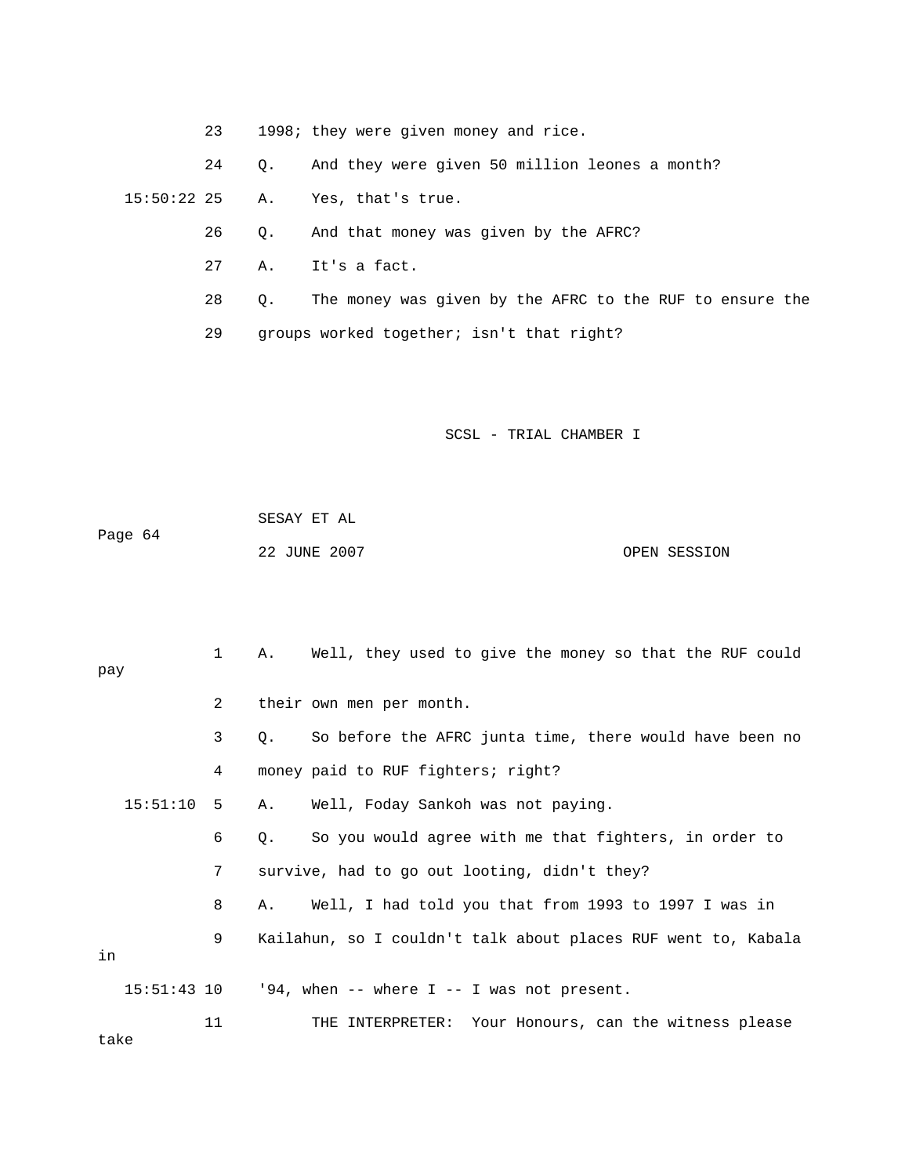23 1998; they were given money and rice.

24 Q. And they were given 50 million leones a month?

15:50:22 25 A. Yes, that's true.

26 Q. And that money was given by the AFRC?

27 A. It's a fact.

28 Q. The money was given by the AFRC to the RUF to ensure the

29 groups worked together; isn't that right?

SCSL - TRIAL CHAMBER I

 SESAY ET AL OPEN SESSION Page 64 22 JUNE 2007

1 A. Well, they used to give the money so that the RUF could pay 2 their own men per month. 4 money paid to RUF fighters; right? 15:51:10 5 A. Well, Foday Sankoh was not paying. 6 Q. So you would agree with me that fighters, in order to 7 survive, had to go out looting, didn't they? 8 A. Well, I had told you that from 1993 to 1997 I was in 11 THE INTERPRETER: Your Honours, can the witness please 3 Q. So before the AFRC junta time, there would have been no 9 Kailahun, so I couldn't talk about places RUF went to, Kabala in 15:51:43 10 '94, when -- where I -- I was not present.

take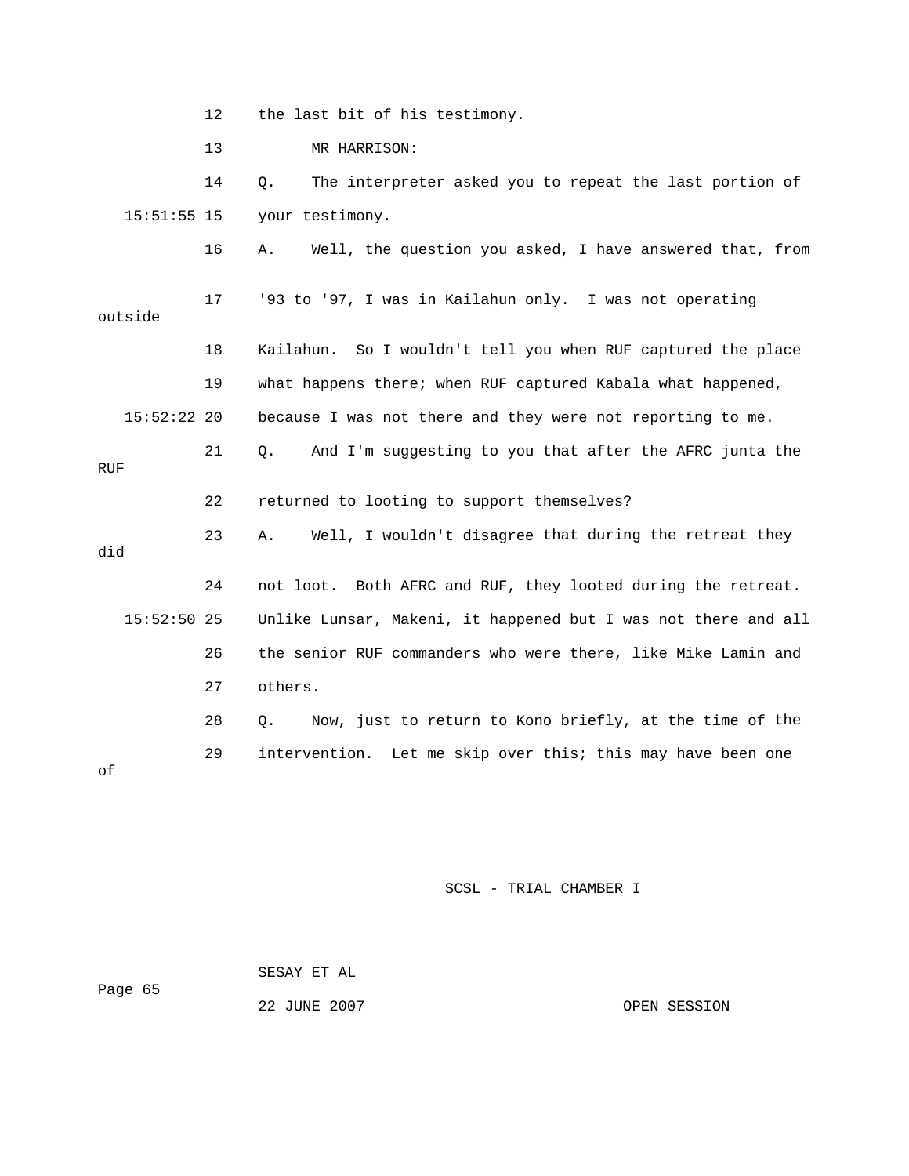12 the last bit of his testimony.

13 MR HARRISON:

 15:51:55 15 your testimony. 14 Q. The interpreter asked you to repeat the last portion of

16 A. Well, the question you asked, I have answered that, from

outside 18 Kailahun. So I wouldn't tell you when RUF captured the place because I was not there and they were not reporting to me. 17 '93 to '97, I was in Kailahun only. I was not operating 19 what happens there; when RUF captured Kabala what happened,  $15:52:22$  20

21 Q. And I'm suggesting to you that after the AFRC junta the RUF

22 returned to looting to support themselves?

23 A. Well, I wouldn't disagree that during the retreat they did 24 not loot. Both AFRC and RUF, they looted during the retreat.

 15:52:50 25 Unlike Lunsar, Makeni, it happened but I was not there and all 26 the senior RUF commanders who were there, like Mike Lamin and 27 others.

28 Q. Now, just to return to Kono briefly, at the time of the 29 intervention. Let me skip over this; this may have been one

SCSL - TRIAL CHAMBER I

 SESAY ET AL Page 65

of

22 JUNE 2007 CPEN SESSION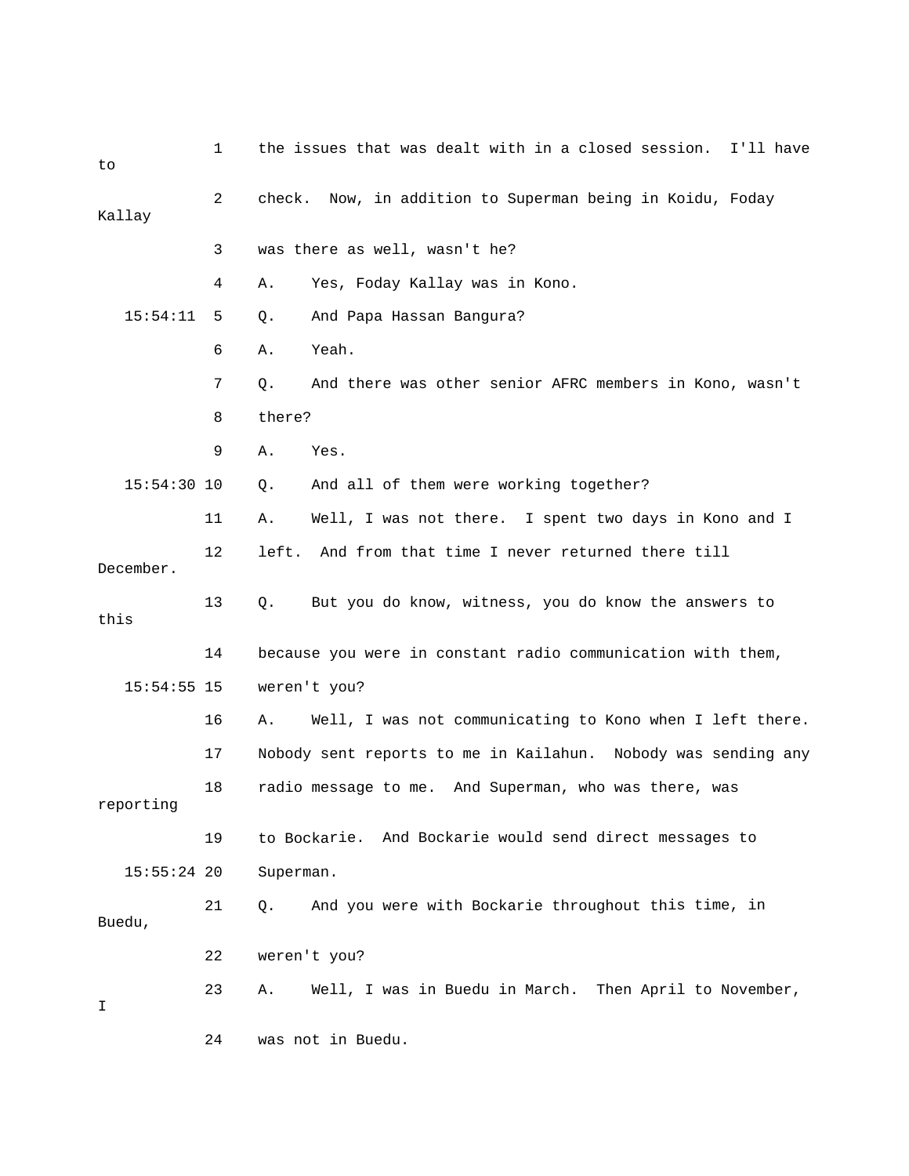| to            | 1  | the issues that was dealt with in a closed session.<br>I'll have |
|---------------|----|------------------------------------------------------------------|
| Kallay        | 2  | check. Now, in addition to Superman being in Koidu, Foday        |
|               | 3  | was there as well, wasn't he?                                    |
|               | 4  | Yes, Foday Kallay was in Kono.<br>Α.                             |
| 15:54:11      | 5  | And Papa Hassan Bangura?<br>Q.                                   |
|               | 6  | Yeah.<br>Α.                                                      |
|               | 7  | And there was other senior AFRC members in Kono, wasn't<br>Q.    |
|               | 8  | there?                                                           |
|               | 9  | Yes.<br>Α.                                                       |
| $15:54:30$ 10 |    | And all of them were working together?<br>Q.                     |
|               | 11 | Well, I was not there. I spent two days in Kono and I<br>Α.      |
| December.     | 12 | left.<br>And from that time I never returned there till          |
| this          | 13 | But you do know, witness, you do know the answers to<br>Q.       |
|               | 14 | because you were in constant radio communication with them,      |
| $15:54:55$ 15 |    | weren't you?                                                     |
|               | 16 | Well, I was not communicating to Kono when I left there.<br>Α.   |
|               | 17 | Nobody sent reports to me in Kailahun. Nobody was sending any    |
| reporting     | 18 | radio message to me. And Superman, who was there, was            |
|               | 19 | to Bockarie. And Bockarie would send direct messages to          |
| $15:55:24$ 20 |    | Superman.                                                        |
| Buedu,        | 21 | And you were with Bockarie throughout this time, in<br>Q.        |
|               | 22 | weren't you?                                                     |
| I             | 23 | Well, I was in Buedu in March. Then April to November,<br>Α.     |
|               | 24 | was not in Buedu.                                                |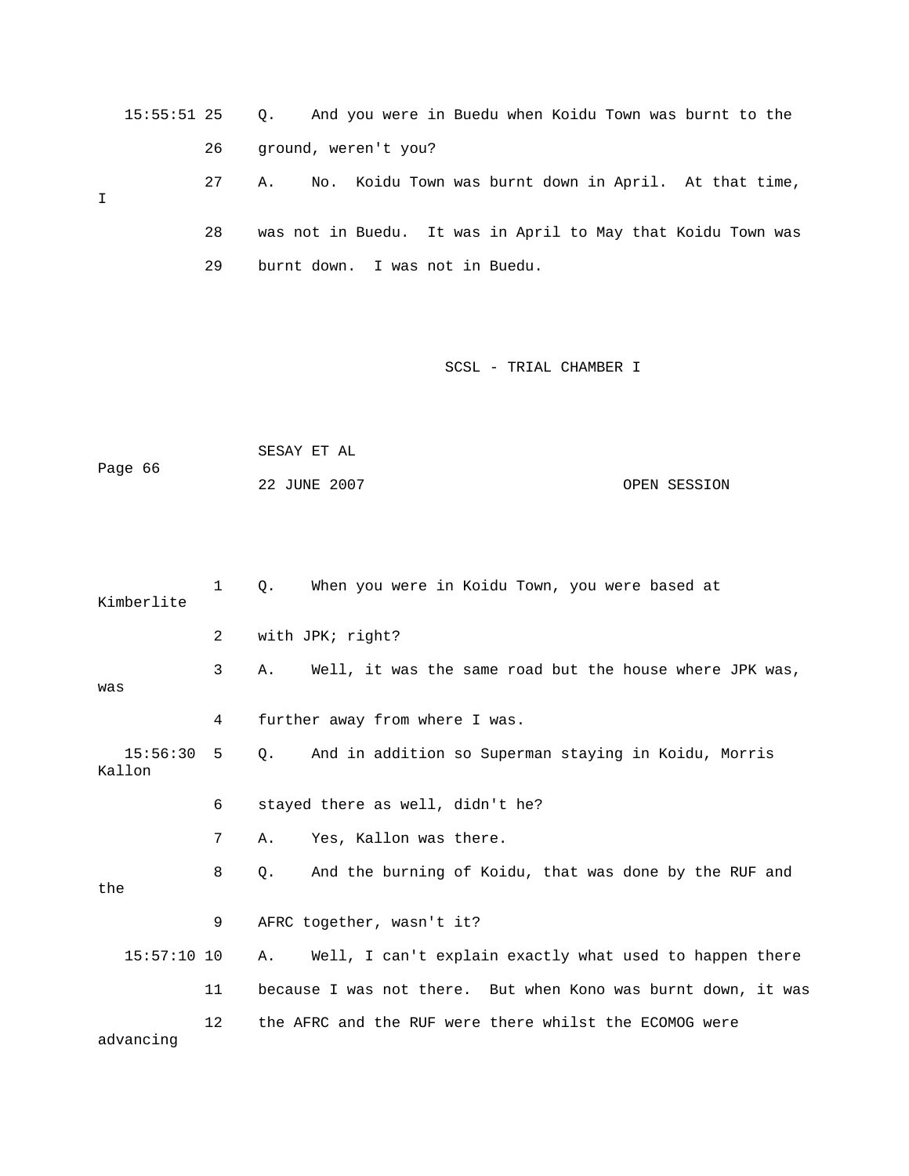15:55:51 25 Q. And you were in Buedu when Koidu Town was burnt to the 26 ground, weren't you? 28 was not in Buedu. It was in April to May that Koidu Town was 27 A. No. Koidu Town was burnt down in April. At that time, I

SCSL - TRIAL CHAMBER I

Page 66 OPEN SESSION SESAY ET AL 22 JUNE 2007

29 burnt down. I was not in Buedu.

| Kimberlite           | 1  | When you were in Koidu Town, you were based at<br>Q.              |
|----------------------|----|-------------------------------------------------------------------|
|                      | 2  | with JPK; right?                                                  |
| was                  | 3  | Well, it was the same road but the house where JPK was,<br>Α.     |
|                      | 4  | further away from where I was.                                    |
| 15:56:30 5<br>Kallon |    | And in addition so Superman staying in Koidu, Morris<br>$\circ$ . |
|                      | 6  | stayed there as well, didn't he?                                  |
|                      | 7  | Yes, Kallon was there.<br>Α.                                      |
| the                  | 8  | And the burning of Koidu, that was done by the RUF and<br>Q.      |
|                      | 9  | AFRC together, wasn't it?                                         |
| $15:57:10$ 10        |    | Well, I can't explain exactly what used to happen there<br>Α.     |
|                      | 11 | because I was not there. But when Kono was burnt down, it was     |
| advancing            | 12 | the AFRC and the RUF were there whilst the ECOMOG were            |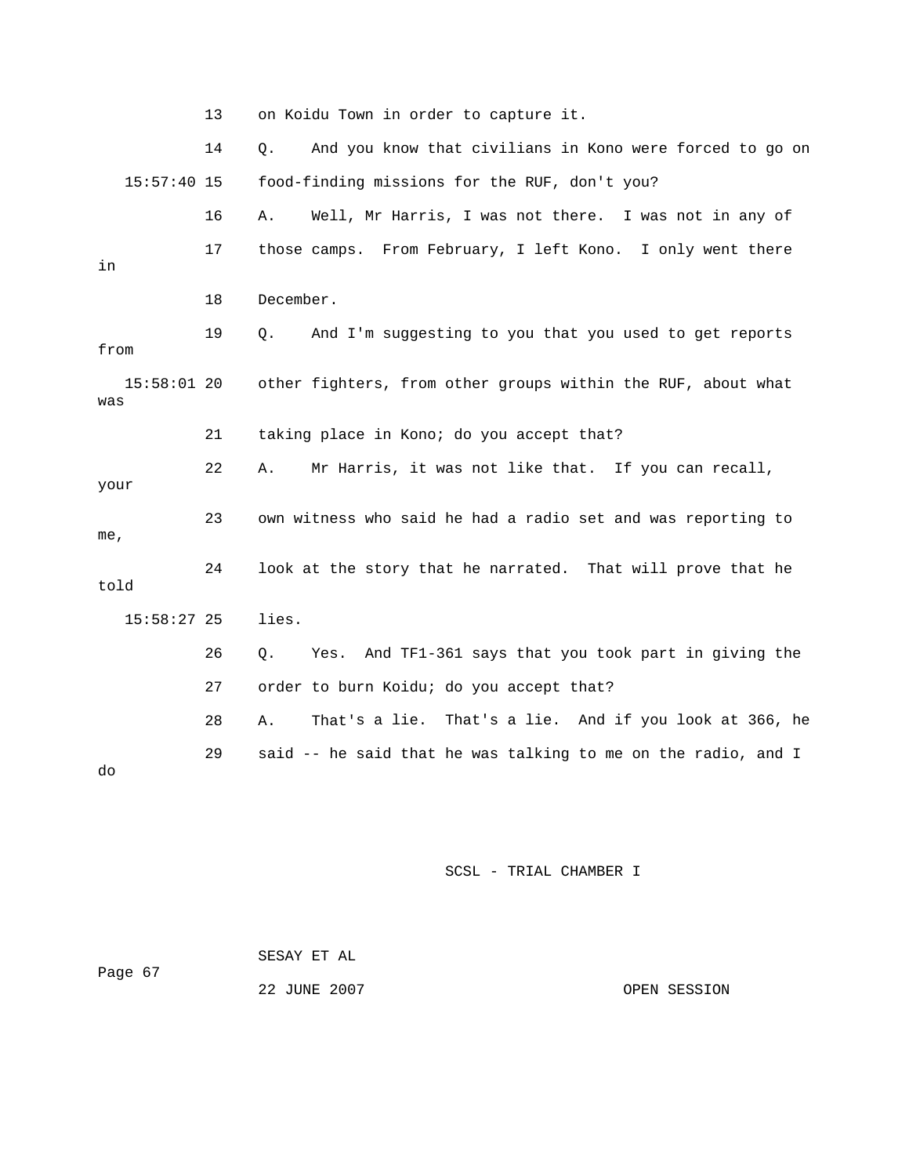|                      | 13 | on Koidu Town in order to capture it.                           |
|----------------------|----|-----------------------------------------------------------------|
|                      | 14 | And you know that civilians in Kono were forced to go on<br>Q.  |
| $15:57:40$ 15        |    | food-finding missions for the RUF, don't you?                   |
|                      | 16 | Well, Mr Harris, I was not there. I was not in any of<br>Α.     |
| in                   | 17 | those camps. From February, I left Kono. I only went there      |
|                      | 18 | December.                                                       |
| from                 | 19 | And I'm suggesting to you that you used to get reports<br>Q.    |
| $15:58:01$ 20<br>was |    | other fighters, from other groups within the RUF, about what    |
|                      | 21 | taking place in Kono; do you accept that?                       |
| your                 | 22 | Mr Harris, it was not like that. If you can recall,<br>Α.       |
| me,                  | 23 | own witness who said he had a radio set and was reporting to    |
| told                 | 24 | look at the story that he narrated. That will prove that he     |
| $15:58:27$ 25        |    | lies.                                                           |
|                      | 26 | And TF1-361 says that you took part in giving the<br>О.<br>Yes. |
|                      | 27 | order to burn Koidu; do you accept that?                        |
|                      | 28 | That's a lie. That's a lie. And if you look at 366, he<br>Α.    |
| do                   | 29 | said -- he said that he was talking to me on the radio, and I   |

| Page 67 | SESAY ET AL  |              |
|---------|--------------|--------------|
|         | 22 JUNE 2007 | OPEN SESSION |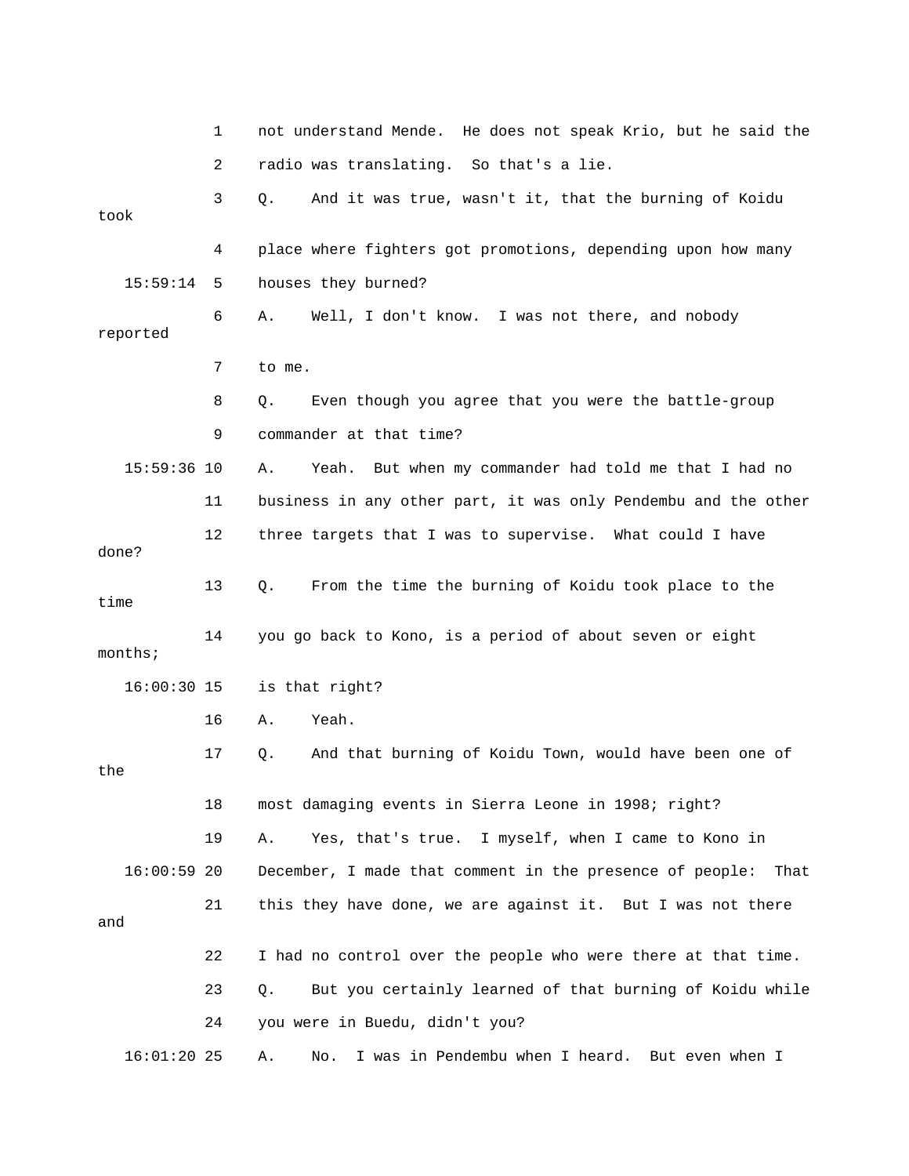|       |               | 1  | not understand Mende. He does not speak Krio, but he said the    |
|-------|---------------|----|------------------------------------------------------------------|
|       |               | 2  | radio was translating. So that's a lie.                          |
| took  |               | 3  | And it was true, wasn't it, that the burning of Koidu<br>$Q$ .   |
|       |               | 4  | place where fighters got promotions, depending upon how many     |
|       | 15:59:14      | 5  | houses they burned?                                              |
|       | reported      | 6  | Well, I don't know. I was not there, and nobody<br>Α.            |
|       |               | 7  | to me.                                                           |
|       |               | 8  | Even though you agree that you were the battle-group<br>Q.       |
|       |               | 9  | commander at that time?                                          |
|       | $15:59:36$ 10 |    | Yeah. But when my commander had told me that I had no<br>Α.      |
|       |               | 11 | business in any other part, it was only Pendembu and the other   |
| done? |               | 12 | three targets that I was to supervise. What could I have         |
| time  |               | 13 | From the time the burning of Koidu took place to the<br>Q.       |
|       | months        | 14 | you go back to Kono, is a period of about seven or eight         |
|       | $16:00:30$ 15 |    | is that right?                                                   |
|       |               | 16 | Yeah.<br>Α.                                                      |
| the   |               | 17 | And that burning of Koidu Town, would have been one of<br>Q.     |
|       |               | 18 | most damaging events in Sierra Leone in 1998; right?             |
|       |               | 19 | Yes, that's true.<br>I myself, when I came to Kono in<br>Α.      |
|       | $16:00:59$ 20 |    | December, I made that comment in the presence of people:<br>That |
| and   |               | 21 | this they have done, we are against it. But I was not there      |
|       |               | 22 | I had no control over the people who were there at that time.    |
|       |               | 23 | But you certainly learned of that burning of Koidu while<br>Q.   |
|       |               | 24 | you were in Buedu, didn't you?                                   |
|       | $16:01:20$ 25 |    | I was in Pendembu when I heard. But even when I<br>Α.<br>No.     |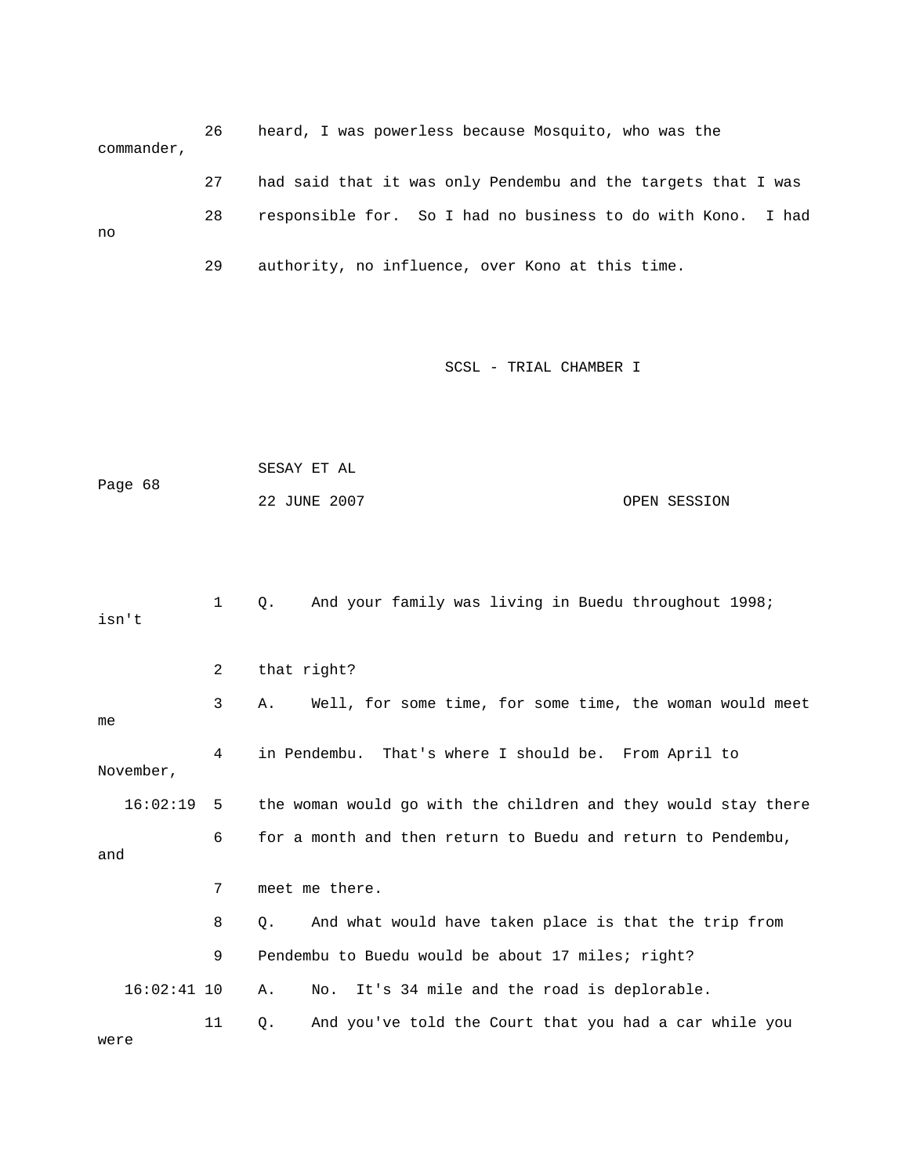26 heard, I was powerless because Mosquito, who was the commander, 27 had said that it was only Pendembu and the targets that I was 28 responsible for. So I had no business to do with Kono. I had no

29 authority, no influence, over Kono at this time.

| Page 68       |              | SESAY ET AL                                                    |              |
|---------------|--------------|----------------------------------------------------------------|--------------|
|               |              | 22 JUNE 2007                                                   | OPEN SESSION |
| isn't         | $\mathbf{1}$ | Q.<br>And your family was living in Buedu throughout 1998;     |              |
|               | 2            | that right?                                                    |              |
| me            | 3            | Well, for some time, for some time, the woman would meet<br>Α. |              |
| November,     | 4            | in Pendembu.<br>That's where I should be. From April to        |              |
| 16:02:19      | 5            | the woman would go with the children and they would stay there |              |
| and           | 6            | for a month and then return to Buedu and return to Pendembu,   |              |
|               | 7            | meet me there.                                                 |              |
|               | 8            | And what would have taken place is that the trip from<br>Q.    |              |
|               | 9            | Pendembu to Buedu would be about 17 miles; right?              |              |
| $16:02:41$ 10 |              | It's 34 mile and the road is deplorable.<br>No.<br>Α.          |              |
| were          | 11           | And you've told the Court that you had a car while you<br>Q.   |              |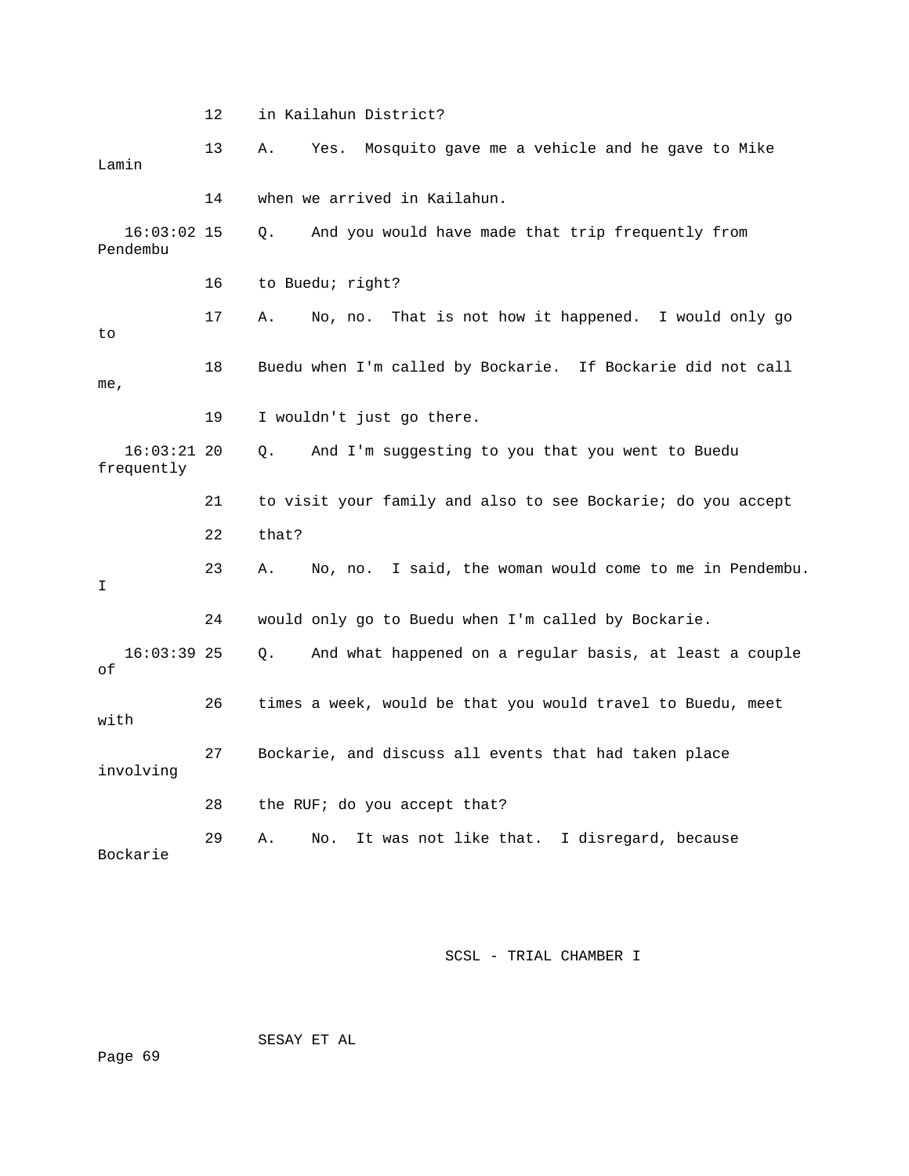12 in Kailahun District? 13 A. Yes. Mosquito gave me a vehicle and he gave to Mike 14 when we arrived in Kailahun. 18 Buedu when I'm called by Bockarie. If Bockarie did not call , me 16:03:21 20 Q. And I'm suggesting to you that you went to Buedu frequently 21 to visit your family and also to see Bockarie; do you accept 22 that? 23 A. No, no. I said, the woman would come to me in Pendembu. 24 would only go to Buedu when I'm called by Bockarie. 16:03:39 25 Q. And what happened on a regular basis, at least a couple 26 times a week, would be that you would travel to Buedu, meet with 27 Bockarie, and discuss all events that had taken place 28 the RUF; do you accept that? Bockarie Lamin 16:03:02 15 Q. And you would have made that trip frequently from Pendembu 16 to Buedu; right? 17 A. No, no. That is not how it happened. I would only go to 19 I wouldn't just go there.  $\mathsf{T}$ of involving 29 A. No. It was not like that. I disregard, because

SCSL - TRIAL CHAMBER I

SESAY ET AL

Page 69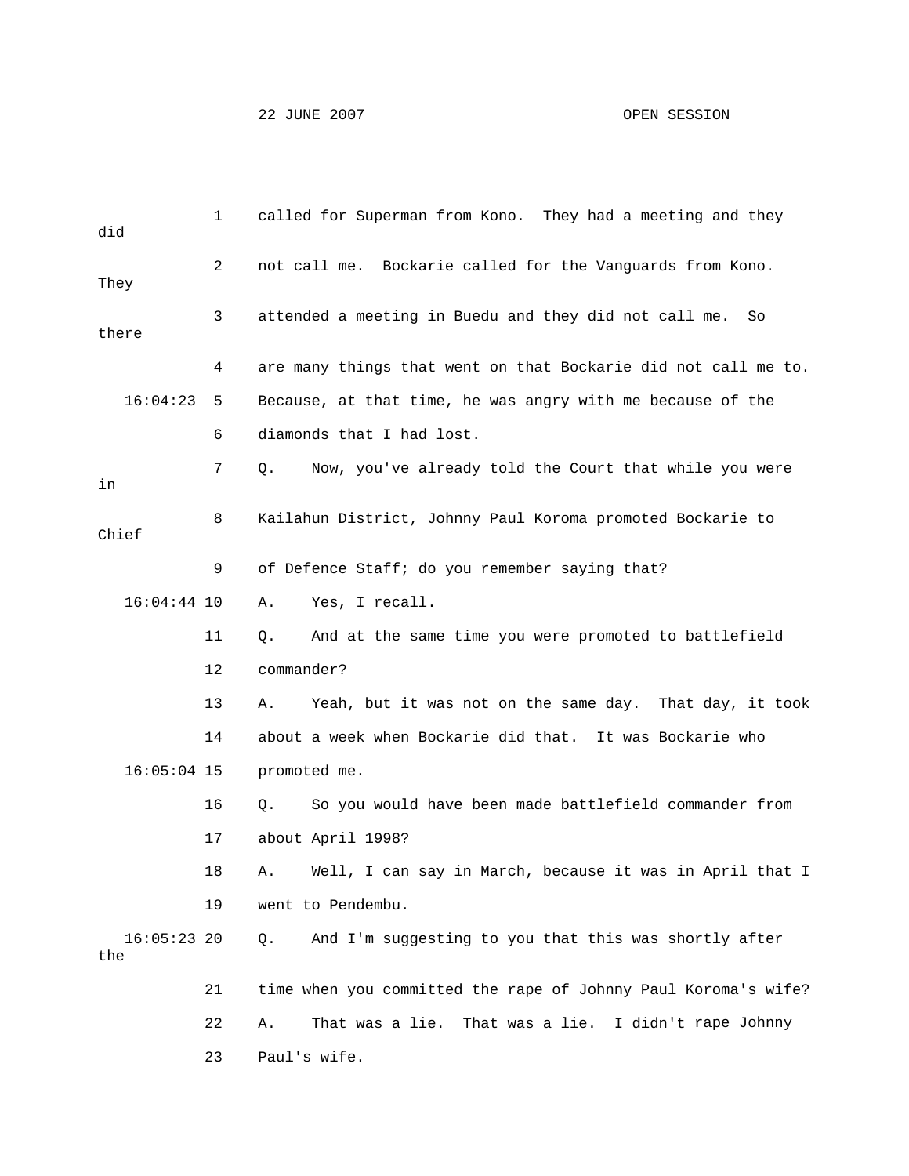| did                  | 1  | called for Superman from Kono. They had a meeting and they     |
|----------------------|----|----------------------------------------------------------------|
| They                 | 2  | not call me. Bockarie called for the Vanguards from Kono.      |
| there                | 3  | attended a meeting in Buedu and they did not call me.<br>So    |
|                      | 4  | are many things that went on that Bockarie did not call me to. |
| 16:04:23             | 5  | Because, at that time, he was angry with me because of the     |
|                      | 6  | diamonds that I had lost.                                      |
| in                   | 7  | Now, you've already told the Court that while you were<br>Q.   |
| Chief                | 8  | Kailahun District, Johnny Paul Koroma promoted Bockarie to     |
|                      | 9  | of Defence Staff; do you remember saying that?                 |
| $16:04:44$ 10        |    | Yes, I recall.<br>Α.                                           |
|                      | 11 | And at the same time you were promoted to battlefield<br>Q.    |
|                      | 12 | commander?                                                     |
|                      | 13 | Yeah, but it was not on the same day. That day, it took<br>Α.  |
|                      | 14 | about a week when Bockarie did that. It was Bockarie who       |
| $16:05:04$ 15        |    | promoted me.                                                   |
|                      | 16 | So you would have been made battlefield commander from<br>Q.   |
|                      | 17 | about April 1998?                                              |
|                      | 18 | Well, I can say in March, because it was in April that I<br>A. |
|                      | 19 | went to Pendembu.                                              |
| $16:05:23$ 20<br>the |    | And I'm suggesting to you that this was shortly after<br>О.    |
|                      | 21 | time when you committed the rape of Johnny Paul Koroma's wife? |
|                      | 22 | That was a lie. That was a lie. I didn't rape Johnny<br>Α.     |
|                      | 23 | Paul's wife.                                                   |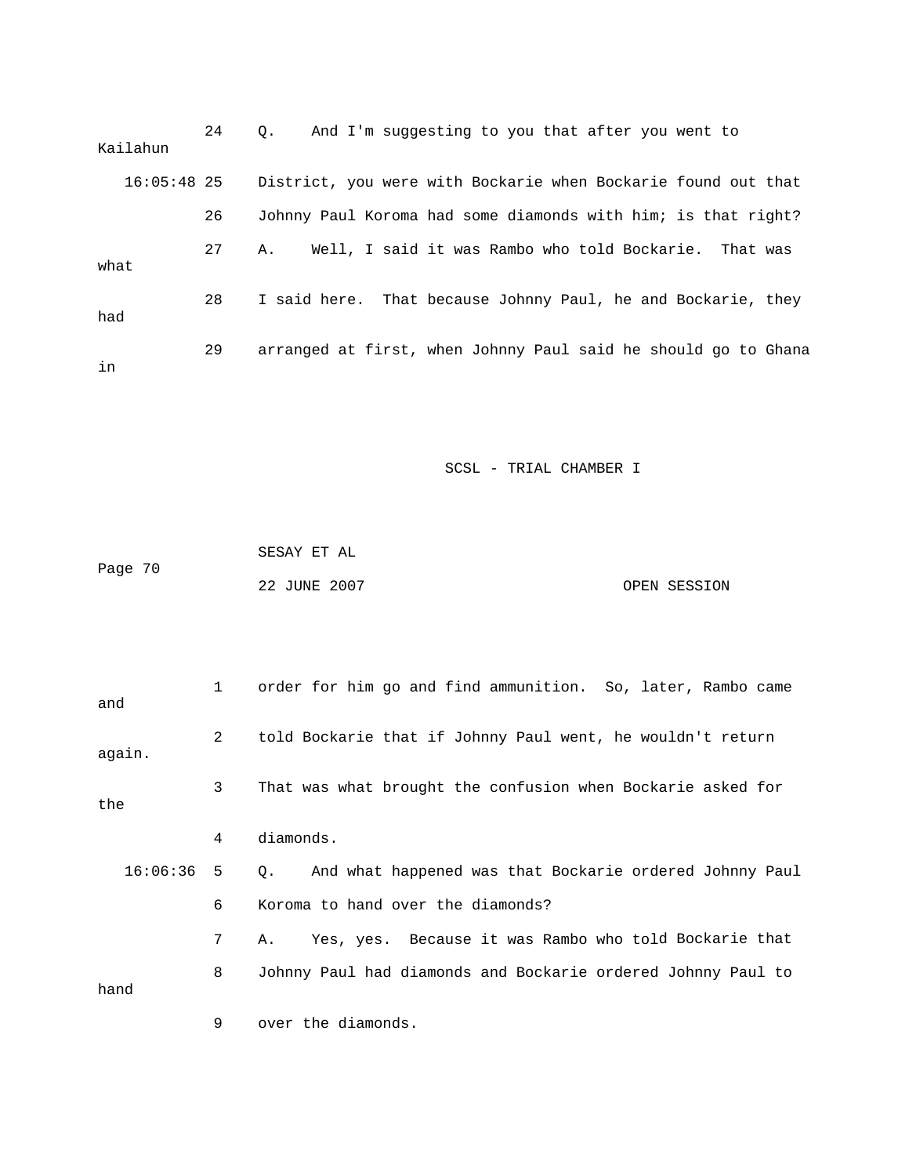| Kailahun      | 24 | And I'm suggesting to you that after you went to<br>$\circ$ .  |
|---------------|----|----------------------------------------------------------------|
| $16:05:48$ 25 |    | District, you were with Bockarie when Bockarie found out that  |
|               | 26 | Johnny Paul Koroma had some diamonds with him; is that right?  |
| what          | 27 | Well, I said it was Rambo who told Bockarie. That was<br>Α.    |
| had           | 28 | I said here. That because Johnny Paul, he and Bockarie, they   |
| in            | 29 | arranged at first, when Johnny Paul said he should go to Ghana |

| Page 70 | SESAY ET AL  |              |
|---------|--------------|--------------|
|         | 22 JUNE 2007 | OPEN SESSION |

| and      | 1 | order for him go and find ammunition. So, later, Rambo came          |
|----------|---|----------------------------------------------------------------------|
| again.   | 2 | told Bockarie that if Johnny Paul went, he wouldn't return           |
| the      | 3 | That was what brought the confusion when Bockarie asked for          |
|          | 4 | diamonds.                                                            |
| 16:06:36 | 5 | And what happened was that Bockarie ordered Johnny Paul<br>$\circ$ . |
|          | 6 | Koroma to hand over the diamonds?                                    |
|          | 7 | Yes, yes. Because it was Rambo who told Bockarie that<br>Α.          |
| hand     | 8 | Johnny Paul had diamonds and Bockarie ordered Johnny Paul to         |
|          | 9 | over the diamonds.                                                   |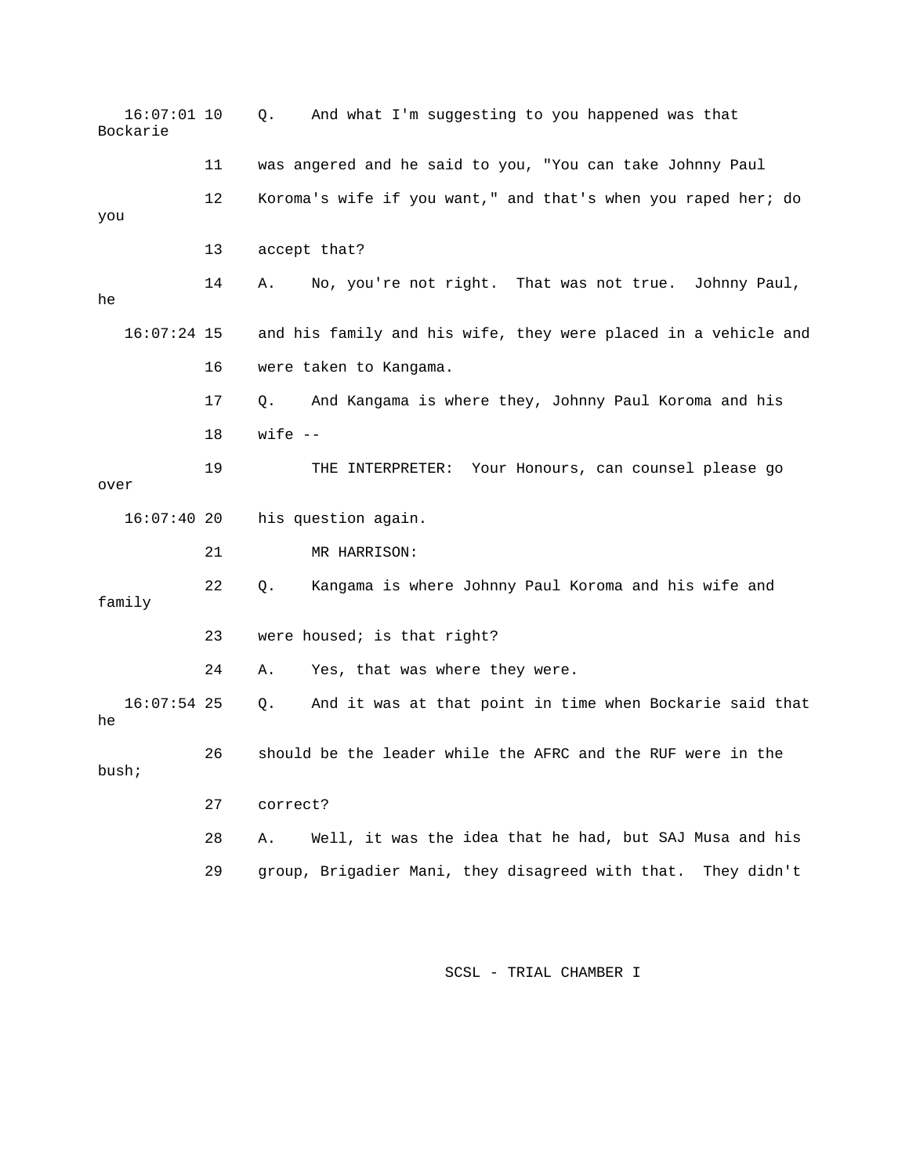| $16:07:01$ 10<br>Bockarie |    | And what I'm suggesting to you happened was that<br>Q.          |
|---------------------------|----|-----------------------------------------------------------------|
|                           | 11 | was angered and he said to you, "You can take Johnny Paul       |
| you                       | 12 | Koroma's wife if you want," and that's when you raped her; do   |
|                           | 13 | accept that?                                                    |
| he                        | 14 | No, you're not right. That was not true.<br>Johnny Paul,<br>Α.  |
| $16:07:24$ 15             |    | and his family and his wife, they were placed in a vehicle and  |
|                           | 16 | were taken to Kangama.                                          |
|                           | 17 | And Kangama is where they, Johnny Paul Koroma and his<br>Q.     |
|                           | 18 | wife $--$                                                       |
| over                      | 19 | Your Honours, can counsel please go<br>THE INTERPRETER:         |
| 16:07:4020                |    | his question again.                                             |
|                           | 21 | MR HARRISON:                                                    |
| family                    | 22 | Kangama is where Johnny Paul Koroma and his wife and<br>Q.      |
|                           | 23 | were housed; is that right?                                     |
|                           | 24 | Yes, that was where they were.<br>Α.                            |
| $16:07:54$ 25<br>he       |    | And it was at that point in time when Bockarie said that<br>Q.  |
| bush;                     | 26 | should be the leader while the AFRC and the RUF were in the     |
|                           | 27 | correct?                                                        |
|                           | 28 | Well, it was the idea that he had, but SAJ Musa and his<br>Α.   |
|                           | 29 | group, Brigadier Mani, they disagreed with that.<br>They didn't |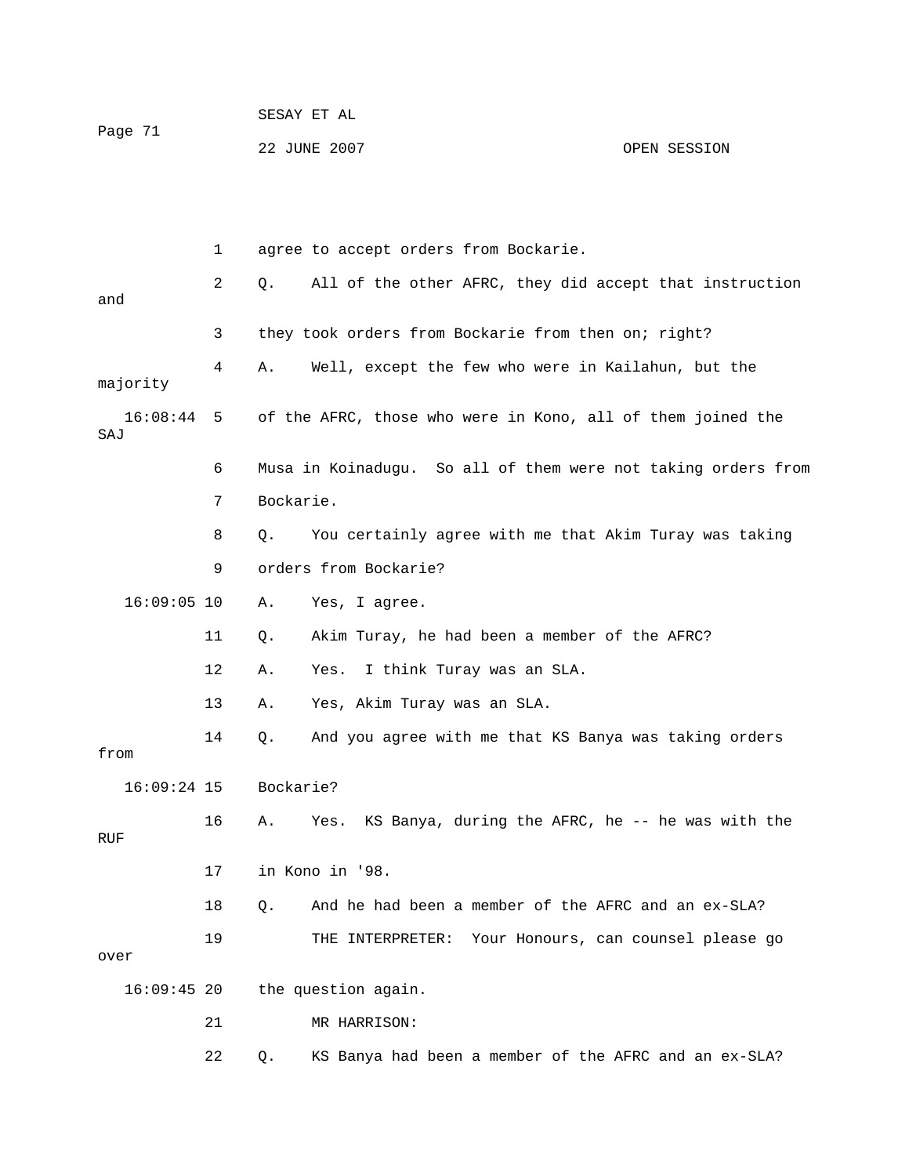|         | SESAY ET AL  |              |
|---------|--------------|--------------|
| Page 71 | 22 JUNE 2007 | OPEN SESSION |

|                 | 1  | agree to accept orders from Bockarie.                          |
|-----------------|----|----------------------------------------------------------------|
| and             | 2  | All of the other AFRC, they did accept that instruction<br>Q.  |
|                 | 3  | they took orders from Bockarie from then on; right?            |
| majority        | 4  | Well, except the few who were in Kailahun, but the<br>Α.       |
| 16:08:44<br>SAJ | 5  | of the AFRC, those who were in Kono, all of them joined the    |
|                 | 6  | Musa in Koinadugu. So all of them were not taking orders from  |
|                 | 7  | Bockarie.                                                      |
|                 | 8  | You certainly agree with me that Akim Turay was taking<br>Q.   |
|                 | 9  | orders from Bockarie?                                          |
| $16:09:05$ 10   |    | Yes, I agree.<br>Α.                                            |
|                 | 11 | Akim Turay, he had been a member of the AFRC?<br>Q.            |
|                 | 12 | I think Turay was an SLA.<br>Α.<br>Yes.                        |
|                 | 13 | Yes, Akim Turay was an SLA.<br>Α.                              |
| from            | 14 | And you agree with me that KS Banya was taking orders<br>Q.    |
| $16:09:24$ 15   |    | Bockarie?                                                      |
| RUF             | 16 | KS Banya, during the AFRC, he -- he was with the<br>Yes.<br>Α. |
|                 | 17 | in Kono in '98.                                                |
|                 | 18 | Q. And he had been a member of the AFRC and an ex-SLA?         |
| over            | 19 | THE INTERPRETER: Your Honours, can counsel please go           |
| $16:09:45$ 20   |    | the question again.                                            |
|                 | 21 | MR HARRISON:                                                   |
|                 | 22 | KS Banya had been a member of the AFRC and an ex-SLA?<br>Q.    |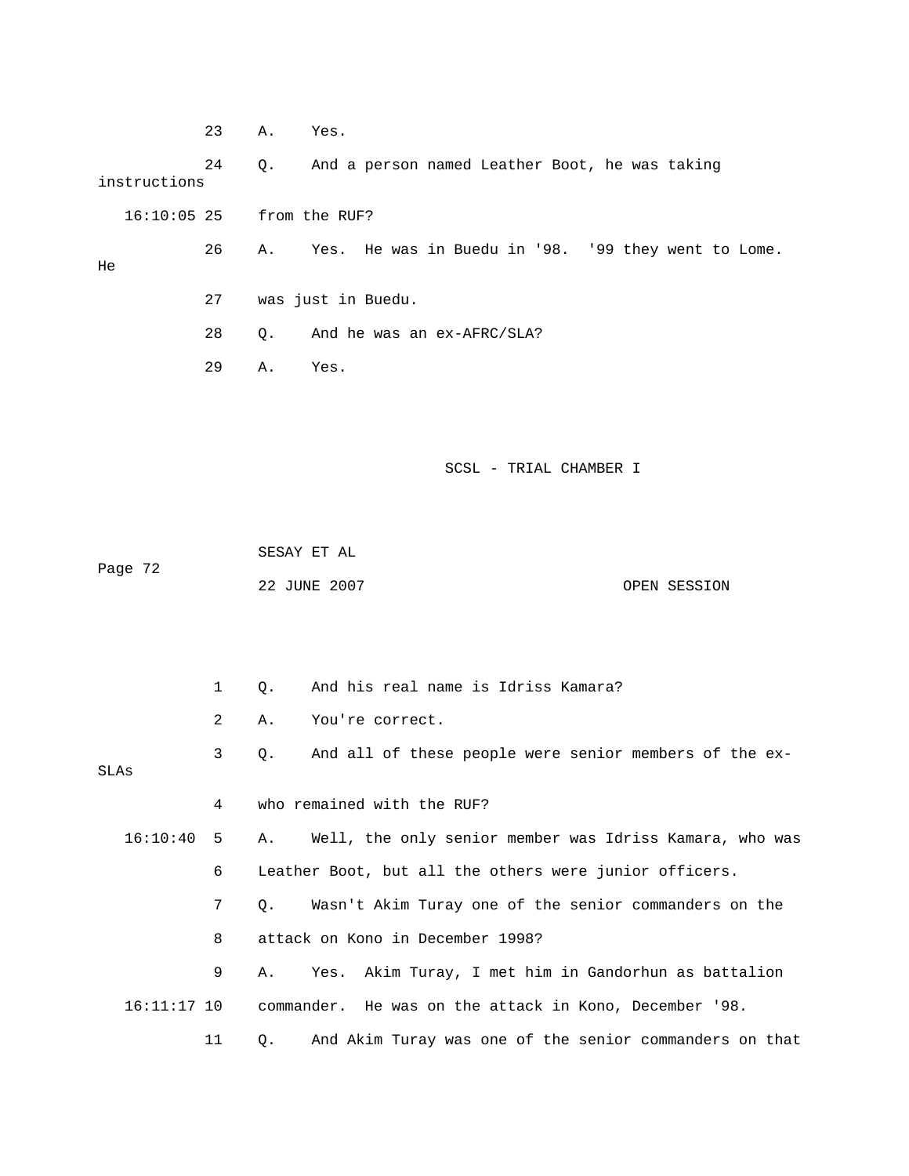|              | 23 | Α. | Yes.                                                   |
|--------------|----|----|--------------------------------------------------------|
| instructions | 24 |    | Q. And a person named Leather Boot, he was taking      |
|              |    |    | 16:10:05 25 from the RUF?                              |
| He           | 26 |    | A. Yes. He was in Buedu in '98. '99 they went to Lome. |
|              | 27 |    | was just in Buedu.                                     |
|              | 28 |    | Q. And he was an ex-AFRC/SLA?                          |
|              | 29 | Α. | Yes.                                                   |
|              |    |    |                                                        |
|              |    |    |                                                        |
|              |    |    | SCSL - TRIAL CHAMBER I                                 |

 SESAY ET AL OPEN SESSION Page 72 22 JUNE 200

|               | $\mathbf{1}$    | 0.        | And his real name is Idriss Kamara?                        |
|---------------|-----------------|-----------|------------------------------------------------------------|
|               | 2               | Α.        | You're correct.                                            |
| SLAs          | $\mathbf{3}$    | Q.        | And all of these people were senior members of the ex-     |
|               | 4               |           | who remained with the RUF?                                 |
| 16:10:40      | 5               |           | A. Well, the only senior member was Idriss Kamara, who was |
|               | 6               |           | Leather Boot, but all the others were junior officers.     |
|               | $7\overline{ }$ | $\circ$ . | Wasn't Akim Turay one of the senior commanders on the      |
|               | 8               |           | attack on Kono in December 1998?                           |
|               | 9               | Α.        | Yes. Akim Turay, I met him in Gandorhun as battalion       |
| $16:11:17$ 10 |                 |           | commander. He was on the attack in Kono, December '98.     |
|               | 11              | Q.        | And Akim Turay was one of the senior commanders on that    |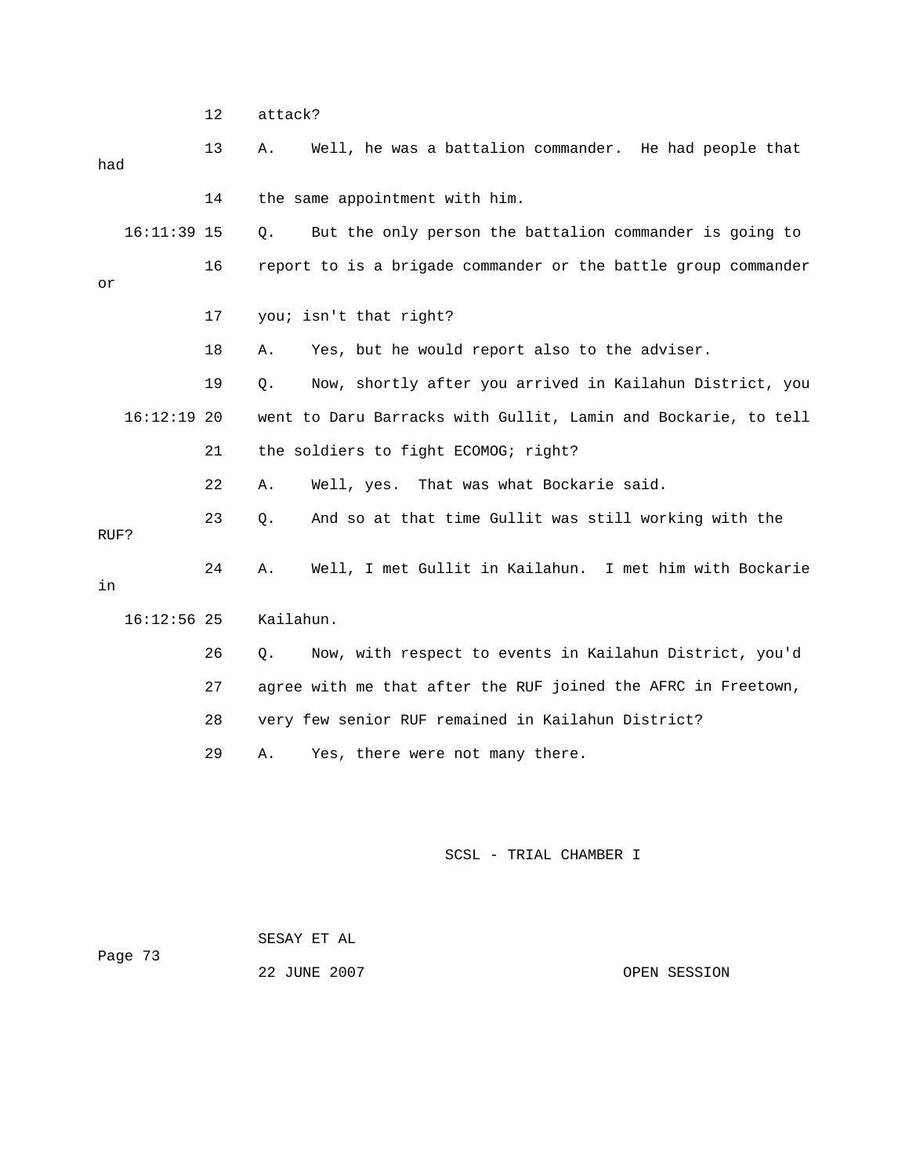|      |               | 12 | attack?                                                        |  |
|------|---------------|----|----------------------------------------------------------------|--|
| had  |               | 13 | Well, he was a battalion commander. He had people that<br>Α.   |  |
|      |               | 14 | the same appointment with him.                                 |  |
|      | $16:11:39$ 15 |    | But the only person the battalion commander is going to<br>Q.  |  |
| or   |               | 16 | report to is a brigade commander or the battle group commander |  |
|      |               | 17 | you; isn't that right?                                         |  |
|      |               | 18 | Yes, but he would report also to the adviser.<br>Α.            |  |
|      |               | 19 | Now, shortly after you arrived in Kailahun District, you<br>Q. |  |
|      | $16:12:19$ 20 |    | went to Daru Barracks with Gullit, Lamin and Bockarie, to tell |  |
|      |               | 21 | the soldiers to fight ECOMOG; right?                           |  |
|      |               | 22 | Well, yes. That was what Bockarie said.<br>Α.                  |  |
| RUF? |               | 23 | And so at that time Gullit was still working with the<br>Q.    |  |
| in   |               | 24 | Well, I met Gullit in Kailahun. I met him with Bockarie<br>Α.  |  |
|      | $16:12:56$ 25 |    | Kailahun.                                                      |  |
|      |               | 26 | Now, with respect to events in Kailahun District, you'd<br>Q.  |  |
|      |               | 27 | agree with me that after the RUF joined the AFRC in Freetown,  |  |
|      |               | 28 | very few senior RUF remained in Kailahun District?             |  |
|      |               | 29 | Yes, there were not many there.<br>Α.                          |  |
|      |               |    |                                                                |  |
|      |               |    |                                                                |  |

 22 JUNE 2007 OPEN SESSION SESAY ET AL Page 73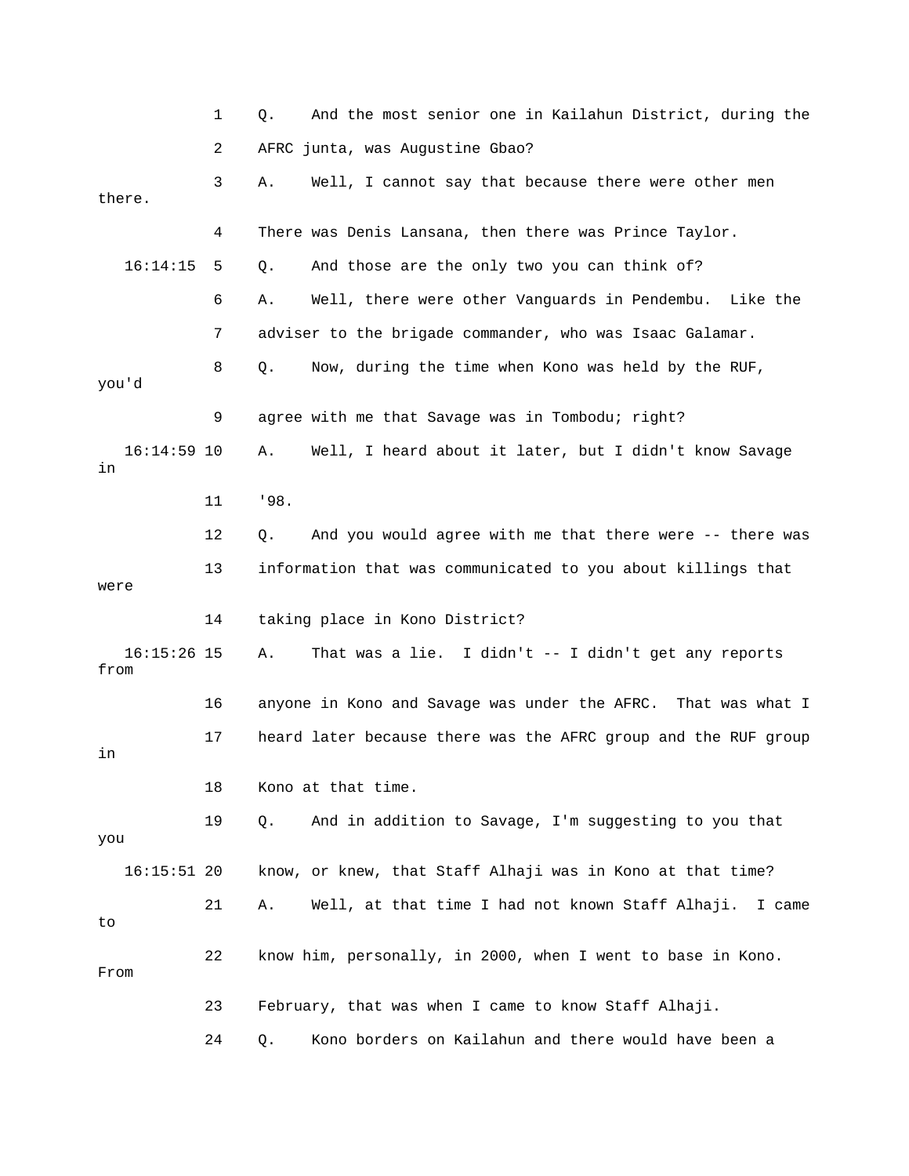|                       | 1  | And the most senior one in Kailahun District, during the<br>Q.   |
|-----------------------|----|------------------------------------------------------------------|
|                       | 2  | AFRC junta, was Augustine Gbao?                                  |
| there.                | 3  | Well, I cannot say that because there were other men<br>Α.       |
|                       | 4  | There was Denis Lansana, then there was Prince Taylor.           |
| 16:14:15              | 5  | And those are the only two you can think of?<br>Q.               |
|                       | 6  | Well, there were other Vanguards in Pendembu. Like the<br>Α.     |
|                       | 7  | adviser to the brigade commander, who was Isaac Galamar.         |
| you'd                 | 8  | Now, during the time when Kono was held by the RUF,<br>Q.        |
|                       | 9  | agree with me that Savage was in Tombodu; right?                 |
| $16:14:59$ 10<br>in   |    | Well, I heard about it later, but I didn't know Savage<br>Α.     |
|                       | 11 | 198.                                                             |
|                       | 12 | And you would agree with me that there were -- there was<br>Q.   |
|                       | 13 | information that was communicated to you about killings that     |
| were                  | 14 | taking place in Kono District?                                   |
|                       |    |                                                                  |
| $16:15:26$ 15<br>from |    | That was a lie. I didn't -- I didn't get any reports<br>Α.       |
|                       | 16 | anyone in Kono and Savage was under the AFRC. That was what I    |
| in                    | 17 | heard later because there was the AFRC group and the RUF group   |
|                       | 18 | Kono at that time.                                               |
| you                   | 19 | And in addition to Savage, I'm suggesting to you that<br>Q.      |
| $16:15:51$ 20         |    | know, or knew, that Staff Alhaji was in Kono at that time?       |
| to                    | 21 | Well, at that time I had not known Staff Alhaji.<br>Α.<br>I came |
| From                  | 22 | know him, personally, in 2000, when I went to base in Kono.      |
|                       | 23 | February, that was when I came to know Staff Alhaji.             |
|                       | 24 | Kono borders on Kailahun and there would have been a<br>Q.       |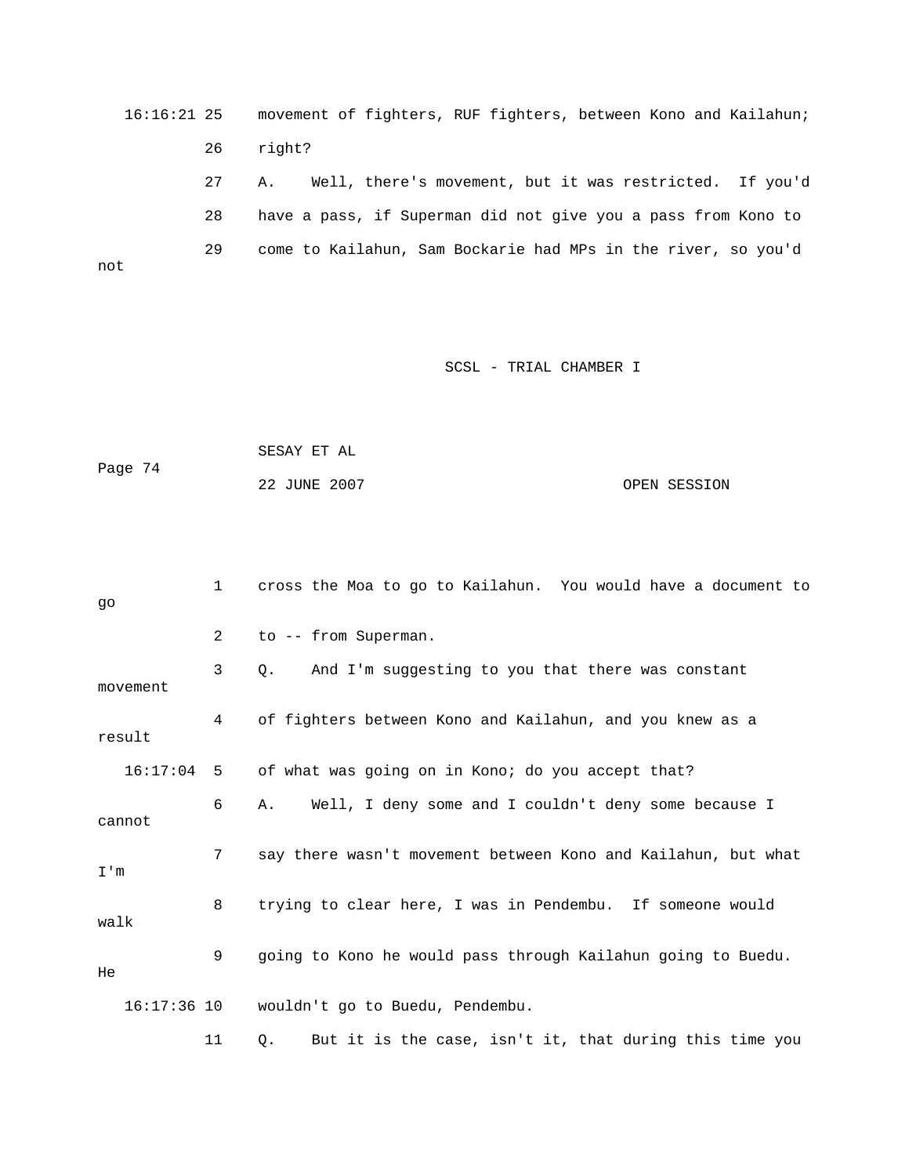16:16:21 25 movement of fighters, RUF fighters, between Kono and Kailahun; 26 right? 27 A. Well, there's movement, but it was restricted. If you'd 28 have a pass, if Superman did not give you a pass from Kono to 29 come to Kailahun, Sam Bockarie had MPs in the river, so you'd not

## SCSL - TRIAL CHAMBER I

 SESAY ET AL Page 74 22 JUNE 2007 OPEN SESSION

| go   |               | $\mathbf{1}$ | cross the Moa to go to Kailahun. You would have a document to |
|------|---------------|--------------|---------------------------------------------------------------|
|      |               | 2            | to -- from Superman.                                          |
|      | movement      | 3            | And I'm suggesting to you that there was constant<br>0.       |
|      | result        | 4            | of fighters between Kono and Kailahun, and you knew as a      |
|      | 16:17:04      | -5           | of what was going on in Kono; do you accept that?             |
|      | cannot        | 6            | Well, I deny some and I couldn't deny some because I<br>Α.    |
| I'm  |               | 7            | say there wasn't movement between Kono and Kailahun, but what |
| walk |               | 8            | trying to clear here, I was in Pendembu. If someone would     |
| He   |               | 9            | going to Kono he would pass through Kailahun going to Buedu.  |
|      | $16:17:36$ 10 |              | wouldn't go to Buedu, Pendembu.                               |
|      |               | 11           | But it is the case, isn't it, that during this time you<br>Q. |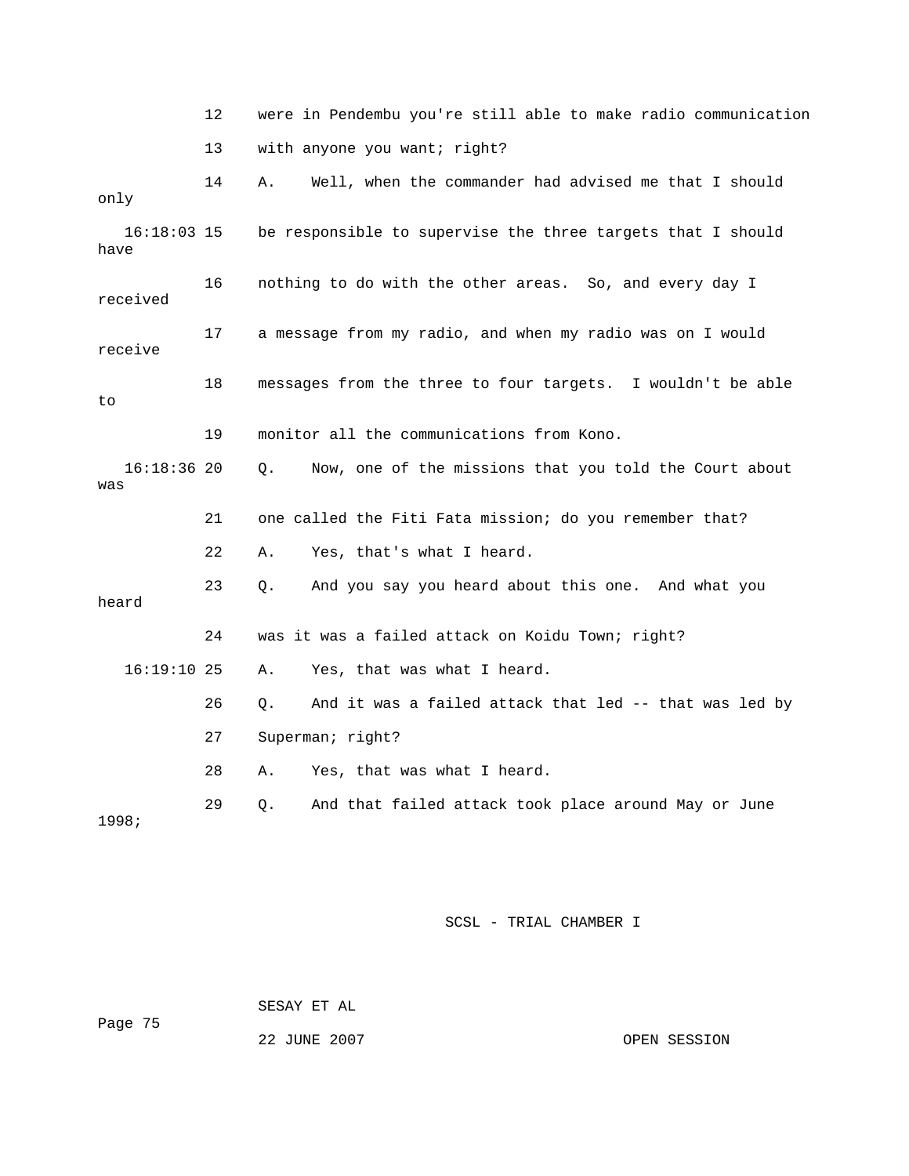| were in Pendembu you're still able to make radio communication |
|----------------------------------------------------------------|
| with anyone you want; right?                                   |

| only                  | 14 | Well, when the commander had advised me that I should<br>Α.  |
|-----------------------|----|--------------------------------------------------------------|
| $16:18:03$ 15<br>have |    | be responsible to supervise the three targets that I should  |
| received              | 16 | nothing to do with the other areas. So, and every day I      |
| receive               | 17 | a message from my radio, and when my radio was on I would    |
| to                    | 18 | messages from the three to four targets. I wouldn't be able  |
|                       | 19 | monitor all the communications from Kono.                    |
| $16:18:36$ 20<br>was  |    | Now, one of the missions that you told the Court about<br>Q. |
|                       | 21 | one called the Fiti Fata mission; do you remember that?      |
|                       | 22 | Yes, that's what I heard.<br>Α.                              |
| heard                 | 23 | And you say you heard about this one. And what you<br>$Q$ .  |
|                       | 24 | was it was a failed attack on Koidu Town; right?             |
| $16:19:10$ 25         |    | Yes, that was what I heard.<br>Α.                            |
|                       | 26 | And it was a failed attack that led -- that was led by<br>Q. |
|                       | 27 | Superman; right?                                             |
|                       | 28 | Yes, that was what I heard.<br>Α.                            |
| 1998;                 | 29 | And that failed attack took place around May or June<br>Q.   |

 SESAY ET AL Page 75

22 JUNE 2007 CPEN SESSION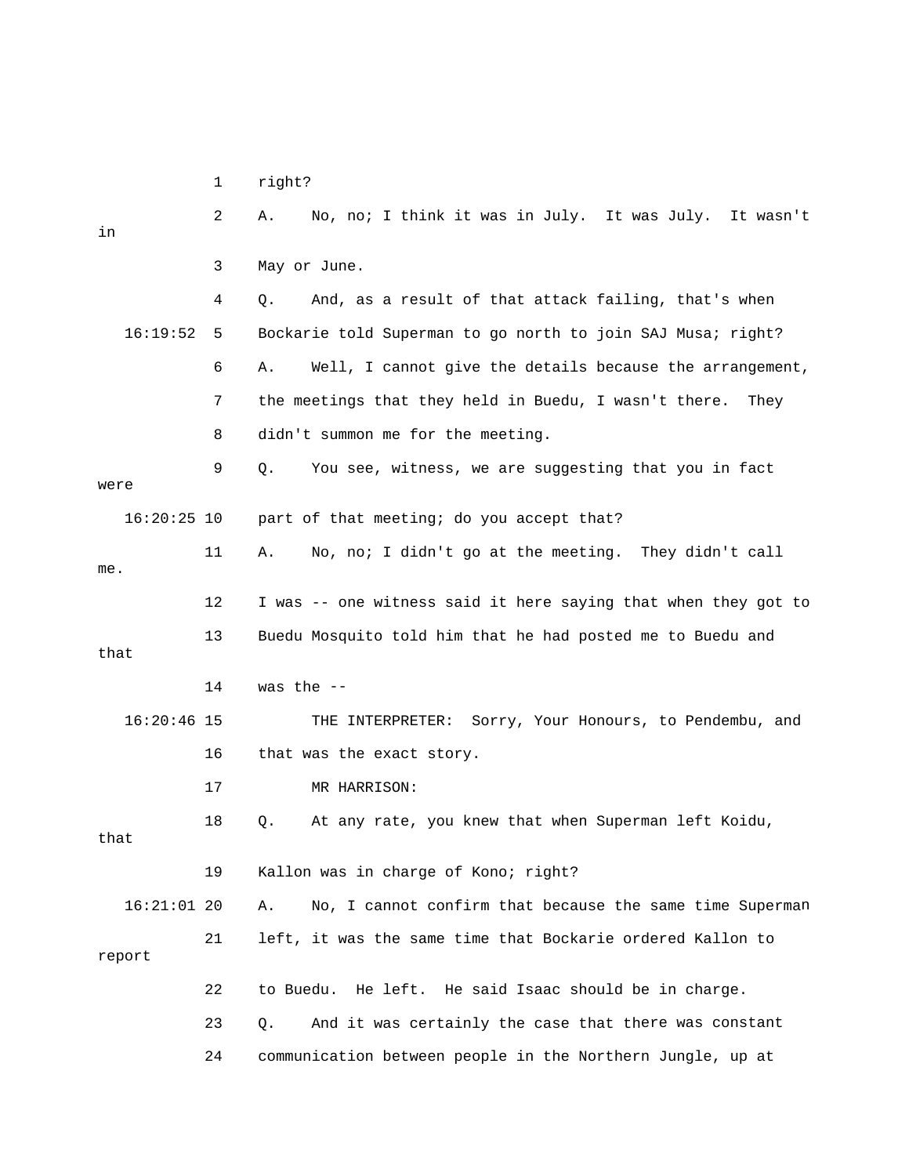1 right?

| in            | 2  | No, no; I think it was in July. It was July. It wasn't<br>Α.   |
|---------------|----|----------------------------------------------------------------|
|               | 3  | May or June.                                                   |
|               | 4  | And, as a result of that attack failing, that's when<br>Q.     |
| 16:19:52      | 5  | Bockarie told Superman to go north to join SAJ Musa; right?    |
|               | 6  | Well, I cannot give the details because the arrangement,<br>Α. |
|               | 7  | the meetings that they held in Buedu, I wasn't there.<br>They  |
|               | 8  | didn't summon me for the meeting.                              |
| were          | 9  | You see, witness, we are suggesting that you in fact<br>Q.     |
| $16:20:25$ 10 |    | part of that meeting; do you accept that?                      |
|               | 11 | No, no; I didn't go at the meeting. They didn't call<br>Α.     |
| me.           |    |                                                                |
|               | 12 | I was -- one witness said it here saying that when they got to |
| that          | 13 | Buedu Mosquito told him that he had posted me to Buedu and     |
|               |    |                                                                |
|               | 14 | was the $--$                                                   |
| $16:20:46$ 15 |    | THE INTERPRETER: Sorry, Your Honours, to Pendembu, and         |
|               | 16 | that was the exact story.                                      |
|               | 17 | MR HARRISON:                                                   |
| that          | 18 | At any rate, you knew that when Superman left Koidu,<br>Q.     |
|               | 19 | Kallon was in charge of Kono; right?                           |
| $16:21:01$ 20 |    | No, I cannot confirm that because the same time Superman<br>Α. |
| report        | 21 | left, it was the same time that Bockarie ordered Kallon to     |
|               | 22 | to Buedu. He left. He said Isaac should be in charge.          |
|               | 23 | And it was certainly the case that there was constant<br>Q.    |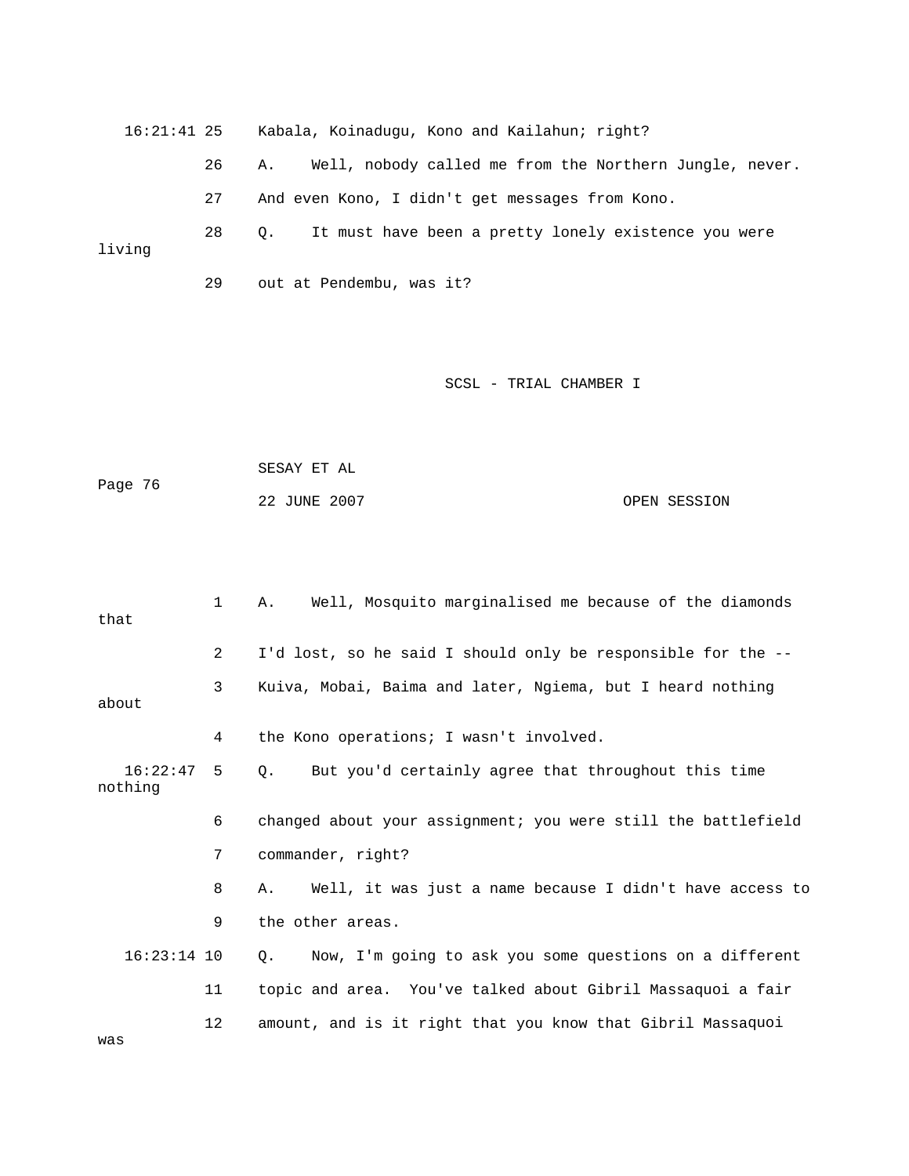16:21:41 25 Kabala, Koinadugu, Kono and Kailahun; right? It must have been a pretty lonely existence you were 26 A. Well, nobody called me from the Northern Jungle, never. 27 And even Kono, I didn't get messages from Kono.  $28$  Q. living 29 out at Pendembu, was it?

#### SCSL - TRIAL CHAMBER I

| Page 76 | SESAY ET AL  |              |
|---------|--------------|--------------|
|         | 22 JUNE 2007 | OPEN SESSION |

| that                | $\mathbf{1}$   | Well, Mosquito marginalised me because of the diamonds<br>Α.     |
|---------------------|----------------|------------------------------------------------------------------|
|                     | $\overline{2}$ | I'd lost, so he said I should only be responsible for the --     |
| about               | 3              | Kuiva, Mobai, Baima and later, Ngiema, but I heard nothing       |
|                     | 4              | the Kono operations; I wasn't involved.                          |
| 16:22:47<br>nothing | 5              | But you'd certainly agree that throughout this time<br>$\circ$ . |
|                     | 6              | changed about your assignment; you were still the battlefield    |
|                     | 7              | commander, right?                                                |
|                     | 8              | Well, it was just a name because I didn't have access to<br>Α.   |
|                     | 9              | the other areas.                                                 |
| $16:23:14$ 10       |                | Now, I'm going to ask you some questions on a different<br>Q.    |
|                     | 11             | topic and area. You've talked about Gibril Massaquoi a fair      |
|                     | 12             | amount, and is it right that you know that Gibril Massaquoi      |

was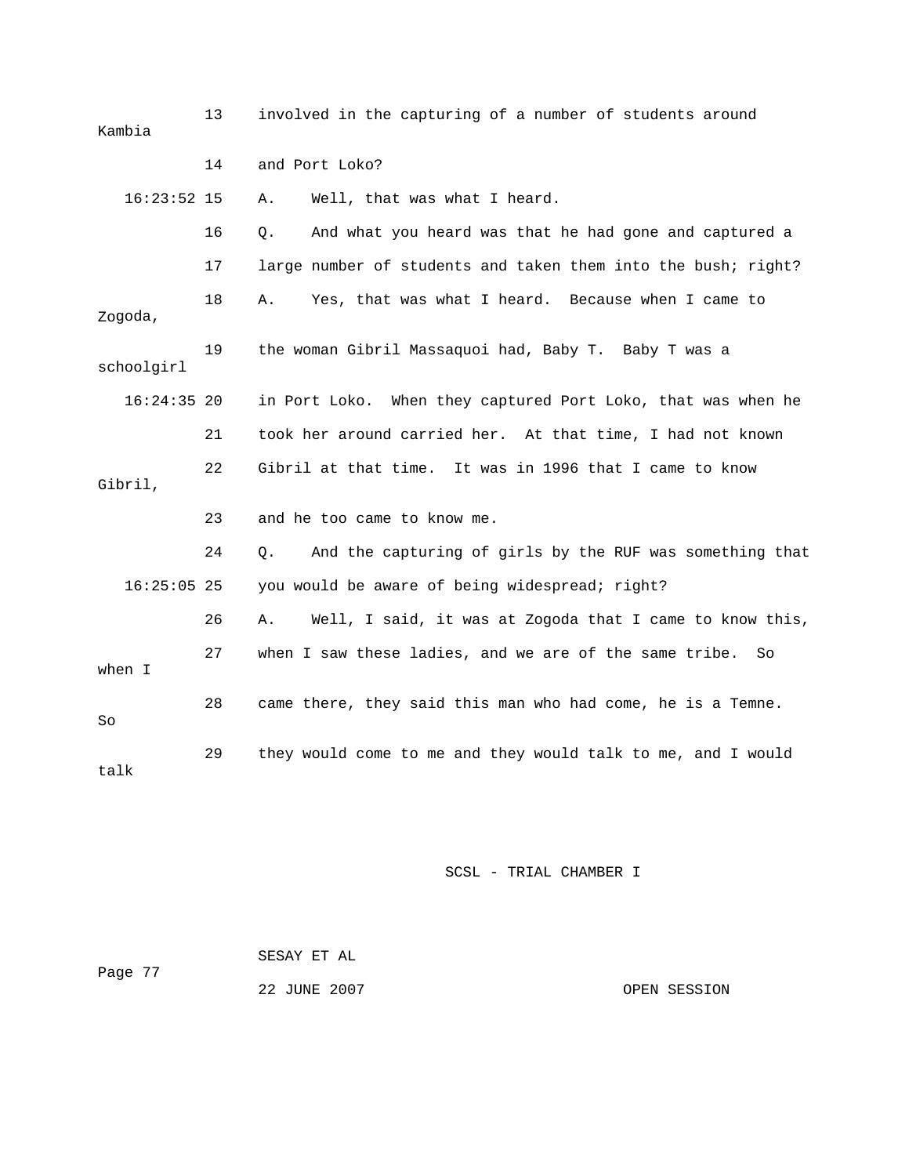| Kambia        | 13 | involved in the capturing of a number of students around       |
|---------------|----|----------------------------------------------------------------|
|               | 14 | and Port Loko?                                                 |
| $16:23:52$ 15 |    | Well, that was what I heard.<br>Α.                             |
|               | 16 | And what you heard was that he had gone and captured a<br>Q.   |
|               | 17 | large number of students and taken them into the bush; right?  |
| Zogoda,       | 18 | Yes, that was what I heard. Because when I came to<br>Α.       |
| schoolgirl    | 19 | the woman Gibril Massaquoi had, Baby T. Baby T was a           |
| $16:24:35$ 20 |    | in Port Loko. When they captured Port Loko, that was when he   |
|               | 21 | took her around carried her. At that time, I had not known     |
| Gibril,       | 22 | Gibril at that time. It was in 1996 that I came to know        |
|               | 23 | and he too came to know me.                                    |
|               | 24 | And the capturing of girls by the RUF was something that<br>Q. |
| $16:25:05$ 25 |    | you would be aware of being widespread; right?                 |
|               | 26 | Well, I said, it was at Zogoda that I came to know this,<br>Α. |
| when I        | 27 | when I saw these ladies, and we are of the same tribe.<br>So   |
| So            | 28 | came there, they said this man who had come, he is a Temne.    |
| talk          | 29 | they would come to me and they would talk to me, and I would   |

| Page 77 | SESAY ET AL  |              |
|---------|--------------|--------------|
|         | 22 JUNE 2007 | OPEN SESSION |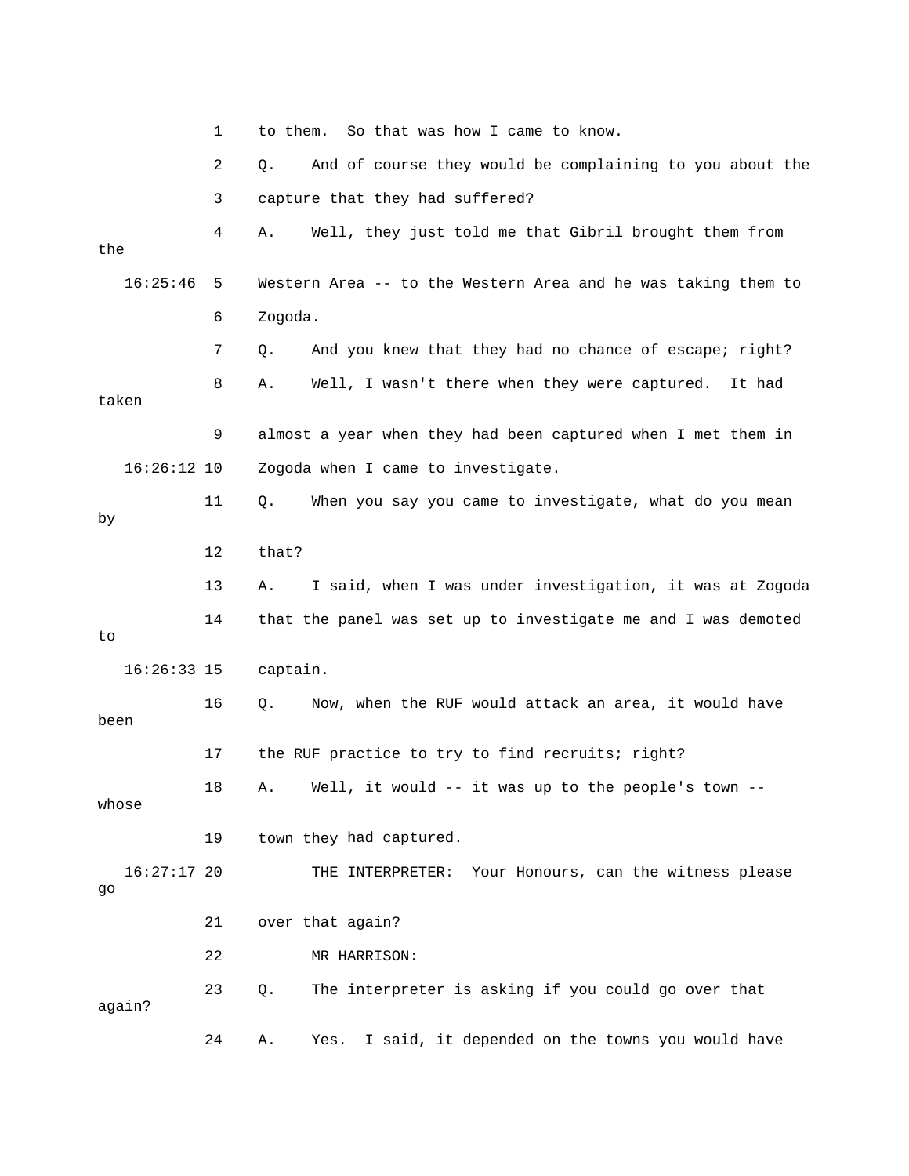|                     | 1  | So that was how I came to know.<br>to them.                    |
|---------------------|----|----------------------------------------------------------------|
|                     | 2  | And of course they would be complaining to you about the<br>Q. |
|                     | 3  | capture that they had suffered?                                |
| the                 | 4  | Well, they just told me that Gibril brought them from<br>Α.    |
| 16:25:46            | 5  | Western Area -- to the Western Area and he was taking them to  |
|                     | 6  | Zogoda.                                                        |
|                     | 7  | And you knew that they had no chance of escape; right?<br>Q.   |
| taken               | 8  | Well, I wasn't there when they were captured.<br>Α.<br>It had  |
|                     | 9  | almost a year when they had been captured when I met them in   |
| $16:26:12$ 10       |    | Zogoda when I came to investigate.                             |
| by                  | 11 | Q.<br>When you say you came to investigate, what do you mean   |
|                     | 12 | that?                                                          |
|                     | 13 | I said, when I was under investigation, it was at Zogoda<br>Α. |
| to                  | 14 | that the panel was set up to investigate me and I was demoted  |
| $16:26:33$ 15       |    | captain.                                                       |
| been                | 16 | Now, when the RUF would attack an area, it would have<br>Q.    |
|                     | 17 | the RUF practice to try to find recruits; right?               |
| whose               | 18 | A. Well, it would -- it was up to the people's town            |
|                     | 19 | town they had captured.                                        |
| $16:27:17$ 20<br>go |    | Your Honours, can the witness please<br>THE INTERPRETER:       |
|                     | 21 | over that again?                                               |
|                     | 22 | MR HARRISON:                                                   |
| again?              | 23 | The interpreter is asking if you could go over that<br>Q.      |
|                     | 24 | I said, it depended on the towns you would have<br>Yes.<br>Α.  |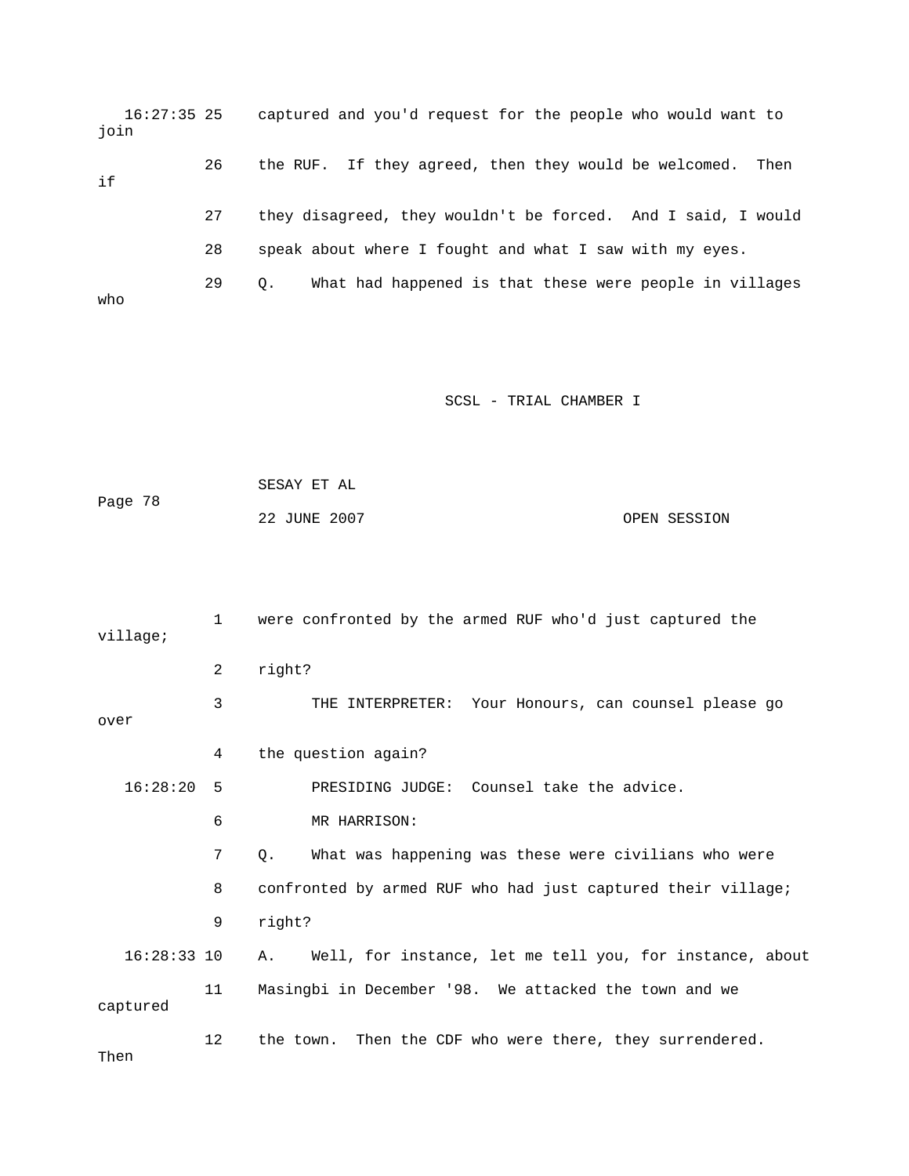16:27:35 25 captured and you'd request for the people who would want to 27 they disagreed, they wouldn't be forced. And I said, I would 28 speak about where I fought and what I saw with my eyes. 29 Q. What had happened is that these were people in villages o wh join 26 the RUF. If they agreed, then they would be welcomed. Then if

SCSL - TRIAL CHAMBER I SCSL SECTION AND SCSL SECTION OF SALES

Page 78 OPEN SESSION SESAY ET AL 22 JUNE 2007

 1 were confronted by the armed RUF who'd just captured the 2 right? 3 THE INTERPRETER: Your Honours, can counsel please go over 4 the question again? 6 MR HARRISON: 7 Q. What was happening was these were civilians who were 8 confronted by armed RUF who had just captured their village; 16:28:33 10 A. Well, for instance, let me tell you, for instance, about 11 Masingbi in December '98. We attacked the town and we 12 the town. Then the CDF who were there, they surrendered. Then village; 16:28:20 5 PRESIDING JUDGE: Counsel take the advice. 9 right? captured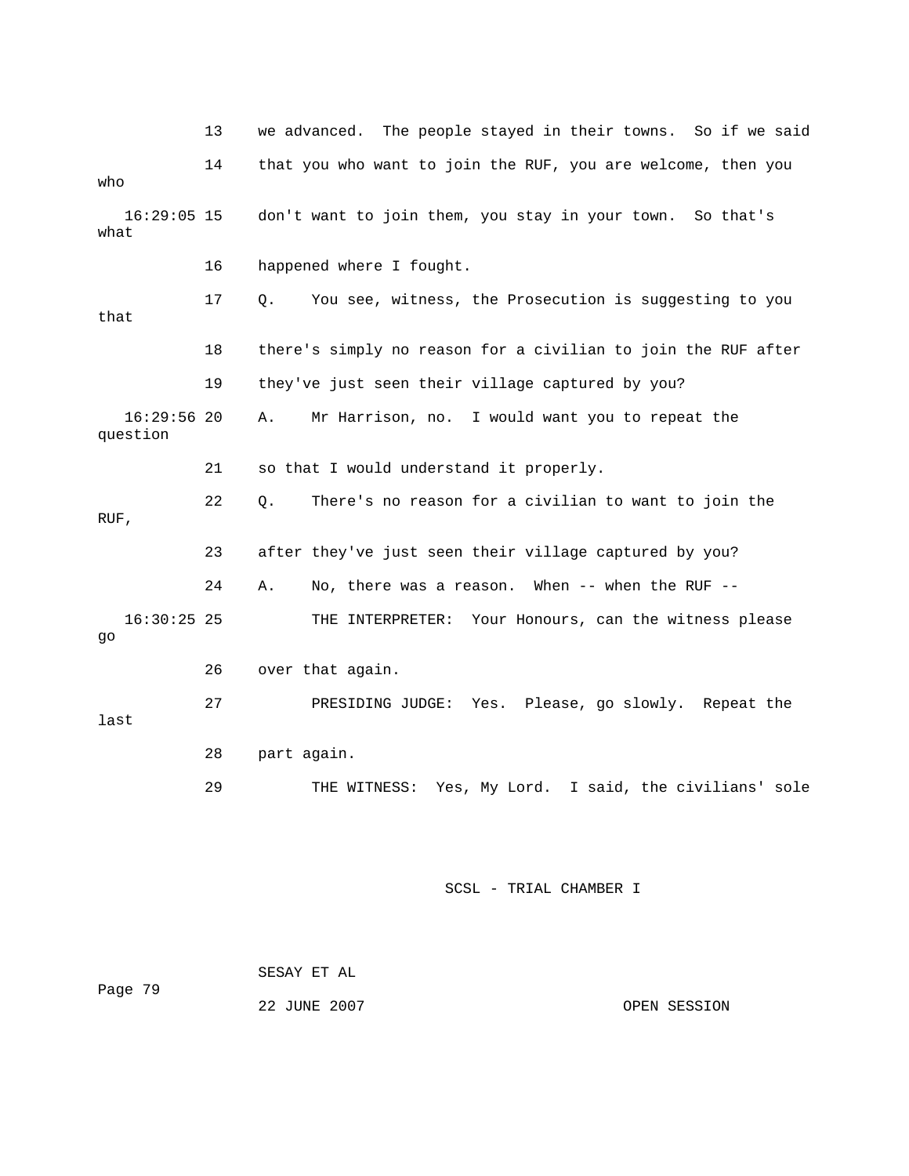|                           | 13 | we advanced. The people stayed in their towns. So if we said  |
|---------------------------|----|---------------------------------------------------------------|
| who                       | 14 | that you who want to join the RUF, you are welcome, then you  |
| $16:29:05$ 15<br>what     |    | don't want to join them, you stay in your town.<br>So that's  |
|                           | 16 | happened where I fought.                                      |
| that                      | 17 | You see, witness, the Prosecution is suggesting to you<br>Q.  |
|                           | 18 | there's simply no reason for a civilian to join the RUF after |
|                           | 19 | they've just seen their village captured by you?              |
| $16:29:56$ 20<br>question |    | Α.<br>Mr Harrison, no. I would want you to repeat the         |
|                           | 21 | so that I would understand it properly.                       |
| RUF,                      | 22 | There's no reason for a civilian to want to join the<br>Q.    |
|                           | 23 | after they've just seen their village captured by you?        |
|                           | 24 | No, there was a reason. When -- when the RUF --<br>Α.         |
| $16:30:25$ 25<br>go       |    | Your Honours, can the witness please<br>THE INTERPRETER:      |
|                           | 26 | over that again.                                              |
| last                      | 27 | PRESIDING JUDGE:<br>Yes. Please, go slowly. Repeat the        |
|                           | 28 | part again.                                                   |
|                           | 29 | THE WITNESS: Yes, My Lord. I said, the civilians' sole        |

| Page 79 | SESAY ET AL  |              |
|---------|--------------|--------------|
|         | 22 JUNE 2007 | OPEN SESSION |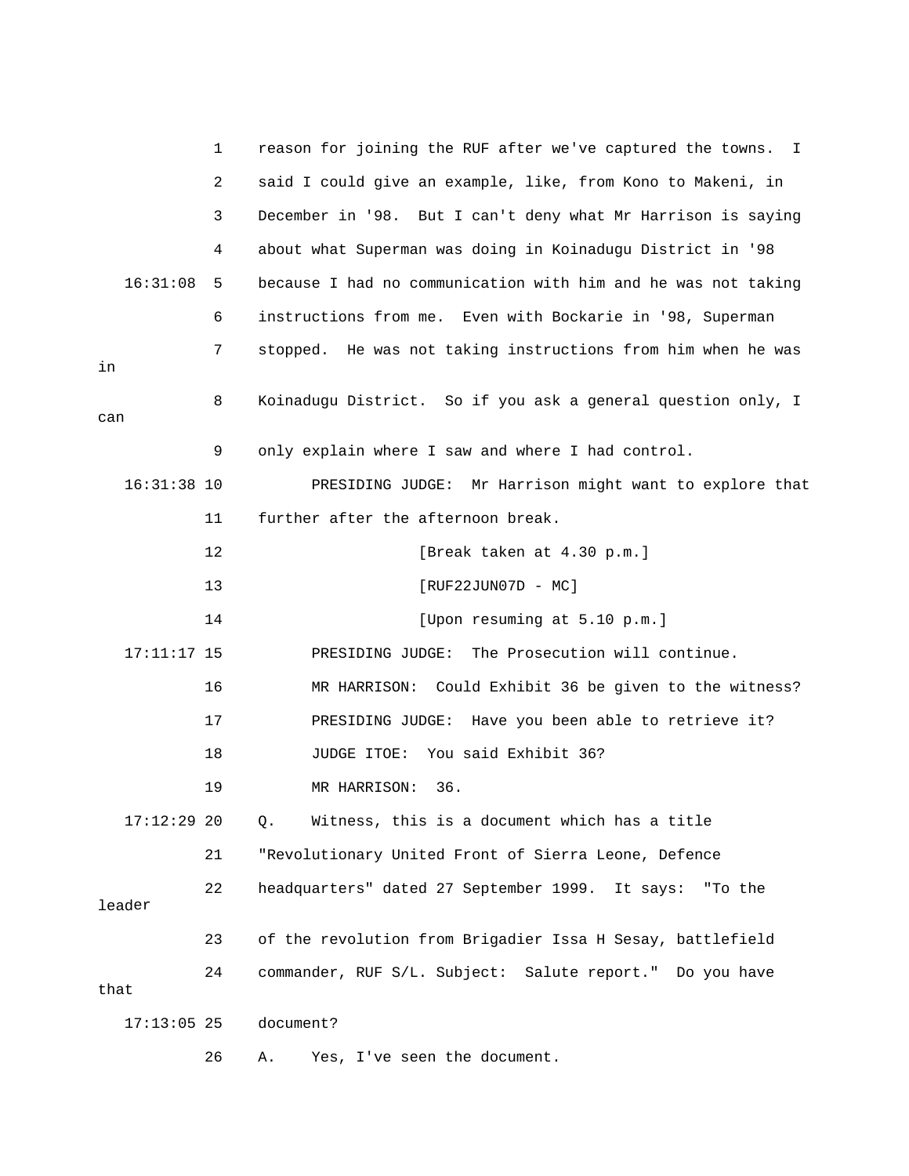|      |               | 1  | reason for joining the RUF after we've captured the towns.<br>Ι. |
|------|---------------|----|------------------------------------------------------------------|
|      |               | 2  | said I could give an example, like, from Kono to Makeni, in      |
|      |               | 3  | December in '98. But I can't deny what Mr Harrison is saying     |
|      |               | 4  | about what Superman was doing in Koinadugu District in '98       |
|      | 16:31:08      | 5  | because I had no communication with him and he was not taking    |
|      |               | 6  | instructions from me. Even with Bockarie in '98, Superman        |
| in   |               | 7  | stopped. He was not taking instructions from him when he was     |
| can  |               | 8  | Koinadugu District. So if you ask a general question only, I     |
|      |               | 9  | only explain where I saw and where I had control.                |
|      | $16:31:38$ 10 |    | PRESIDING JUDGE: Mr Harrison might want to explore that          |
|      |               | 11 | further after the afternoon break.                               |
|      |               | 12 | [Break taken at 4.30 p.m.]                                       |
|      |               | 13 | $[RUF22JUN07D - MC]$                                             |
|      |               | 14 | [Upon resuming at 5.10 p.m.]                                     |
|      | $17:11:17$ 15 |    | PRESIDING JUDGE: The Prosecution will continue.                  |
|      |               | 16 | MR HARRISON: Could Exhibit 36 be given to the witness?           |
|      |               | 17 | Have you been able to retrieve it?<br>PRESIDING JUDGE:           |
|      |               | 18 | You said Exhibit 36?<br>JUDGE ITOE:                              |
|      |               | 19 | 36.<br>MR HARRISON:                                              |
|      | $17:12:29$ 20 |    | Witness, this is a document which has a title<br>Q.              |
|      |               | 21 | "Revolutionary United Front of Sierra Leone, Defence             |
|      | leader        | 22 | headquarters" dated 27 September 1999. It says: "To the          |
|      |               | 23 | of the revolution from Brigadier Issa H Sesay, battlefield       |
| that |               | 24 | commander, RUF S/L. Subject: Salute report." Do you have         |
|      | $17:13:05$ 25 |    | document?                                                        |
|      |               | 26 | Yes, I've seen the document.<br>Α.                               |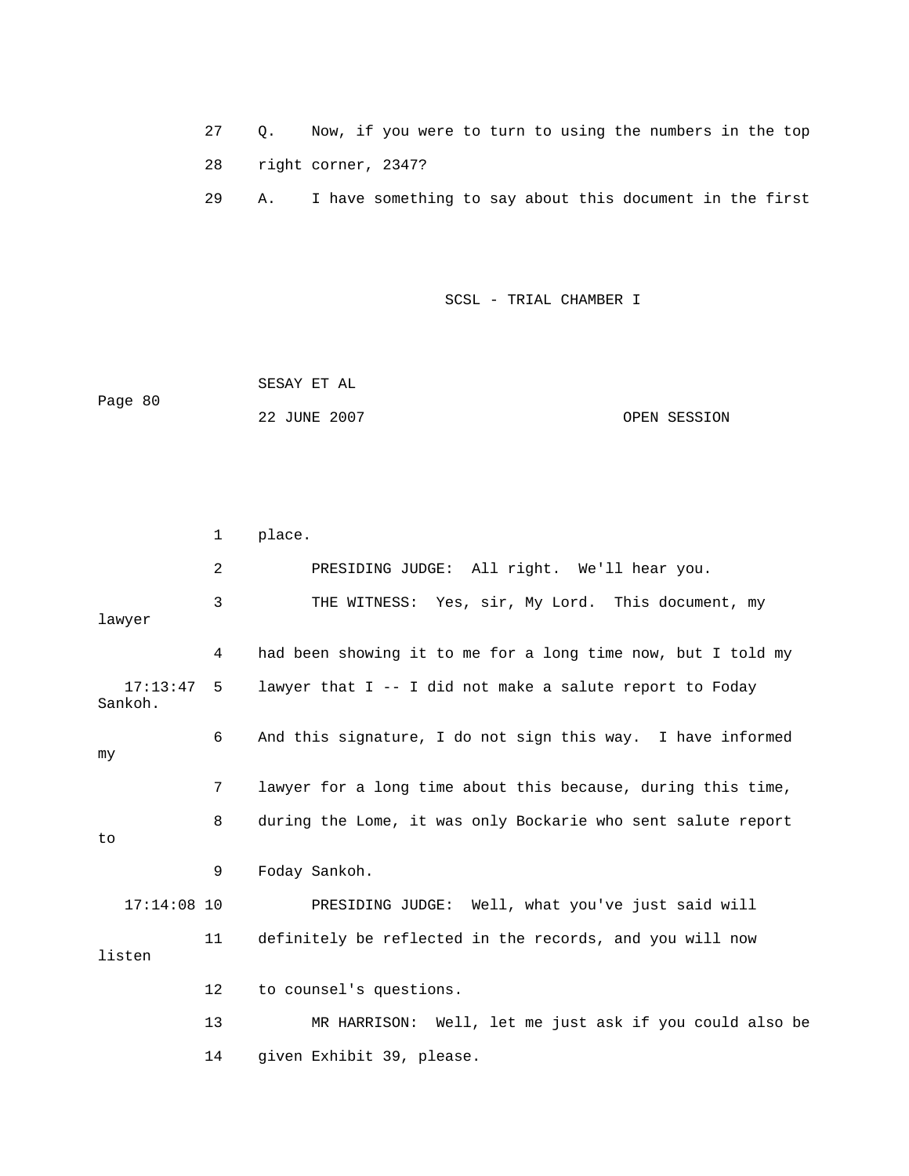27 Q. Now, if you were to turn to using the numbers in the top 28 right corner, 2347?

29 A. I have something to say about this document in the first

SCSL - TRIAL CHAMBER I

 22 JUNE 2007 OPEN SESSION SESAY ET AL Page 80

 2 PRESIDING JUDGE: All right. We'll hear you. 3 THE WITNESS: Yes, sir, My Lord. This document, my lawyer 4 had been showing it to me for a long time now, but I told my 7 lawyer for a long time about this because, during this time, 8 during the Lome, it was only Bockarie who sent salute report 9 Foday Sankoh. 17:14:08 10 PRESIDING JUDGE: Well, what you've just said will 12 to counsel's questions. 13 MR HARRISON: Well, let me just ask if you could also be 14 given Exhibit 39, please. 1 place. 17:13:47 5 lawyer that I -- I did not make a salute report to Foday Sankoh. 6 And this signature, I do not sign this way. I have informed my to 11 definitely be reflected in the records, and you will now listen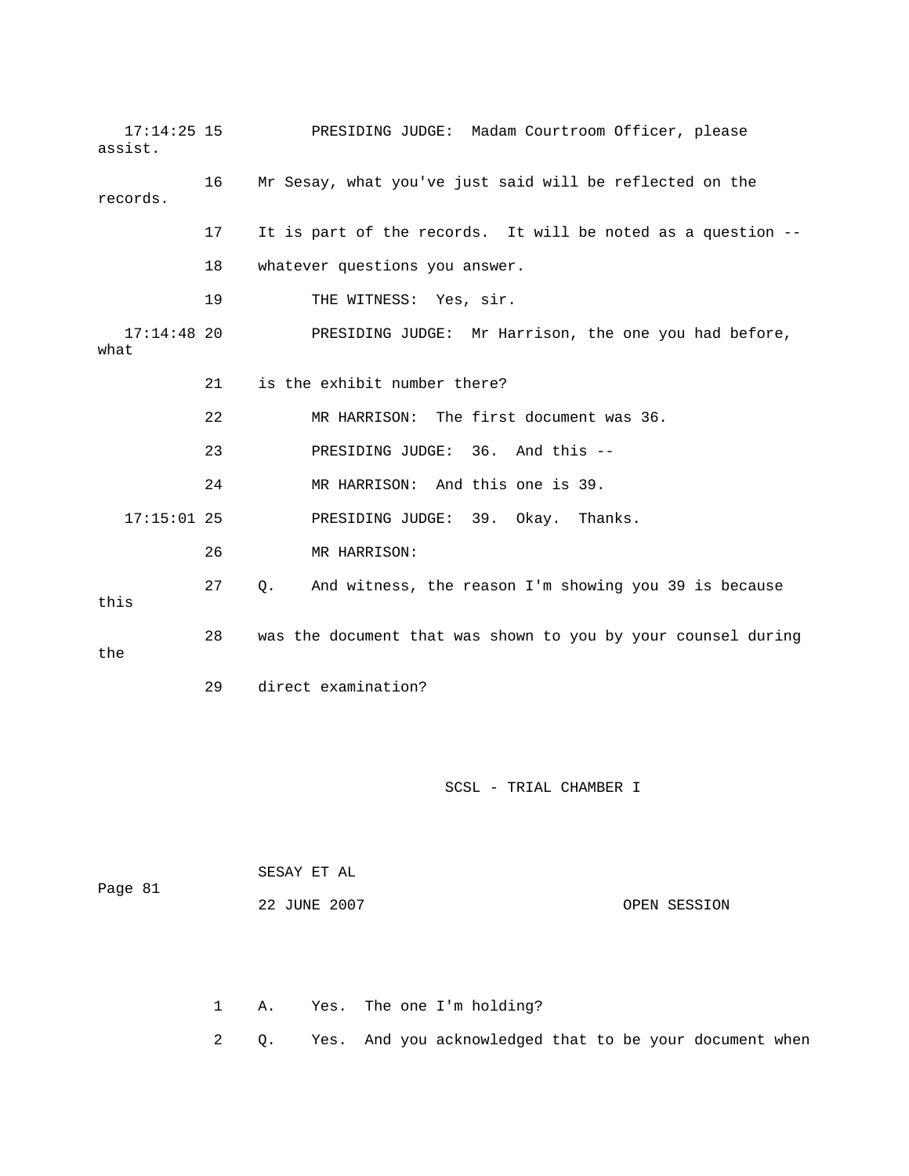17:14:25 15 PRESIDING JUDGE: Madam Courtroom Officer, ple ase assist. 19 THE WITNESS: Yes, sir. PRESIDING JUDGE: Mr Harrison, the one you had before, what 22 MR HARRISON: The first document was 36. 23 PRESIDING JUDGE: 36. And this -- 26 MR HARRISON: 27 Q. And witness, the reason I'm showing you 39 is because 28 was the document that was shown to you by your counsel during the 16 Mr Sesay, what you've just said will be reflected on the records. 17 It is part of the records. It will be noted as a question -- 18 whatever questions you answer.  $17:14:48$  20 21 is the exhibit number there? 24 MR HARRISON: And this one is 39. 17:15:01 25 PRESIDING JUDGE: 39. Okay. Thanks. this 29 direct examination?

#### SCSL - TRIAL CHAMBER I

 22 JUNE 2007 OPEN SESSION SESAY ET AL Page 81

1 A. Yes. The one I'm holding?

2 Q. Yes. And you acknowledged that to be your document when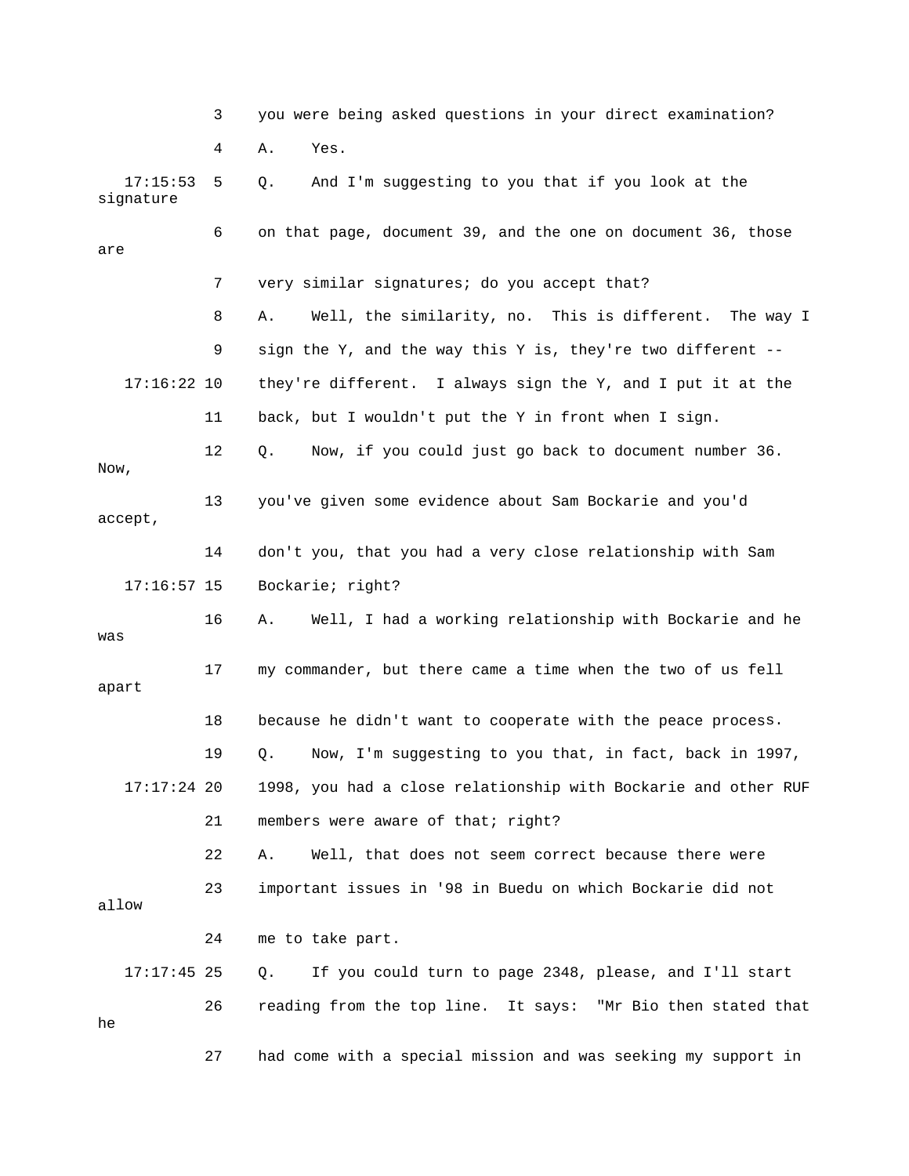|                       | 3  | you were being asked questions in your direct examination?      |
|-----------------------|----|-----------------------------------------------------------------|
|                       | 4  | Α.<br>Yes.                                                      |
| 17:15:53<br>signature | 5  | And I'm suggesting to you that if you look at the<br>Q.         |
| are                   | 6  | on that page, document 39, and the one on document 36, those    |
|                       | 7  | very similar signatures; do you accept that?                    |
|                       | 8  | Well, the similarity, no. This is different.<br>The way I<br>Α. |
|                       | 9  | sign the Y, and the way this Y is, they're two different --     |
| $17:16:22$ 10         |    | they're different. I always sign the Y, and I put it at the     |
|                       | 11 | back, but I wouldn't put the Y in front when I sign.            |
| Now,                  | 12 | Now, if you could just go back to document number 36.<br>Q.     |
| accept,               | 13 | you've given some evidence about Sam Bockarie and you'd         |
|                       | 14 | don't you, that you had a very close relationship with Sam      |
| $17:16:57$ 15         |    | Bockarie; right?                                                |
| was                   | 16 | Well, I had a working relationship with Bockarie and he<br>Α.   |
| apart                 | 17 | my commander, but there came a time when the two of us fell     |
|                       | 18 | because he didn't want to cooperate with the peace process.     |
|                       | 19 | Now, I'm suggesting to you that, in fact, back in 1997,<br>Q.   |
| $17:17:24$ 20         |    | 1998, you had a close relationship with Bockarie and other RUF  |
|                       | 21 | members were aware of that; right?                              |
|                       | 22 | Well, that does not seem correct because there were<br>Α.       |
| allow                 | 23 | important issues in '98 in Buedu on which Bockarie did not      |
|                       | 24 | me to take part.                                                |
| $17:17:45$ 25         |    | If you could turn to page 2348, please, and I'll start<br>Q.    |
| he                    | 26 | reading from the top line. It says: "Mr Bio then stated that    |
|                       | 27 | had come with a special mission and was seeking my support in   |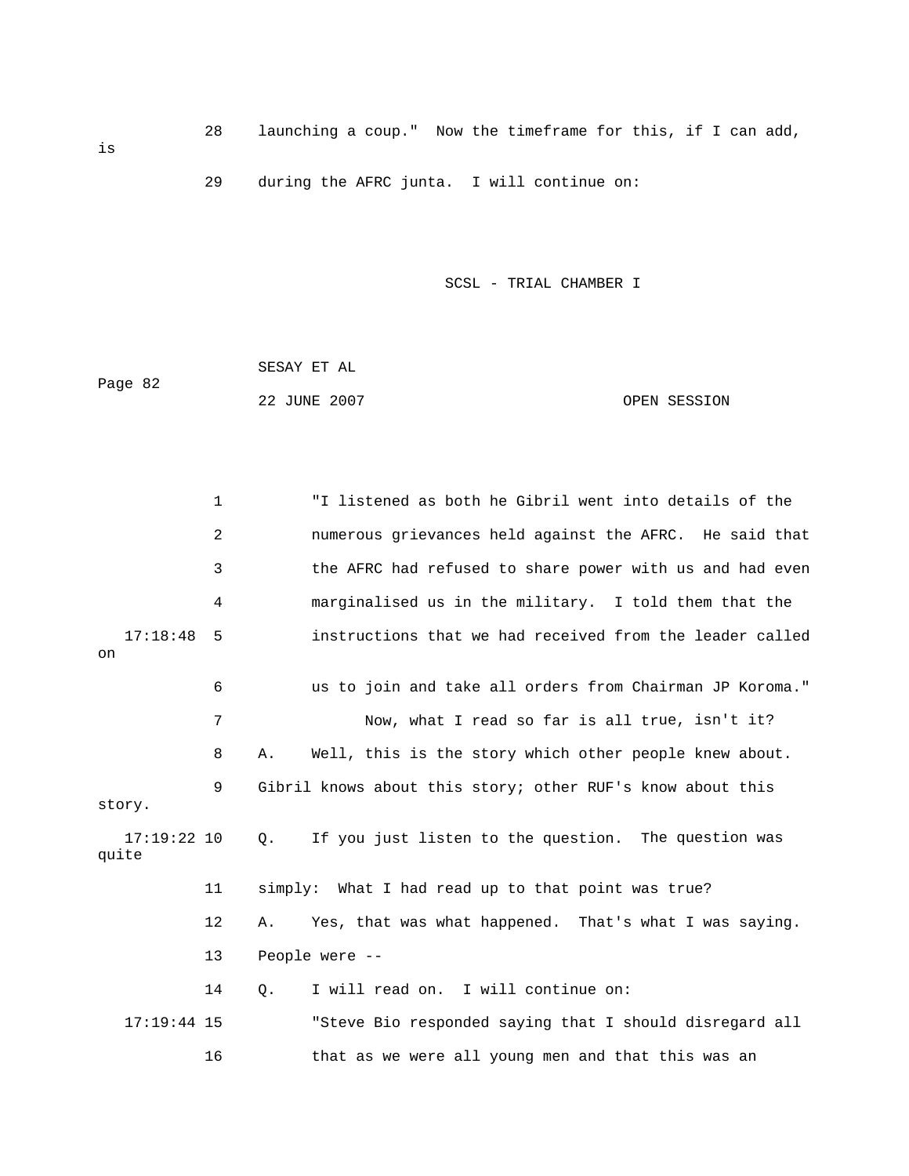28 launching a coup." Now the timeframe for this, if I can add,

29 during the AFRC junta. I will continue on:

SCSL - TRIAL CHAMBER I

|         | SESAY ET AL  |  |              |
|---------|--------------|--|--------------|
| Page 82 |              |  |              |
|         | 22 JUNE 2007 |  | OPEN SESSION |

 1 "I listened as both he Gibril went into details of the 2 **2** numerous grievances held against the AFRC. He said that 3 the AFRC had refused to share power with us and had even 4 marginalised us in the military. I told them that the 7 Mow, what I read so far is all true, isn't it? 8 A. Well, this is the story which other people knew about. 9 Gibril knows about this story; other RUF's know about this story. 17:19:22 10 Q. If you just listen to the question. The question was quite 11 simply: What I had read up to that point was true? 14 Q. I will read on. I will continue on: 17:19:44 15 "Steve Bio responded saying that I should disregard all 16 that as we were all young men and that this was an 17:18:48 5 instructions that we had received from the leader called on 6 us to join and take all orders from Chairman JP Koroma." 12 A. Yes, that was what happened. That's what I was saying. 13 People were --

is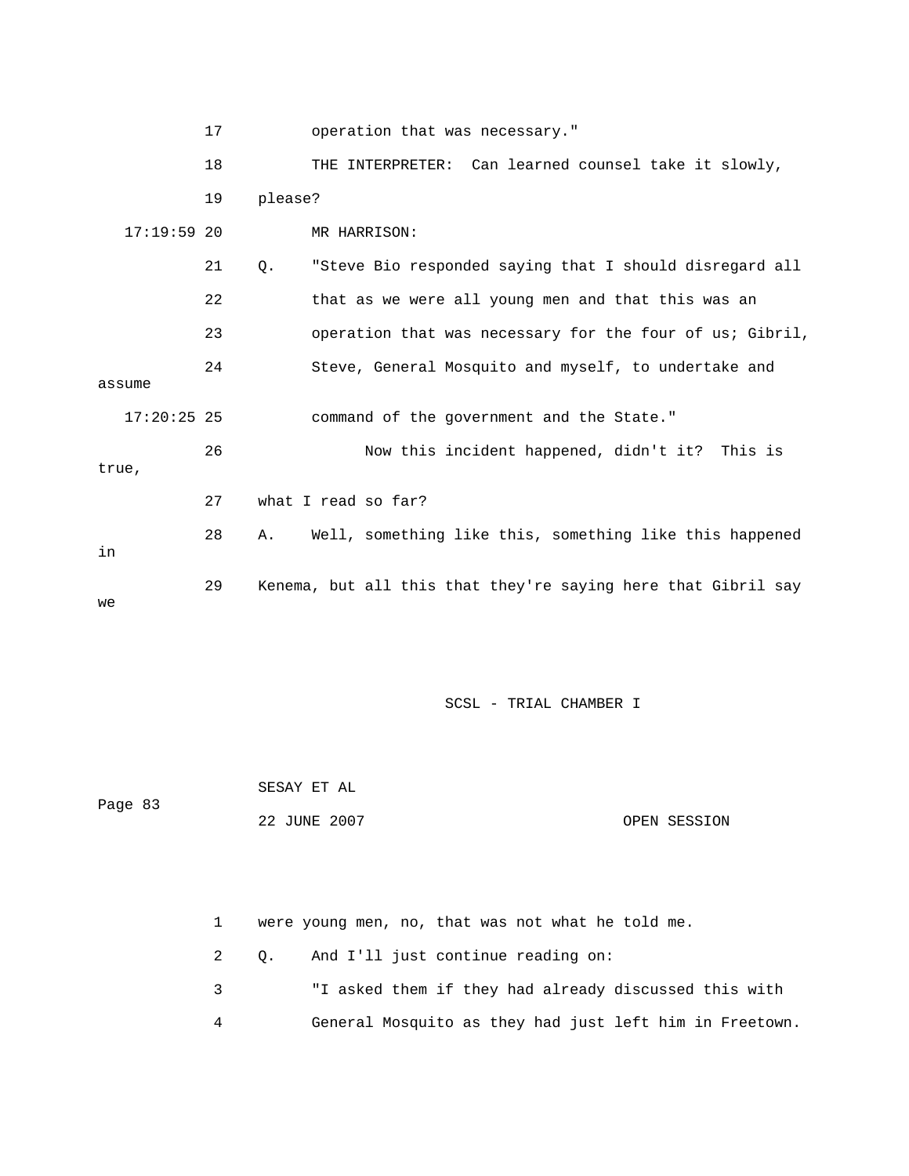|               | 17 | operation that was necessary."                                   |
|---------------|----|------------------------------------------------------------------|
|               | 18 | THE INTERPRETER: Can learned counsel take it slowly,             |
|               | 19 | please?                                                          |
| $17:19:59$ 20 |    | MR HARRISON:                                                     |
|               | 21 | "Steve Bio responded saying that I should disregard all<br>$Q$ . |
|               | 22 | that as we were all young men and that this was an               |
|               | 23 | operation that was necessary for the four of us; Gibril,         |
|               | 24 | Steve, General Mosquito and myself, to undertake and             |
| assume        |    |                                                                  |
| $17:20:25$ 25 |    | command of the government and the State."                        |
|               | 26 | Now this incident happened, didn't it? This is                   |
| true,         |    |                                                                  |
|               | 27 | what I read so far?                                              |
| in            | 28 | Well, something like this, something like this happened<br>Α.    |
| we            | 29 | Kenema, but all this that they're saying here that Gibril say    |

SESAY ET AL Page 83 OPEN SESSION 22 JUNE 2007

> 3 "I asked them if they had already discussed this with 4 General Mosquito as they had just left him in Freetown. 1 were young men, no, that was not what he told me. 2 Q. And I'll just continue reading on: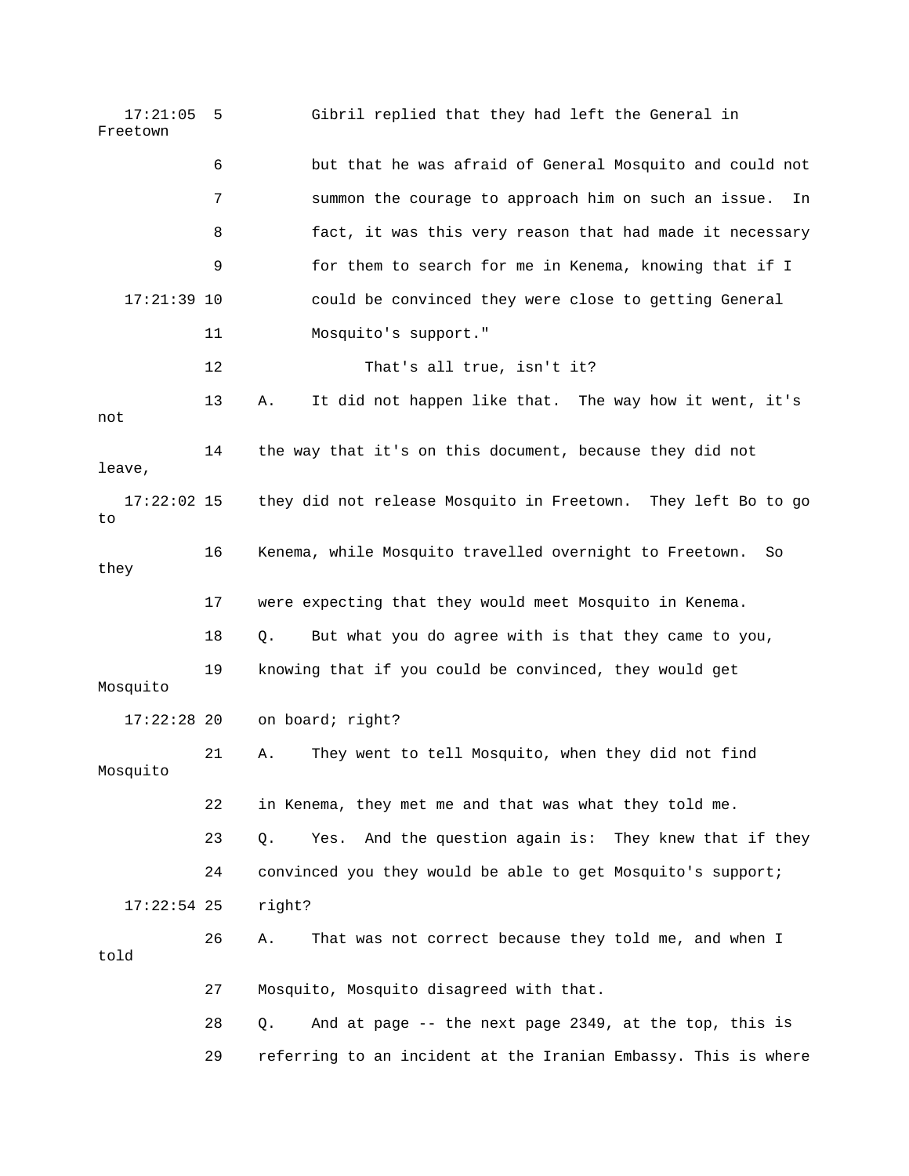| 17:21:05<br>Freetown | 5  | Gibril replied that they had left the General in                |
|----------------------|----|-----------------------------------------------------------------|
|                      | 6  | but that he was afraid of General Mosquito and could not        |
|                      | 7  | summon the courage to approach him on such an issue.<br>In      |
|                      | 8  | fact, it was this very reason that had made it necessary        |
|                      | 9  | for them to search for me in Kenema, knowing that if I          |
| $17:21:39$ 10        |    | could be convinced they were close to getting General           |
|                      | 11 | Mosquito's support."                                            |
|                      | 12 | That's all true, isn't it?                                      |
| not                  | 13 | It did not happen like that. The way how it went, it's<br>Α.    |
| leave,               | 14 | the way that it's on this document, because they did not        |
| $17:22:02$ 15<br>to  |    | they did not release Mosquito in Freetown. They left Bo to go   |
| they                 | 16 | Kenema, while Mosquito travelled overnight to Freetown.<br>So   |
|                      |    |                                                                 |
|                      | 17 | were expecting that they would meet Mosquito in Kenema.         |
|                      | 18 | But what you do agree with is that they came to you,<br>Q.      |
| Mosquito             | 19 | knowing that if you could be convinced, they would get          |
| $17:22:28$ 20        |    | on board; right?                                                |
| Mosquito             | 21 | They went to tell Mosquito, when they did not find<br>Α.        |
|                      | 22 | in Kenema, they met me and that was what they told me.          |
|                      | 23 | And the question again is: They knew that if they<br>Q.<br>Yes. |
|                      | 24 | convinced you they would be able to get Mosquito's support;     |
| $17:22:54$ 25        |    | right?                                                          |
| told                 | 26 | That was not correct because they told me, and when I<br>Α.     |
|                      | 27 | Mosquito, Mosquito disagreed with that.                         |
|                      | 28 | And at page -- the next page 2349, at the top, this is<br>Q.    |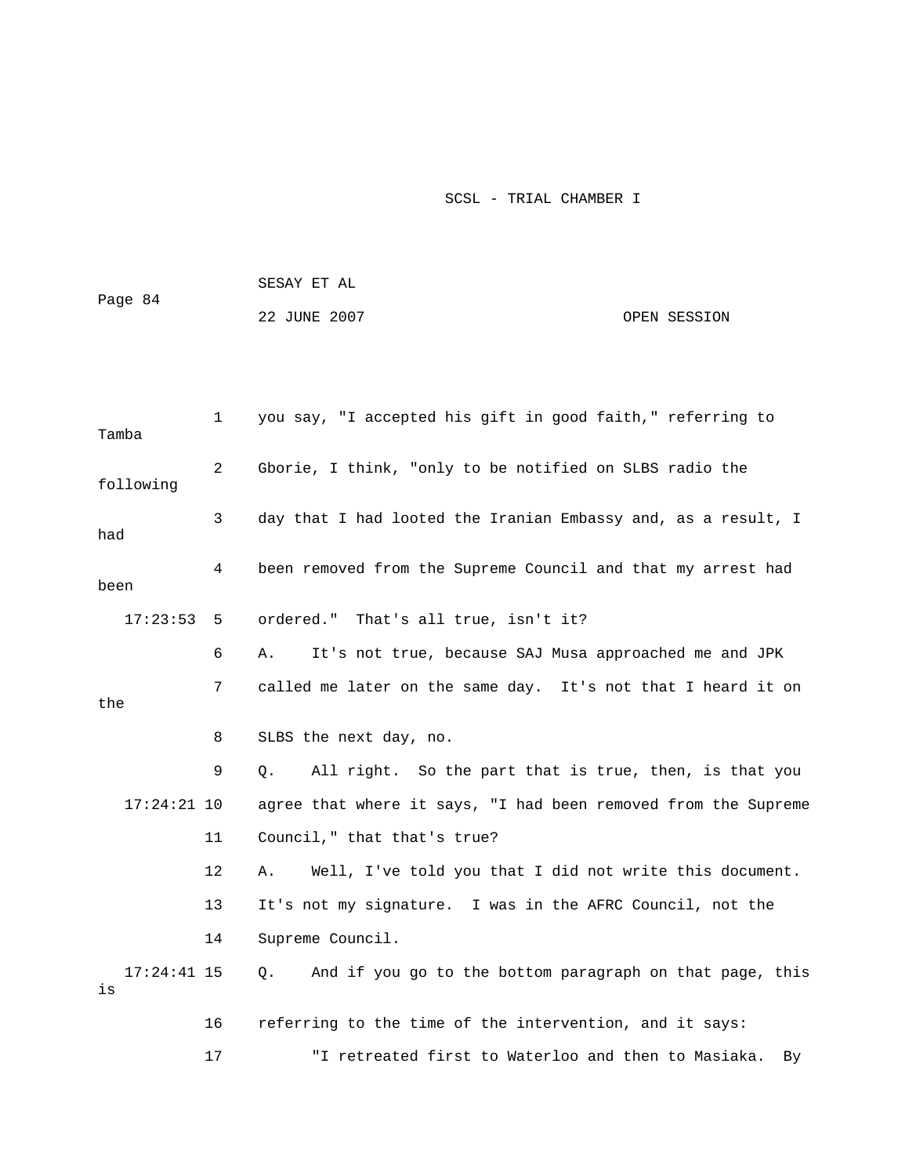|                     |                | SESAY ET AL                                                    |              |
|---------------------|----------------|----------------------------------------------------------------|--------------|
| Page 84             |                | 22 JUNE 2007                                                   | OPEN SESSION |
|                     |                |                                                                |              |
|                     |                |                                                                |              |
| Tamba               | $\mathbf{1}$   | you say, "I accepted his gift in good faith," referring to     |              |
| following           | $\overline{2}$ | Gborie, I think, "only to be notified on SLBS radio the        |              |
| had                 | 3              | day that I had looted the Iranian Embassy and, as a result, I  |              |
| been                | 4              | been removed from the Supreme Council and that my arrest had   |              |
| 17:23:53            | 5              | ordered." That's all true, isn't it?                           |              |
|                     | 6              | It's not true, because SAJ Musa approached me and JPK<br>Α.    |              |
| the                 | 7              | called me later on the same day. It's not that I heard it on   |              |
|                     | 8              | SLBS the next day, no.                                         |              |
|                     | 9              | All right. So the part that is true, then, is that you<br>Q.   |              |
| $17:24:21$ 10       |                | agree that where it says, "I had been removed from the Supreme |              |
|                     | 11             | Council," that that's true?                                    |              |
|                     | 12             | Well, I've told you that I did not write this document.<br>Α.  |              |
|                     | 13             | It's not my signature. I was in the AFRC Council, not the      |              |
|                     | 14             | Supreme Council.                                               |              |
| $17:24:41$ 15<br>is |                | And if you go to the bottom paragraph on that page, this<br>Q. |              |
|                     | 16             | referring to the time of the intervention, and it says:        |              |
|                     | 17             | "I retreated first to Waterloo and then to Masiaka.            | By           |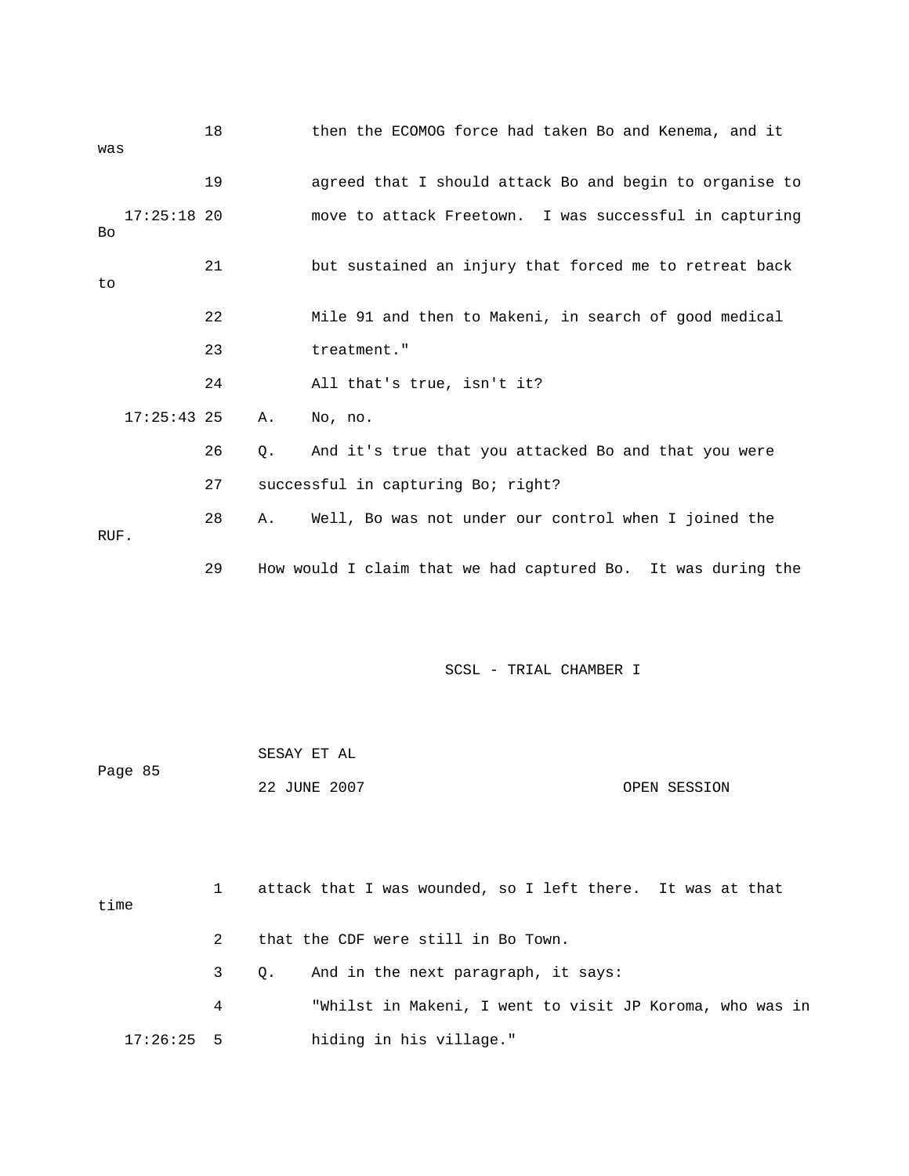| was  |               | 18 |    | then the ECOMOG force had taken Bo and Kenema, and it        |
|------|---------------|----|----|--------------------------------------------------------------|
|      |               | 19 |    | agreed that I should attack Bo and begin to organise to      |
| Bo   | $17:25:18$ 20 |    |    | move to attack Freetown. I was successful in capturing       |
| to   |               | 21 |    | but sustained an injury that forced me to retreat back       |
|      |               | 22 |    | Mile 91 and then to Makeni, in search of good medical        |
|      |               | 23 |    | treatment."                                                  |
|      |               | 24 |    | All that's true, isn't it?                                   |
|      | $17:25:43$ 25 |    | Α. | No, no.                                                      |
|      |               | 26 | Q. | And it's true that you attacked Bo and that you were         |
|      |               | 27 |    | successful in capturing Bo; right?                           |
| RUF. |               | 28 | Α. | Well, Bo was not under our control when I joined the         |
|      |               | 29 |    | How would I claim that we had captured Bo. It was during the |
|      |               |    |    |                                                              |
|      |               |    |    | SCSL - TRIAL CHAMBER I                                       |
|      |               |    |    |                                                              |
|      | Page 85       |    |    | SESAY ET AL                                                  |
|      |               |    |    | 22 JUNE 2007<br>OPEN SESSION                                 |
|      |               |    |    |                                                              |
| time |               | 1  |    | attack that I was wounded, so I left there. It was at that   |
|      |               | 2  |    | that the CDF were still in Bo Town.                          |

- 3 Q. And in the next paragraph, it says:
- 4 "Whilst in Makeni, I went to visit JP Koroma, who was in 17:26:25 5 hiding in his village."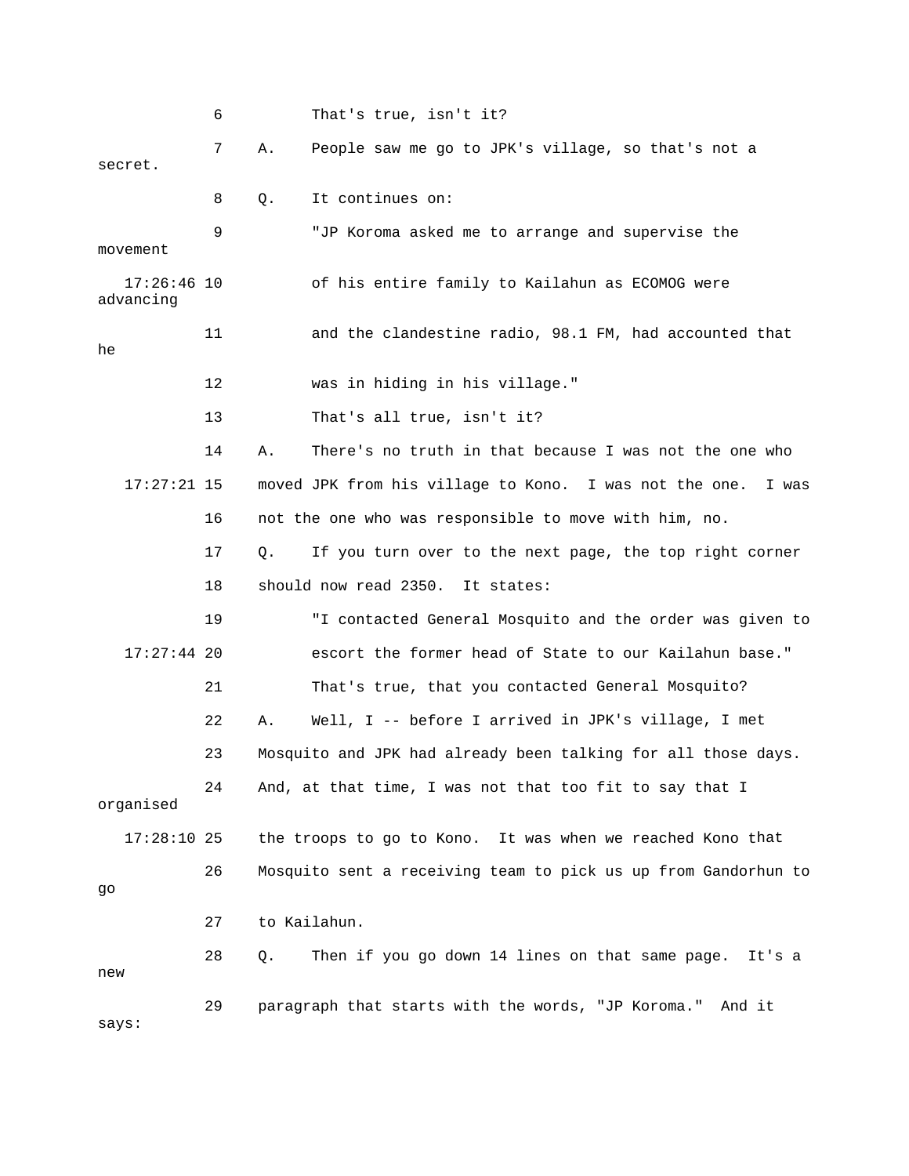|                            | 6  |       | That's true, isn't it?                                          |
|----------------------------|----|-------|-----------------------------------------------------------------|
| secret.                    | 7  | Α.    | People saw me go to JPK's village, so that's not a              |
|                            | 8  | Q.    | It continues on:                                                |
| movement                   | 9  |       | "JP Koroma asked me to arrange and supervise the                |
| $17:26:46$ 10<br>advancing |    |       | of his entire family to Kailahun as ECOMOG were                 |
| he                         | 11 |       | and the clandestine radio, 98.1 FM, had accounted that          |
|                            | 12 |       | was in hiding in his village."                                  |
|                            | 13 |       | That's all true, isn't it?                                      |
|                            | 14 | Α.    | There's no truth in that because I was not the one who          |
| $17:27:21$ 15              |    |       | moved JPK from his village to Kono. I was not the one.<br>I was |
|                            | 16 |       | not the one who was responsible to move with him, no.           |
|                            | 17 | $Q$ . | If you turn over to the next page, the top right corner         |
|                            | 18 |       | should now read 2350.<br>It states:                             |
|                            | 19 |       | "I contacted General Mosquito and the order was given to        |
| $17:27:44$ 20              |    |       | escort the former head of State to our Kailahun base."          |
|                            | 21 |       | That's true, that you contacted General Mosquito?               |
|                            | 22 | Α.    | Well, I -- before I arrived in JPK's village, I met             |
|                            | 23 |       | Mosquito and JPK had already been talking for all those days.   |
| organised                  | 24 |       | And, at that time, I was not that too fit to say that I         |
| $17:28:10$ 25              |    |       | the troops to go to Kono. It was when we reached Kono that      |
| go                         | 26 |       | Mosquito sent a receiving team to pick us up from Gandorhun to  |
|                            | 27 |       | to Kailahun.                                                    |
| new                        | 28 | Q.    | Then if you go down 14 lines on that same page.<br>It's a       |
| says:                      | 29 |       | paragraph that starts with the words, "JP Koroma." And it       |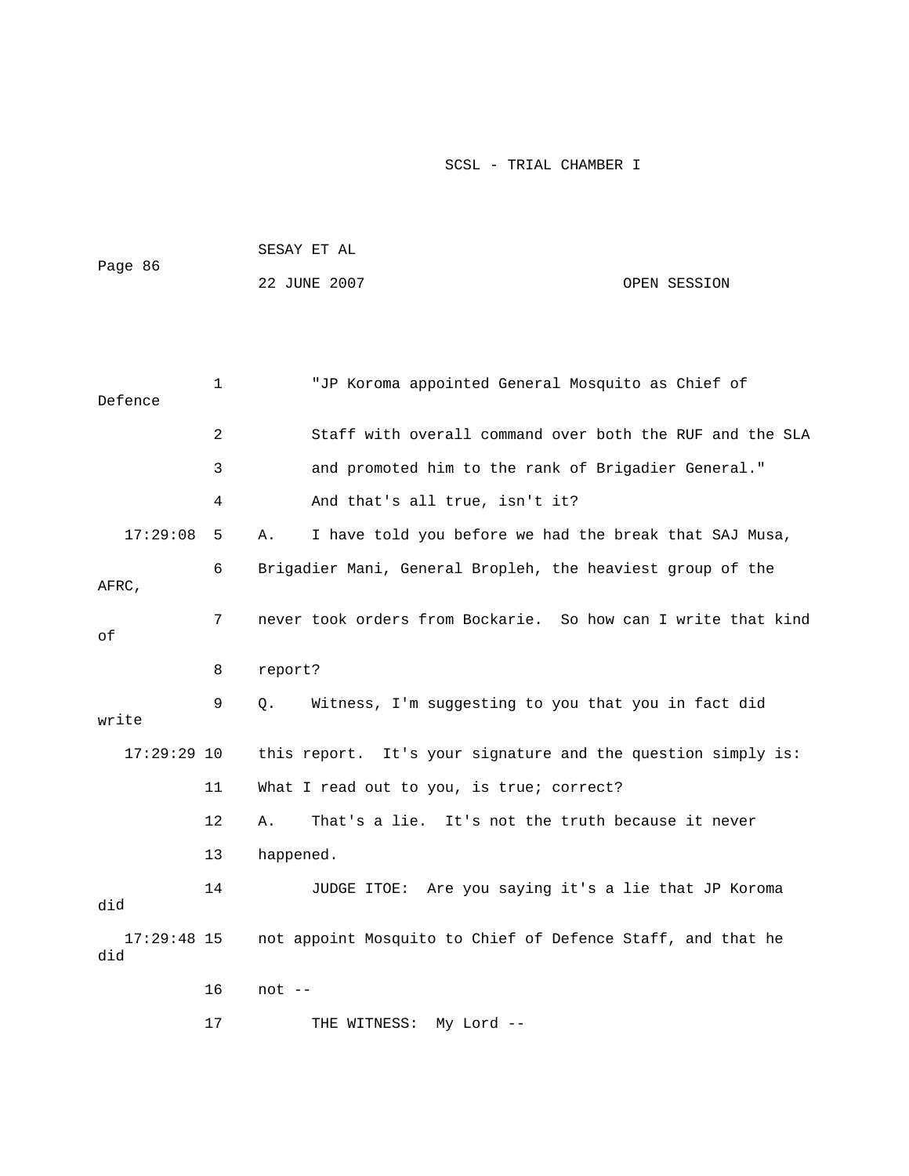|         | SESAY ET AL  |  |              |
|---------|--------------|--|--------------|
| Page 86 |              |  |              |
|         | 22 JUNE 2007 |  | OPEN SESSION |

| Defence              | 1               | "JP Koroma appointed General Mosquito as Chief of             |
|----------------------|-----------------|---------------------------------------------------------------|
|                      | $\overline{2}$  | Staff with overall command over both the RUF and the SLA      |
|                      | 3               | and promoted him to the rank of Brigadier General."           |
|                      | 4               | And that's all true, isn't it?                                |
| 17:29:08             | 5               | I have told you before we had the break that SAJ Musa,<br>Α.  |
| AFRC,                | 6               | Brigadier Mani, General Bropleh, the heaviest group of the    |
| оf                   | $7\overline{ }$ | never took orders from Bockarie. So how can I write that kind |
|                      | 8               | report?                                                       |
| write                | 9               | Witness, I'm suggesting to you that you in fact did<br>Q.     |
| $17:29:29$ 10        |                 | this report. It's your signature and the question simply is:  |
|                      | 11              | What I read out to you, is true; correct?                     |
|                      | 12              | That's a lie. It's not the truth because it never<br>Α.       |
|                      | 13              | happened.                                                     |
| did                  | 14              | JUDGE ITOE: Are you saying it's a lie that JP Koroma          |
| $17:29:48$ 15<br>did |                 | not appoint Mosquito to Chief of Defence Staff, and that he   |
|                      | 16              | $not --$                                                      |
|                      | 17              | My Lord --<br>THE WITNESS:                                    |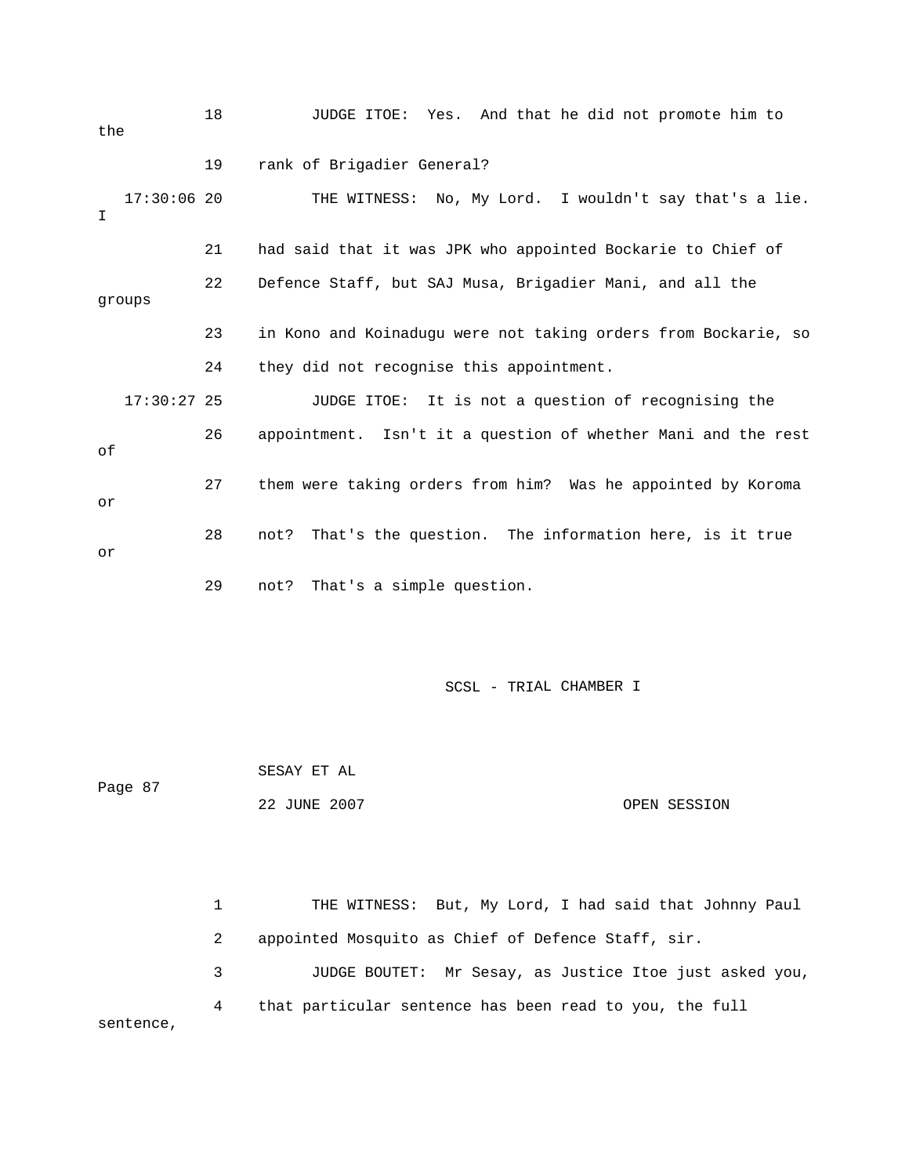| the |               | 18 | JUDGE ITOE: Yes. And that he did not promote him to            |
|-----|---------------|----|----------------------------------------------------------------|
|     |               | 19 | rank of Brigadier General?                                     |
| I   | $17:30:06$ 20 |    | THE WITNESS: No, My Lord. I wouldn't say that's a lie.         |
|     |               | 21 | had said that it was JPK who appointed Bockarie to Chief of    |
|     | groups        | 22 | Defence Staff, but SAJ Musa, Brigadier Mani, and all the       |
|     |               | 23 | in Kono and Koinadugu were not taking orders from Bockarie, so |
|     |               | 24 | they did not recognise this appointment.                       |
|     | $17:30:27$ 25 |    | JUDGE ITOE: It is not a question of recognising the            |
| оf  |               | 26 | appointment. Isn't it a question of whether Mani and the rest  |
| or  |               | 27 | them were taking orders from him? Was he appointed by Koroma   |
| or  |               | 28 | not? That's the question. The information here, is it true     |
|     |               | 29 | That's a simple question.<br>not?                              |

 SESAY ET AL 22 JUNE 2007 OPEN SESSION Page 87

 1 THE WITNESS: But, My Lord, I had said that Johnny Paul 3 JUDGE BOUTET: Mr Sesay, as Justice Itoe just asked you, 2 appointed Mosquito as Chief of Defence Staff, sir. 4 that particular sentence has been read to you, the full sentence,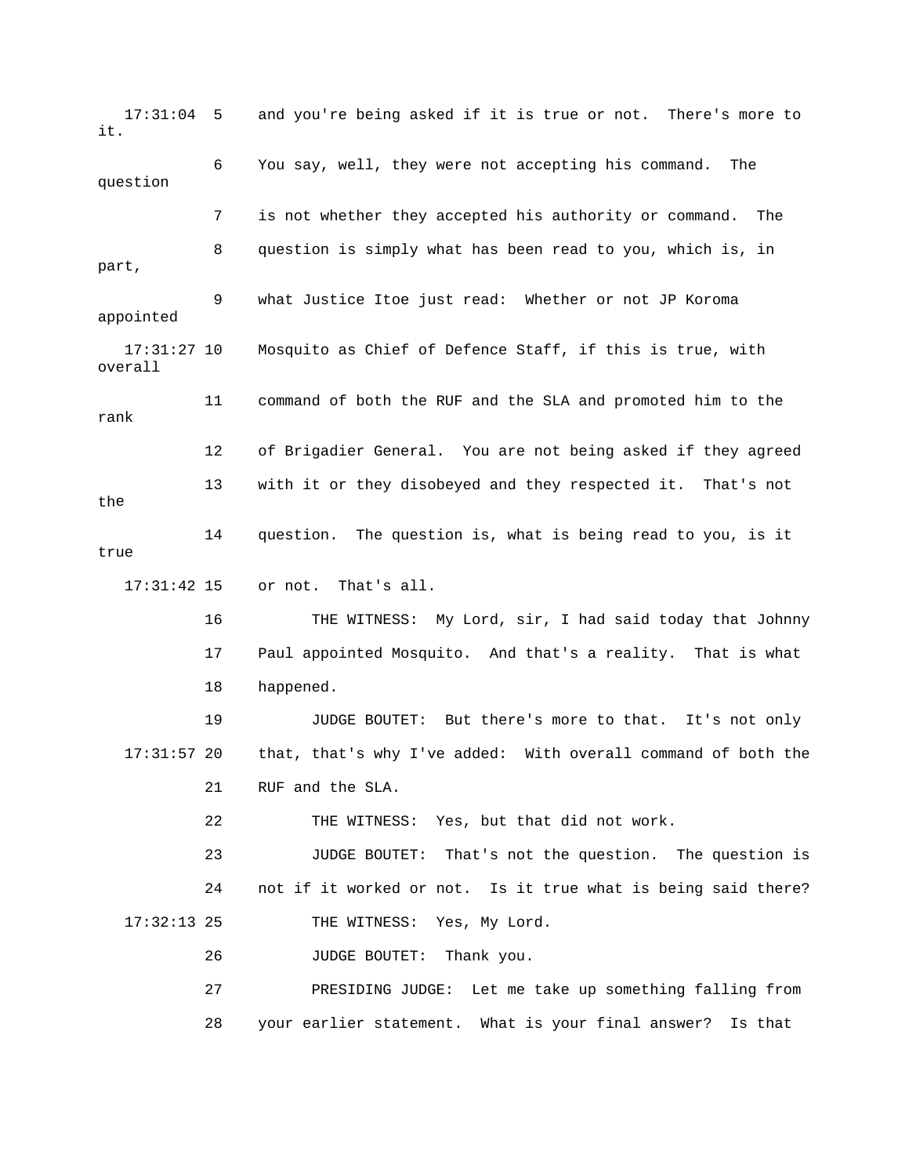17:31:04 5 and you're being asked if it is true or not. There's more to it. 6 You say, well, they were not accepting his command. The question 7 is not whether they accepted his authority or command. The 8 question is simply what has been read to you, which is, in part, 9 what Justice Itoe just read: Whether or not JP Koroma 17:31:27 10 Mosquito as Chief of Defence Staff, if this is true, with overall 12 of Brigadier General. You are not being asked if they agreed 13 with it or they disobeyed and they respected it. That's not the true 16 THE WITNESS: My Lord, sir, I had said today that Johnny 17 Paul appointed Mosquito. And that's a reality. That is what 19 JUDGE BOUTET: But there's more to that. It's not only that, that's why I've added: With overall command of both the 23 JUDGE BOUTET: That's not the question. The question is 24 not if it worked or not. Is it true what is being said there? 26 JUDGE BOUTET: Thank you. m 27 PRESIDING JUDGE: Let me take up something falling fro appointed 11 command of both the RUF and the SLA and promoted him to the rank 14 question. The question is, what is being read to you, is it 17:31:42 15 or not. That's all. 18 happened. 17:31:5 21 RUF and the SLA. 22 THE WITNESS: Yes, but that did not work. 17:32:13 25 THE WITNESS: Yes, My Lord. 28 your earlier statement. What is your final answer? Is that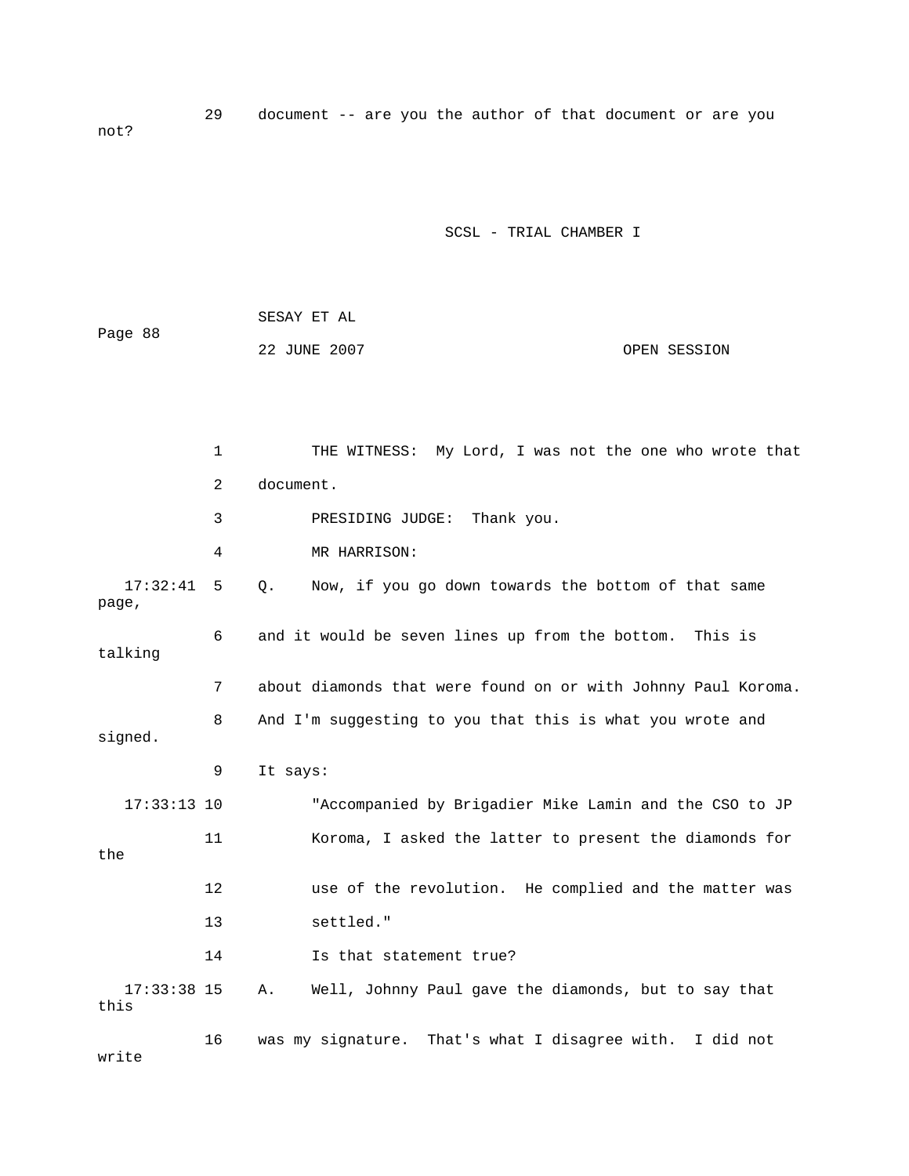29 document -- are you the author of that document or are you not?

|         | SESAY ET AL  |  |              |
|---------|--------------|--|--------------|
| Page 88 |              |  |              |
|         | 22 JUNE 2007 |  | OPEN SESSION |

|                       | $\mathbf 1$ | THE WITNESS: My Lord, I was not the one who wrote that        |
|-----------------------|-------------|---------------------------------------------------------------|
|                       | 2           | document.                                                     |
|                       | 3           | Thank you.<br>PRESIDING JUDGE:                                |
|                       | 4           | MR HARRISON:                                                  |
| 17:32:41<br>page,     | 5           | Now, if you go down towards the bottom of that same<br>0.     |
| talking               | 6           | and it would be seven lines up from the bottom. This is       |
|                       | 7           | about diamonds that were found on or with Johnny Paul Koroma. |
| signed.               | 8           | And I'm suggesting to you that this is what you wrote and     |
|                       | 9           | It says:                                                      |
| $17:33:13$ 10         |             | "Accompanied by Brigadier Mike Lamin and the CSO to JP        |
| the                   | 11          | Koroma, I asked the latter to present the diamonds for        |
|                       | 12          | use of the revolution. He complied and the matter was         |
|                       | 13          | settled."                                                     |
|                       | 14          | Is that statement true?                                       |
| $17:33:38$ 15<br>this |             | Well, Johnny Paul gave the diamonds, but to say that<br>Α.    |
| write                 | 16          | was my signature. That's what I disagree with. I did not      |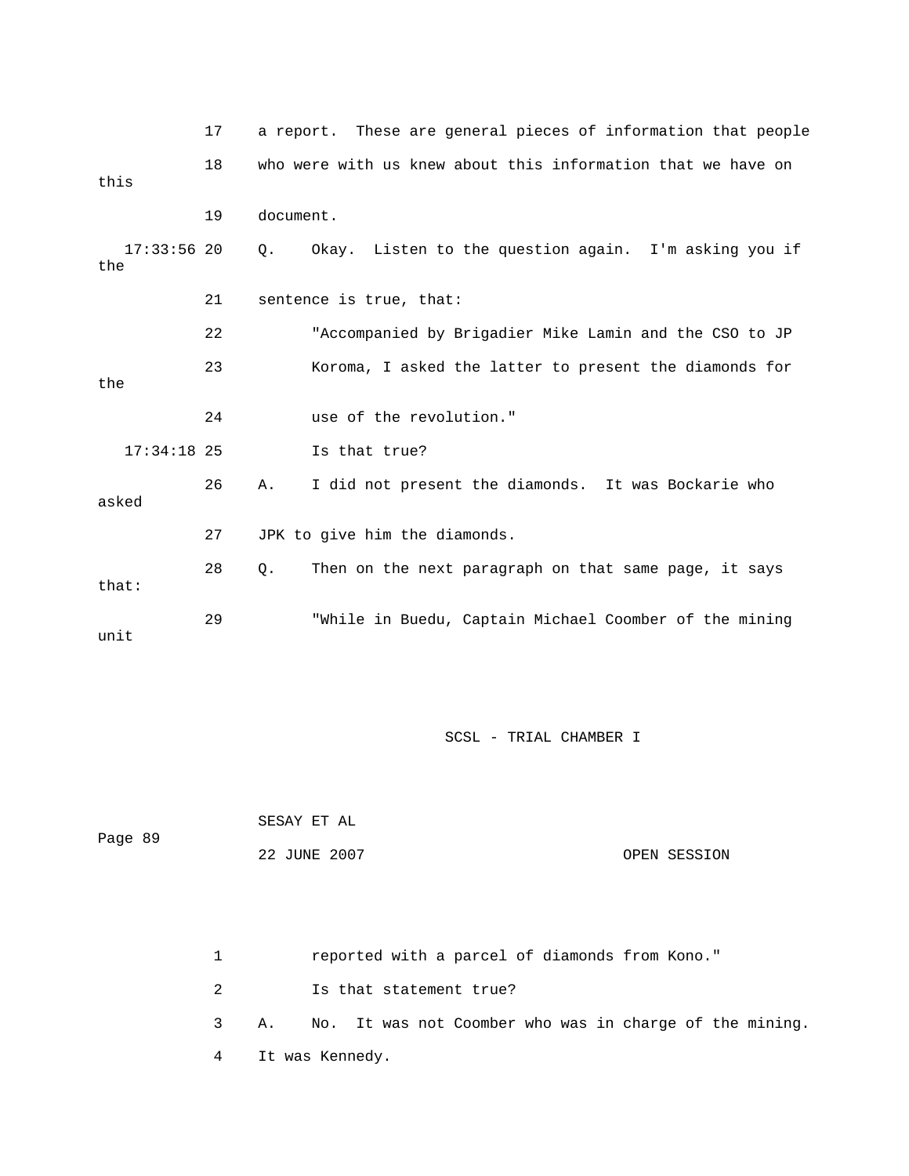|                      | 17 |           | a report. These are general pieces of information that people |
|----------------------|----|-----------|---------------------------------------------------------------|
| this                 | 18 |           | who were with us knew about this information that we have on  |
|                      | 19 | document. |                                                               |
| $17:33:56$ 20<br>the |    | О.        | Okay. Listen to the question again. I'm asking you if         |
|                      | 21 |           | sentence is true, that:                                       |
|                      | 22 |           | "Accompanied by Brigadier Mike Lamin and the CSO to JP        |
| the                  | 23 |           | Koroma, I asked the latter to present the diamonds for        |
|                      | 24 |           | use of the revolution."                                       |
| $17:34:18$ 25        |    |           | Is that true?                                                 |
| asked                | 26 | А.        | I did not present the diamonds. It was Bockarie who           |
|                      | 27 |           | JPK to give him the diamonds.                                 |
| that:                | 28 | Q.        | Then on the next paragraph on that same page, it says         |
| unit                 | 29 |           | "While in Buedu, Captain Michael Coomber of the mining        |

| Page 89 | SESAY ET AL  |              |
|---------|--------------|--------------|
|         | 22 JUNE 2007 | OPEN SESSION |

1 reported with a parcel of diamonds from Kono."

2 Is that statement true?

3 A. No. It was not Coomber who was in charge of the mining.

4 It was Kennedy.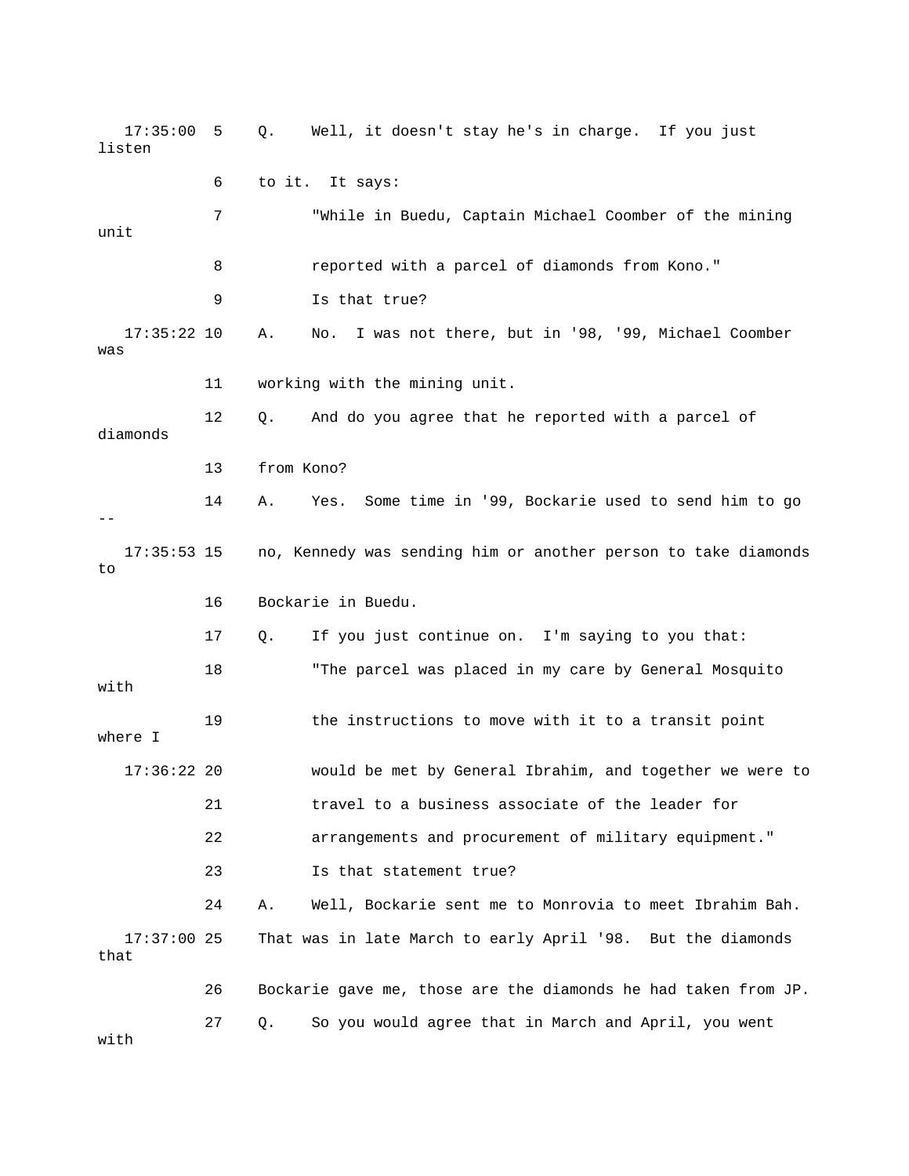17:35:00 5 Q. Well, it doesn't stay he's in charge. If you just listen 7 "While in Buedu, Captain Michael Coomber of the mining 8 reported with a parcel of diamonds from Kono." 9 Is that true? 17:35:22 10 A. No. I was not there, but in '98, '99, Michael Coomber was 11 working with the mining unit. 12 Q. And do you agree that he reported with a parcel of 13 from Kono? 14 A. Yes. Some time in '99, Bockarie used to send him to go 17:35:53 15 no, Kennedy was sending him or another person to take diamonds 16 Bockarie in Buedu. 17 Q. If you just continue on. I'm saying to you that: 18 "The parcel was placed in my care by General Mosquito by General Ibrahim, and together we were to 17:36:22 20 would be met 22 arrangements and procurement of military equipment." 23 Is that statement true? 24 A. Well, Bockarie sent me to Monrovia to meet Ibrahim Bah. that 26 Bockarie gave me, those are the diamonds he had taken from JP. 27 Q. So you would agree that in March and April, you went 6 to it. It says: unit diamonds - to with 19 the instructions to move with it to a transit point where I 21 travel to a business associate of the leader for 17:37:00 25 That was in late March to early April '98. But the diamonds

with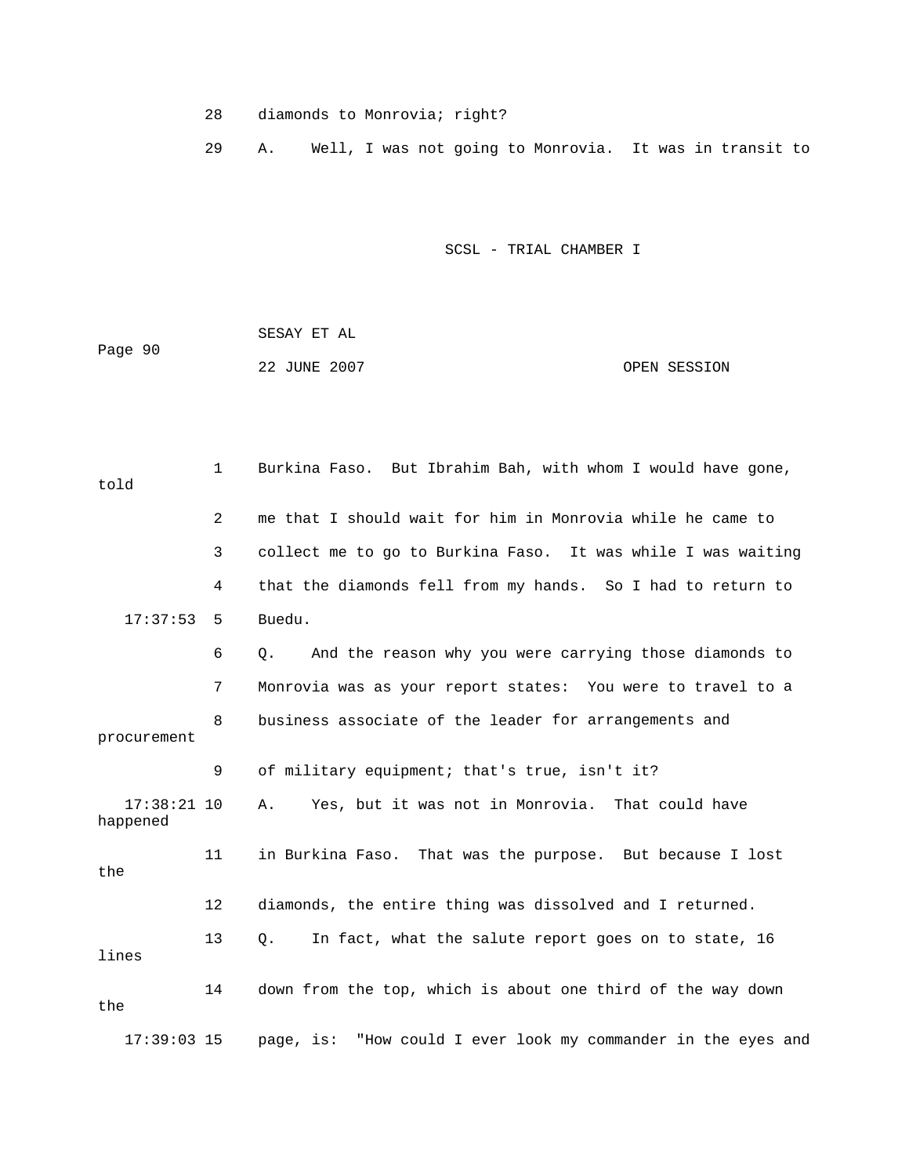- 28 diamonds to Monrovia; right?
- 29 A. Well, I was not going to Monrovia. It was in transit to

|         | SESAY ET AL  |              |
|---------|--------------|--------------|
| Page 90 |              |              |
|         | 22 JUNE 2007 | OPEN SESSION |

| told                      | $\mathbf{1}$ | Burkina Faso. But Ibrahim Bah, with whom I would have gone,   |
|---------------------------|--------------|---------------------------------------------------------------|
|                           | 2            | me that I should wait for him in Monrovia while he came to    |
|                           | 3            | collect me to go to Burkina Faso. It was while I was waiting  |
|                           | 4            | that the diamonds fell from my hands. So I had to return to   |
| 17:37:53                  | 5            | Buedu.                                                        |
|                           | 6            | And the reason why you were carrying those diamonds to<br>Q.  |
|                           | 7            | Monrovia was as your report states: You were to travel to a   |
| procurement               | 8            | business associate of the leader for arrangements and         |
|                           | 9            | of military equipment; that's true, isn't it?                 |
| $17:38:21$ 10<br>happened |              | Yes, but it was not in Monrovia. That could have<br>Α.        |
| the                       | 11           | in Burkina Faso. That was the purpose. But because I lost     |
|                           | 12           | diamonds, the entire thing was dissolved and I returned.      |
| lines                     | 13           | In fact, what the salute report goes on to state, 16<br>О.    |
| the                       | 14           | down from the top, which is about one third of the way down   |
| $17:39:03$ 15             |              | page, is: "How could I ever look my commander in the eyes and |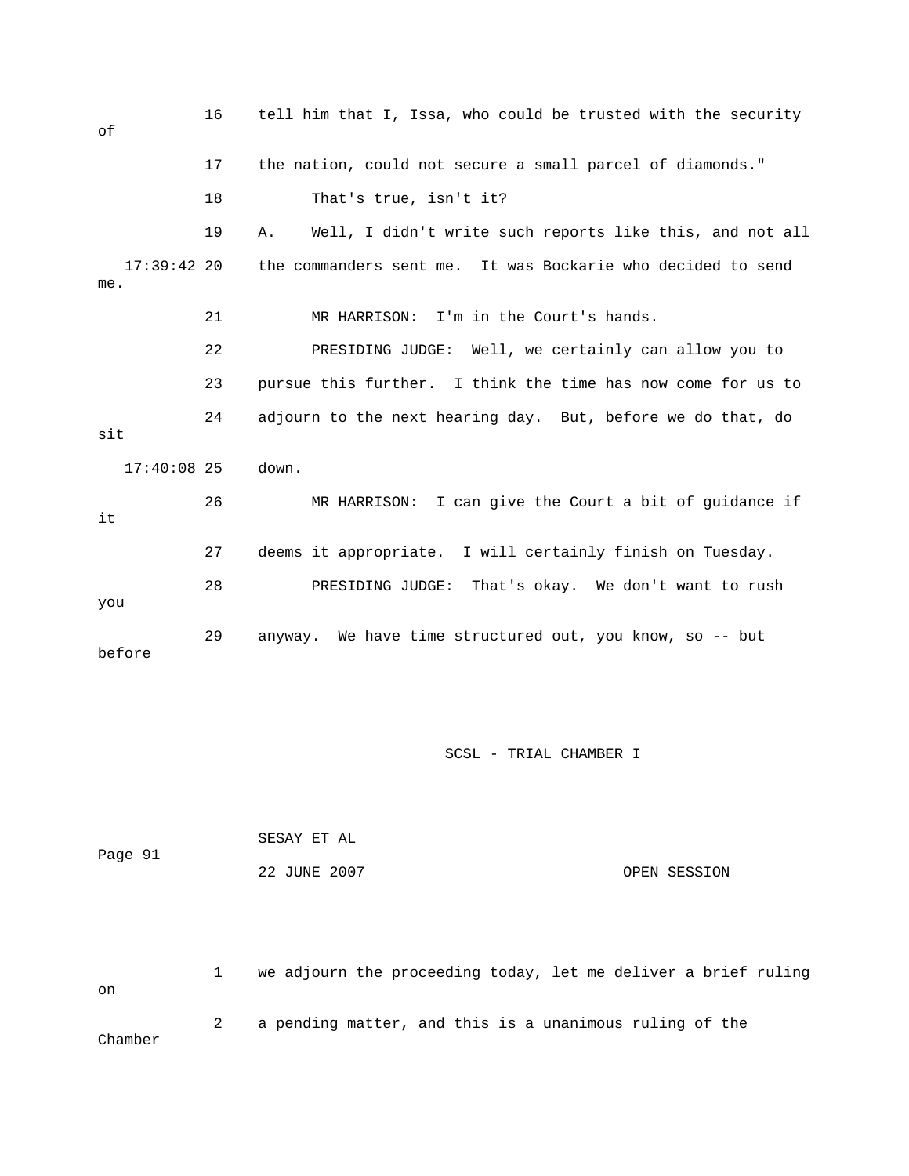| оf                   | 16 | tell him that I, Issa, who could be trusted with the security  |
|----------------------|----|----------------------------------------------------------------|
|                      | 17 | the nation, could not secure a small parcel of diamonds."      |
|                      | 18 | That's true, isn't it?                                         |
|                      | 19 | Well, I didn't write such reports like this, and not all<br>Α. |
| $17:39:42$ 20<br>me. |    | the commanders sent me. It was Bockarie who decided to send    |
|                      | 21 | MR HARRISON: I'm in the Court's hands.                         |
|                      | 22 | PRESIDING JUDGE: Well, we certainly can allow you to           |
|                      | 23 | pursue this further. I think the time has now come for us to   |
| sit                  | 24 | adjourn to the next hearing day. But, before we do that, do    |
| $17:40:08$ 25        |    | down.                                                          |
| it                   | 26 | MR HARRISON: I can give the Court a bit of guidance if         |
|                      | 27 | deems it appropriate. I will certainly finish on Tuesday.      |
| you                  | 28 | PRESIDING JUDGE: That's okay. We don't want to rush            |
| before               | 29 | anyway. We have time structured out, you know, so -- but       |

| Page 91 | SESAY ET AL  |              |
|---------|--------------|--------------|
|         | 22 JUNE 2007 | OPEN SESSION |

 1 we adjourn the proceeding today, let me deliver a brief ruling on 2 a pending matter, and this is a unanimous ruling of the Chamber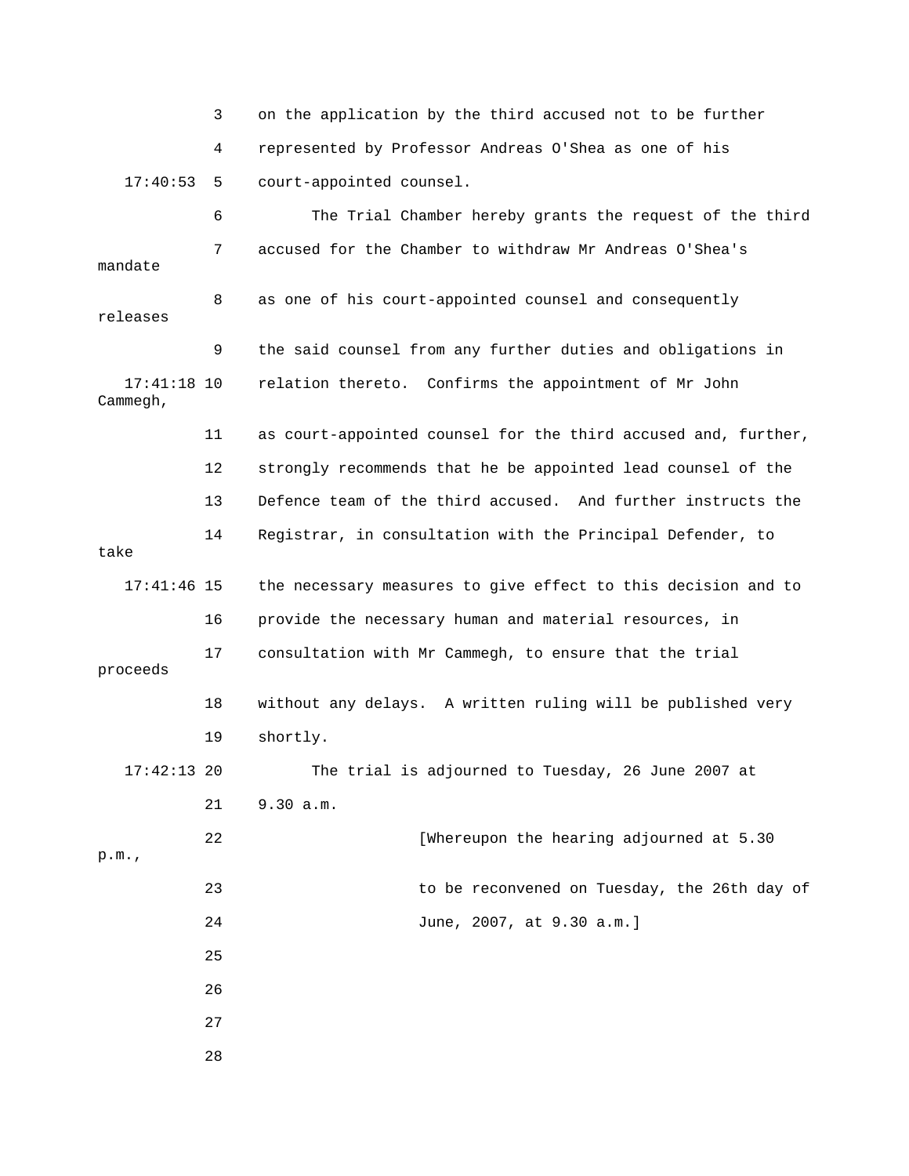|                           | 3  | on the application by the third accused not to be further      |
|---------------------------|----|----------------------------------------------------------------|
|                           | 4  | represented by Professor Andreas O'Shea as one of his          |
| 17:40:53                  | 5  | court-appointed counsel.                                       |
|                           | 6  | The Trial Chamber hereby grants the request of the third       |
| mandate                   | 7  | accused for the Chamber to withdraw Mr Andreas O'Shea's        |
| releases                  | 8  | as one of his court-appointed counsel and consequently         |
|                           | 9  | the said counsel from any further duties and obligations in    |
| $17:41:18$ 10<br>Cammegh, |    | relation thereto. Confirms the appointment of Mr John          |
|                           | 11 | as court-appointed counsel for the third accused and, further, |
|                           | 12 | strongly recommends that he be appointed lead counsel of the   |
|                           | 13 | Defence team of the third accused. And further instructs the   |
| take                      | 14 | Registrar, in consultation with the Principal Defender, to     |
| $17:41:46$ 15             |    | the necessary measures to give effect to this decision and to  |
|                           | 16 | provide the necessary human and material resources, in         |
| proceeds                  | 17 | consultation with Mr Cammegh, to ensure that the trial         |
|                           | 18 | without any delays. A written ruling will be published very    |
|                           | 19 | shortly.                                                       |
| $17:42:13$ 20             |    | The trial is adjourned to Tuesday, 26 June 2007 at             |
|                           | 21 | 9.30 a.m.                                                      |
| p.m.                      | 22 | [Whereupon the hearing adjourned at 5.30                       |
|                           | 23 | to be reconvened on Tuesday, the 26th day of                   |
|                           | 24 | June, 2007, at 9.30 a.m.]                                      |
|                           | 25 |                                                                |
|                           | 26 |                                                                |
|                           | 27 |                                                                |
|                           | 28 |                                                                |